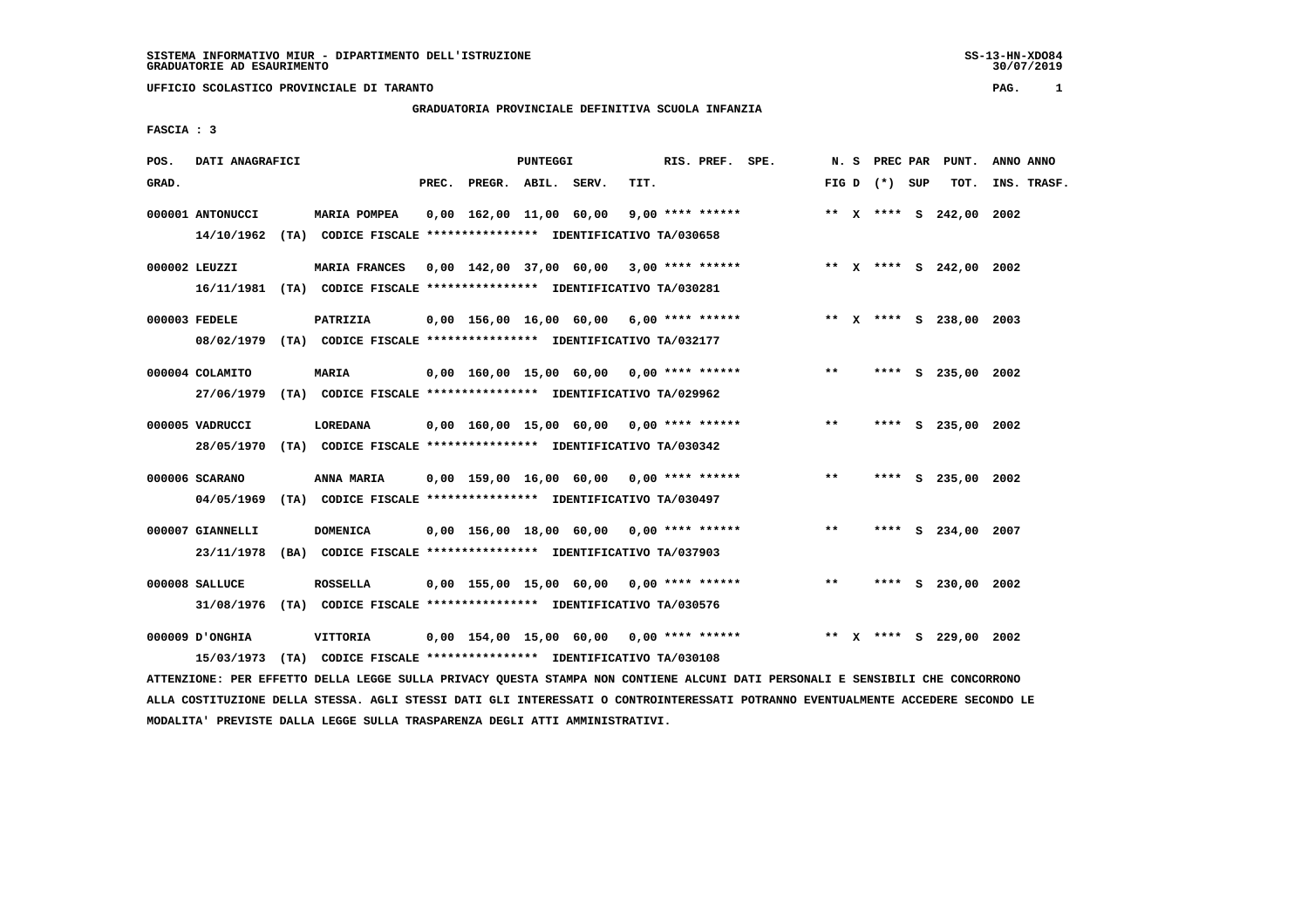**UFFICIO SCOLASTICO PROVINCIALE DI TARANTO PAG. 1**

# **GRADUATORIA PROVINCIALE DEFINITIVA SCUOLA INFANZIA**

 **FASCIA : 3**

| POS.  | DATI ANAGRAFICI  |                                                                         |                                            | <b>PUNTEGGI</b> |      | RIS. PREF. SPE. |       | N. S PREC PAR     | PUNT.                   | ANNO ANNO   |
|-------|------------------|-------------------------------------------------------------------------|--------------------------------------------|-----------------|------|-----------------|-------|-------------------|-------------------------|-------------|
| GRAD. |                  |                                                                         | PREC. PREGR. ABIL. SERV.                   |                 | TIT. |                 |       | FIG $D$ $(*)$ SUP | TOT.                    | INS. TRASF. |
|       | 000001 ANTONUCCI | MARIA POMPEA                                                            | $0,00$ 162,00 11,00 60,00 9,00 **** ****** |                 |      |                 |       |                   | ** X **** S 242,00 2002 |             |
|       | 14/10/1962       | (TA) CODICE FISCALE **************** IDENTIFICATIVO TA/030658           |                                            |                 |      |                 |       |                   |                         |             |
|       | 000002 LEUZZI    | <b>MARIA FRANCES</b>                                                    | $0.00$ 142.00 37.00 60.00 3.00 **** ****** |                 |      |                 |       |                   | ** x **** s 242,00 2002 |             |
|       | 16/11/1981       | (TA) CODICE FISCALE **************** IDENTIFICATIVO TA/030281           |                                            |                 |      |                 |       |                   |                         |             |
|       | 000003 FEDELE    | PATRIZIA                                                                | $0,00$ 156,00 16,00 60,00 6,00 **** ****** |                 |      |                 |       |                   | ** X **** S 238,00 2003 |             |
|       |                  | 08/02/1979 (TA) CODICE FISCALE *************** IDENTIFICATIVO TA/032177 |                                            |                 |      |                 |       |                   |                         |             |
|       | 000004 COLAMITO  | MARIA                                                                   | $0.00$ 160.00 15.00 60.00 0.00 **** ****** |                 |      |                 | $* *$ |                   | **** S 235,00 2002      |             |
|       | 27/06/1979       | (TA) CODICE FISCALE **************** IDENTIFICATIVO TA/029962           |                                            |                 |      |                 |       |                   |                         |             |
|       | 000005 VADRUCCI  | LOREDANA                                                                | $0,00$ 160,00 15,00 60,00 0,00 **** ****** |                 |      |                 | $***$ |                   | **** S 235,00 2002      |             |
|       | 28/05/1970       | (TA) CODICE FISCALE **************** IDENTIFICATIVO TA/030342           |                                            |                 |      |                 |       |                   |                         |             |
|       | 000006 SCARANO   | ANNA MARIA                                                              | $0,00$ 159,00 16,00 60,00 0,00 **** ****** |                 |      |                 | $* *$ |                   | **** S 235,00 2002      |             |
|       | 04/05/1969       | (TA) CODICE FISCALE **************** IDENTIFICATIVO TA/030497           |                                            |                 |      |                 |       |                   |                         |             |
|       | 000007 GIANNELLI | <b>DOMENICA</b>                                                         | $0,00$ 156,00 18,00 60,00 0,00 **** ****** |                 |      |                 | $* *$ |                   | **** S 234,00 2007      |             |
|       | 23/11/1978       | (BA) CODICE FISCALE **************** IDENTIFICATIVO TA/037903           |                                            |                 |      |                 |       |                   |                         |             |
|       | 000008 SALLUCE   | <b>ROSSELLA</b>                                                         | $0,00$ 155,00 15,00 60,00 0,00 **** ****** |                 |      |                 | $***$ |                   | **** S 230,00 2002      |             |
|       | 31/08/1976       | (TA) CODICE FISCALE *************** IDENTIFICATIVO TA/030576            |                                            |                 |      |                 |       |                   |                         |             |
|       | 000009 D'ONGHIA  | VITTORIA                                                                | $0,00$ 154,00 15,00 60,00 0,00 **** ****** |                 |      |                 |       |                   | ** X **** S 229,00 2002 |             |
|       | 15/03/1973       | (TA) CODICE FISCALE **************** IDENTIFICATIVO TA/030108           |                                            |                 |      |                 |       |                   |                         |             |

 **ATTENZIONE: PER EFFETTO DELLA LEGGE SULLA PRIVACY QUESTA STAMPA NON CONTIENE ALCUNI DATI PERSONALI E SENSIBILI CHE CONCORRONO ALLA COSTITUZIONE DELLA STESSA. AGLI STESSI DATI GLI INTERESSATI O CONTROINTERESSATI POTRANNO EVENTUALMENTE ACCEDERE SECONDO LE MODALITA' PREVISTE DALLA LEGGE SULLA TRASPARENZA DEGLI ATTI AMMINISTRATIVI.**

SS-13-HN-XDO84<br>30/07/2019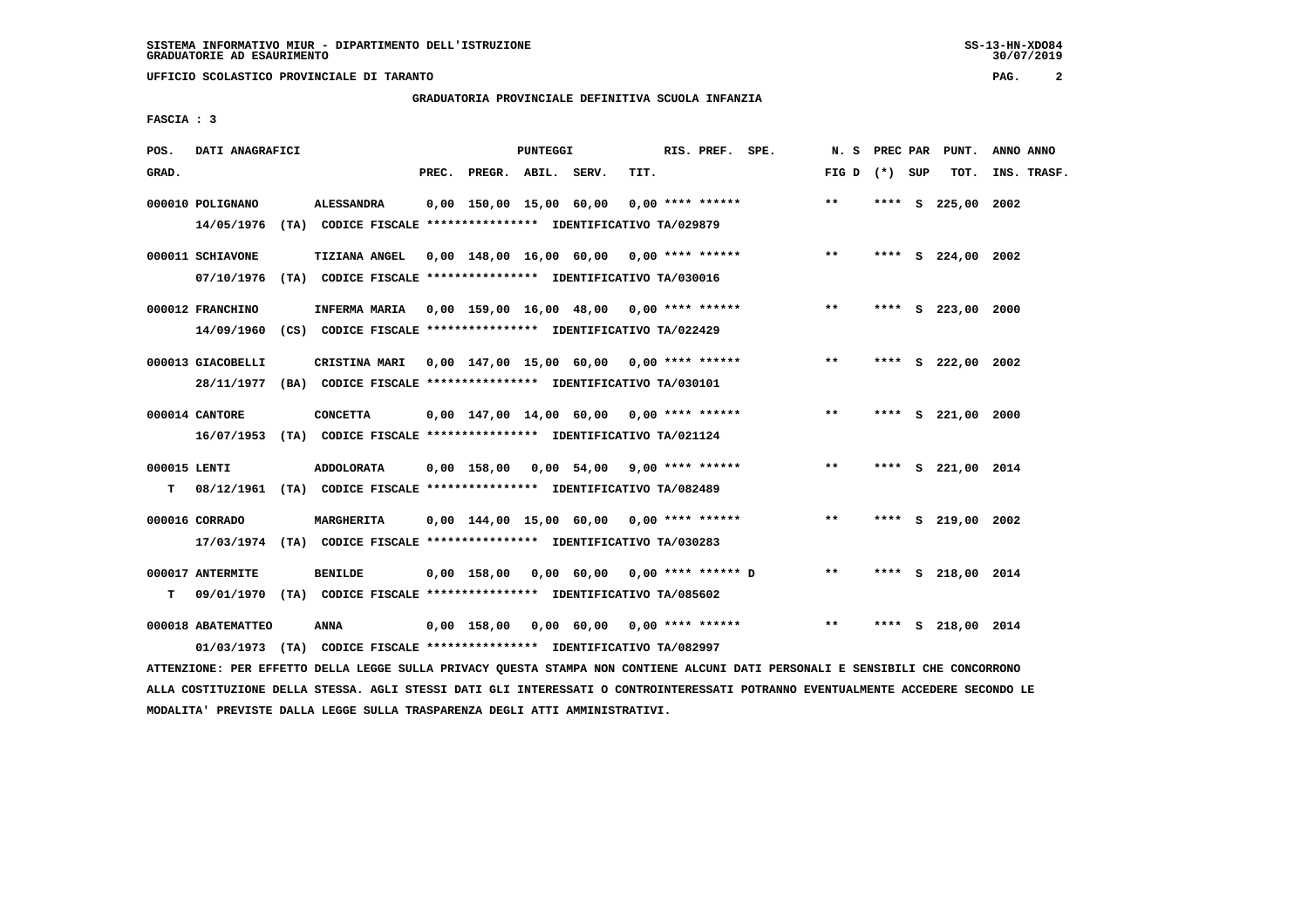**UFFICIO SCOLASTICO PROVINCIALE DI TARANTO PAG. 2**

### **GRADUATORIA PROVINCIALE DEFINITIVA SCUOLA INFANZIA**

 **FASCIA : 3**

| POS.         | DATI ANAGRAFICI                |      |                                                                                    |       |                    | PUNTEGGI |                                             |      | RIS. PREF. SPE.    |                               | N.S             |      | PREC PAR PUNT.     | ANNO ANNO   |
|--------------|--------------------------------|------|------------------------------------------------------------------------------------|-------|--------------------|----------|---------------------------------------------|------|--------------------|-------------------------------|-----------------|------|--------------------|-------------|
| GRAD.        |                                |      |                                                                                    | PREC. | PREGR. ABIL. SERV. |          |                                             | TIT. |                    |                               | FIG D $(*)$ SUP |      | TOT.               | INS. TRASF. |
|              | 000010 POLIGNANO<br>14/05/1976 |      | <b>ALESSANDRA</b><br>(TA) CODICE FISCALE **************** IDENTIFICATIVO TA/029879 |       |                    |          | 0,00 150,00 15,00 60,00                     |      | $0.00$ **** ****** |                               | $**$            |      | **** S 225,00 2002 |             |
|              |                                |      |                                                                                    |       |                    |          |                                             |      |                    |                               |                 |      |                    |             |
|              | 000011 SCHIAVONE               |      | <b>TIZIANA ANGEL</b>                                                               |       |                    |          | $0,00$ 148,00 16,00 60,00 0,00 **** ******  |      |                    |                               | $**$            |      | **** S 224,00 2002 |             |
|              | 07/10/1976                     |      | (TA) CODICE FISCALE **************** IDENTIFICATIVO TA/030016                      |       |                    |          |                                             |      |                    |                               |                 |      |                    |             |
|              | 000012 FRANCHINO               |      | INFERMA MARIA 0,00 159,00 16,00 48,00 0,00 **** ******                             |       |                    |          |                                             |      |                    |                               | $***$           |      | **** S 223,00 2000 |             |
|              | 14/09/1960                     |      | (CS) CODICE FISCALE **************** IDENTIFICATIVO TA/022429                      |       |                    |          |                                             |      |                    |                               |                 |      |                    |             |
|              | 000013 GIACOBELLI              |      | CRISTINA MARI                                                                      |       |                    |          | 0,00 147,00 15,00 60,00 0,00 **** ******    |      |                    |                               | $***$           |      | **** S 222,00 2002 |             |
|              | 28/11/1977                     |      | (BA) CODICE FISCALE **************** IDENTIFICATIVO TA/030101                      |       |                    |          |                                             |      |                    |                               |                 |      |                    |             |
|              | 000014 CANTORE                 |      | <b>CONCETTA</b>                                                                    |       |                    |          | 0,00 147,00 14,00 60,00 0,00 **** ******    |      |                    |                               | $**$            | **** | S 221,00 2000      |             |
|              |                                |      | 16/07/1953 (TA) CODICE FISCALE *************** IDENTIFICATIVO TA/021124            |       |                    |          |                                             |      |                    |                               |                 |      |                    |             |
| 000015 LENTI |                                |      | ADDOLORATA                                                                         |       |                    |          | $0,00$ 158,00 $0,00$ 54,00 9,00 **** ****** |      |                    |                               | $* *$           |      | **** S 221,00 2014 |             |
| т            | 08/12/1961                     |      | (TA) CODICE FISCALE **************** IDENTIFICATIVO TA/082489                      |       |                    |          |                                             |      |                    |                               |                 |      |                    |             |
|              |                                |      |                                                                                    |       |                    |          |                                             |      |                    |                               |                 |      |                    |             |
|              | 000016 CORRADO                 |      | <b>MARGHERITA</b>                                                                  |       |                    |          | $0.00$ 144.00 15.00 60.00 0.00 **** ******  |      |                    |                               | $* *$           |      | **** S 219,00 2002 |             |
|              |                                |      | 17/03/1974 (TA) CODICE FISCALE *************** IDENTIFICATIVO TA/030283            |       |                    |          |                                             |      |                    |                               |                 |      |                    |             |
|              | 000017 ANTERMITE               |      | <b>BENILDE</b>                                                                     |       | 0,00 158,00        |          |                                             |      |                    | 0,00 60,00 0,00 **** ****** D | $***$           |      | **** S 218,00 2014 |             |
| т            | 09/01/1970                     |      | (TA) CODICE FISCALE **************** IDENTIFICATIVO TA/085602                      |       |                    |          |                                             |      |                    |                               |                 |      |                    |             |
|              | 000018 ABATEMATTEO             |      | ANNA                                                                               |       | 0,00 158,00        |          | 0,00 60,00 0,00 **** ******                 |      |                    |                               | $* *$           |      | **** S 218,00 2014 |             |
|              | 01/03/1973                     | (TA) | CODICE FISCALE **************** IDENTIFICATIVO TA/082997                           |       |                    |          |                                             |      |                    |                               |                 |      |                    |             |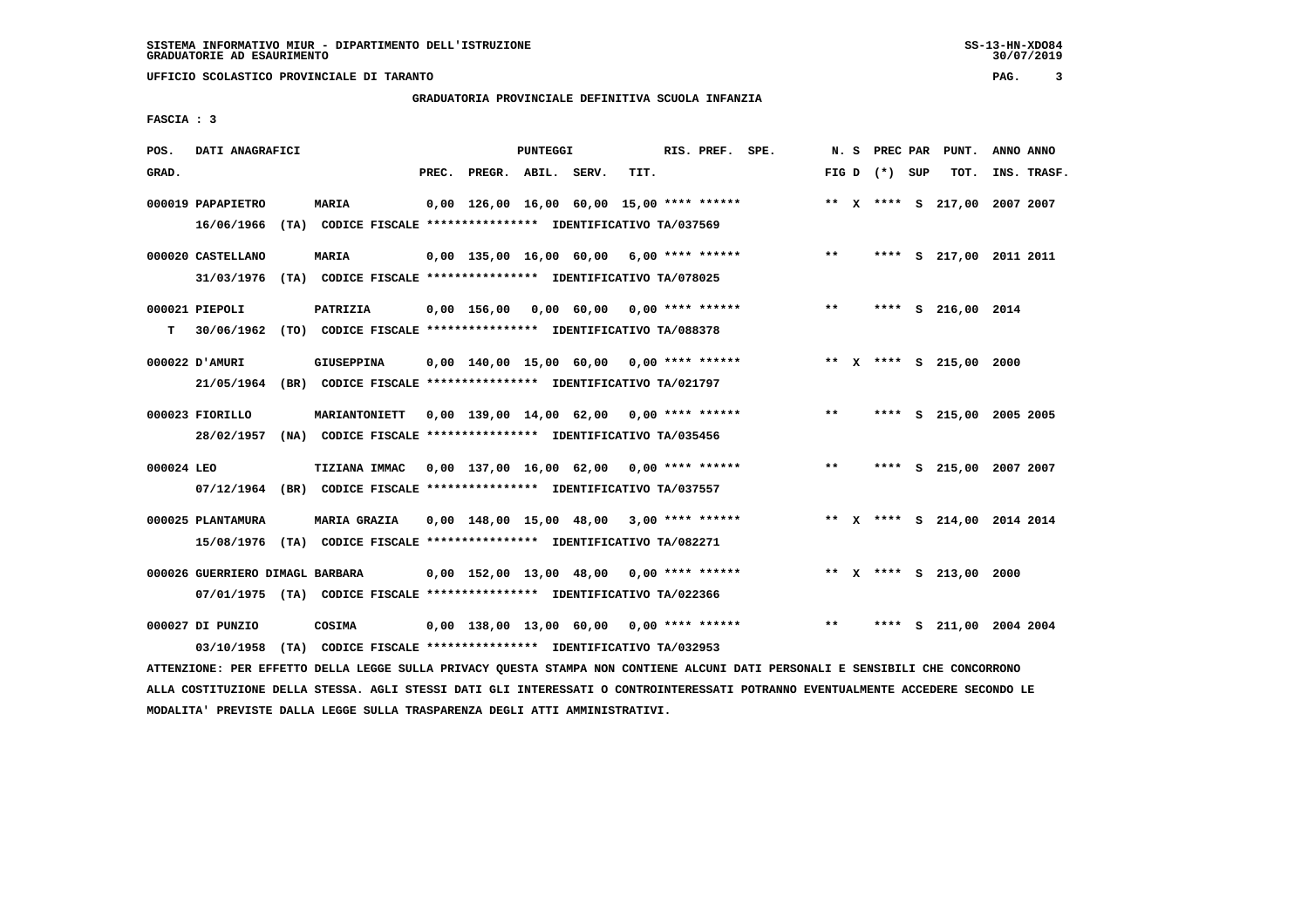**UFFICIO SCOLASTICO PROVINCIALE DI TARANTO PAG. 3**

## **GRADUATORIA PROVINCIALE DEFINITIVA SCUOLA INFANZIA**

 **FASCIA : 3**

| POS.       | DATI ANAGRAFICI                                                         |                     |       |                                                               | PUNTEGGI |      | RIS. PREF. SPE. |       |                 | N. S PREC PAR PUNT.          | ANNO ANNO |             |
|------------|-------------------------------------------------------------------------|---------------------|-------|---------------------------------------------------------------|----------|------|-----------------|-------|-----------------|------------------------------|-----------|-------------|
| GRAD.      |                                                                         |                     | PREC. | PREGR. ABIL. SERV.                                            |          | TIT. |                 |       | FIG D $(*)$ SUP | тот.                         |           | INS. TRASF. |
|            |                                                                         |                     |       |                                                               |          |      |                 |       |                 |                              |           |             |
|            | 000019 PAPAPIETRO                                                       | <b>MARIA</b>        |       | 0,00 126,00 16,00 60,00 15,00 **** ******                     |          |      |                 |       |                 | ** X **** S 217,00 2007 2007 |           |             |
|            | 16/06/1966 (TA) CODICE FISCALE *************** IDENTIFICATIVO TA/037569 |                     |       |                                                               |          |      |                 |       |                 |                              |           |             |
|            |                                                                         |                     |       |                                                               |          |      |                 |       |                 |                              |           |             |
|            | 000020 CASTELLANO                                                       | MARIA               |       | $0,00$ 135,00 16,00 60,00 6,00 **** ******                    |          |      |                 | $***$ |                 | **** S 217,00 2011 2011      |           |             |
|            | 31/03/1976 (TA) CODICE FISCALE *************** IDENTIFICATIVO TA/078025 |                     |       |                                                               |          |      |                 |       |                 |                              |           |             |
|            |                                                                         |                     |       |                                                               |          |      |                 |       |                 |                              |           |             |
|            | 000021 PIEPOLI                                                          | PATRIZIA            |       | 0,00 156,00 0,00 60,00 0,00 **** ******                       |          |      |                 | $***$ |                 | **** S 216,00 2014           |           |             |
| т          | 30/06/1962 (TO) CODICE FISCALE *************** IDENTIFICATIVO TA/088378 |                     |       |                                                               |          |      |                 |       |                 |                              |           |             |
|            |                                                                         |                     |       |                                                               |          |      |                 |       |                 |                              |           |             |
|            | 000022 D'AMURI                                                          | <b>GIUSEPPINA</b>   |       | $0.00$ 140.00 15.00 60.00 0.00 **** ******                    |          |      |                 |       |                 | ** X **** S 215,00 2000      |           |             |
|            | 21/05/1964 (BR) CODICE FISCALE *************** IDENTIFICATIVO TA/021797 |                     |       |                                                               |          |      |                 |       |                 |                              |           |             |
|            | 000023 FIORILLO                                                         |                     |       | MARIANTONIETT  0,00 139,00 14,00 62,00  0,00 **** ******      |          |      |                 | $***$ |                 | **** S 215,00 2005 2005      |           |             |
|            |                                                                         |                     |       |                                                               |          |      |                 |       |                 |                              |           |             |
|            | 28/02/1957 (NA) CODICE FISCALE *************** IDENTIFICATIVO TA/035456 |                     |       |                                                               |          |      |                 |       |                 |                              |           |             |
| 000024 LEO |                                                                         |                     |       | TIZIANA IMMAC 0,00 137,00 16,00 62,00 0,00 **** ******        |          |      |                 | $***$ |                 | **** S 215,00 2007 2007      |           |             |
|            | 07/12/1964 (BR) CODICE FISCALE *************** IDENTIFICATIVO TA/037557 |                     |       |                                                               |          |      |                 |       |                 |                              |           |             |
|            |                                                                         |                     |       |                                                               |          |      |                 |       |                 |                              |           |             |
|            | 000025 PLANTAMURA                                                       | <b>MARIA GRAZIA</b> |       | $0.00$ 148.00 15.00 48.00 3.00 **** ******                    |          |      |                 |       |                 | ** X **** S 214,00 2014 2014 |           |             |
|            | 15/08/1976 (TA) CODICE FISCALE *************** IDENTIFICATIVO TA/082271 |                     |       |                                                               |          |      |                 |       |                 |                              |           |             |
|            |                                                                         |                     |       |                                                               |          |      |                 |       |                 |                              |           |             |
|            | 000026 GUERRIERO DIMAGL BARBARA                                         |                     |       | $0,00$ 152,00 13,00 48,00 0,00 **** ******                    |          |      |                 |       |                 | ** X **** S 213,00 2000      |           |             |
|            | 07/01/1975 (TA) CODICE FISCALE *************** IDENTIFICATIVO TA/022366 |                     |       |                                                               |          |      |                 |       |                 |                              |           |             |
|            |                                                                         |                     |       |                                                               |          |      |                 |       |                 |                              |           |             |
|            | 000027 DI PUNZIO                                                        | COSIMA              |       | $0.00$ 138.00 13.00 60.00 0.00 **** ******                    |          |      |                 | $***$ |                 | **** S 211,00 2004 2004      |           |             |
|            | 03/10/1958                                                              |                     |       | (TA) CODICE FISCALE **************** IDENTIFICATIVO TA/032953 |          |      |                 |       |                 |                              |           |             |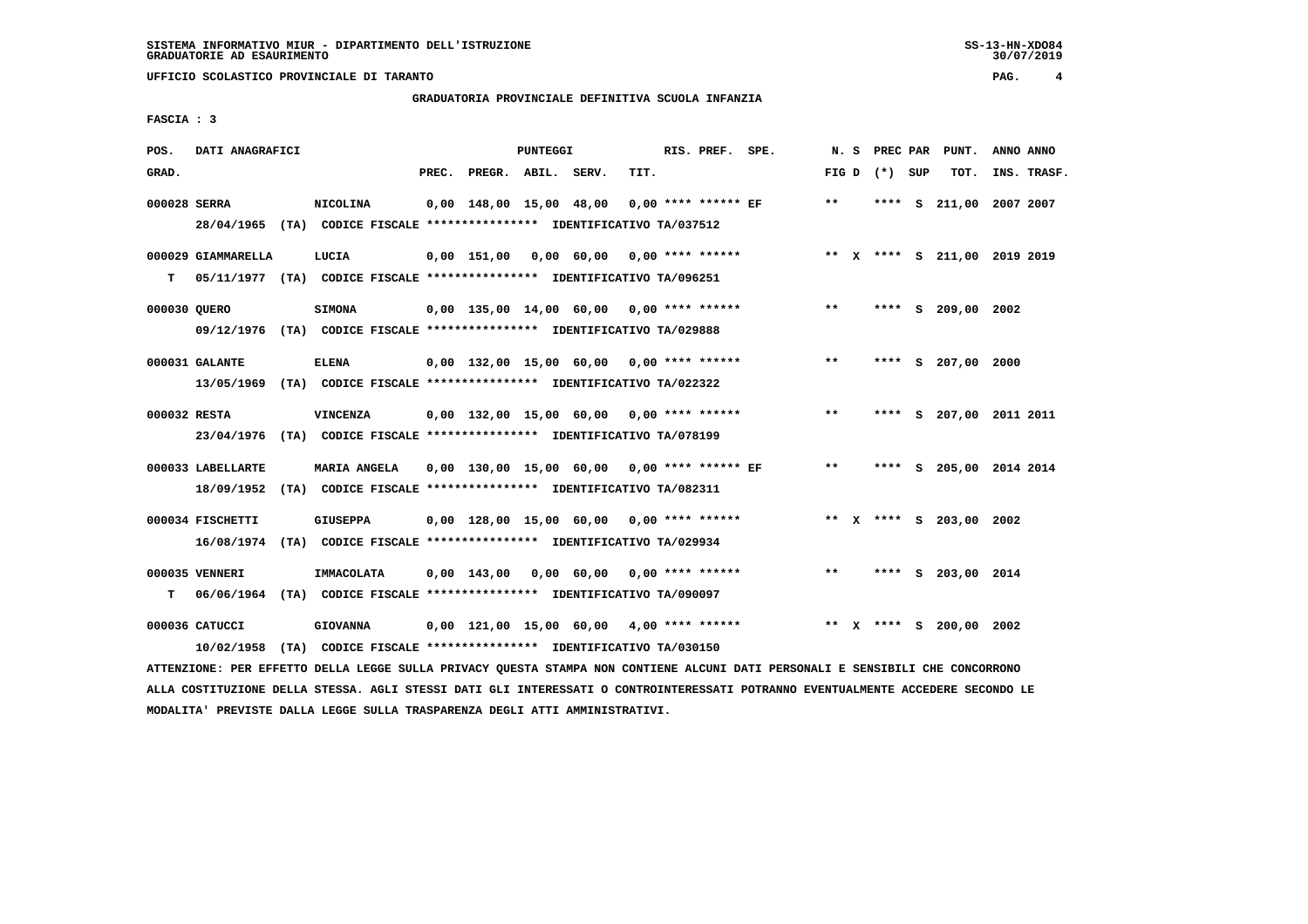**UFFICIO SCOLASTICO PROVINCIALE DI TARANTO PAG. 4**

### **GRADUATORIA PROVINCIALE DEFINITIVA SCUOLA INFANZIA**

 **FASCIA : 3**

| POS.         | DATI ANAGRAFICI    |                                                                          |       |                    | PUNTEGGI |                                             |      | RIS. PREF. SPE.    |       |                 | N. S PREC PAR PUNT.          | ANNO ANNO |             |
|--------------|--------------------|--------------------------------------------------------------------------|-------|--------------------|----------|---------------------------------------------|------|--------------------|-------|-----------------|------------------------------|-----------|-------------|
| GRAD.        |                    |                                                                          | PREC. | PREGR. ABIL. SERV. |          |                                             | TIT. |                    |       | FIG D $(*)$ SUP | тот.                         |           | INS. TRASF. |
|              |                    |                                                                          |       |                    |          |                                             |      |                    |       |                 |                              |           |             |
| 000028 SERRA |                    | <b>NICOLINA</b>                                                          |       |                    |          | 0,00 148,00 15,00 48,00 0,00 **** ****** EF |      |                    | $***$ |                 | **** S 211,00 2007 2007      |           |             |
|              |                    | 28/04/1965 (TA) CODICE FISCALE *************** IDENTIFICATIVO TA/037512  |       |                    |          |                                             |      |                    |       |                 |                              |           |             |
|              | 000029 GIAMMARELLA | LUCIA                                                                    |       |                    |          | 0,00 151,00 0,00 60,00 0,00 **** ******     |      |                    |       |                 | ** X **** S 211,00 2019 2019 |           |             |
| т            |                    | 05/11/1977 (TA) CODICE FISCALE *************** IDENTIFICATIVO TA/096251  |       |                    |          |                                             |      |                    |       |                 |                              |           |             |
|              |                    |                                                                          |       |                    |          |                                             |      |                    |       |                 |                              |           |             |
| 000030 QUERO |                    | <b>SIMONA</b>                                                            |       |                    |          | $0,00$ 135,00 14,00 60,00 0,00 **** ******  |      |                    | $***$ |                 | **** S 209,00 2002           |           |             |
|              |                    | 09/12/1976 (TA) CODICE FISCALE *************** IDENTIFICATIVO TA/029888  |       |                    |          |                                             |      |                    |       |                 |                              |           |             |
|              |                    |                                                                          |       |                    |          |                                             |      |                    |       |                 |                              |           |             |
|              | 000031 GALANTE     | <b>ELENA</b>                                                             |       |                    |          | 0,00 132,00 15,00 60,00 0,00 **** ******    |      |                    | $***$ |                 | **** S 207,00 2000           |           |             |
|              |                    | 13/05/1969 (TA) CODICE FISCALE *************** IDENTIFICATIVO TA/022322  |       |                    |          |                                             |      |                    |       |                 |                              |           |             |
| 000032 RESTA |                    | VINCENZA                                                                 |       |                    |          | $0.00$ 132.00 15.00 60.00 0.00 **** ******  |      |                    | $***$ |                 | **** S 207,00 2011 2011      |           |             |
|              |                    |                                                                          |       |                    |          |                                             |      |                    |       |                 |                              |           |             |
|              |                    | 23/04/1976 (TA) CODICE FISCALE *************** IDENTIFICATIVO TA/078199  |       |                    |          |                                             |      |                    |       |                 |                              |           |             |
|              | 000033 LABELLARTE  | <b>MARIA ANGELA</b>                                                      |       |                    |          | 0,00 130,00 15,00 60,00 0,00 **** ****** EF |      |                    | $***$ |                 | **** S 205,00 2014 2014      |           |             |
|              |                    | 18/09/1952 (TA) CODICE FISCALE **************** IDENTIFICATIVO TA/082311 |       |                    |          |                                             |      |                    |       |                 |                              |           |             |
|              |                    |                                                                          |       |                    |          |                                             |      |                    |       |                 |                              |           |             |
|              | 000034 FISCHETTI   | GIUSEPPA                                                                 |       |                    |          | $0.00$ 128.00 15.00 60.00 0.00 **** ******  |      |                    |       |                 | ** X **** S 203,00 2002      |           |             |
|              |                    | 16/08/1974 (TA) CODICE FISCALE **************** IDENTIFICATIVO TA/029934 |       |                    |          |                                             |      |                    |       |                 |                              |           |             |
|              |                    |                                                                          |       |                    |          |                                             |      |                    |       |                 |                              |           |             |
|              | 000035 VENNERI     | IMMACOLATA                                                               |       |                    |          | 0,00 143,00 0,00 60,00                      |      | $0.00$ **** ****** | **    |                 | **** S 203,00 2014           |           |             |
| T.           |                    | 06/06/1964 (TA) CODICE FISCALE **************** IDENTIFICATIVO TA/090097 |       |                    |          |                                             |      |                    |       |                 |                              |           |             |
|              | 000036 CATUCCI     | <b>GIOVANNA</b>                                                          |       |                    |          | $0,00$ 121,00 15,00 60,00 4,00 **** ******  |      |                    |       |                 | ** X **** S 200,00 2002      |           |             |
|              |                    |                                                                          |       |                    |          |                                             |      |                    |       |                 |                              |           |             |
|              | 10/02/1958         | (TA) CODICE FISCALE **************** IDENTIFICATIVO TA/030150            |       |                    |          |                                             |      |                    |       |                 |                              |           |             |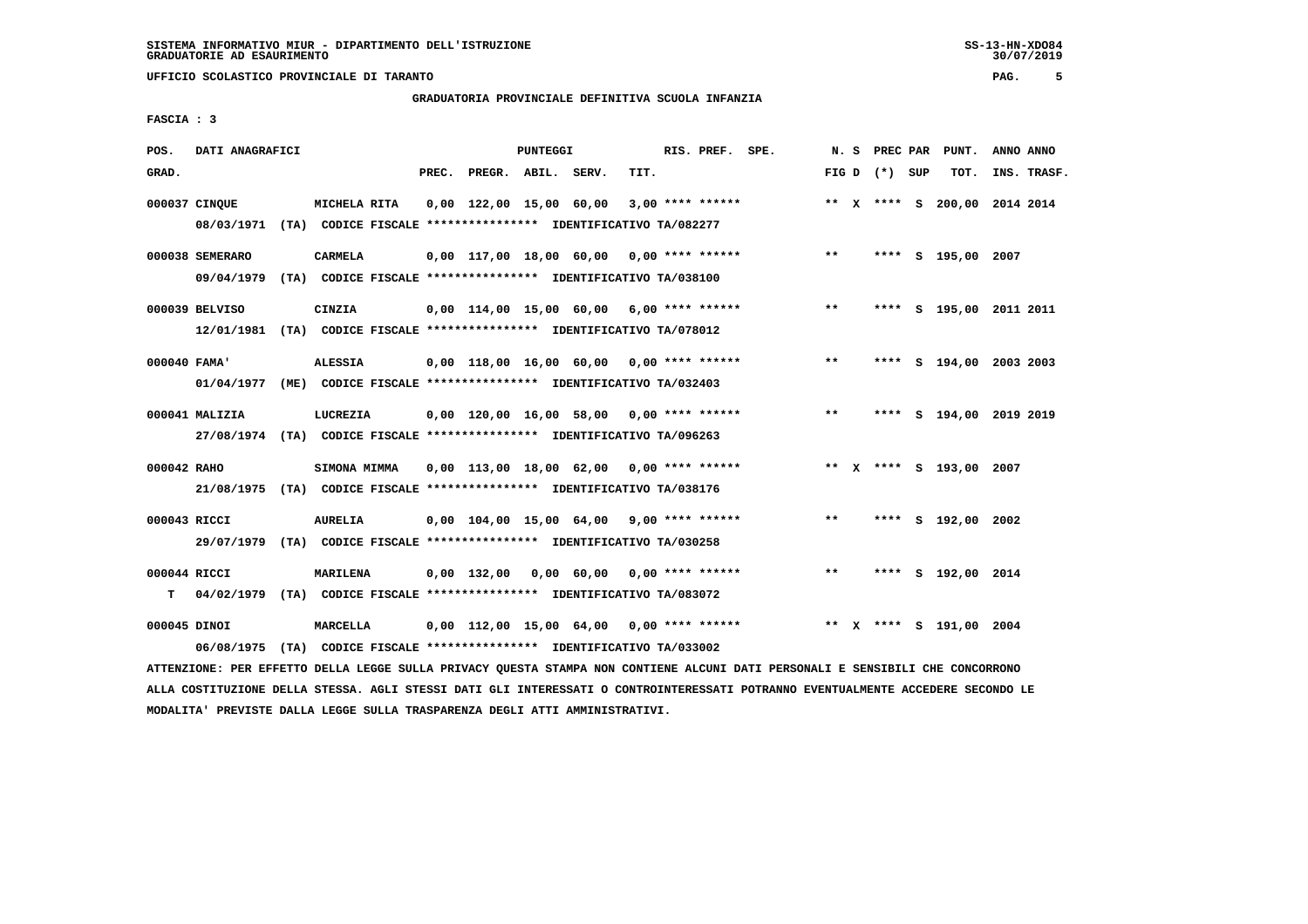**UFFICIO SCOLASTICO PROVINCIALE DI TARANTO PAG. 5**

# **GRADUATORIA PROVINCIALE DEFINITIVA SCUOLA INFANZIA**

 **FASCIA : 3**

| POS.         | DATI ANAGRAFICI                                                          |                                                               |       |                    | <b>PUNTEGGI</b> |                                                          |      | RIS. PREF. SPE.    |                                          |       |                 | N. S PREC PAR PUNT.          | ANNO ANNO |             |
|--------------|--------------------------------------------------------------------------|---------------------------------------------------------------|-------|--------------------|-----------------|----------------------------------------------------------|------|--------------------|------------------------------------------|-------|-----------------|------------------------------|-----------|-------------|
| GRAD.        |                                                                          |                                                               | PREC. | PREGR. ABIL. SERV. |                 |                                                          | TIT. |                    |                                          |       | FIG D $(*)$ SUP | тот.                         |           | INS. TRASF. |
|              |                                                                          |                                                               |       |                    |                 |                                                          |      |                    |                                          |       |                 |                              |           |             |
|              | 000037 CINOUE                                                            | MICHELA RITA                                                  |       |                    |                 | 0,00 122,00 15,00 60,00                                  |      | $3,00$ **** ****** |                                          |       |                 | ** X **** S 200,00 2014 2014 |           |             |
|              | 08/03/1971 (TA) CODICE FISCALE *************** IDENTIFICATIVO TA/082277  |                                                               |       |                    |                 |                                                          |      |                    |                                          |       |                 |                              |           |             |
|              | 000038 SEMERARO                                                          | <b>CARMELA</b>                                                |       |                    |                 |                                                          |      |                    | 0,00 117,00 18,00 60,00 0,00 **** ****** | $***$ |                 | **** S 195,00 2007           |           |             |
|              |                                                                          |                                                               |       |                    |                 |                                                          |      |                    |                                          |       |                 |                              |           |             |
|              | 09/04/1979 (TA) CODICE FISCALE *************** IDENTIFICATIVO TA/038100  |                                                               |       |                    |                 |                                                          |      |                    |                                          |       |                 |                              |           |             |
|              | 000039 BELVISO                                                           | CINZIA                                                        |       |                    |                 | $0.00$ 114.00 15.00 60.00 6.00 **** ******               |      |                    |                                          | $***$ |                 | **** S 195,00 2011 2011      |           |             |
|              | 12/01/1981 (TA) CODICE FISCALE **************** IDENTIFICATIVO TA/078012 |                                                               |       |                    |                 |                                                          |      |                    |                                          |       |                 |                              |           |             |
|              |                                                                          |                                                               |       |                    |                 |                                                          |      |                    |                                          |       |                 |                              |           |             |
| 000040 FAMA' |                                                                          | <b>ALESSIA</b>                                                |       |                    |                 | $0,00$ 118,00 16,00 60,00 0,00 **** ******               |      |                    |                                          | $***$ |                 | **** S 194,00 2003 2003      |           |             |
|              | 01/04/1977 (ME) CODICE FISCALE *************** IDENTIFICATIVO TA/032403  |                                                               |       |                    |                 |                                                          |      |                    |                                          |       |                 |                              |           |             |
|              |                                                                          |                                                               |       |                    |                 |                                                          |      |                    |                                          |       |                 |                              |           |             |
|              | 000041 MALIZIA                                                           | LUCREZIA                                                      |       |                    |                 |                                                          |      |                    | 0,00 120,00 16,00 58,00 0,00 **** ****** | $***$ |                 | **** S 194,00 2019 2019      |           |             |
|              | 27/08/1974 (TA) CODICE FISCALE *************** IDENTIFICATIVO TA/096263  |                                                               |       |                    |                 |                                                          |      |                    |                                          |       |                 |                              |           |             |
|              |                                                                          |                                                               |       |                    |                 |                                                          |      |                    |                                          |       |                 |                              |           |             |
| 000042 RAHO  |                                                                          | <b>SIMONA MIMMA</b>                                           |       |                    |                 | 0,00 113,00 18,00 62,00 0,00 **** ******                 |      |                    |                                          |       |                 | ** X **** S 193,00 2007      |           |             |
|              | 21/08/1975 (TA) CODICE FISCALE *************** IDENTIFICATIVO TA/038176  |                                                               |       |                    |                 |                                                          |      |                    |                                          |       |                 |                              |           |             |
| 000043 RICCI |                                                                          | <b>AURELIA</b>                                                |       |                    |                 | $0.00$ $104.00$ $15.00$ $64.00$ $9.00$ $***$ **** ****** |      |                    |                                          | $***$ |                 | **** S 192,00 2002           |           |             |
|              |                                                                          |                                                               |       |                    |                 |                                                          |      |                    |                                          |       |                 |                              |           |             |
|              | 29/07/1979 (TA) CODICE FISCALE *************** IDENTIFICATIVO TA/030258  |                                                               |       |                    |                 |                                                          |      |                    |                                          |       |                 |                              |           |             |
| 000044 RICCI |                                                                          | MARILENA                                                      |       |                    |                 | $0,00$ 132,00 0,00 60,00 0,00 **** ******                |      |                    |                                          | $***$ |                 | **** S 192,00 2014           |           |             |
| т            | 04/02/1979 (TA) CODICE FISCALE *************** IDENTIFICATIVO TA/083072  |                                                               |       |                    |                 |                                                          |      |                    |                                          |       |                 |                              |           |             |
|              |                                                                          |                                                               |       |                    |                 |                                                          |      |                    |                                          |       |                 |                              |           |             |
| 000045 DINOI |                                                                          | <b>MARCELLA</b>                                               |       |                    |                 | $0,00$ 112,00 15,00 64,00 0,00 **** ******               |      |                    |                                          |       |                 | ** X **** S 191,00 2004      |           |             |
|              | 06/08/1975                                                               | (TA) CODICE FISCALE **************** IDENTIFICATIVO TA/033002 |       |                    |                 |                                                          |      |                    |                                          |       |                 |                              |           |             |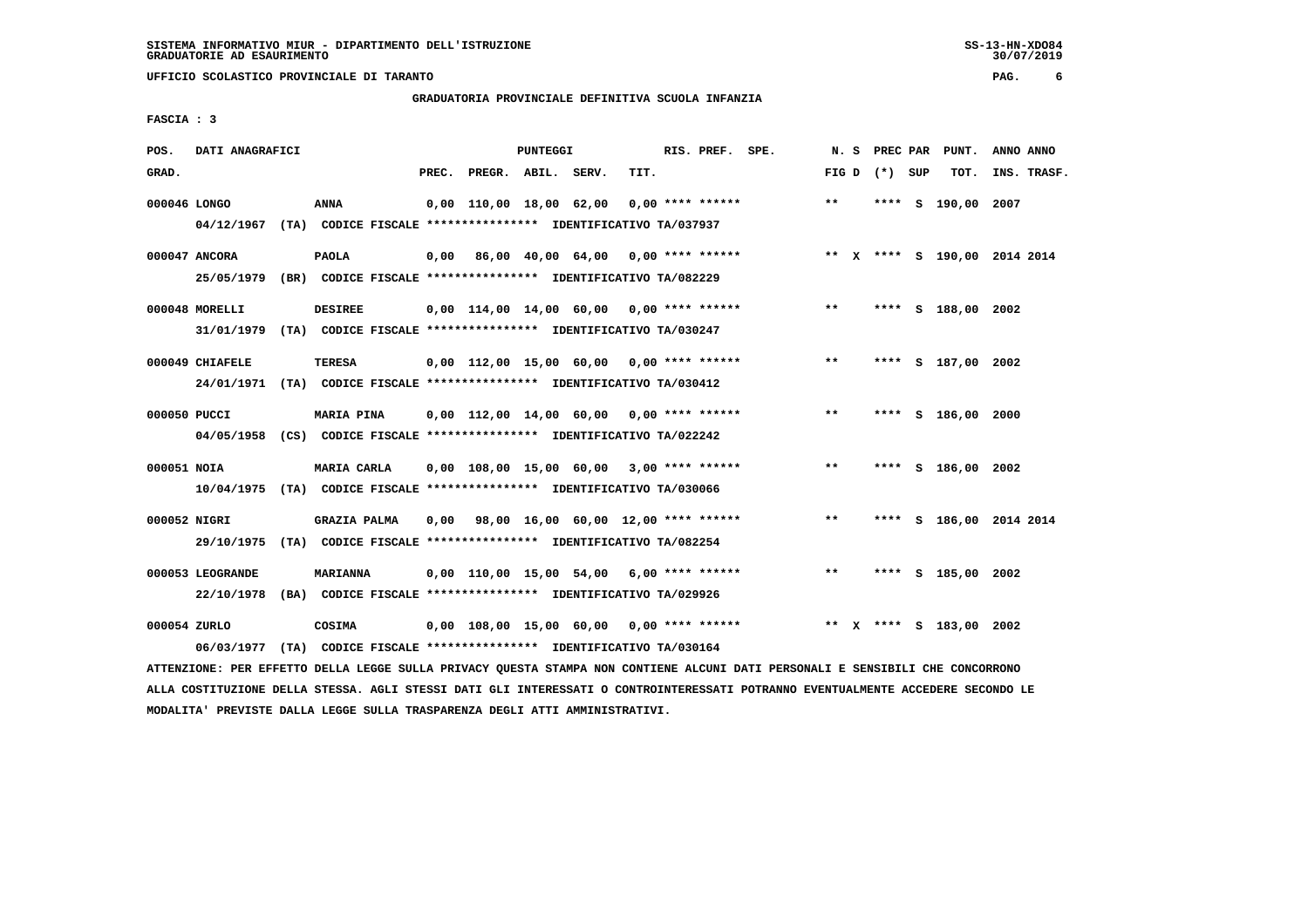**UFFICIO SCOLASTICO PROVINCIALE DI TARANTO PAG. 6**

## **GRADUATORIA PROVINCIALE DEFINITIVA SCUOLA INFANZIA**

 **FASCIA : 3**

| POS.         | DATI ANAGRAFICI                                                                            |                                                                                  |  |                                            | PUNTEGGI |      | RIS. PREF. SPE.    |                                                                              |       |                 | N. S PREC PAR PUNT.     | ANNO ANNO |             |
|--------------|--------------------------------------------------------------------------------------------|----------------------------------------------------------------------------------|--|--------------------------------------------|----------|------|--------------------|------------------------------------------------------------------------------|-------|-----------------|-------------------------|-----------|-------------|
| GRAD.        |                                                                                            |                                                                                  |  | PREC. PREGR. ABIL. SERV.                   |          | TIT. |                    |                                                                              |       | FIG D $(*)$ SUP | тот.                    |           | INS. TRASF. |
| 000046 LONGO | 04/12/1967 (TA) CODICE FISCALE *************** IDENTIFICATIVO TA/037937                    | ANNA                                                                             |  | 0,00 110,00 18,00 62,00                    |          |      | $0.00$ **** ****** |                                                                              | $***$ |                 | **** S 190,00 2007      |           |             |
|              | 000047 ANCORA<br>25/05/1979 (BR) CODICE FISCALE *************** IDENTIFICATIVO TA/082229   | <b>PAOLA</b>                                                                     |  |                                            |          |      |                    | 0,00 86,00 40,00 64,00 0,00 **** ****** **** *** ** **** \$ 190,00 2014 2014 |       |                 |                         |           |             |
|              | 000048 MORELLI<br>31/01/1979 (TA) CODICE FISCALE *************** IDENTIFICATIVO TA/030247  | <b>DESIREE</b>                                                                   |  |                                            |          |      |                    | $0,00$ 114,00 14,00 60,00 0,00 **** ****** *** **                            |       |                 | **** S 188,00 2002      |           |             |
|              | 000049 CHIAFELE<br>24/01/1971 (TA) CODICE FISCALE *************** IDENTIFICATIVO TA/030412 | <b>TERESA</b>                                                                    |  |                                            |          |      |                    | 0,00 112,00 15,00 60,00 0,00 **** ****** *** **                              |       |                 | **** S 187,00 2002      |           |             |
| 000050 PUCCI | 04/05/1958 (CS) CODICE FISCALE *************** IDENTIFICATIVO TA/022242                    | <b>MARIA PINA</b>                                                                |  |                                            |          |      |                    | 0,00 112,00 14,00 60,00 0,00 **** ******                                     | $***$ |                 | **** S 186,00 2000      |           |             |
| 000051 NOIA  | 10/04/1975 (TA) CODICE FISCALE *************** IDENTIFICATIVO TA/030066                    | <b>MARIA CARLA</b>                                                               |  | 0,00 108,00 15,00 60,00 3,00 **** ******   |          |      |                    |                                                                              | $***$ |                 | **** S 186,00 2002      |           |             |
| 000052 NIGRI | 29/10/1975 (TA) CODICE FISCALE *************** IDENTIFICATIVO TA/082254                    | <b>GRAZIA PALMA</b>                                                              |  |                                            |          |      |                    | $0,00$ 98,00 16,00 60,00 12,00 **** ******                                   | $***$ |                 | **** S 186,00 2014 2014 |           |             |
|              | 000053 LEOGRANDE<br>22/10/1978                                                             | <b>MARIANNA</b><br>(BA) CODICE FISCALE **************** IDENTIFICATIVO TA/029926 |  |                                            |          |      |                    | $0,00$ 110,00 15,00 54,00 6,00 **** ******                                   | $***$ |                 | **** S 185,00 2002      |           |             |
| 000054 ZURLO | 06/03/1977                                                                                 | COSIMA<br>(TA) CODICE FISCALE **************** IDENTIFICATIVO TA/030164          |  | $0,00$ 108,00 15,00 60,00 0,00 **** ****** |          |      |                    |                                                                              |       |                 | ** X **** S 183,00 2002 |           |             |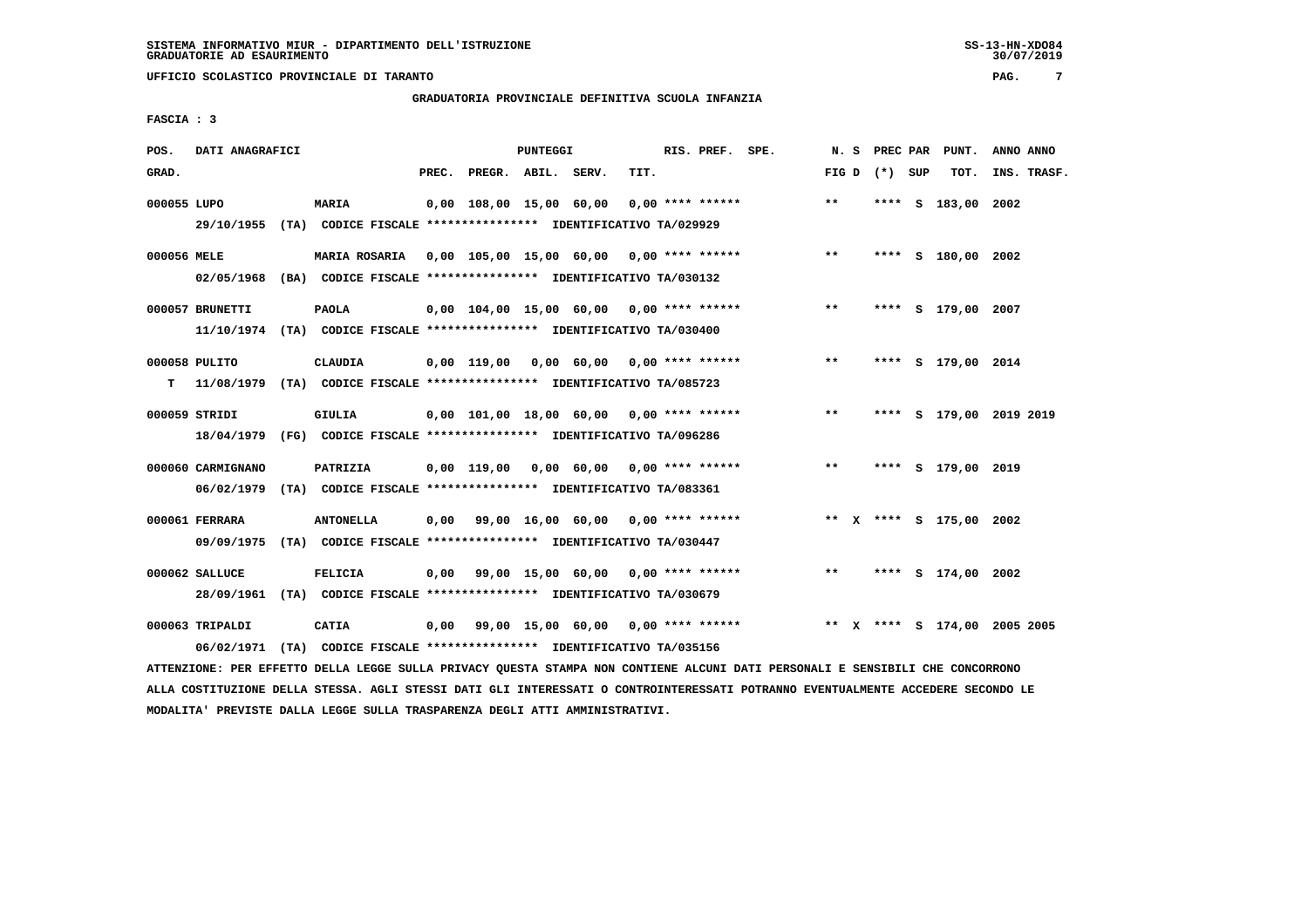**UFFICIO SCOLASTICO PROVINCIALE DI TARANTO PAG. 7**

### **GRADUATORIA PROVINCIALE DEFINITIVA SCUOLA INFANZIA**

 **FASCIA : 3**

| POS.        | DATI ANAGRAFICI                                                                              |                      |       |                    | <b>PUNTEGGI</b> |                                                               |      | RIS. PREF. SPE.    |                                           |       |                 | N. S PREC PAR PUNT.          | ANNO ANNO |             |
|-------------|----------------------------------------------------------------------------------------------|----------------------|-------|--------------------|-----------------|---------------------------------------------------------------|------|--------------------|-------------------------------------------|-------|-----------------|------------------------------|-----------|-------------|
| GRAD.       |                                                                                              |                      | PREC. | PREGR. ABIL. SERV. |                 |                                                               | TIT. |                    |                                           |       | FIG D $(*)$ SUP | тот.                         |           | INS. TRASF. |
| 000055 LUPO | 29/10/1955 (TA) CODICE FISCALE *************** IDENTIFICATIVO TA/029929                      | <b>MARIA</b>         |       |                    |                 | 0,00 108,00 15,00 60,00                                       |      | $0,00$ **** ****** |                                           | $**$  |                 | **** S 183,00 2002           |           |             |
| 000056 MELE | 02/05/1968 (BA) CODICE FISCALE **************** IDENTIFICATIVO TA/030132                     | <b>MARIA ROSARIA</b> |       |                    |                 |                                                               |      |                    | 0,00 105,00 15,00 60,00 0,00 **** ******  | $* *$ |                 | **** S 180,00 2002           |           |             |
|             | 000057 BRUNETTI<br>11/10/1974 (TA) CODICE FISCALE *************** IDENTIFICATIVO TA/030400   | <b>PAOLA</b>         |       |                    |                 | 0,00 104,00 15,00 60,00 0,00 **** ******                      |      |                    |                                           | $***$ |                 | **** S 179,00 2007           |           |             |
|             | 000058 PULITO                                                                                | CLAUDIA              |       |                    |                 | 0,00 119,00 0,00 60,00 0,00 **** ******                       |      |                    |                                           | $* *$ |                 | **** S 179,00 2014           |           |             |
|             | 000059 STRIDI<br>18/04/1979 (FG) CODICE FISCALE *************** IDENTIFICATIVO TA/096286     | <b>GIULIA</b>        |       |                    |                 | 0,00 101,00 18,00 60,00 0,00 **** ******                      |      |                    |                                           | $***$ |                 | **** S 179,00 2019 2019      |           |             |
|             | 000060 CARMIGNANO<br>06/02/1979 (TA) CODICE FISCALE *************** IDENTIFICATIVO TA/083361 | PATRIZIA             |       |                    |                 | 0,00 119,00 0,00 60,00                                        |      |                    | $0.00$ **** ******                        | $***$ |                 | **** S 179,00 2019           |           |             |
|             | 000061 FERRARA<br>09/09/1975 (TA) CODICE FISCALE *************** IDENTIFICATIVO TA/030447    | <b>ANTONELLA</b>     |       |                    |                 | $0.00$ 99.00 16.00 60.00 0.00 **** ******                     |      |                    |                                           |       |                 | ** X **** S 175,00 2002      |           |             |
|             | 000062 SALLUCE<br>28/09/1961 (TA) CODICE FISCALE *************** IDENTIFICATIVO TA/030679    | <b>FELICIA</b>       |       |                    |                 | $0,00$ 99,00 15,00 60,00 0,00 **** ******                     |      |                    |                                           | $***$ |                 | **** S 174,00 2002           |           |             |
|             | 000063 TRIPALDI<br>06/02/1971                                                                | <b>CATIA</b>         |       |                    |                 | (TA) CODICE FISCALE **************** IDENTIFICATIVO TA/035156 |      |                    | $0,00$ 99,00 15,00 60,00 0,00 **** ****** |       |                 | ** X **** S 174,00 2005 2005 |           |             |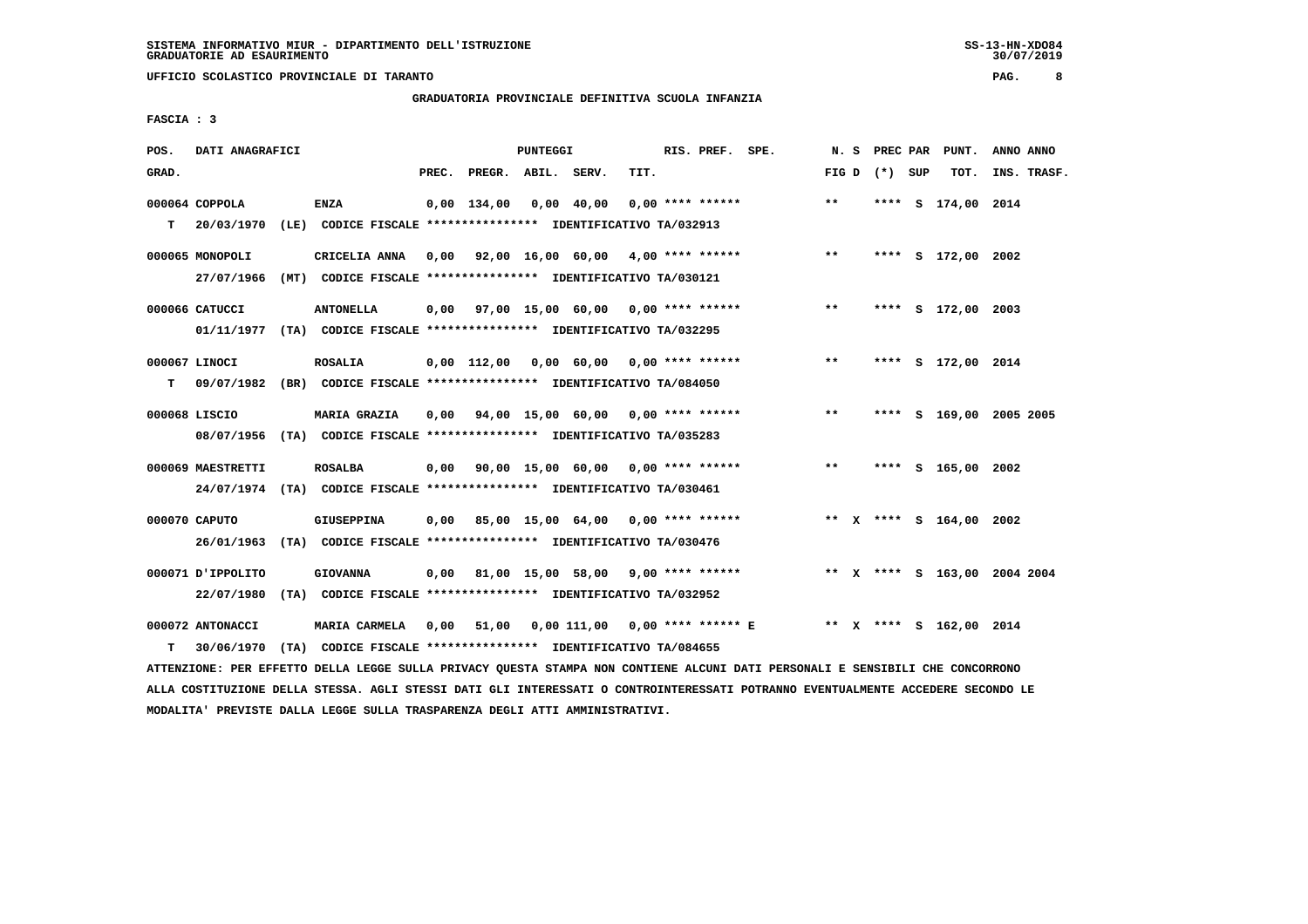**UFFICIO SCOLASTICO PROVINCIALE DI TARANTO PAG. 8**

# **GRADUATORIA PROVINCIALE DEFINITIVA SCUOLA INFANZIA**

 **FASCIA : 3**

| POS.  | DATI ANAGRAFICI   |                                                                          |       |                    | PUNTEGGI |                                         |      | RIS. PREF. SPE. |                                         | N.S   |                   | PREC PAR PUNT.               | ANNO ANNO   |  |
|-------|-------------------|--------------------------------------------------------------------------|-------|--------------------|----------|-----------------------------------------|------|-----------------|-----------------------------------------|-------|-------------------|------------------------------|-------------|--|
| GRAD. |                   |                                                                          | PREC. | PREGR. ABIL. SERV. |          |                                         | TIT. |                 |                                         |       | FIG $D$ $(*)$ SUP | TOT.                         | INS. TRASF. |  |
|       | $000064$ COPPOLA  | <b>ENZA</b>                                                              |       |                    |          | 0,00 134,00 0,00 40,00 0,00 **** ****** |      |                 |                                         | $***$ |                   | **** S 174,00 2014           |             |  |
| T.    |                   | 20/03/1970 (LE) CODICE FISCALE **************** IDENTIFICATIVO TA/032913 |       |                    |          |                                         |      |                 |                                         |       |                   |                              |             |  |
|       | 000065 MONOPOLI   | CRICELIA ANNA                                                            |       |                    |          |                                         |      |                 | 0,00 92,00 16,00 60,00 4,00 **** ****** | $* *$ |                   | **** S 172,00 2002           |             |  |
|       | 27/07/1966        | (MT) CODICE FISCALE **************** IDENTIFICATIVO TA/030121            |       |                    |          |                                         |      |                 |                                         |       |                   |                              |             |  |
|       | 000066 CATUCCI    | <b>ANTONELLA</b>                                                         |       |                    |          | 0,00 97,00 15,00 60,00 0,00 **** ****** |      |                 |                                         | $***$ |                   | **** S 172,00 2003           |             |  |
|       |                   | 01/11/1977 (TA) CODICE FISCALE **************** IDENTIFICATIVO TA/032295 |       |                    |          |                                         |      |                 |                                         |       |                   |                              |             |  |
|       | 000067 LINOCI     | <b>ROSALIA</b>                                                           |       |                    |          | 0,00 112,00 0,00 60,00 0,00 **** ****** |      |                 |                                         | $***$ |                   | **** S 172,00 2014           |             |  |
| т     |                   | 09/07/1982 (BR) CODICE FISCALE *************** IDENTIFICATIVO TA/084050  |       |                    |          |                                         |      |                 |                                         |       |                   |                              |             |  |
|       | 000068 LISCIO     | <b>MARIA GRAZIA</b>                                                      |       |                    |          | 0,00 94,00 15,00 60,00 0,00 **** ****** |      |                 |                                         | $***$ |                   | **** S 169,00 2005 2005      |             |  |
|       |                   | 08/07/1956 (TA) CODICE FISCALE *************** IDENTIFICATIVO TA/035283  |       |                    |          |                                         |      |                 |                                         |       |                   |                              |             |  |
|       | 000069 MAESTRETTI | <b>ROSALBA</b>                                                           |       |                    |          | 0,00 90,00 15,00 60,00 0,00 **** ****** |      |                 |                                         | $* *$ |                   | **** S 165,00 2002           |             |  |
|       |                   | 24/07/1974 (TA) CODICE FISCALE *************** IDENTIFICATIVO TA/030461  |       |                    |          |                                         |      |                 |                                         |       |                   |                              |             |  |
|       | 000070 CAPUTO     | GIUSEPPINA                                                               | 0.00  |                    |          | 85,00 15,00 64,00 0,00 **** ******      |      |                 | ** x **** s 164,00 2002                 |       |                   |                              |             |  |
|       | 26/01/1963        | (TA) CODICE FISCALE **************** IDENTIFICATIVO TA/030476            |       |                    |          |                                         |      |                 |                                         |       |                   |                              |             |  |
|       | 000071 JPPOLITO   | <b>GIOVANNA</b>                                                          |       |                    |          | 0,00 81,00 15,00 58,00 9,00 **** ****** |      |                 |                                         |       |                   | ** X **** S 163,00 2004 2004 |             |  |
|       | 22/07/1980        | (TA) CODICE FISCALE **************** IDENTIFICATIVO TA/032952            |       |                    |          |                                         |      |                 |                                         |       |                   |                              |             |  |
|       | 000072 ANTONACCI  | <b>MARIA CARMELA</b>                                                     |       | 0,00 51,00         |          |                                         |      |                 |                                         |       |                   | ** X **** S 162,00 2014      |             |  |
| т     | 30/06/1970        | (TA) CODICE FISCALE **************** IDENTIFICATIVO TA/084655            |       |                    |          |                                         |      |                 |                                         |       |                   |                              |             |  |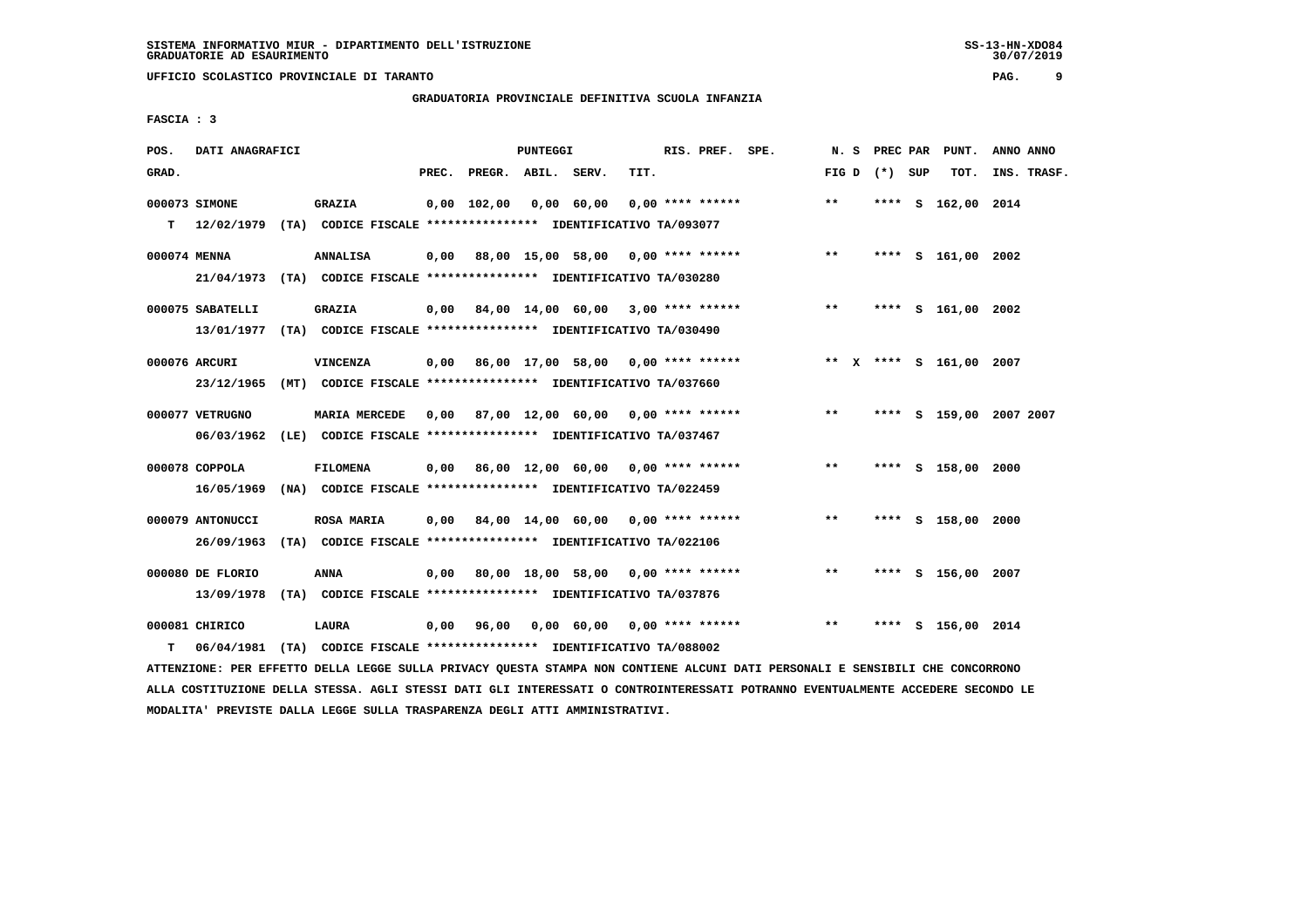**UFFICIO SCOLASTICO PROVINCIALE DI TARANTO PAG. 9**

# **GRADUATORIA PROVINCIALE DEFINITIVA SCUOLA INFANZIA**

 **FASCIA : 3**

| POS.         | DATI ANAGRAFICI  |                                                                                           |       |                    | PUNTEGGI |                                           |      | RIS. PREF. SPE.    |                                         | N. S  |                   | PREC PAR PUNT.          | ANNO ANNO |             |
|--------------|------------------|-------------------------------------------------------------------------------------------|-------|--------------------|----------|-------------------------------------------|------|--------------------|-----------------------------------------|-------|-------------------|-------------------------|-----------|-------------|
| GRAD.        |                  |                                                                                           | PREC. | PREGR. ABIL. SERV. |          |                                           | TIT. |                    |                                         |       | FIG $D$ $(*)$ SUP | тот.                    |           | INS. TRASF. |
| T.           | 000073 SIMONE    | <b>GRAZIA</b><br>12/02/1979 (TA) CODICE FISCALE **************** IDENTIFICATIVO TA/093077 |       | $0.00$ 102.00      |          | 0,00 60,00                                |      | $0.00$ **** ****** |                                         | $**$  |                   | **** S 162,00 2014      |           |             |
| 000074 MENNA |                  | <b>ANNALISA</b>                                                                           |       |                    |          |                                           |      |                    | 0,00 88,00 15,00 58,00 0,00 **** ****** | $***$ |                   | **** S 161,00 2002      |           |             |
|              | 21/04/1973       | (TA) CODICE FISCALE **************** IDENTIFICATIVO TA/030280                             |       |                    |          |                                           |      |                    |                                         |       |                   |                         |           |             |
|              | 000075 SABATELLI | <b>GRAZIA</b>                                                                             | 0,00  |                    |          | 84,00 14,00 60,00 3,00 **** ******        |      |                    |                                         | $***$ |                   | **** S 161,00 2002      |           |             |
|              |                  | 13/01/1977 (TA) CODICE FISCALE **************** IDENTIFICATIVO TA/030490                  |       |                    |          |                                           |      |                    |                                         |       |                   |                         |           |             |
|              | 000076 ARCURI    | <b>VINCENZA</b>                                                                           |       |                    |          | $0,00$ 86,00 17,00 58,00 0,00 **** ****** |      |                    |                                         |       |                   | ** x **** s 161,00 2007 |           |             |
|              | 23/12/1965       | (MT) CODICE FISCALE **************** IDENTIFICATIVO TA/037660                             |       |                    |          |                                           |      |                    |                                         |       |                   |                         |           |             |
|              | 000077 VETRUGNO  | <b>MARIA MERCEDE</b>                                                                      |       |                    |          | 0,00 87,00 12,00 60,00 0,00 **** ******   |      |                    |                                         | $***$ |                   | **** S 159,00 2007 2007 |           |             |
|              |                  | 06/03/1962 (LE) CODICE FISCALE *************** IDENTIFICATIVO TA/037467                   |       |                    |          |                                           |      |                    |                                         |       |                   |                         |           |             |
|              |                  |                                                                                           |       |                    |          |                                           |      |                    |                                         | $***$ |                   |                         |           |             |
|              | 000078 COPPOLA   | FILOMENA                                                                                  |       |                    |          | $0.00$ 86.00 12.00 60.00 0.00 **** ****** |      |                    |                                         |       |                   | **** S 158,00 2000      |           |             |
|              | 16/05/1969       | (NA) CODICE FISCALE **************** IDENTIFICATIVO TA/022459                             |       |                    |          |                                           |      |                    |                                         |       |                   |                         |           |             |
|              | 000079 ANTONUCCI | <b>ROSA MARIA</b>                                                                         |       |                    |          | $0,00$ 84,00 14,00 60,00 0,00 **** ****** |      |                    |                                         | $***$ | ****              | S 158,00 2000           |           |             |
|              | 26/09/1963       | (TA) CODICE FISCALE **************** IDENTIFICATIVO TA/022106                             |       |                    |          |                                           |      |                    |                                         |       |                   |                         |           |             |
|              | 000080 DE FLORIO | <b>ANNA</b>                                                                               | 0.00  |                    |          | 80,00 18,00 58,00 0,00 **** ******        |      |                    |                                         | $**$  |                   | **** S 156,00 2007      |           |             |
|              | 13/09/1978       | (TA) CODICE FISCALE **************** IDENTIFICATIVO TA/037876                             |       |                    |          |                                           |      |                    |                                         |       |                   |                         |           |             |
|              | 000081 CHIRICO   | <b>LAURA</b>                                                                              | 0,00  |                    |          | $0,00$ 60,00 0,00 **** ******             |      |                    |                                         | $* *$ | ****              | s 156,00 2014           |           |             |
|              |                  |                                                                                           |       | 96,00              |          |                                           |      |                    |                                         |       |                   |                         |           |             |
| т            | 06/04/1981       | (TA) CODICE FISCALE **************** IDENTIFICATIVO TA/088002                             |       |                    |          |                                           |      |                    |                                         |       |                   |                         |           |             |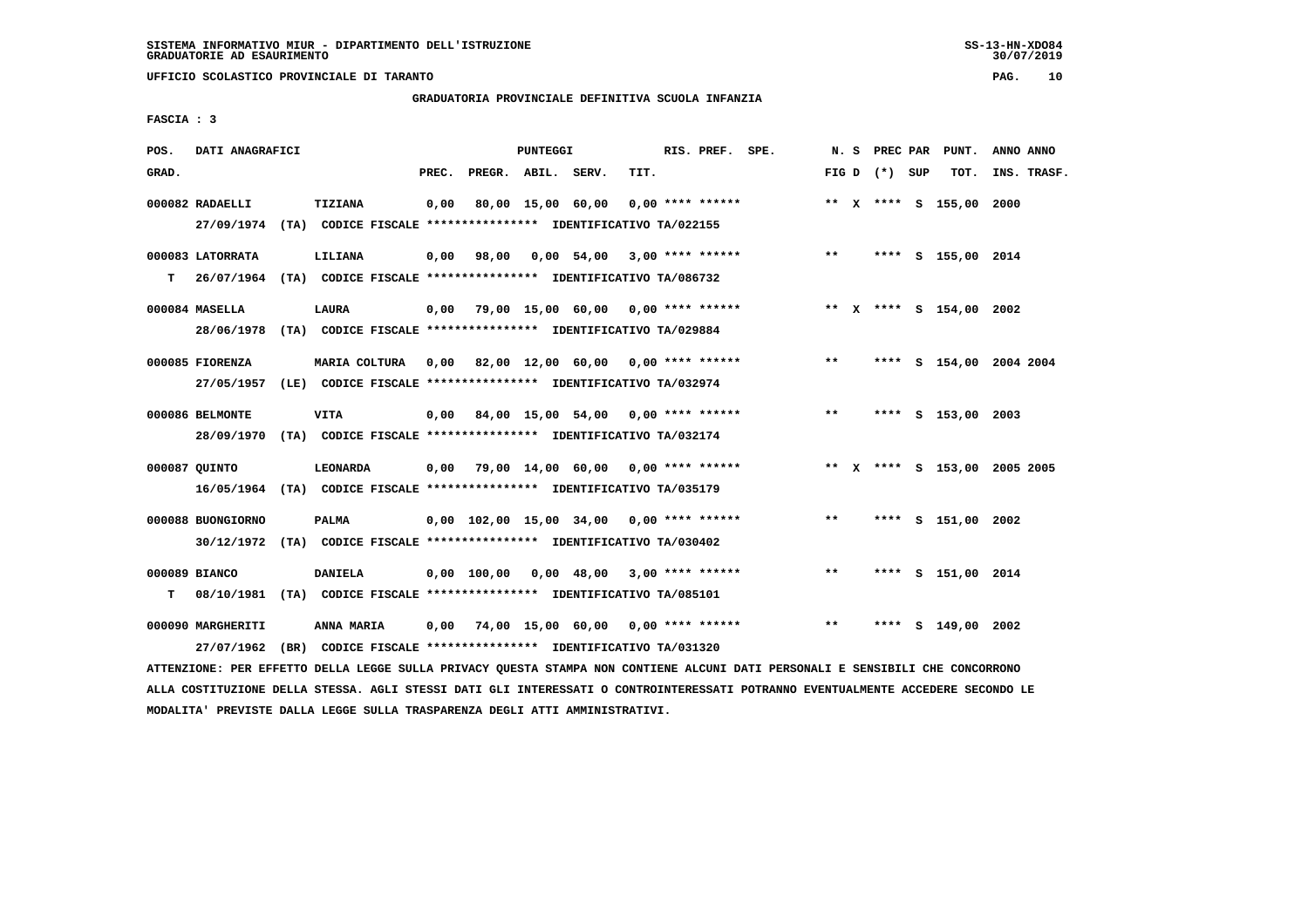**UFFICIO SCOLASTICO PROVINCIALE DI TARANTO PAG. 10**

## **GRADUATORIA PROVINCIALE DEFINITIVA SCUOLA INFANZIA**

 **FASCIA : 3**

| POS.  | DATI ANAGRAFICI                                                            |                                                                         |       |                    | <b>PUNTEGGI</b> |                                           |      | RIS. PREF. SPE.    |                                          |       |                 | N. S PREC PAR PUNT.          | ANNO ANNO |             |
|-------|----------------------------------------------------------------------------|-------------------------------------------------------------------------|-------|--------------------|-----------------|-------------------------------------------|------|--------------------|------------------------------------------|-------|-----------------|------------------------------|-----------|-------------|
| GRAD. |                                                                            |                                                                         | PREC. | PREGR. ABIL. SERV. |                 |                                           | TIT. |                    |                                          |       | FIG D $(*)$ SUP | тот.                         |           | INS. TRASF. |
|       | 000082 RADAELLI                                                            | TIZIANA                                                                 | 0,00  |                    |                 | 80,00 15,00 60,00                         |      | $0,00$ **** ****** |                                          |       |                 | ** X **** S 155,00 2000      |           |             |
|       |                                                                            |                                                                         |       |                    |                 |                                           |      |                    |                                          |       |                 |                              |           |             |
|       | 27/09/1974 (TA) CODICE FISCALE *************** IDENTIFICATIVO TA/022155    |                                                                         |       |                    |                 |                                           |      |                    |                                          |       |                 |                              |           |             |
|       | 000083 LATORRATA                                                           | LILIANA                                                                 |       |                    |                 |                                           |      |                    | 0,00 98,00 0,00 54,00 3,00 **** ******   | $***$ |                 | **** S 155,00 2014           |           |             |
|       | T 26/07/1964 (TA) CODICE FISCALE **************** IDENTIFICATIVO TA/086732 |                                                                         |       |                    |                 |                                           |      |                    |                                          |       |                 |                              |           |             |
|       |                                                                            |                                                                         |       |                    |                 |                                           |      |                    |                                          |       |                 |                              |           |             |
|       | 000084 MASELLA                                                             | LAURA                                                                   |       |                    |                 |                                           |      |                    | 0,00 79,00 15,00 60,00 0,00 **** ******  |       |                 | ** X **** S 154,00 2002      |           |             |
|       | 28/06/1978 (TA) CODICE FISCALE *************** IDENTIFICATIVO TA/029884    |                                                                         |       |                    |                 |                                           |      |                    |                                          |       |                 |                              |           |             |
|       | 000085 FIORENZA                                                            | MARIA COLTURA 0,00 82,00 12,00 60,00 0,00 **** ******                   |       |                    |                 |                                           |      |                    |                                          | $***$ |                 | **** S 154,00 2004 2004      |           |             |
|       | 27/05/1957                                                                 | (LE) CODICE FISCALE **************** IDENTIFICATIVO TA/032974           |       |                    |                 |                                           |      |                    |                                          |       |                 |                              |           |             |
|       |                                                                            |                                                                         |       |                    |                 |                                           |      |                    |                                          |       |                 |                              |           |             |
|       | 000086 BELMONTE                                                            | <b>VITA</b>                                                             |       |                    |                 |                                           |      |                    | 0,00 84,00 15,00 54,00 0,00 **** ******  | $***$ |                 | **** S 153,00 2003           |           |             |
|       | 28/09/1970 (TA) CODICE FISCALE *************** IDENTIFICATIVO TA/032174    |                                                                         |       |                    |                 |                                           |      |                    |                                          |       |                 |                              |           |             |
|       | 000087 OUINTO                                                              | <b>LEONARDA</b>                                                         |       |                    |                 | 0,00 79,00 14,00 60,00 0,00 **** ******   |      |                    |                                          |       |                 | ** X **** S 153,00 2005 2005 |           |             |
|       |                                                                            |                                                                         |       |                    |                 |                                           |      |                    |                                          |       |                 |                              |           |             |
|       | 16/05/1964 (TA) CODICE FISCALE **************** IDENTIFICATIVO TA/035179   |                                                                         |       |                    |                 |                                           |      |                    |                                          |       |                 |                              |           |             |
|       | 000088 BUONGIORNO                                                          | <b>PALMA</b>                                                            |       |                    |                 |                                           |      |                    | 0,00 102,00 15,00 34,00 0,00 **** ****** | $***$ |                 | **** S 151,00 2002           |           |             |
|       |                                                                            | 30/12/1972 (TA) CODICE FISCALE *************** IDENTIFICATIVO TA/030402 |       |                    |                 |                                           |      |                    |                                          |       |                 |                              |           |             |
|       |                                                                            |                                                                         |       |                    |                 |                                           |      |                    |                                          |       |                 |                              |           |             |
|       | 000089 BIANCO                                                              | <b>DANIELA</b>                                                          |       |                    |                 | $0,00$ 100,00 0,00 48,00 3,00 **** ****** |      |                    |                                          | $* *$ |                 | **** S 151,00 2014           |           |             |
| т     | 08/10/1981 (TA) CODICE FISCALE *************** IDENTIFICATIVO TA/085101    |                                                                         |       |                    |                 |                                           |      |                    |                                          |       |                 |                              |           |             |
|       |                                                                            |                                                                         |       |                    |                 |                                           |      |                    |                                          | $***$ |                 |                              |           |             |
|       | 000090 MARGHERITI                                                          | <b>ANNA MARIA</b>                                                       |       |                    |                 | $0,00$ 74,00 15,00 60,00 0,00 **** ****** |      |                    |                                          |       |                 | **** S 149,00 2002           |           |             |
|       | 27/07/1962                                                                 | (BR) CODICE FISCALE **************** IDENTIFICATIVO TA/031320           |       |                    |                 |                                           |      |                    |                                          |       |                 |                              |           |             |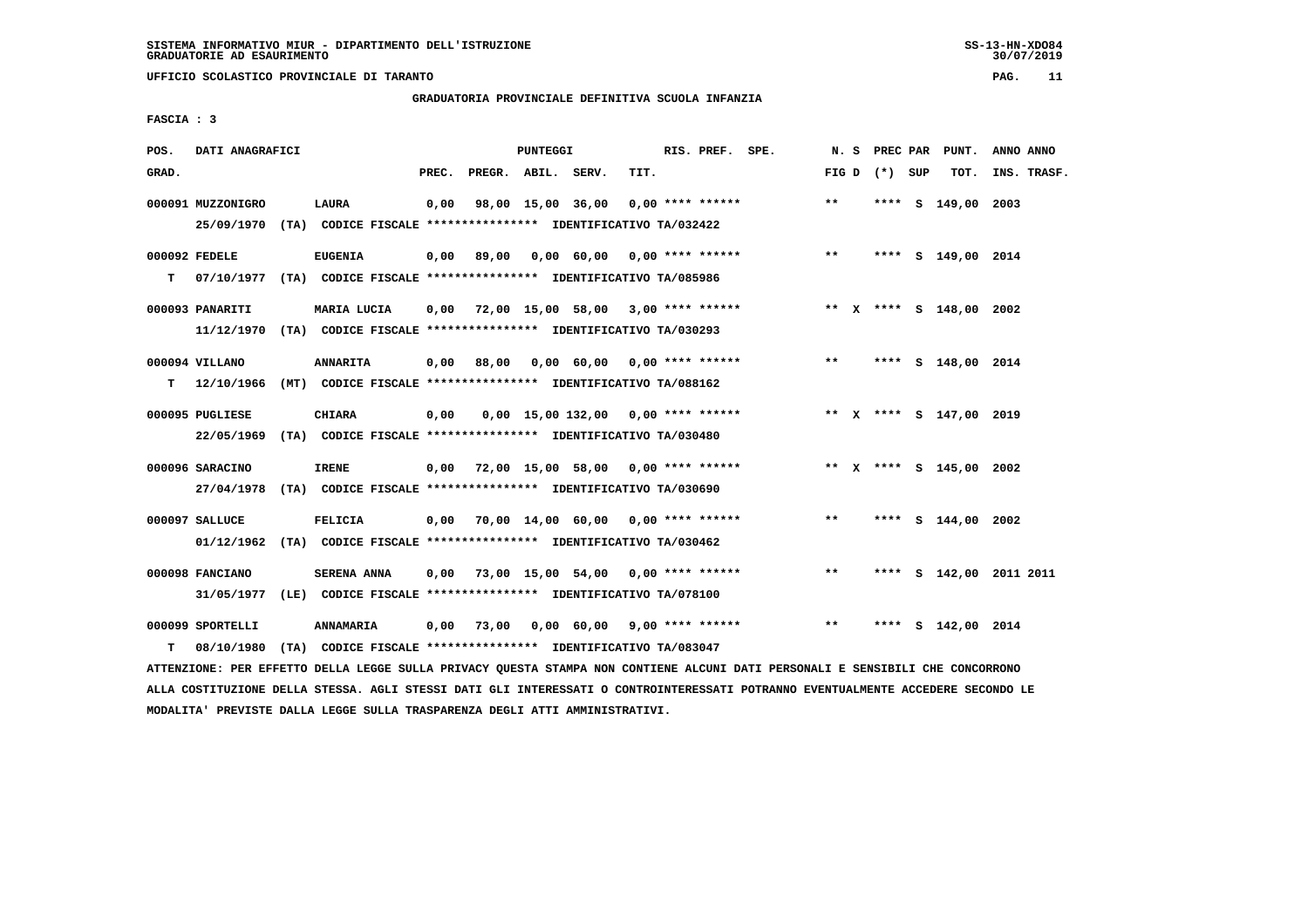**UFFICIO SCOLASTICO PROVINCIALE DI TARANTO PAG. 11**

## **GRADUATORIA PROVINCIALE DEFINITIVA SCUOLA INFANZIA**

 **FASCIA : 3**

| POS.  | DATI ANAGRAFICI                            |                                                                                                                                                  |       |                    | PUNTEGGI |                                    |      | RIS. PREF. SPE.    | N.S             |  | PREC PAR PUNT.          | ANNO ANNO               |
|-------|--------------------------------------------|--------------------------------------------------------------------------------------------------------------------------------------------------|-------|--------------------|----------|------------------------------------|------|--------------------|-----------------|--|-------------------------|-------------------------|
| GRAD. |                                            |                                                                                                                                                  | PREC. | PREGR. ABIL. SERV. |          |                                    | TIT. |                    | FIG D $(*)$ SUP |  | TOT.                    | INS. TRASF.             |
|       | 000091 MUZZONIGRO                          | <b>LAURA</b><br>25/09/1970 (TA) CODICE FISCALE *************** IDENTIFICATIVO TA/032422                                                          | 0,00  | 98,00 15,00 36,00  |          |                                    |      | $0.00$ **** ****** | $* *$           |  | **** S 149,00 2003      |                         |
| т     | 000092 FEDELE                              | <b>EUGENIA</b><br>07/10/1977 (TA) CODICE FISCALE **************** IDENTIFICATIVO TA/085986                                                       | 0,00  | 89,00              |          | 0,00 60,00 0,00 **** ******        |      |                    | $***$           |  | **** S 149,00 2014      |                         |
|       | 000093 PANARITI                            | MARIA LUCIA                                                                                                                                      | 0,00  |                    |          | 72,00 15,00 58,00 3,00 **** ****** |      |                    |                 |  | ** x **** s 148,00 2002 |                         |
| т     | 11/12/1970<br>000094 VILLANO<br>12/10/1966 | (TA) CODICE FISCALE *************** IDENTIFICATIVO TA/030293<br><b>ANNARITA</b><br>(MT) CODICE FISCALE **************** IDENTIFICATIVO TA/088162 | 0,00  | 88,00              |          | $0,00$ 60,00 0,00 **** ******      |      |                    | $***$           |  | **** S 148,00 2014      |                         |
|       | 000095 PUGLIESE<br>22/05/1969              | <b>CHIARA</b><br>(TA) CODICE FISCALE **************** IDENTIFICATIVO TA/030480                                                                   | 0,00  |                    |          | 0,00 15,00 132,00 0,00 **** ****** |      |                    |                 |  | ** X **** S 147,00 2019 |                         |
|       | 000096 SARACINO                            | <b>IRENE</b><br>27/04/1978 (TA) CODICE FISCALE *************** IDENTIFICATIVO TA/030690                                                          | 0,00  |                    |          | 72,00 15,00 58,00 0,00 **** ****** |      |                    |                 |  | ** X **** S 145,00 2002 |                         |
|       | 000097 SALLUCE                             | <b>FELICIA</b><br>01/12/1962 (TA) CODICE FISCALE *************** IDENTIFICATIVO TA/030462                                                        | 0,00  |                    |          | 70,00 14,00 60,00 0,00 **** ****** |      |                    | $* *$           |  | **** S 144,00 2002      |                         |
|       | 000098 FANCIANO<br>31/05/1977              | <b>SERENA ANNA</b><br>(LE) CODICE FISCALE **************** IDENTIFICATIVO TA/078100                                                              | 0.00  |                    |          | 73,00 15,00 54,00 0,00 **** ****** |      |                    | $***$           |  |                         | **** S 142,00 2011 2011 |
| т     | 000099 SPORTELLI<br>08/10/1980             | ANNAMARIA<br>(TA) CODICE FISCALE **************** IDENTIFICATIVO TA/083047                                                                       | 0,00  | 73,00              |          | 0,00 60,00 9,00 **** ******        |      |                    | $**$            |  | **** S 142,00 2014      |                         |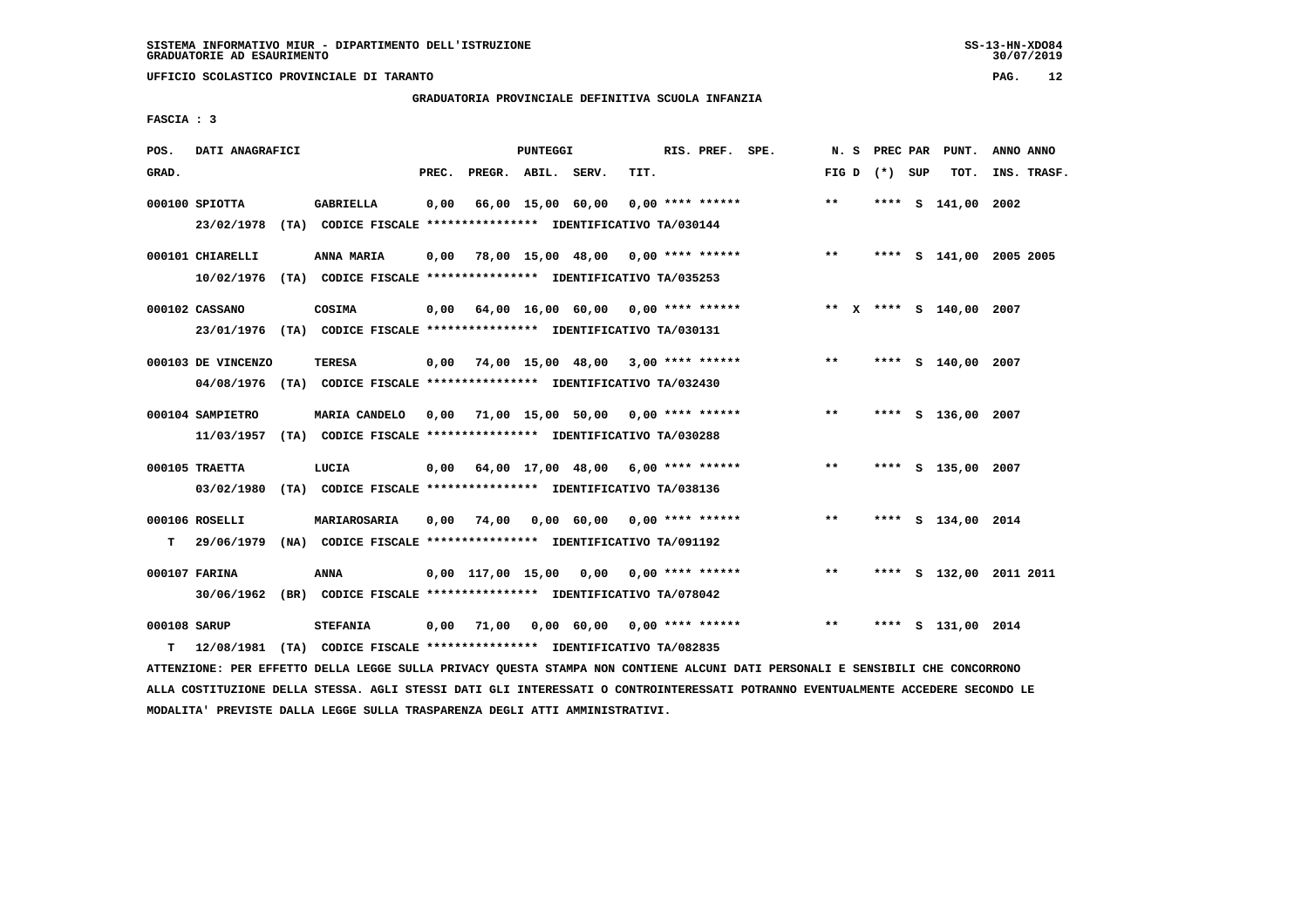**UFFICIO SCOLASTICO PROVINCIALE DI TARANTO PAG. 12**

## **GRADUATORIA PROVINCIALE DEFINITIVA SCUOLA INFANZIA**

 **FASCIA : 3**

| POS.               | DATI ANAGRAFICI              |                                                                                            |       |                    | PUNTEGGI |                                           |      | RIS. PREF. SPE.    | N. S  | PREC PAR        | PUNT.                   | ANNO ANNO               |  |
|--------------------|------------------------------|--------------------------------------------------------------------------------------------|-------|--------------------|----------|-------------------------------------------|------|--------------------|-------|-----------------|-------------------------|-------------------------|--|
| GRAD.              |                              |                                                                                            | PREC. | PREGR. ABIL. SERV. |          |                                           | TIT. |                    |       | FIG D $(*)$ SUP | TOT.                    | INS. TRASF.             |  |
|                    | $000100$ SPIOTTA             | GABRIELLA<br>23/02/1978 (TA) CODICE FISCALE *************** IDENTIFICATIVO TA/030144       | 0,00  |                    |          | 66,00 15,00 60,00                         |      | $0.00$ **** ****** | $***$ |                 | **** S 141,00 2002      |                         |  |
|                    | 000101 CHIARELLI             | ANNA MARIA<br>10/02/1976 (TA) CODICE FISCALE *************** IDENTIFICATIVO TA/035253      | 0,00  |                    |          | 78,00 15,00 48,00 0,00 **** ******        |      |                    | $* *$ |                 |                         | **** S 141,00 2005 2005 |  |
|                    | 000102 CASSANO               | COSIMA<br>23/01/1976 (TA) CODICE FISCALE *************** IDENTIFICATIVO TA/030131          |       |                    |          | $0,00$ 64,00 16,00 60,00 0,00 **** ****** |      |                    |       |                 | ** x **** s 140,00 2007 |                         |  |
|                    | 000103 DE VINCENZO           | TERESA<br>04/08/1976 (TA) CODICE FISCALE **************** IDENTIFICATIVO TA/032430         |       |                    |          | $0,00$ 74,00 15,00 48,00 3,00 **** ****** |      |                    | $* *$ |                 | **** S 140,00 2007      |                         |  |
|                    | 000104 SAMPIETRO             | MARIA CANDELO<br>11/03/1957 (TA) CODICE FISCALE *************** IDENTIFICATIVO TA/030288   |       |                    |          | $0,00$ 71,00 15,00 50,00 0,00 **** ****** |      |                    | $* *$ |                 | **** S 136,00 2007      |                         |  |
|                    | 000105 TRAETTA<br>03/02/1980 | LUCIA<br>(TA) CODICE FISCALE **************** IDENTIFICATIVO TA/038136                     |       |                    |          | $0,00$ 64,00 17,00 48,00 6,00 **** ****** |      |                    | $***$ |                 | **** S 135,00 2007      |                         |  |
| т                  | 000106 ROSELLI               | MARIAROSARIA<br>29/06/1979 (NA) CODICE FISCALE *************** IDENTIFICATIVO TA/091192    | 0,00  |                    |          | 74,00  0,00  60,00  0,00  ****  ******    |      |                    | $***$ |                 | **** S 134,00 2014      |                         |  |
|                    | 000107 FARINA                | ANNA<br>30/06/1962 (BR) CODICE FISCALE *************** IDENTIFICATIVO TA/078042            |       |                    |          | 0,00 117,00 15,00 0,00                    |      | $0.00$ **** ****** | $* *$ |                 |                         | **** S 132,00 2011 2011 |  |
| 000108 SARUP<br>T. |                              | <b>STEFANIA</b><br>12/08/1981 (TA) CODICE FISCALE *************** IDENTIFICATIVO TA/082835 | 0,00  | 71,00              |          | 0,00 60,00                                |      | $0.00$ **** ****** | $***$ | ****            | S 131,00 2014           |                         |  |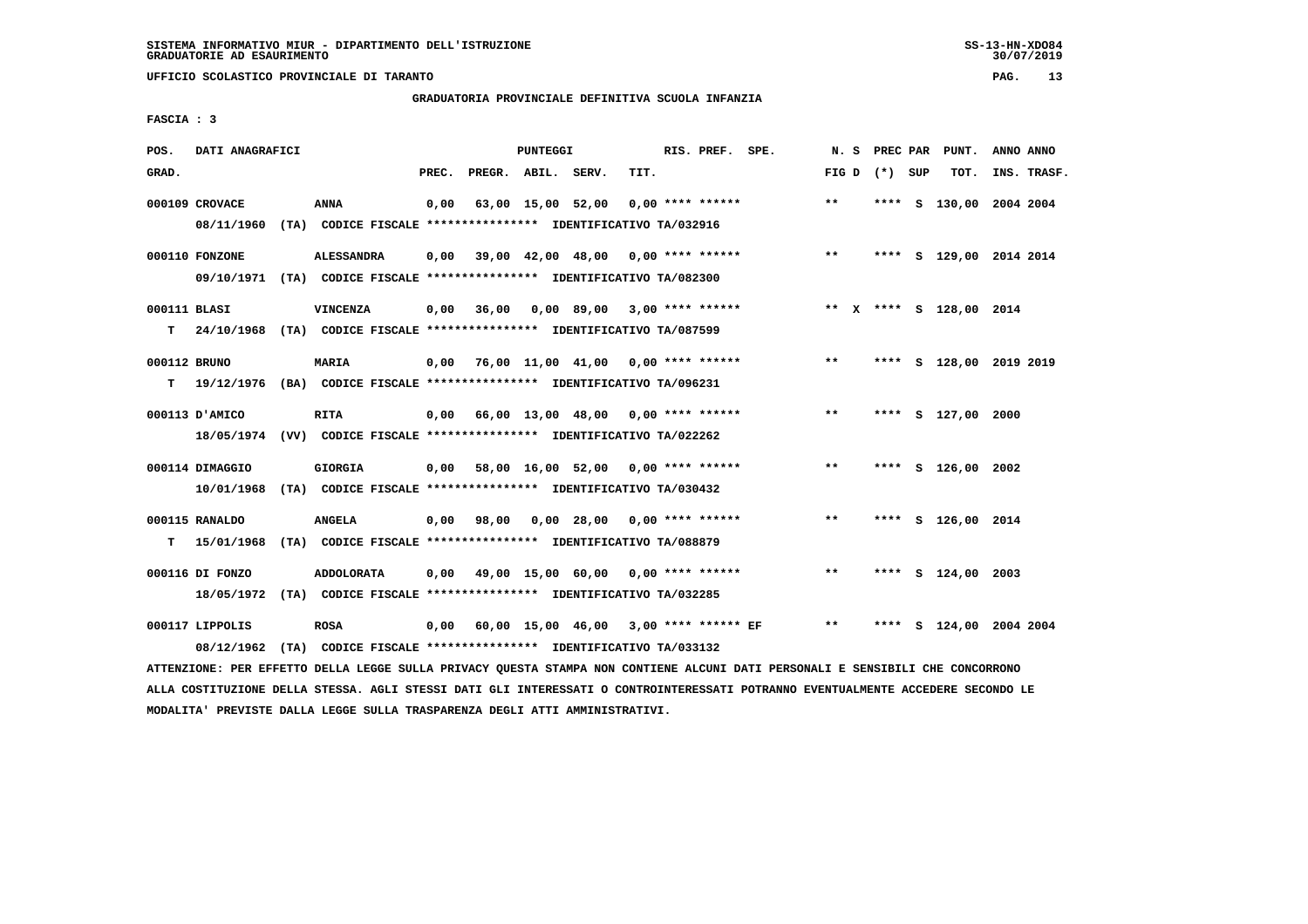**UFFICIO SCOLASTICO PROVINCIALE DI TARANTO PAG. 13**

## **GRADUATORIA PROVINCIALE DEFINITIVA SCUOLA INFANZIA**

 **FASCIA : 3**

| POS.              | DATI ANAGRAFICI              |                                                                                               |       |                    | PUNTEGGI |                                           |      | RIS. PREF. SPE.    |                     | N. S         |                 | PREC PAR | PUNT.                   | ANNO ANNO |             |
|-------------------|------------------------------|-----------------------------------------------------------------------------------------------|-------|--------------------|----------|-------------------------------------------|------|--------------------|---------------------|--------------|-----------------|----------|-------------------------|-----------|-------------|
| GRAD.             |                              |                                                                                               | PREC. | PREGR. ABIL. SERV. |          |                                           | TIT. |                    |                     |              | FIG D $(*)$ SUP |          | TOT.                    |           | INS. TRASF. |
|                   | 000109 CROVACE               | ANNA<br>08/11/1960 (TA) CODICE FISCALE *************** IDENTIFICATIVO TA/032916               | 0,00  |                    |          | 63,00 15,00 52,00                         |      | $0.00$ **** ****** |                     | $***$        |                 |          | **** S 130,00 2004 2004 |           |             |
|                   | 000110 FONZONE               | <b>ALESSANDRA</b><br>09/10/1971 (TA) CODICE FISCALE **************** IDENTIFICATIVO TA/082300 | 0,00  |                    |          | 39,00 42,00 48,00 0,00 **** ******        |      |                    |                     | $\star\star$ |                 |          | **** S 129,00 2014 2014 |           |             |
| 000111 BLASI<br>т |                              | <b>VINCENZA</b><br>24/10/1968 (TA) CODICE FISCALE *************** IDENTIFICATIVO TA/087599    | 0,00  | 36,00              |          | $0,00$ 89,00 3,00 **** ******             |      |                    |                     |              |                 |          | ** X **** S 128,00 2014 |           |             |
| 000112 BRUNO      |                              | MARIA<br>T 19/12/1976 (BA) CODICE FISCALE *************** IDENTIFICATIVO TA/096231            |       |                    |          | 0,00 76,00 11,00 41,00 0,00 **** ******   |      |                    |                     | $***$        |                 |          | **** S 128,00 2019 2019 |           |             |
|                   | 000113 D'AMICO               | <b>RITA</b><br>18/05/1974 (VV) CODICE FISCALE *************** IDENTIFICATIVO TA/022262        |       |                    |          | $0,00$ 66,00 13,00 48,00 0,00 **** ****** |      |                    |                     | $**$         |                 |          | **** S 127,00 2000      |           |             |
|                   | 000114 DIMAGGIO              | <b>GIORGIA</b><br>10/01/1968 (TA) CODICE FISCALE *************** IDENTIFICATIVO TA/030432     |       |                    |          | $0,00$ 58,00 16,00 52,00 0,00 **** ****** |      |                    |                     | $***$        |                 |          | **** S 126,00 2002      |           |             |
| T.                | 000115 RANALDO<br>15/01/1968 | <b>ANGELA</b><br>(TA) CODICE FISCALE *************** IDENTIFICATIVO TA/088879                 |       | $0,00$ $98,00$     |          | $0,00$ 28,00 0,00 **** ******             |      |                    |                     | $**$         |                 |          | **** S 126,00 2014      |           |             |
|                   | 000116 DI FONZO              | <b>ADDOLORATA</b><br>18/05/1972 (TA) CODICE FISCALE **************** IDENTIFICATIVO TA/032285 | 0,00  |                    |          | 49,00 15,00 60,00 0,00 **** ******        |      |                    |                     | $***$        |                 |          | **** S 124,00 2003      |           |             |
|                   | 000117 LIPPOLIS              | <b>ROSA</b><br>08/12/1962 (TA) CODICE FISCALE *************** IDENTIFICATIVO TA/033132        | 0,00  |                    |          | 60,00 15,00 46,00                         |      |                    | 3,00 **** ****** EF | $***$        | ****            |          | S 124,00 2004 2004      |           |             |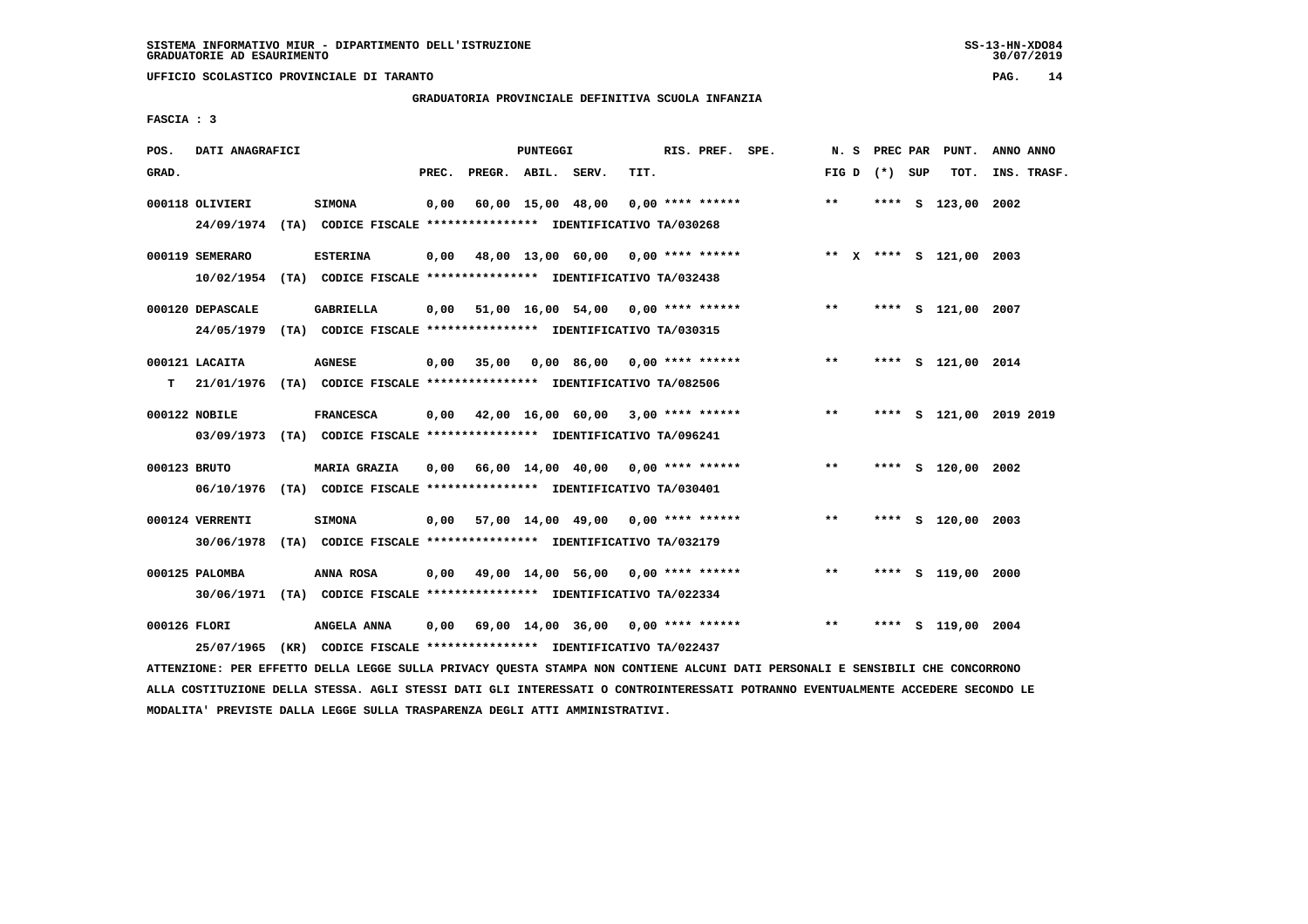**UFFICIO SCOLASTICO PROVINCIALE DI TARANTO PAG. 14**

## **GRADUATORIA PROVINCIALE DEFINITIVA SCUOLA INFANZIA**

 **FASCIA : 3**

| POS.         | DATI ANAGRAFICI  |                                                                                                |       |                    | PUNTEGGI |                                           |      | RIS. PREF. SPE. |                                                                      | N.S          |                 | PREC PAR PUNT.          | ANNO ANNO |             |
|--------------|------------------|------------------------------------------------------------------------------------------------|-------|--------------------|----------|-------------------------------------------|------|-----------------|----------------------------------------------------------------------|--------------|-----------------|-------------------------|-----------|-------------|
| GRAD.        |                  |                                                                                                | PREC. | PREGR. ABIL. SERV. |          |                                           | TIT. |                 |                                                                      |              | FIG D $(*)$ SUP | тот.                    |           | INS. TRASF. |
|              | 000118 OLIVIERI  | <b>SIMONA</b><br>24/09/1974 (TA) CODICE FISCALE *************** IDENTIFICATIVO TA/030268       | 0.00  |                    |          | 60,00 15,00 48,00 0,00 **** ******        |      |                 |                                                                      | $***$        |                 | **** S 123,00 2002      |           |             |
|              | 000119 SEMERARO  | <b>ESTERINA</b><br>10/02/1954 (TA) CODICE FISCALE *************** IDENTIFICATIVO TA/032438     |       |                    |          |                                           |      |                 | 0,00 48,00 13,00 60,00 0,00 **** ****** **** *** **** \$ 121,00 2003 |              |                 |                         |           |             |
|              | 000120 DEPASCALE | <b>GABRIELLA</b><br>24/05/1979 (TA) CODICE FISCALE *************** IDENTIFICATIVO TA/030315    |       |                    |          |                                           |      |                 | $0,00$ 51,00 16,00 54,00 0,00 **** ****** *** **                     |              |                 | **** S 121,00 2007      |           |             |
| т            | 000121 LACAITA   | <b>AGNESE</b><br>21/01/1976 (TA) CODICE FISCALE **************** IDENTIFICATIVO TA/082506      |       |                    |          |                                           |      |                 | $0,00$ 35,00 0,00 86,00 0,00 **** ******                             | $\star\star$ |                 | **** S 121,00 2014      |           |             |
|              | 000122 NOBILE    | <b>FRANCESCA</b><br>03/09/1973 (TA) CODICE FISCALE *************** IDENTIFICATIVO TA/096241    |       |                    |          | $0,00$ 42,00 16,00 60,00 3,00 **** ****** |      |                 |                                                                      | $***$        |                 | **** S 121,00 2019 2019 |           |             |
| 000123 BRUTO |                  | <b>MARIA GRAZIA</b><br>06/10/1976 (TA) CODICE FISCALE *************** IDENTIFICATIVO TA/030401 |       |                    |          | 0,00 66,00 14,00 40,00 0,00 **** ******   |      |                 |                                                                      | $***$        |                 | **** S 120,00 2002      |           |             |
|              | 000124 VERRENTI  | <b>SIMONA</b><br>30/06/1978 (TA) CODICE FISCALE *************** IDENTIFICATIVO TA/032179       |       |                    |          |                                           |      |                 | $0,00$ 57,00 14,00 49,00 0,00 **** ******                            | $**$         |                 | **** S 120,00 2003      |           |             |
|              | 000125 PALOMBA   | ANNA ROSA<br>30/06/1971 (TA) CODICE FISCALE *************** IDENTIFICATIVO TA/022334           |       |                    |          |                                           |      |                 | $0,00$ 49,00 14,00 56,00 0,00 **** ******                            | $***$        |                 | **** S 119,00 2000      |           |             |
| 000126 FLORI | 25/07/1965       | ANGELA ANNA<br>(KR) CODICE FISCALE **************** IDENTIFICATIVO TA/022437                   |       |                    |          | $0,00$ 69,00 14,00 36,00 0,00 **** ****** |      |                 |                                                                      | $* *$        |                 | **** S 119,00 2004      |           |             |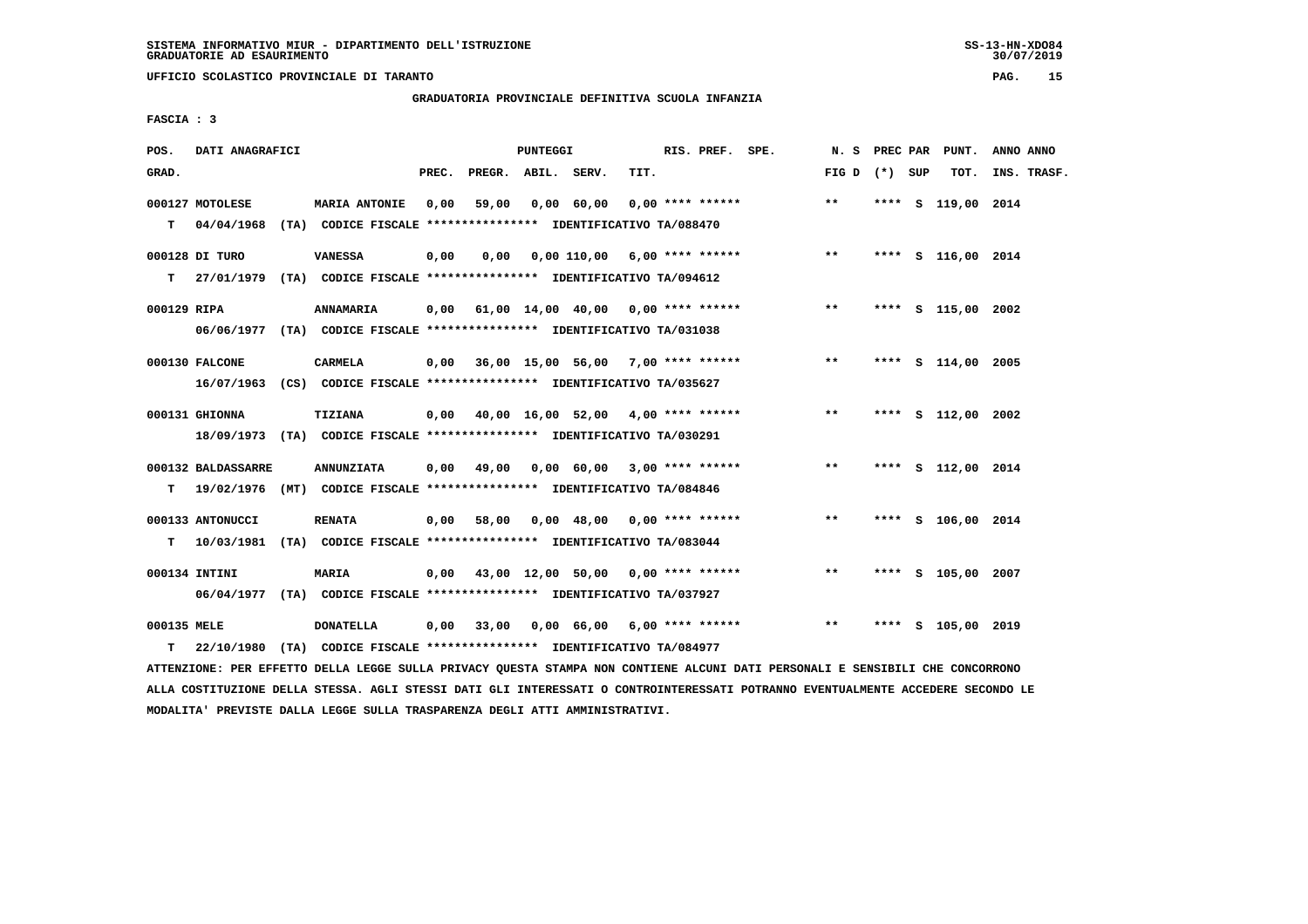**UFFICIO SCOLASTICO PROVINCIALE DI TARANTO PAG. 15**

## **GRADUATORIA PROVINCIALE DEFINITIVA SCUOLA INFANZIA**

 **FASCIA : 3**

| POS.             | DATI ANAGRAFICI                |                                                                                               |       |                    | <b>PUNTEGGI</b> |                                    |      | RIS. PREF. SPE.    | N.S             |  | PREC PAR PUNT.     | ANNO ANNO   |  |
|------------------|--------------------------------|-----------------------------------------------------------------------------------------------|-------|--------------------|-----------------|------------------------------------|------|--------------------|-----------------|--|--------------------|-------------|--|
| GRAD.            |                                |                                                                                               | PREC. | PREGR. ABIL. SERV. |                 |                                    | TIT. |                    | FIG D $(*)$ SUP |  | TOT.               | INS. TRASF. |  |
| T.               | 000127 MOTOLESE<br>04/04/1968  | <b>MARIA ANTONIE</b><br>(TA) CODICE FISCALE *************** IDENTIFICATIVO TA/088470          | 0.00  | 59,00              |                 | 0,00 60,00                         |      | $0.00$ **** ****** | $***$           |  | **** S 119,00 2014 |             |  |
| т                | 000128 DI TURO<br>27/01/1979   | <b>VANESSA</b><br>(TA) CODICE FISCALE **************** IDENTIFICATIVO TA/094612               | 0,00  | 0.00               |                 | $0,00$ 110,00 6,00 **** ******     |      |                    | $***$           |  | **** S 116,00 2014 |             |  |
| 000129 RIPA      |                                | <b>ANNAMARIA</b><br>06/06/1977 (TA) CODICE FISCALE *************** IDENTIFICATIVO TA/031038   | 0,00  |                    |                 | 61,00 14,00 40,00 0,00 **** ****** |      |                    | $***$           |  | **** S 115,00 2002 |             |  |
|                  | 000130 FALCONE                 | <b>CARMELA</b><br>16/07/1963 (CS) CODICE FISCALE *************** IDENTIFICATIVO TA/035627     | 0,00  |                    |                 | 36,00 15,00 56,00 7,00 **** ****** |      |                    | $***$           |  | **** S 114,00 2005 |             |  |
|                  | 000131 GHIONNA                 | TIZIANA<br>18/09/1973 (TA) CODICE FISCALE *************** IDENTIFICATIVO TA/030291            | 0,00  |                    |                 | 40,00 16,00 52,00 4,00 **** ****** |      |                    | $* *$           |  | **** S 112,00 2002 |             |  |
| т                | 000132 BALDASSARRE             | <b>ANNUNZIATA</b><br>19/02/1976 (MT) CODICE FISCALE **************** IDENTIFICATIVO TA/084846 | 0,00  | 49,00              |                 | 0,00 60,00 3,00 **** ******        |      |                    | $* *$           |  | **** S 112,00 2014 |             |  |
| т                | 000133 ANTONUCCI<br>10/03/1981 | <b>RENATA</b><br>(TA) CODICE FISCALE **************** IDENTIFICATIVO TA/083044                |       | $0.00$ 58.00       |                 | $0,00$ 48,00 0,00 **** ******      |      |                    | $***$           |  | **** S 106,00 2014 |             |  |
|                  | 000134 INTINI                  | MARIA<br>06/04/1977 (TA) CODICE FISCALE **************** IDENTIFICATIVO TA/037927             | 0.00  |                    |                 | 43,00 12,00 50,00 0,00 **** ****** |      |                    | $***$           |  | **** S 105,00 2007 |             |  |
| 000135 MELE<br>т | 22/10/1980                     | <b>DONATELLA</b><br>(TA) CODICE FISCALE **************** IDENTIFICATIVO TA/084977             | 0,00  | 33,00              |                 | $0,00$ 66,00 6,00 **** ******      |      |                    | $***$           |  | **** S 105,00 2019 |             |  |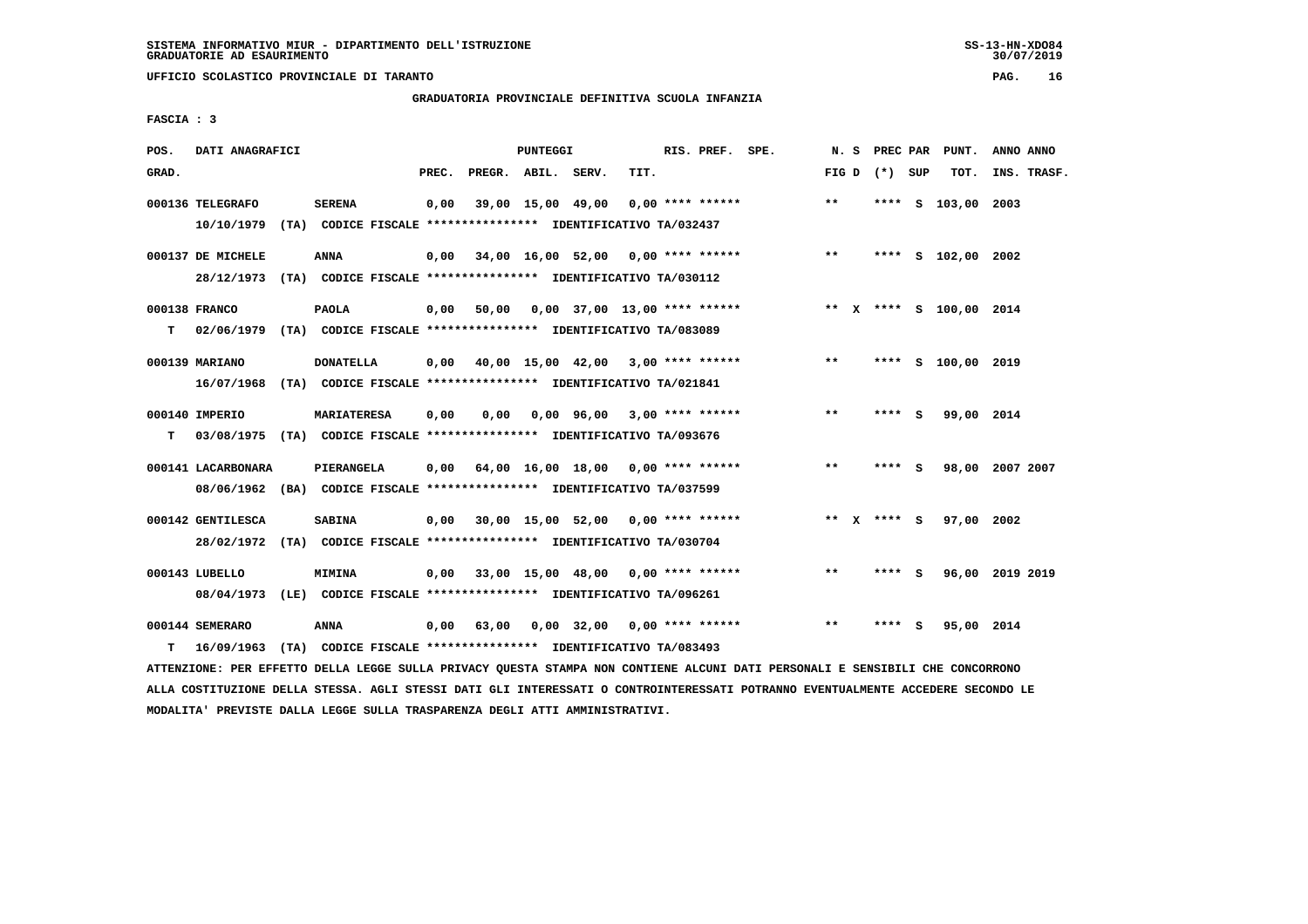**UFFICIO SCOLASTICO PROVINCIALE DI TARANTO PAG. 16**

# **GRADUATORIA PROVINCIALE DEFINITIVA SCUOLA INFANZIA**

 **FASCIA : 3**

| POS.  | DATI ANAGRAFICI                                                                                |                                                               |       |                                           | PUNTEGGI |                                    |      | RIS. PREF. SPE.    |       | N. S |               |     | PREC PAR PUNT.          | ANNO ANNO |             |
|-------|------------------------------------------------------------------------------------------------|---------------------------------------------------------------|-------|-------------------------------------------|----------|------------------------------------|------|--------------------|-------|------|---------------|-----|-------------------------|-----------|-------------|
| GRAD. |                                                                                                |                                                               | PREC. | PREGR. ABIL. SERV.                        |          |                                    | TIT. |                    | FIG D |      | (*) SUP       |     | TOT.                    |           | INS. TRASF. |
|       | 000136 TELEGRAFO<br>10/10/1979 (TA) CODICE FISCALE *************** IDENTIFICATIVO TA/032437    | <b>SERENA</b>                                                 | 0,00  |                                           |          | 39,00 15,00 49,00                  |      | $0.00$ **** ****** | $* *$ |      |               |     | **** S 103,00 2003      |           |             |
|       | 000137 DE MICHELE<br>28/12/1973 (TA) CODICE FISCALE **************** IDENTIFICATIVO TA/030112  | <b>ANNA</b>                                                   | 0,00  | 34,00 16,00 52,00 0,00 **** ******        |          |                                    |      |                    | $* *$ |      |               |     | **** S 102,00 2002      |           |             |
| T.    | 000138 FRANCO<br>02/06/1979 (TA) CODICE FISCALE **************** IDENTIFICATIVO TA/083089      | <b>PAOLA</b>                                                  | 0,00  |                                           |          | 50,00 0,00 37,00 13,00 **** ****** |      |                    |       |      |               |     | ** X **** S 100,00 2014 |           |             |
|       | 000139 MARIANO                                                                                 | <b>DONATELLA</b>                                              |       | $0,00$ 40,00 15,00 42,00 3,00 **** ****** |          |                                    |      |                    | $***$ |      |               |     | **** S 100,00 2019      |           |             |
|       | 16/07/1968 (TA) CODICE FISCALE **************** IDENTIFICATIVO TA/021841<br>000140 IMPERIO     | <b>MARIATERESA</b>                                            | 0,00  | 0.00                                      |          | $0,00$ 96,00 3,00 **** ******      |      |                    | **    |      | **** S        |     | 99,00 2014              |           |             |
| T.    | 03/08/1975 (TA) CODICE FISCALE **************** IDENTIFICATIVO TA/093676<br>000141 LACARBONARA | PIERANGELA                                                    |       | $0,00$ 64,00 16,00 18,00 0,00 **** ****** |          |                                    |      |                    | $* *$ |      | **** S        |     | 98,00 2007 2007         |           |             |
|       | 08/06/1962 (BA) CODICE FISCALE **************** IDENTIFICATIVO TA/037599<br>000142 GENTILESCA  | <b>SABINA</b>                                                 |       | $0,00$ 30,00 15,00 52,00 0,00 **** ****** |          |                                    |      |                    |       |      | ** $X$ **** S |     | 97,00 2002              |           |             |
|       | 28/02/1972 (TA) CODICE FISCALE *************** IDENTIFICATIVO TA/030704<br>000143 LUBELLO      | <b>MIMINA</b>                                                 |       | $0.00$ 33,00 15,00 48,00 0,00 **** ****** |          |                                    |      |                    | $* *$ |      | **** S        |     | 96,00 2019 2019         |           |             |
|       | 08/04/1973 (LE) CODICE FISCALE *************** IDENTIFICATIVO TA/096261<br>000144 SEMERARO     | <b>ANNA</b>                                                   | 0,00  | 63,00                                     |          | $0,00$ 32,00 0,00 **** ******      |      |                    | $* *$ |      | ****          | - 5 | 95,00 2014              |           |             |
| т     | 16/09/1963                                                                                     | (TA) CODICE FISCALE **************** IDENTIFICATIVO TA/083493 |       |                                           |          |                                    |      |                    |       |      |               |     |                         |           |             |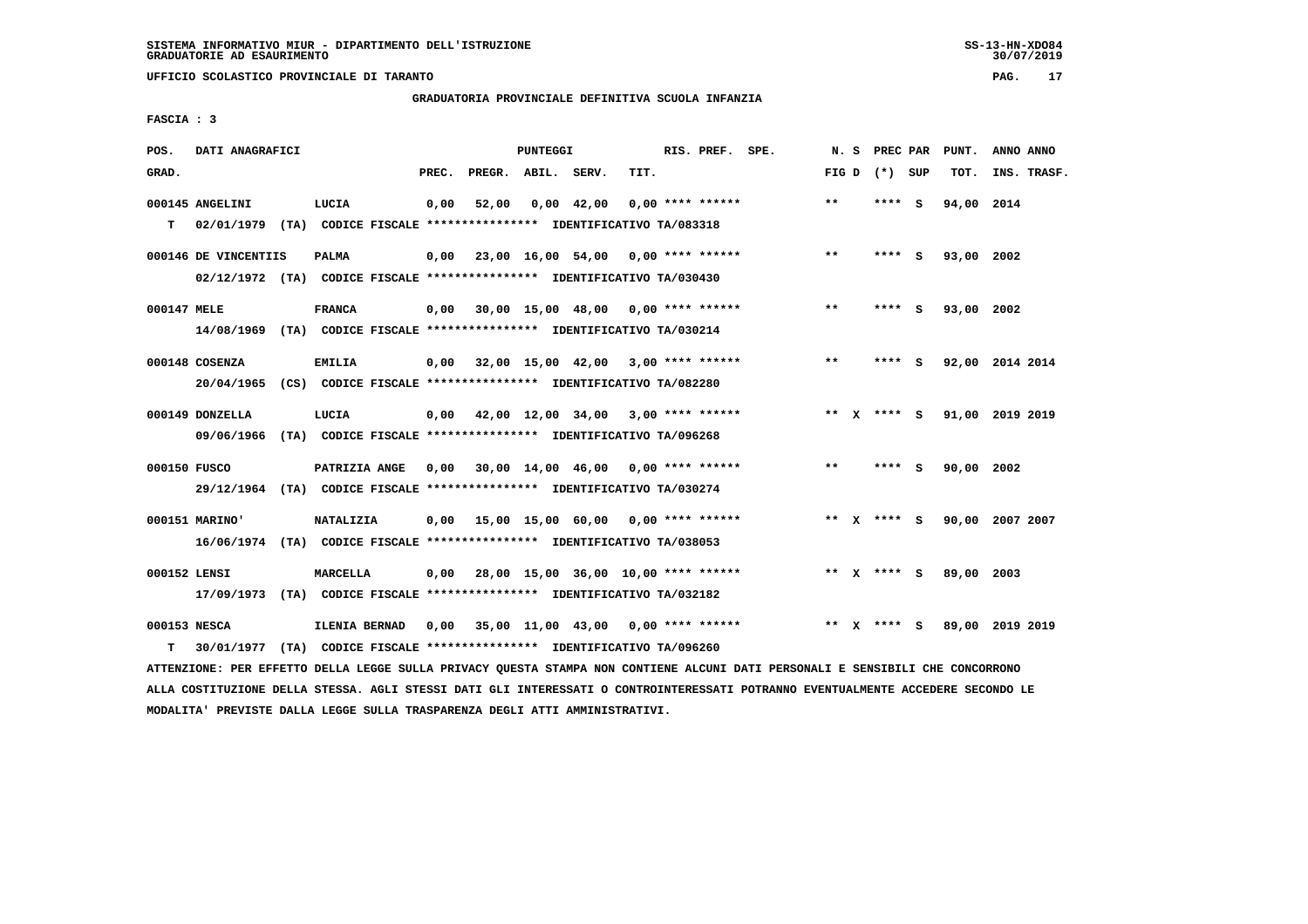**UFFICIO SCOLASTICO PROVINCIALE DI TARANTO PAG. 17**

# **GRADUATORIA PROVINCIALE DEFINITIVA SCUOLA INFANZIA**

 **FASCIA : 3**

| POS.         | DATI ANAGRAFICI      |                                                                                   |       |                                                         | PUNTEGGI |              |      | RIS. PREF. SPE.    | N. S            |         | PREC PAR | PUNT.      | ANNO ANNO       |
|--------------|----------------------|-----------------------------------------------------------------------------------|-------|---------------------------------------------------------|----------|--------------|------|--------------------|-----------------|---------|----------|------------|-----------------|
| GRAD.        |                      |                                                                                   | PREC. | PREGR. ABIL. SERV.                                      |          |              | TIT. |                    | FIG D $(*)$ SUP |         |          | TOT.       | INS. TRASF.     |
|              | 000145 ANGELINI      | LUCIA                                                                             | 0,00  | 52,00                                                   |          | $0,00$ 42,00 |      | $0.00$ **** ****** | **              | **** S  |          | 94,00 2014 |                 |
| T.           |                      | 02/01/1979 (TA) CODICE FISCALE *************** IDENTIFICATIVO TA/083318           |       |                                                         |          |              |      |                    |                 |         |          |            |                 |
|              | 000146 DE VINCENTIIS | <b>PALMA</b>                                                                      | 0,00  | 23,00 16,00 54,00 0,00 **** ******                      |          |              |      |                    | $***$           | **** S  |          | 93,00 2002 |                 |
|              |                      | 02/12/1972 (TA) CODICE FISCALE **************** IDENTIFICATIVO TA/030430          |       |                                                         |          |              |      |                    |                 |         |          |            |                 |
| 000147 MELE  |                      | <b>FRANCA</b>                                                                     |       | $0,00$ 30,00 15,00 48,00 0,00 **** ******               |          |              |      |                    | $* *$           | **** S  |          | 93,00 2002 |                 |
|              |                      | 14/08/1969 (TA) CODICE FISCALE *************** IDENTIFICATIVO TA/030214           |       |                                                         |          |              |      |                    |                 |         |          |            |                 |
|              | 000148 COSENZA       | <b>EMILIA</b>                                                                     |       | $0,00$ $32,00$ $15,00$ $42,00$ $3,00$ $***$ **** ****** |          |              |      |                    | $***$           | **** S  |          |            | 92,00 2014 2014 |
|              |                      | 20/04/1965 (CS) CODICE FISCALE *************** IDENTIFICATIVO TA/082280           |       |                                                         |          |              |      |                    |                 |         |          |            |                 |
|              |                      |                                                                                   |       |                                                         |          |              |      |                    |                 |         |          |            |                 |
|              | 000149 DONZELLA      | LUCIA<br>09/06/1966 (TA) CODICE FISCALE **************** IDENTIFICATIVO TA/096268 |       | $0,00$ 42,00 12,00 34,00 3,00 **** ******               |          |              |      |                    | ** x **** S     |         |          |            | 91,00 2019 2019 |
|              |                      |                                                                                   |       |                                                         |          |              |      |                    |                 |         |          |            |                 |
| 000150 FUSCO |                      | PATRIZIA ANGE                                                                     | 0,00  | 30,00 14,00 46,00 0,00 **** ******                      |          |              |      |                    | $***$           | $***$ S |          | 90,00 2002 |                 |
|              |                      | 29/12/1964 (TA) CODICE FISCALE *************** IDENTIFICATIVO TA/030274           |       |                                                         |          |              |      |                    |                 |         |          |            |                 |
|              | 000151 MARINO'       | <b>NATALIZIA</b>                                                                  |       | $0,00$ 15,00 15,00 60,00 0,00 **** ******               |          |              |      |                    | ** x **** s     |         |          |            | 90,00 2007 2007 |
|              |                      | 16/06/1974 (TA) CODICE FISCALE **************** IDENTIFICATIVO TA/038053          |       |                                                         |          |              |      |                    |                 |         |          |            |                 |
| 000152 LENSI |                      | <b>MARCELLA</b>                                                                   |       | $0,00$ 28,00 15,00 36,00 10,00 **** ******              |          |              |      |                    | ** $X$ **** S   |         |          | 89,00 2003 |                 |
|              |                      | 17/09/1973 (TA) CODICE FISCALE *************** IDENTIFICATIVO TA/032182           |       |                                                         |          |              |      |                    |                 |         |          |            |                 |
|              |                      |                                                                                   |       |                                                         |          |              |      |                    |                 |         |          |            |                 |
| 000153 NESCA |                      | ILENIA BERNAD                                                                     |       | 0,00 35,00 11,00 43,00                                  |          |              |      | $0.00$ **** ****** | ** $X$ **** S   |         |          |            | 89,00 2019 2019 |
| т            |                      | 30/01/1977 (TA) CODICE FISCALE **************** IDENTIFICATIVO TA/096260          |       |                                                         |          |              |      |                    |                 |         |          |            |                 |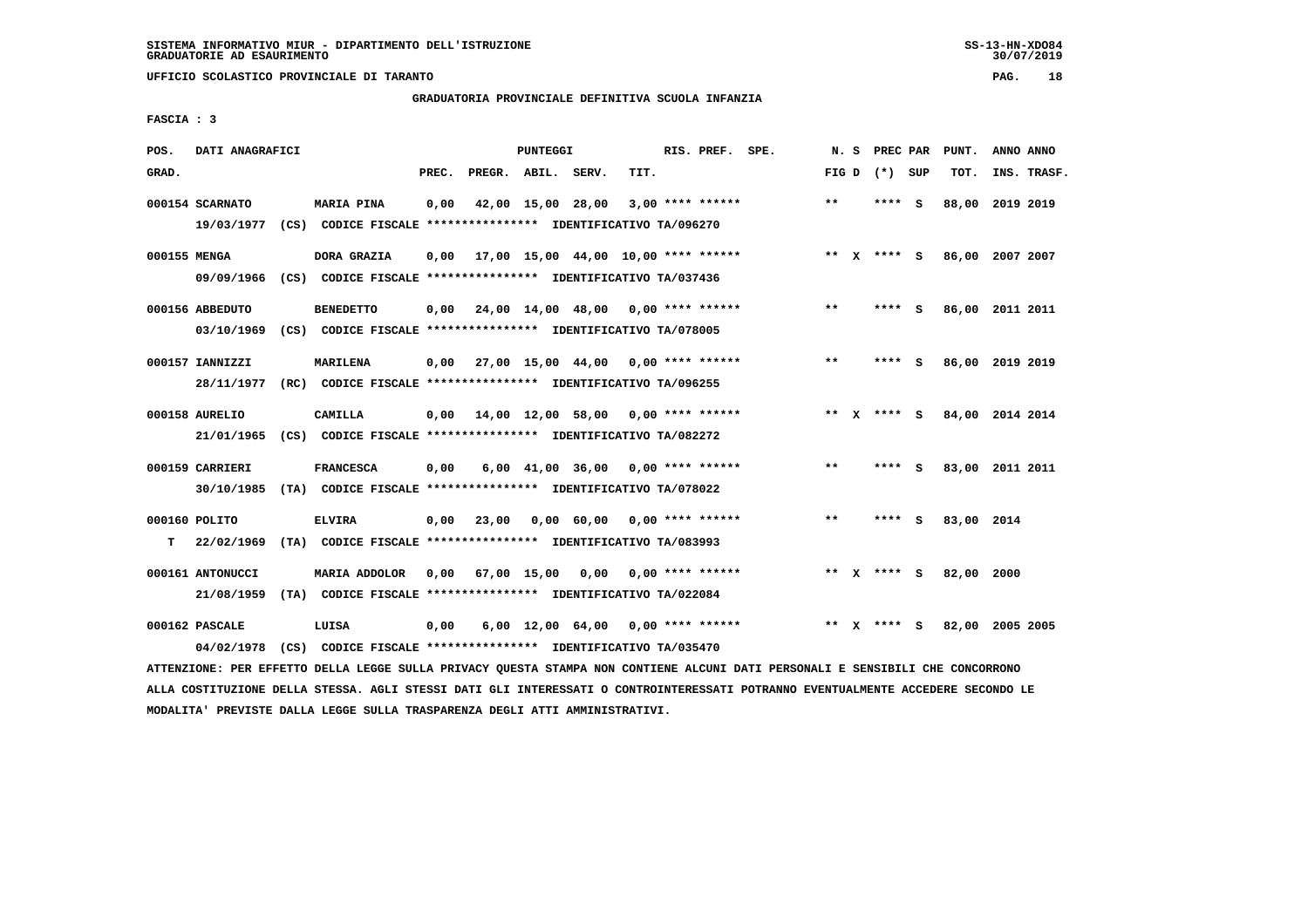**UFFICIO SCOLASTICO PROVINCIALE DI TARANTO PAG. 18**

## **GRADUATORIA PROVINCIALE DEFINITIVA SCUOLA INFANZIA**

 **FASCIA : 3**

| POS.         | DATI ANAGRAFICI                |      |                                                                                    |       |                                    | PUNTEGGI          |                                                  |      | RIS. PREF. SPE.    | N.S   |              | PREC PAR    |     | PUNT.           | ANNO ANNO |             |
|--------------|--------------------------------|------|------------------------------------------------------------------------------------|-------|------------------------------------|-------------------|--------------------------------------------------|------|--------------------|-------|--------------|-------------|-----|-----------------|-----------|-------------|
| GRAD.        |                                |      |                                                                                    | PREC. | PREGR. ABIL. SERV.                 |                   |                                                  | TIT. |                    | FIG D |              | $(*)$       | SUP | TOT.            |           | INS. TRASF. |
|              | 000154 SCARNATO<br>19/03/1977  |      | <b>MARIA PINA</b><br>(CS) CODICE FISCALE **************** IDENTIFICATIVO TA/096270 | 0,00  |                                    | 42,00 15,00 28,00 |                                                  |      | $3,00$ **** ****** | $***$ |              | ****        | - S | 88,00           | 2019 2019 |             |
| 000155 MENGA | 09/09/1966                     |      | DORA GRAZIA<br>(CS) CODICE FISCALE **************** IDENTIFICATIVO TA/037436       | 0.00  |                                    |                   | 17,00 15,00 44,00 10,00 **** ******              |      |                    |       |              | ** X **** S |     | 86,00 2007 2007 |           |             |
|              | 000156 ABBEDUTO<br>03/10/1969  |      | <b>BENEDETTO</b><br>(CS) CODICE FISCALE **************** IDENTIFICATIVO TA/078005  | 0,00  | 24,00 14,00 48,00 0,00 **** ****** |                   |                                                  |      |                    | $**$  |              | **** S      |     | 86,00 2011 2011 |           |             |
|              | 000157 IANNIZZI<br>28/11/1977  |      | <b>MARILENA</b><br>(RC) CODICE FISCALE **************** IDENTIFICATIVO TA/096255   | 0,00  | 27,00 15,00 44,00 0,00 **** ****** |                   |                                                  |      |                    | $**$  |              | ****        | - S | 86,00 2019 2019 |           |             |
|              | 000158 AURELIO<br>21/01/1965   |      | CAMILLA<br>(CS) CODICE FISCALE **************** IDENTIFICATIVO TA/082272           | 0,00  |                                    |                   | $14,00$ $12,00$ $58,00$ $0,00$ $***$ **** ****** |      |                    | $* *$ | x            | **** S      |     | 84,00 2014 2014 |           |             |
|              | 000159 CARRIERI<br>30/10/1985  |      | <b>FRANCESCA</b><br>(TA) CODICE FISCALE **************** IDENTIFICATIVO TA/078022  | 0,00  |                                    |                   | $6,00$ $41,00$ $36,00$ $0,00$ $***$ **** *****   |      |                    | $* *$ |              | ****        | - S | 83,00 2011 2011 |           |             |
| т            | 000160 POLITO<br>22/02/1969    |      | <b>ELVIRA</b><br>(TA) CODICE FISCALE **************** IDENTIFICATIVO TA/083993     | 0,00  | 23,00                              |                   | 0,00 60,00                                       |      | $0.00$ **** ****** | $* *$ |              | ****        | - S | 83,00 2014      |           |             |
|              | 000161 ANTONUCCI<br>21/08/1959 | (TA) | <b>MARIA ADDOLOR</b><br>CODICE FISCALE **************** IDENTIFICATIVO TA/022084   | 0.00  |                                    | 67,00 15,00       | 0,00                                             |      | $0.00$ **** ****** |       |              | ** x **** S |     | 82,00           | 2000      |             |
|              | 000162 PASCALE<br>04/02/1978   | (CS) | LUISA<br>CODICE FISCALE **************** IDENTIFICATIVO TA/035470                  | 0,00  |                                    |                   | $6,00$ 12,00 $64,00$ 0,00 **** ******            |      |                    | $***$ | $\mathbf{x}$ | **** S      |     | 82,00 2005 2005 |           |             |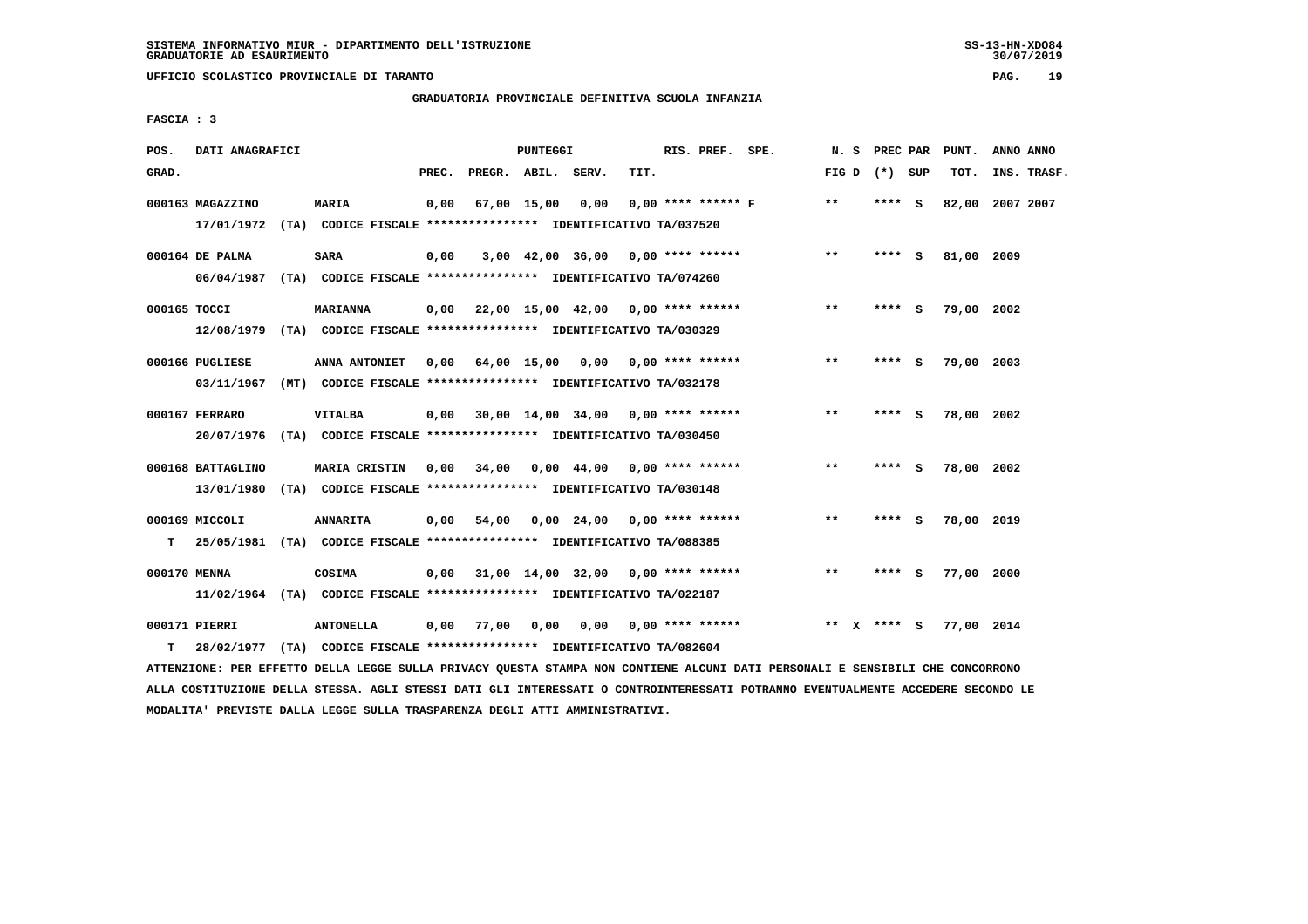**UFFICIO SCOLASTICO PROVINCIALE DI TARANTO PAG. 19**

# **GRADUATORIA PROVINCIALE DEFINITIVA SCUOLA INFANZIA**

 **FASCIA : 3**

| POS.         | DATI ANAGRAFICI                 |                                                                                            |       |              | PUNTEGGI    |                                                   |      | RIS. PREF. SPE.      | N.S   |   | PREC PAR        |          | PUNT.      | ANNO ANNO   |  |
|--------------|---------------------------------|--------------------------------------------------------------------------------------------|-------|--------------|-------------|---------------------------------------------------|------|----------------------|-------|---|-----------------|----------|------------|-------------|--|
| GRAD.        |                                 |                                                                                            | PREC. | PREGR. ABIL. |             | SERV.                                             | TIT. |                      |       |   | FIG D $(*)$ SUP |          | TOT.       | INS. TRASF. |  |
|              | 000163 MAGAZZINO<br>17/01/1972  | MARIA<br>(TA) CODICE FISCALE **************** IDENTIFICATIVO TA/037520                     | 0,00  |              | 67,00 15,00 | 0,00                                              |      | $0.00$ **** ****** F | **    |   | **** S          |          | 82,00      | 2007 2007   |  |
|              | 000164 DE PALMA<br>06/04/1987   | <b>SARA</b><br>(TA) CODICE FISCALE **************** IDENTIFICATIVO TA/074260               | 0,00  |              |             | $3,00$ 42,00 36,00 0,00 **** ******               |      |                      | **    |   | **** S          |          | 81,00 2009 |             |  |
| 000165 TOCCI | 12/08/1979                      | <b>MARIANNA</b><br>(TA) CODICE FISCALE **************** IDENTIFICATIVO TA/030329           | 0,00  |              |             | 22,00 15,00 42,00 0,00 **** ******                |      |                      | $* *$ |   | **** S          |          | 79,00 2002 |             |  |
|              | 000166 PUGLIESE<br>03/11/1967   | ANNA ANTONIET<br>(MT) CODICE FISCALE **************** IDENTIFICATIVO TA/032178             | 0.00  |              |             | 64,00 15,00 0,00 0,00 **** ******                 |      |                      | $***$ |   | ****            | - S      | 79,00 2003 |             |  |
|              | 000167 FERRARO<br>20/07/1976    | <b>VITALBA</b><br>(TA) CODICE FISCALE **************** IDENTIFICATIVO TA/030450            | 0,00  |              |             | $30,00$ 14,00 34,00 0,00 **** ******              |      |                      | **    |   | **** S          |          | 78,00 2002 |             |  |
|              | 000168 BATTAGLINO<br>13/01/1980 | MARIA CRISTIN<br>(TA) CODICE FISCALE **************** IDENTIFICATIVO TA/030148             |       | 0,00 34,00   |             | 0,00 44,00 0,00 **** ******                       |      |                      | $* *$ |   | ****            | <b>S</b> | 78,00 2002 |             |  |
| т            | 000169 MICCOLI                  | <b>ANNARITA</b><br>25/05/1981 (TA) CODICE FISCALE *************** IDENTIFICATIVO TA/088385 | 0.00  | 54,00        |             | $0.00 \quad 24.00 \quad 0.00 \quad *** \quad ***$ |      |                      | $***$ |   | ****            | - S      | 78,00 2019 |             |  |
| 000170 MENNA |                                 | COSIMA<br>11/02/1964 (TA) CODICE FISCALE *************** IDENTIFICATIVO TA/022187          | 0,00  |              |             | 31,00 14,00 32,00                                 |      | $0.00$ **** ******   | $***$ |   | ****            | ్        | 77,00 2000 |             |  |
| т            | 000171 PIERRI<br>28/02/1977     | <b>ANTONELLA</b><br>(TA) CODICE FISCALE **************** IDENTIFICATIVO TA/082604          | 0,00  | 77,00        | 0,00        | 0,00                                              |      | $0.00$ **** ******   | $* *$ | x | **** S          |          | 77,00 2014 |             |  |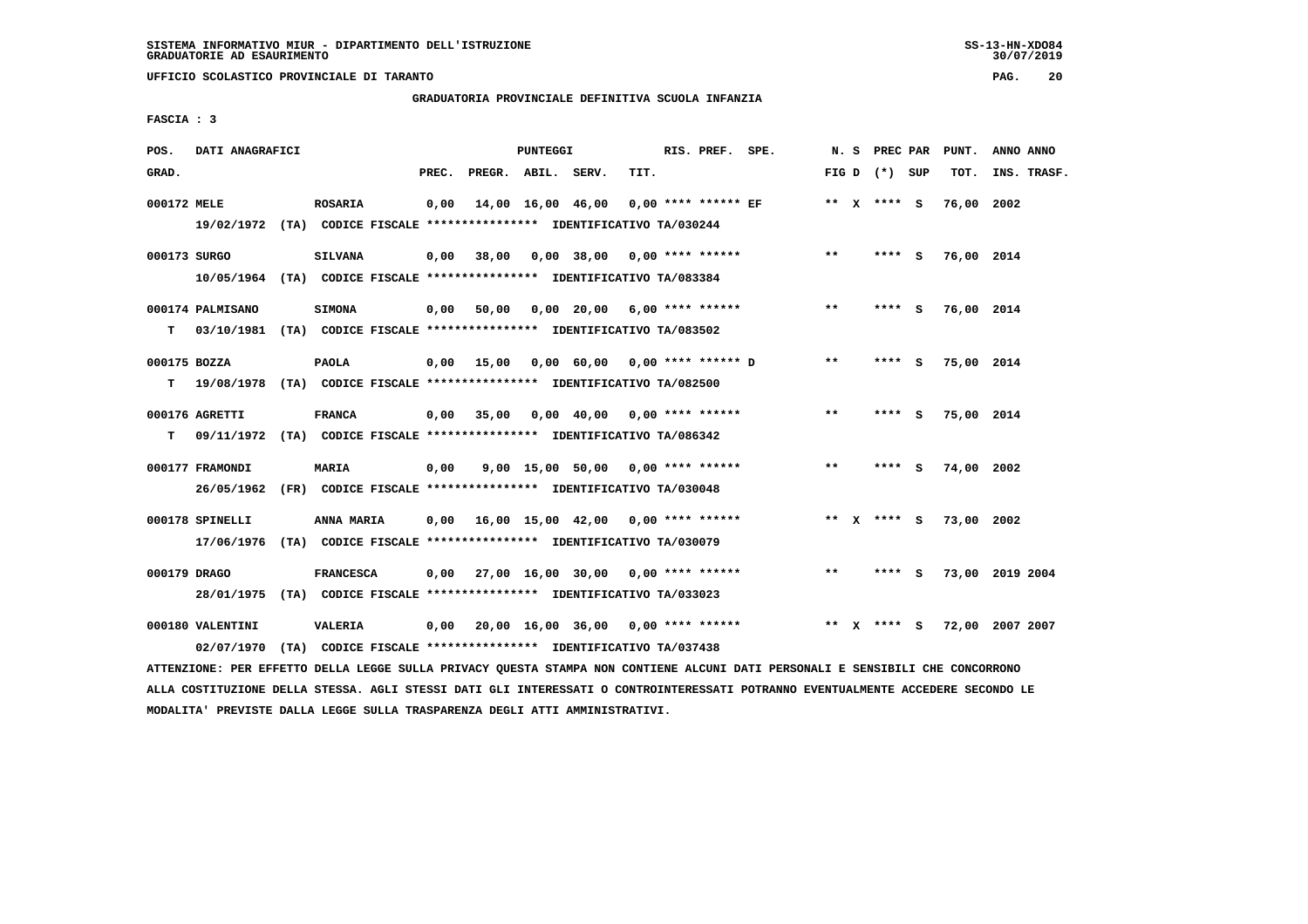**UFFICIO SCOLASTICO PROVINCIALE DI TARANTO PAG. 20**

### **GRADUATORIA PROVINCIALE DEFINITIVA SCUOLA INFANZIA**

 **FASCIA : 3**

| POS.         | DATI ANAGRAFICI                                                           |                  |                                                               |       |                    | PUNTEGGI |                                           |      | RIS. PREF. SPE.       |                             |       | N. S PREC PAR   | PUNT.      | ANNO ANNO       |
|--------------|---------------------------------------------------------------------------|------------------|---------------------------------------------------------------|-------|--------------------|----------|-------------------------------------------|------|-----------------------|-----------------------------|-------|-----------------|------------|-----------------|
| GRAD.        |                                                                           |                  |                                                               | PREC. | PREGR. ABIL. SERV. |          |                                           | TIT. |                       |                             |       | FIG D $(*)$ SUP | TOT.       | INS. TRASF.     |
| 000172 MELE  |                                                                           | <b>ROSARIA</b>   |                                                               | 0,00  |                    |          | 14,00 16,00 46,00                         |      | $0.00$ **** ****** EF |                             |       | ** X **** S     | 76,00 2002 |                 |
|              | 19/02/1972 (TA) CODICE FISCALE **************** IDENTIFICATIVO TA/030244  |                  |                                                               |       |                    |          |                                           |      |                       |                             |       |                 |            |                 |
| 000173 SURGO |                                                                           | <b>SILVANA</b>   |                                                               | 0,00  | 38,00              |          |                                           |      |                       | 0,00 38,00 0,00 **** ****** | $* *$ | $***$ S         | 76,00 2014 |                 |
|              | 10/05/1964 (TA) CODICE FISCALE *************** IDENTIFICATIVO TA/083384   |                  |                                                               |       |                    |          |                                           |      |                       |                             |       |                 |            |                 |
|              | 000174 PALMISANO                                                          | <b>SIMONA</b>    |                                                               | 0,00  | 50,00              |          | $0,00$ 20,00 6,00 **** ******             |      |                       |                             | $***$ | **** S          | 76,00 2014 |                 |
|              | T 03/10/1981 (TA) CODICE FISCALE *************** IDENTIFICATIVO TA/083502 |                  |                                                               |       |                    |          |                                           |      |                       |                             |       |                 |            |                 |
| 000175 BOZZA |                                                                           | <b>PAOLA</b>     |                                                               |       |                    |          | 0,00 15,00 0,00 60,00 0,00 **** ****** D  |      |                       |                             | $***$ | $***$ S         | 75,00 2014 |                 |
|              | T 19/08/1978                                                              |                  | (TA) CODICE FISCALE **************** IDENTIFICATIVO TA/082500 |       |                    |          |                                           |      |                       |                             |       |                 |            |                 |
|              | 000176 AGRETTI                                                            | <b>FRANCA</b>    |                                                               |       |                    |          | $0,00$ 35,00 0,00 40,00 0,00 **** ******  |      |                       |                             | $* *$ | **** S          | 75,00 2014 |                 |
| T.           | 09/11/1972 (TA) CODICE FISCALE *************** IDENTIFICATIVO TA/086342   |                  |                                                               |       |                    |          |                                           |      |                       |                             |       |                 |            |                 |
|              | 000177 FRAMONDI                                                           | <b>MARIA</b>     |                                                               | 0,00  |                    |          | $9,00$ 15,00 50,00 0,00 **** ******       |      |                       |                             | $***$ | **** S          | 74,00 2002 |                 |
|              | 26/05/1962 (FR) CODICE FISCALE *************** IDENTIFICATIVO TA/030048   |                  |                                                               |       |                    |          |                                           |      |                       |                             |       |                 |            |                 |
|              | 000178 SPINELLI                                                           | ANNA MARIA       |                                                               |       |                    |          | $0,00$ 16,00 15,00 42,00 0,00 **** ****** |      |                       |                             |       | ** $X$ **** $S$ | 73,00 2002 |                 |
|              | 17/06/1976 (TA) CODICE FISCALE *************** IDENTIFICATIVO TA/030079   |                  |                                                               |       |                    |          |                                           |      |                       |                             |       |                 |            |                 |
|              |                                                                           |                  |                                                               |       |                    |          |                                           |      |                       |                             | $* *$ |                 |            |                 |
| 000179 DRAGO | 28/01/1975 (TA) CODICE FISCALE *************** IDENTIFICATIVO TA/033023   | <b>FRANCESCA</b> |                                                               |       |                    |          | $0,00$ 27,00 16,00 30,00 0,00 **** ****** |      |                       |                             |       | **** S          |            | 73,00 2019 2004 |
|              |                                                                           |                  |                                                               |       |                    |          |                                           |      |                       |                             |       |                 |            |                 |
|              | 000180 VALENTINI                                                          | <b>VALERIA</b>   |                                                               | 0,00  |                    |          | 20,00 16,00 36,00 0,00 **** ******        |      |                       |                             |       | ** x **** S     |            | 72,00 2007 2007 |
|              | 02/07/1970 (TA) CODICE FISCALE *************** IDENTIFICATIVO TA/037438   |                  |                                                               |       |                    |          |                                           |      |                       |                             |       |                 |            |                 |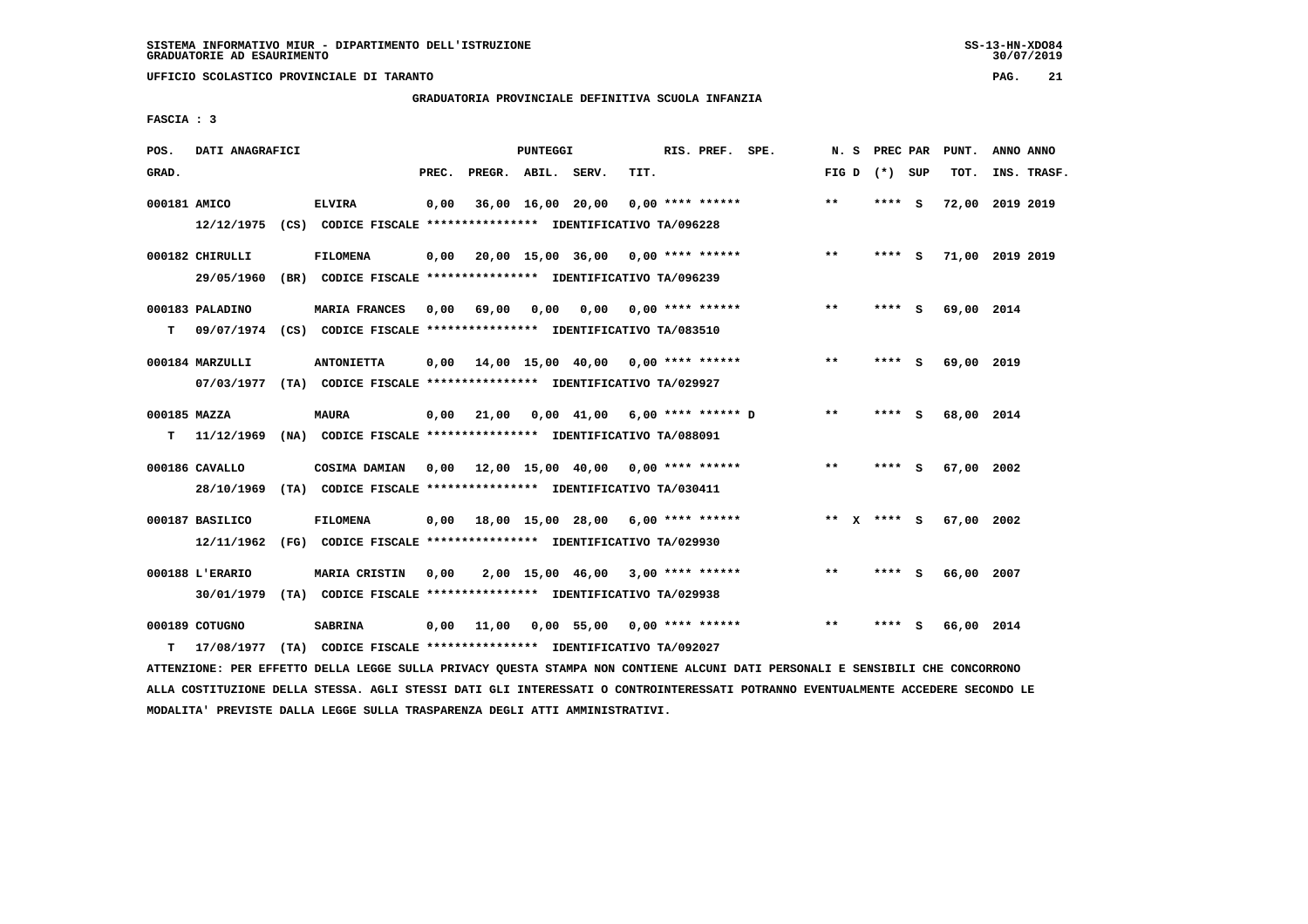**UFFICIO SCOLASTICO PROVINCIALE DI TARANTO PAG. 21**

## **GRADUATORIA PROVINCIALE DEFINITIVA SCUOLA INFANZIA**

 **FASCIA : 3**

| POS.              | DATI ANAGRAFICI               |      |                                                                                              |       |                    | PUNTEGGI |                                           |                           | RIS. PREF. SPE.    | N.S          | PREC PAR      |     | PUNT.           | ANNO ANNO |             |
|-------------------|-------------------------------|------|----------------------------------------------------------------------------------------------|-------|--------------------|----------|-------------------------------------------|---------------------------|--------------------|--------------|---------------|-----|-----------------|-----------|-------------|
| GRAD.             |                               |      |                                                                                              | PREC. | PREGR. ABIL. SERV. |          |                                           | TIT.                      |                    | FIG D        | (*) SUP       |     | TOT.            |           | INS. TRASF. |
| 000181 AMICO      |                               |      | <b>ELVIRA</b><br>12/12/1975 (CS) CODICE FISCALE *************** IDENTIFICATIVO TA/096228     | 0,00  |                    |          | 36,00 16,00 20,00                         |                           | $0.00$ **** ****** | $\star\star$ | **** S        |     | 72,00 2019 2019 |           |             |
|                   | 000182 CHIRULLI<br>29/05/1960 |      | <b>FILOMENA</b><br>(BR) CODICE FISCALE **************** IDENTIFICATIVO TA/096239             | 0,00  |                    |          | $20,00$ 15,00 36,00 0,00 **** ******      |                           |                    | $\star\star$ | **** S        |     | 71,00 2019 2019 |           |             |
| т                 | 000183 PALADINO<br>09/07/1974 |      | MARIA FRANCES<br>(CS) CODICE FISCALE **************** IDENTIFICATIVO TA/083510               | 0.00  | 69,00              | 0,00     |                                           | $0.00$ $0.00$ **** ****** |                    | $***$        | ****          | - S | 69,00 2014      |           |             |
|                   | 000184 MARZULLI               |      | <b>ANTONIETTA</b><br>07/03/1977 (TA) CODICE FISCALE *************** IDENTIFICATIVO TA/029927 | 0,00  |                    |          | 14,00 15,00 40,00 0,00 **** ******        |                           |                    | $***$        | ****          | - S | 69,00 2019      |           |             |
| 000185 MAZZA<br>т | 11/12/1969                    |      | <b>MAURA</b><br>(NA) CODICE FISCALE **************** IDENTIFICATIVO TA/088091                | 0,00  | 21,00              |          | $0,00$ 41,00 6,00 **** ****** D           |                           |                    | $***$        | ****          | - S | 68,00 2014      |           |             |
|                   | 000186 CAVALLO<br>28/10/1969  |      | <b>COSIMA DAMIAN</b><br>(TA) CODICE FISCALE **************** IDENTIFICATIVO TA/030411        |       |                    |          | $0,00$ 12,00 15,00 40,00 0,00 **** ****** |                           |                    | $***$        | **** S        |     | 67,00 2002      |           |             |
|                   | 000187 BASILICO<br>12/11/1962 |      | <b>FILOMENA</b><br>(FG) CODICE FISCALE **************** IDENTIFICATIVO TA/029930             |       |                    |          | 0,00 18,00 15,00 28,00                    |                           | $6,00$ **** ****** |              | ** $X$ **** S |     | 67,00           | 2002      |             |
|                   | 000188 L'ERARIO<br>30/01/1979 |      | MARIA CRISTIN<br>(TA) CODICE FISCALE **************** IDENTIFICATIVO TA/029938               | 0,00  |                    |          | 2,00 15,00 46,00                          |                           | $3,00$ **** ****** | $**$         | ****          | - S | 66,00 2007      |           |             |
| т                 | 000189 COTUGNO<br>17/08/1977  | (TA) | <b>SABRINA</b><br>CODICE FISCALE **************** IDENTIFICATIVO TA/092027                   | 0,00  | 11,00              |          | $0,00$ 55,00 0,00 **** ******             |                           |                    | $***$        | ****          | S.  | 66,00 2014      |           |             |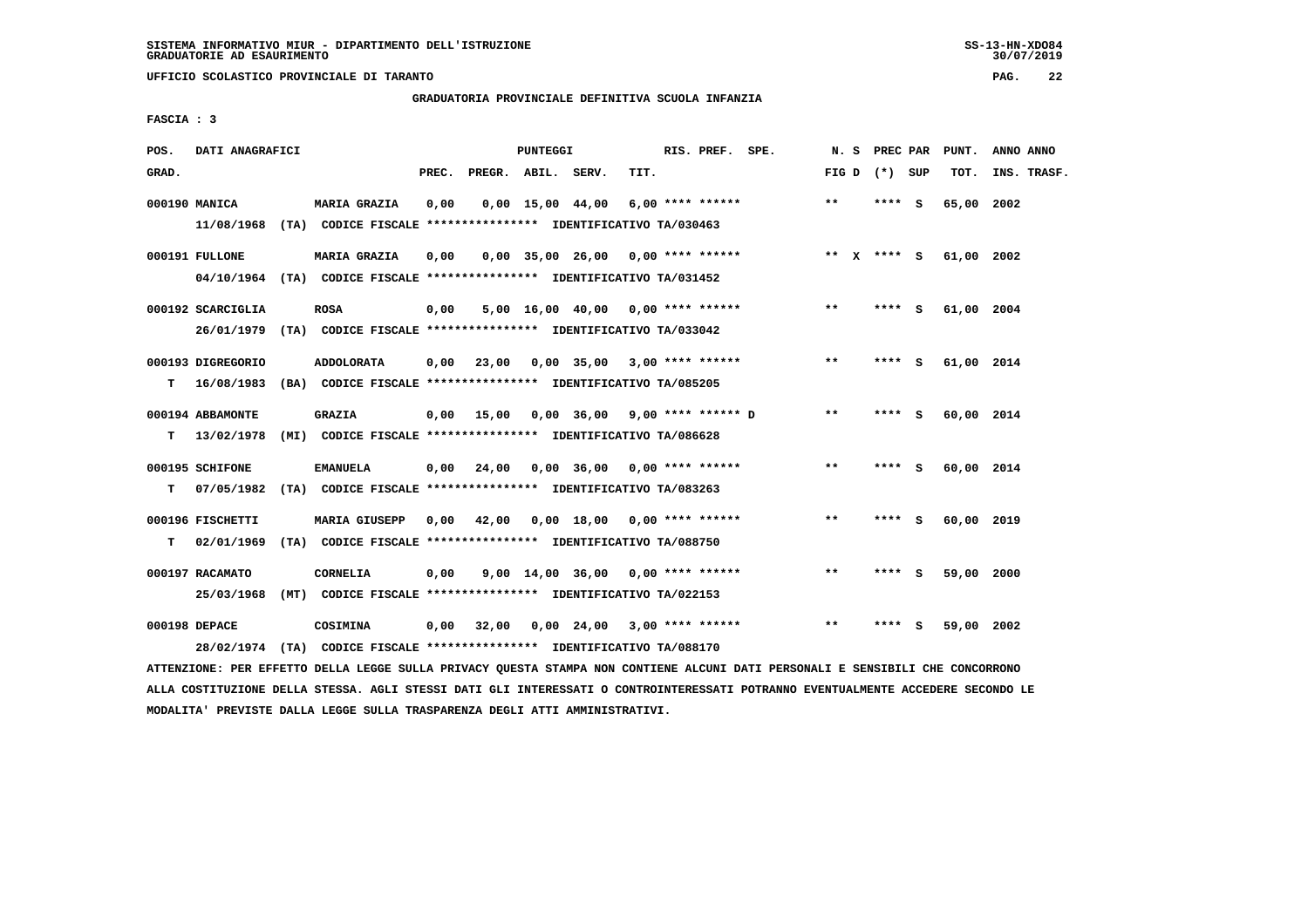**UFFICIO SCOLASTICO PROVINCIALE DI TARANTO PAG. 22**

### **GRADUATORIA PROVINCIALE DEFINITIVA SCUOLA INFANZIA**

 **FASCIA : 3**

| POS.  | DATI ANAGRAFICI   |      |                                                                          |       |                    | <b>PUNTEGGI</b> |                                     |      | RIS. PREF. SPE.    | N.S   | PREC PAR      |     | PUNT.      | ANNO ANNO   |
|-------|-------------------|------|--------------------------------------------------------------------------|-------|--------------------|-----------------|-------------------------------------|------|--------------------|-------|---------------|-----|------------|-------------|
| GRAD. |                   |      |                                                                          | PREC. | PREGR. ABIL. SERV. |                 |                                     | TIT. |                    | FIG D | (*) SUP       |     | TOT.       | INS. TRASF. |
|       | 000190 MANICA     |      | <b>MARIA GRAZIA</b>                                                      | 0,00  |                    |                 | $0,00$ 15,00 44,00                  |      | 6,00 **** ******   | **    | **** S        |     | 65,00      | 2002        |
|       | 11/08/1968        |      | (TA) CODICE FISCALE **************** IDENTIFICATIVO TA/030463            |       |                    |                 |                                     |      |                    |       |               |     |            |             |
|       | 000191 FULLONE    |      | <b>MARIA GRAZIA</b>                                                      | 0,00  |                    |                 | $0,00$ 35,00 26,00 0,00 **** ****** |      |                    |       | ** $X$ **** S |     | 61,00 2002 |             |
|       |                   |      | 04/10/1964 (TA) CODICE FISCALE **************** IDENTIFICATIVO TA/031452 |       |                    |                 |                                     |      |                    |       |               |     |            |             |
|       | 000192 SCARCIGLIA |      | <b>ROSA</b>                                                              | 0,00  |                    |                 | $5,00$ 16,00 40,00 0,00 **** ****** |      |                    | $***$ | **** S        |     | 61,00 2004 |             |
|       | 26/01/1979        |      | (TA) CODICE FISCALE **************** IDENTIFICATIVO TA/033042            |       |                    |                 |                                     |      |                    |       |               |     |            |             |
|       | 000193 DIGREGORIO |      | <b>ADDOLORATA</b>                                                        | 0,00  | 23,00              |                 | $0,00$ 35,00 3,00 **** ******       |      |                    | $* *$ | ****          | s   | 61,00 2014 |             |
| т     | 16/08/1983        |      | (BA) CODICE FISCALE **************** IDENTIFICATIVO TA/085205            |       |                    |                 |                                     |      |                    |       |               |     |            |             |
|       | 000194 ABBAMONTE  |      | <b>GRAZIA</b>                                                            | 0.00  | 15,00              |                 | $0.00$ 36.00 9.00 **** ****** D     |      |                    | **    | ****          | - S | 60,00 2014 |             |
| т     | 13/02/1978        |      | (MI) CODICE FISCALE **************** IDENTIFICATIVO TA/086628            |       |                    |                 |                                     |      |                    |       |               |     |            |             |
|       | 000195 SCHIFONE   |      | <b>EMANUELA</b>                                                          | 0,00  | 24,00              |                 | $0,00$ 36,00 0,00 **** ******       |      |                    | **    | **** S        |     | 60,00 2014 |             |
| т     | 07/05/1982        |      | (TA) CODICE FISCALE **************** IDENTIFICATIVO TA/083263            |       |                    |                 |                                     |      |                    |       |               |     |            |             |
|       | 000196 FISCHETTI  |      | <b>MARIA GIUSEPP</b>                                                     | 0.00  | 42,00              |                 | 0,00 18,00                          |      | $0.00$ **** ****** | $* *$ | ****          | - S | 60,00 2019 |             |
| т     | 02/01/1969        |      | (TA) CODICE FISCALE **************** IDENTIFICATIVO TA/088750            |       |                    |                 |                                     |      |                    |       |               |     |            |             |
|       | 000197 RACAMATO   |      | <b>CORNELIA</b>                                                          | 0.00  |                    |                 | $9.00$ 14.00 36.00 0.00 **** ****** |      |                    | $***$ | ****          | - S | 59,00 2000 |             |
|       | 25/03/1968        | (MT) | CODICE FISCALE **************** IDENTIFICATIVO TA/022153                 |       |                    |                 |                                     |      |                    |       |               |     |            |             |
|       | 000198 DEPACE     |      | COSIMINA                                                                 | 0,00  | 32,00              |                 | $0,00$ 24,00 3,00 **** ******       |      |                    | $* *$ | ****          | s   | 59,00 2002 |             |
|       | 28/02/1974        |      | (TA) CODICE FISCALE **************** IDENTIFICATIVO TA/088170            |       |                    |                 |                                     |      |                    |       |               |     |            |             |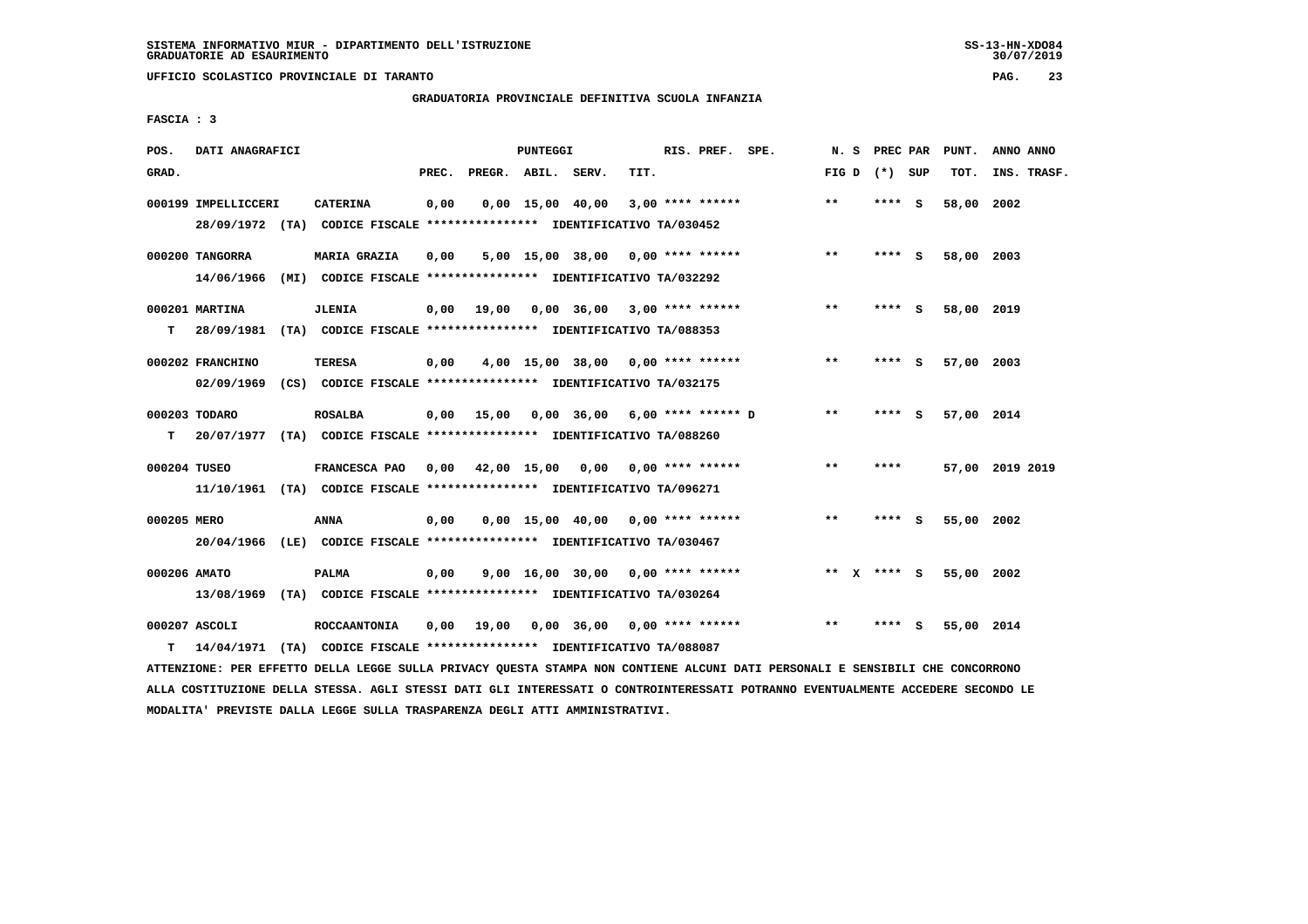**UFFICIO SCOLASTICO PROVINCIALE DI TARANTO PAG. 23**

# **GRADUATORIA PROVINCIALE DEFINITIVA SCUOLA INFANZIA**

 **FASCIA : 3**

| POS.         | DATI ANAGRAFICI     |                                                                                                |       |                    | PUNTEGGI |                                            |      | RIS. PREF. SPE.    | N. S  |             | PREC PAR | PUNT.      | ANNO ANNO       |
|--------------|---------------------|------------------------------------------------------------------------------------------------|-------|--------------------|----------|--------------------------------------------|------|--------------------|-------|-------------|----------|------------|-----------------|
| GRAD.        |                     |                                                                                                | PREC. | PREGR. ABIL. SERV. |          |                                            | TIT. |                    | FIG D | (*) SUP     |          | TOT.       | INS. TRASF.     |
|              | 000199 IMPELLICCERI | <b>CATERINA</b><br>28/09/1972 (TA) CODICE FISCALE *************** IDENTIFICATIVO TA/030452     | 0,00  |                    |          | $0,00$ 15,00 40,00                         |      | $3,00$ **** ****** | $***$ | **** S      |          | 58,00 2002 |                 |
|              | 000200 TANGORRA     | MARIA GRAZIA                                                                                   | 0,00  |                    |          | $5,00$ 15,00 38,00 0,00 **** ******        |      |                    | $* *$ | **** S      |          | 58,00 2003 |                 |
|              | 000201 MARTINA      | 14/06/1966 (MI) CODICE FISCALE **************** IDENTIFICATIVO TA/032292<br><b>JLENIA</b>      |       |                    |          | $0.00$ 19.00 $0.00$ 36.00 3.00 **** ****** |      |                    | **    | **** S      |          | 58,00 2019 |                 |
| T.           | 000202 FRANCHINO    | 28/09/1981 (TA) CODICE FISCALE **************** IDENTIFICATIVO TA/088353<br><b>TERESA</b>      | 0,00  |                    |          | 4,00 15,00 38,00 0,00 **** ******          |      |                    | $***$ | **** S      |          | 57,00 2003 |                 |
|              | 000203 TODARO       | 02/09/1969 (CS) CODICE FISCALE *************** IDENTIFICATIVO TA/032175<br><b>ROSALBA</b>      |       |                    |          | 0,00 15,00 0,00 36,00 6,00 **** ****** D   |      |                    | $***$ | **** S      |          | 57,00 2014 |                 |
| T.           |                     | 20/07/1977 (TA) CODICE FISCALE **************** IDENTIFICATIVO TA/088260                       |       |                    |          |                                            |      |                    |       |             |          |            |                 |
| 000204 TUSEO |                     | FRANCESCA PAO<br>11/10/1961 (TA) CODICE FISCALE **************** IDENTIFICATIVO TA/096271      |       |                    |          | $0,00$ 42,00 15,00 0,00 0,00 **** ******   |      |                    | $* *$ | ****        |          |            | 57,00 2019 2019 |
| 000205 MERO  |                     | <b>ANNA</b><br>20/04/1966 (LE) CODICE FISCALE *************** IDENTIFICATIVO TA/030467         | 0,00  |                    |          | $0,00$ 15,00 40,00 0,00 **** ******        |      |                    | $***$ | $***$ S     |          | 55,00 2002 |                 |
| 000206 AMATO |                     | <b>PALMA</b><br>13/08/1969 (TA) CODICE FISCALE *************** IDENTIFICATIVO TA/030264        | 0,00  |                    |          | $9,00$ 16,00 30,00 0,00 **** ******        |      |                    |       | ** x **** s |          | 55,00 2002 |                 |
| т            | 000207 ASCOLI       | <b>ROCCAANTONIA</b><br>14/04/1971 (TA) CODICE FISCALE *************** IDENTIFICATIVO TA/088087 |       |                    |          | $0,00$ 19,00 0,00 36,00 0,00 **** ******   |      |                    | $* *$ | ****        | - 5      | 55,00 2014 |                 |
|              |                     |                                                                                                |       |                    |          |                                            |      |                    |       |             |          |            |                 |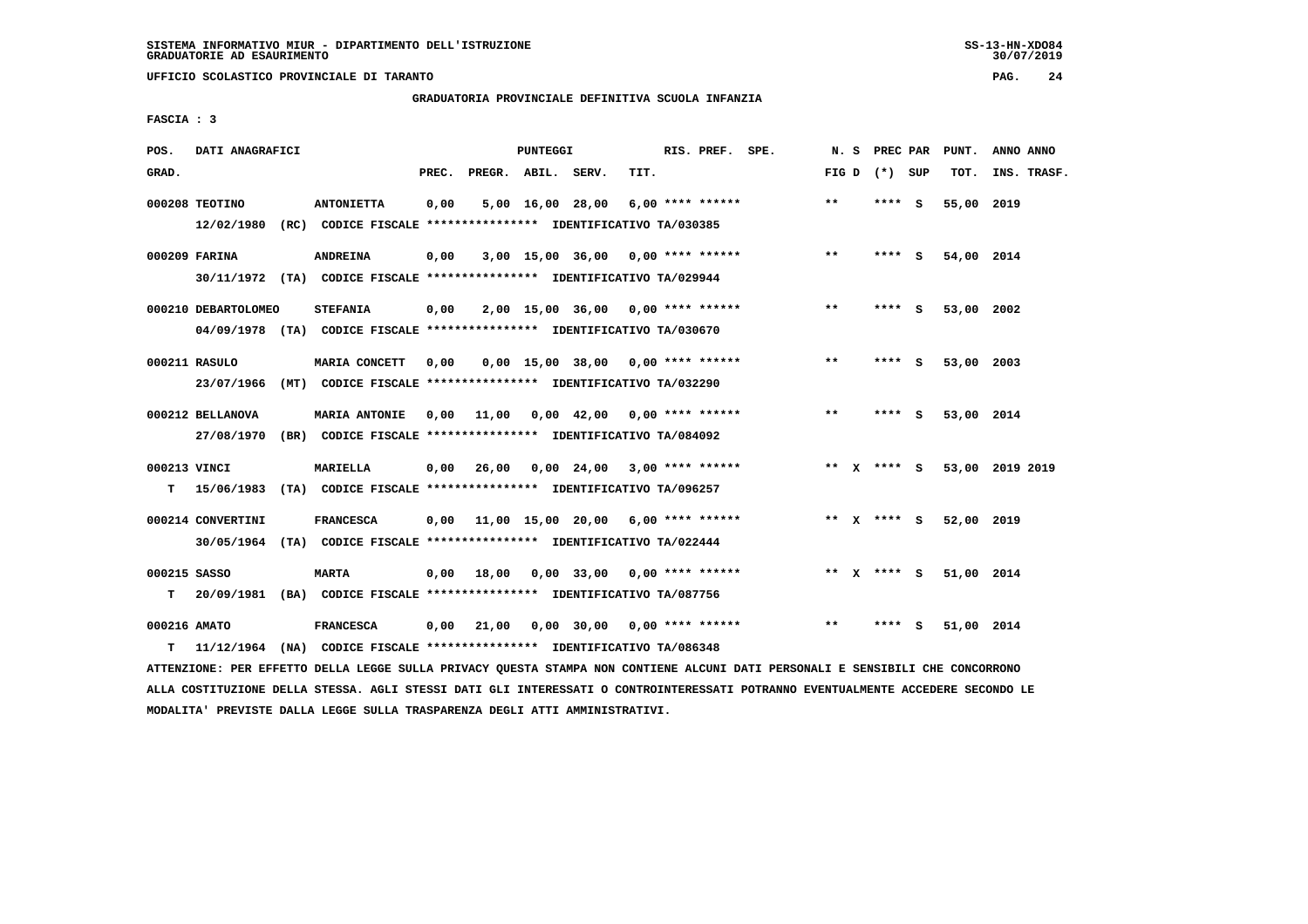**UFFICIO SCOLASTICO PROVINCIALE DI TARANTO PAG. 24**

### **GRADUATORIA PROVINCIALE DEFINITIVA SCUOLA INFANZIA**

 **FASCIA : 3**

| POS.         | DATI ANAGRAFICI              |                                                                                                 |       |                    | PUNTEGGI |                                           |      | RIS. PREF. SPE.    |                               | N. S  |                 |     | PREC PAR PUNT. | ANNO ANNO       |
|--------------|------------------------------|-------------------------------------------------------------------------------------------------|-------|--------------------|----------|-------------------------------------------|------|--------------------|-------------------------------|-------|-----------------|-----|----------------|-----------------|
| GRAD.        |                              |                                                                                                 | PREC. | PREGR. ABIL. SERV. |          |                                           | TIT. |                    |                               |       | FIG D $(*)$ SUP |     | TOT.           | INS. TRASF.     |
|              | 000208 TEOTINO<br>12/02/1980 | <b>ANTONIETTA</b>                                                                               | 0,00  |                    |          | 5,00 16,00 28,00                          |      | $6.00$ **** ****** |                               | $* *$ | $***$ S         |     | 55,00 2019     |                 |
|              |                              | (RC) CODICE FISCALE **************** IDENTIFICATIVO TA/030385                                   |       |                    |          |                                           |      |                    |                               |       |                 |     |                |                 |
|              | 000209 FARINA                | <b>ANDREINA</b>                                                                                 | 0,00  |                    |          | 3,00 15,00 36,00 0,00 **** ******         |      |                    |                               | $* *$ | $***$ S         |     | 54,00 2014     |                 |
|              |                              | 30/11/1972 (TA) CODICE FISCALE *************** IDENTIFICATIVO TA/029944                         |       |                    |          |                                           |      |                    |                               |       |                 |     |                |                 |
|              | 000210 DEBARTOLOMEO          | <b>STEFANIA</b>                                                                                 | 0,00  |                    |          | $2,00$ 15,00 36,00 0,00 **** ******       |      |                    |                               | $***$ | **** S          |     | 53,00 2002     |                 |
|              |                              | 04/09/1978 (TA) CODICE FISCALE *************** IDENTIFICATIVO TA/030670                         |       |                    |          |                                           |      |                    |                               |       |                 |     |                |                 |
|              | 000211 RASULO                | MARIA CONCETT                                                                                   | 0,00  |                    |          | $0,00$ 15,00 38,00 0,00 **** ******       |      |                    |                               | $***$ | **** S          |     | 53,00 2003     |                 |
|              | 23/07/1966                   | (MT) CODICE FISCALE **************** IDENTIFICATIVO TA/032290                                   |       |                    |          |                                           |      |                    |                               |       |                 |     |                |                 |
|              |                              |                                                                                                 |       |                    |          |                                           |      |                    |                               | $* *$ | ****            |     |                |                 |
|              | 000212 BELLANOVA             | <b>MARIA ANTONIE</b><br>27/08/1970 (BR) CODICE FISCALE *************** IDENTIFICATIVO TA/084092 | 0.00  |                    |          | 11,00  0,00  42,00  0,00  ****  ******    |      |                    |                               |       |                 | - S | 53,00 2014     |                 |
|              |                              |                                                                                                 |       |                    |          |                                           |      |                    |                               |       |                 |     |                |                 |
| 000213 VINCI |                              | <b>MARIELLA</b>                                                                                 | 0,00  | 26,00              |          | $0,00$ 24,00 3,00 **** ******             |      |                    |                               |       | ** x **** S     |     |                | 53,00 2019 2019 |
| т            | 15/06/1983                   | (TA) CODICE FISCALE **************** IDENTIFICATIVO TA/096257                                   |       |                    |          |                                           |      |                    |                               |       |                 |     |                |                 |
|              | 000214 CONVERTINI            | <b>FRANCESCA</b>                                                                                |       |                    |          | $0,00$ 11,00 15,00 20,00 6,00 **** ****** |      |                    |                               |       | ** x **** S     |     | 52,00 2019     |                 |
|              |                              | 30/05/1964 (TA) CODICE FISCALE *************** IDENTIFICATIVO TA/022444                         |       |                    |          |                                           |      |                    |                               |       |                 |     |                |                 |
| 000215 SASSO |                              | <b>MARTA</b>                                                                                    | 0,00  | 18,00              |          |                                           |      |                    | $0.00$ 33,00 0.00 **** ****** |       | ** $X$ **** S   |     | 51,00 2014     |                 |
| т            |                              | 20/09/1981 (BA) CODICE FISCALE **************** IDENTIFICATIVO TA/087756                        |       |                    |          |                                           |      |                    |                               |       |                 |     |                |                 |
| 000216 AMATO |                              |                                                                                                 |       |                    |          | $0,00$ 30,00 0,00 **** ******             |      |                    |                               | $* *$ | ****            | s   |                |                 |
| т            |                              | <b>FRANCESCA</b><br>11/12/1964 (NA) CODICE FISCALE *************** IDENTIFICATIVO TA/086348     | 0,00  | 21,00              |          |                                           |      |                    |                               |       |                 |     | 51,00 2014     |                 |
|              |                              |                                                                                                 |       |                    |          |                                           |      |                    |                               |       |                 |     |                |                 |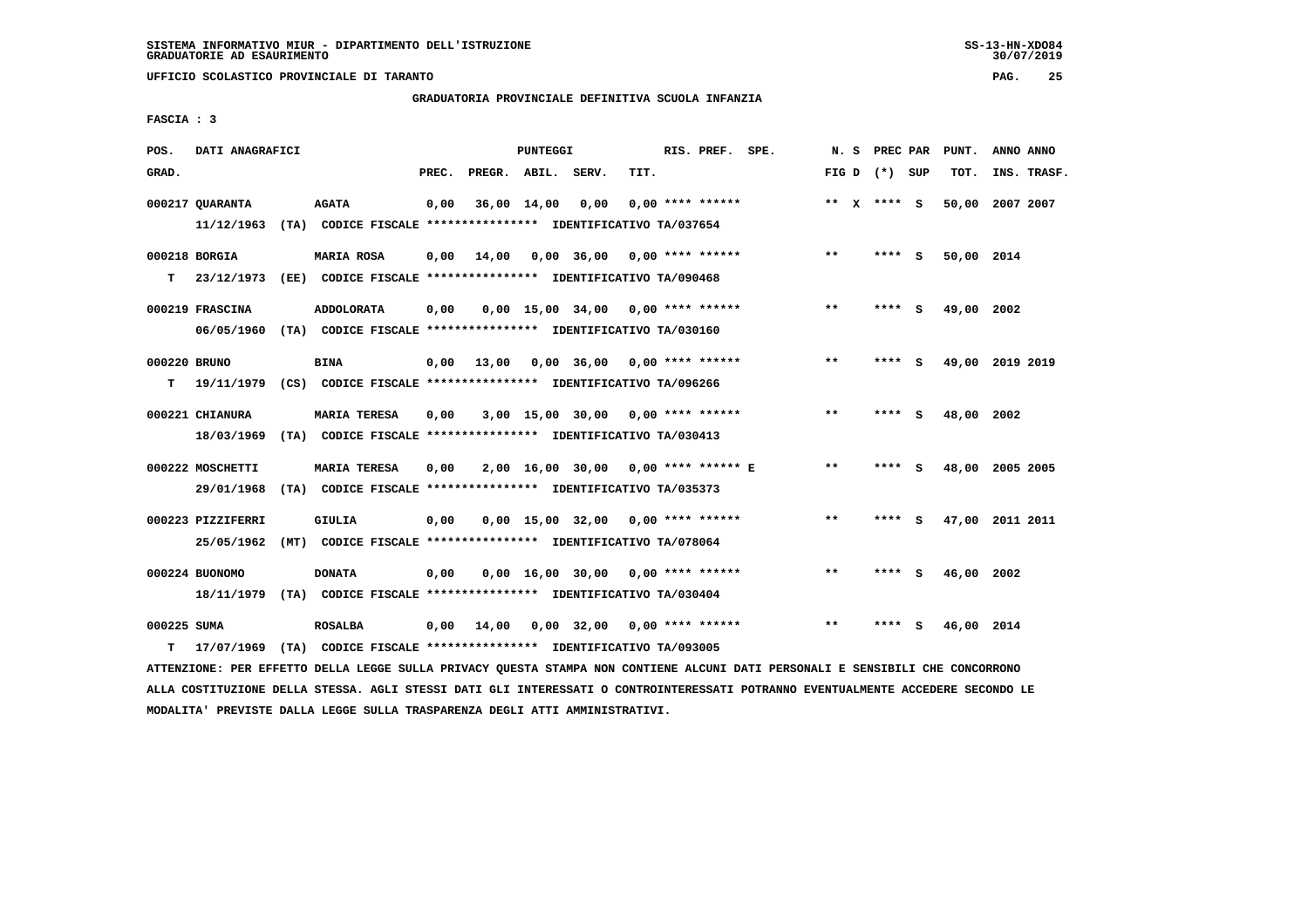**UFFICIO SCOLASTICO PROVINCIALE DI TARANTO PAG. 25**

## **GRADUATORIA PROVINCIALE DEFINITIVA SCUOLA INFANZIA**

 **FASCIA : 3**

| POS.              | DATI ANAGRAFICI                 |                                                                                          |       |                    | PUNTEGGI    |                                     |      | RIS. PREF. SPE.    | N.S          | PREC PAR        |     | PUNT.           | ANNO ANNO |             |
|-------------------|---------------------------------|------------------------------------------------------------------------------------------|-------|--------------------|-------------|-------------------------------------|------|--------------------|--------------|-----------------|-----|-----------------|-----------|-------------|
| GRAD.             |                                 |                                                                                          | PREC. | PREGR. ABIL. SERV. |             |                                     | TIT. |                    |              | FIG D $(*)$ SUP |     | TOT.            |           | INS. TRASF. |
|                   | 000217 QUARANTA<br>11/12/1963   | <b>AGATA</b><br>(TA) CODICE FISCALE **************** IDENTIFICATIVO TA/037654            | 0,00  |                    | 36,00 14,00 | 0,00                                |      | $0.00$ **** ****** |              | ** X **** S     |     | 50,00           | 2007 2007 |             |
| т                 | 000218 BORGIA<br>23/12/1973     | <b>MARIA ROSA</b><br>(EE) CODICE FISCALE **************** IDENTIFICATIVO TA/090468       | 0,00  | 14,00              |             | $0,00$ 36,00 0,00 **** ******       |      |                    | $***$        | **** S          |     | 50,00 2014      |           |             |
|                   | 000219 FRASCINA<br>06/05/1960   | <b>ADDOLORATA</b><br>(TA) CODICE FISCALE **************** IDENTIFICATIVO TA/030160       | 0,00  |                    |             | $0,00$ 15,00 34,00 0,00 **** ****** |      |                    | $***$        | ****            | - S | 49,00 2002      |           |             |
| 000220 BRUNO<br>т | 19/11/1979                      | <b>BINA</b><br>(CS) CODICE FISCALE *************** IDENTIFICATIVO TA/096266              | 0,00  | 13,00              |             | $0,00$ 36,00 0,00 **** ******       |      |                    | $**$         |                 | S.  | 49,00 2019 2019 |           |             |
|                   | 000221 CHIANURA<br>18/03/1969   | <b>MARIA TERESA</b><br>(TA) CODICE FISCALE **************** IDENTIFICATIVO TA/030413     | 0,00  |                    |             | $3,00$ 15,00 30,00 0,00 **** ****** |      |                    | $* *$        | **** S          |     | 48,00 2002      |           |             |
|                   | 000222 MOSCHETTI<br>29/01/1968  | <b>MARIA TERESA</b><br>(TA) CODICE FISCALE **************** IDENTIFICATIVO TA/035373     | 0,00  |                    |             | 2,00 16,00 30,00 0,00 **** ****** E |      |                    | $\star\star$ | **** S          |     | 48,00 2005 2005 |           |             |
|                   | 000223 PIZZIFERRI<br>25/05/1962 | GIULIA<br>(MT) CODICE FISCALE **************** IDENTIFICATIVO TA/078064                  | 0.00  |                    |             | $0,00$ 15,00 32,00 0,00 **** ****** |      |                    | $***$        | **** S          |     | 47,00 2011 2011 |           |             |
|                   | 000224 BUONOMO                  | <b>DONATA</b><br>18/11/1979 (TA) CODICE FISCALE *************** IDENTIFICATIVO TA/030404 | 0,00  |                    |             | $0,00$ 16,00 30,00 0,00 **** ****** |      |                    | $* *$        | ****            | - 5 | 46,00 2002      |           |             |
| 000225 SUMA<br>т  | 17/07/1969                      | <b>ROSALBA</b><br>(TA) CODICE FISCALE **************** IDENTIFICATIVO TA/093005          | 0,00  | 14,00              |             | $0,00$ 32,00 0,00 **** ******       |      |                    | $* *$        | ****            | S   | 46,00 2014      |           |             |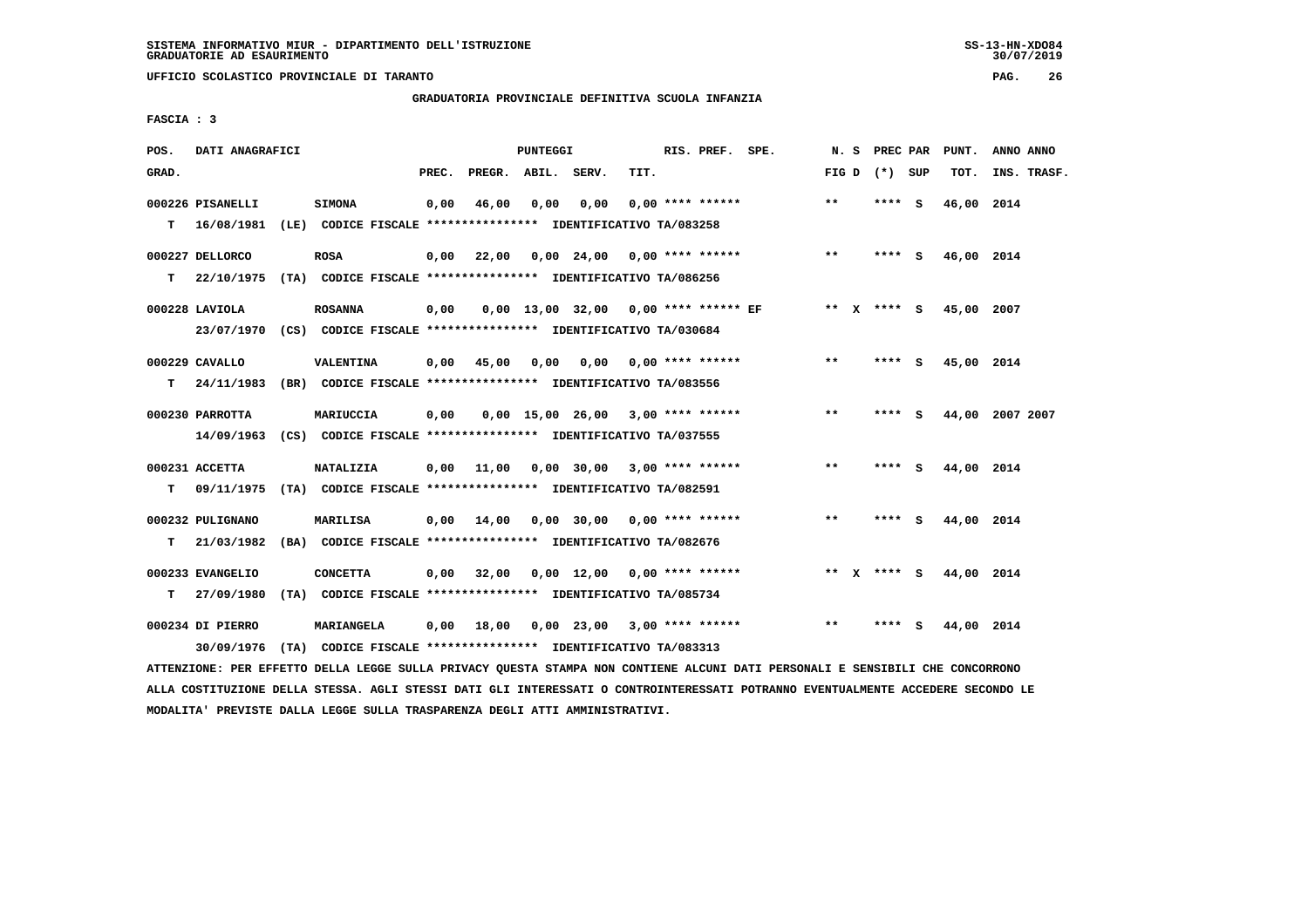**UFFICIO SCOLASTICO PROVINCIALE DI TARANTO PAG. 26**

# **GRADUATORIA PROVINCIALE DEFINITIVA SCUOLA INFANZIA**

 **FASCIA : 3**

| POS.        | DATI ANAGRAFICI  |                                                                         |       |                    | <b>PUNTEGGI</b> |                                        |      | RIS. PREF. SPE.           | N.S          | PREC PAR        |     | PUNT.                  | ANNO ANNO       |
|-------------|------------------|-------------------------------------------------------------------------|-------|--------------------|-----------------|----------------------------------------|------|---------------------------|--------------|-----------------|-----|------------------------|-----------------|
| GRAD.       |                  |                                                                         | PREC. | PREGR. ABIL. SERV. |                 |                                        | TIT. |                           |              | FIG D $(*)$ SUP |     | TOT.                   | INS. TRASF.     |
|             | 000226 PISANELLI | <b>SIMONA</b>                                                           | 0,00  | 46,00              | 0,00            | 0,00                                   |      | $0.00$ **** ******        | $* *$        | $***$ S         |     | 46,00 2014             |                 |
| $\mathbf T$ | 16/08/1981       | (LE) CODICE FISCALE **************** IDENTIFICATIVO TA/083258           |       |                    |                 |                                        |      |                           |              |                 |     |                        |                 |
|             | 000227 DELLORCO  | <b>ROSA</b>                                                             | 0,00  | 22,00              |                 | 0,00 24,00 0,00 **** ******            |      |                           | $***$        | $***$ S         |     | 46,00 2014             |                 |
| т           | 22/10/1975       | (TA) CODICE FISCALE **************** IDENTIFICATIVO TA/086256           |       |                    |                 |                                        |      |                           |              |                 |     |                        |                 |
|             | 000228 LAVIOLA   | <b>ROSANNA</b>                                                          | 0,00  |                    |                 | $0.00$ 13.00 32.00 0.00 **** ****** EF |      |                           |              | ** X **** S     |     | 45,00 2007             |                 |
|             |                  | 23/07/1970 (CS) CODICE FISCALE *************** IDENTIFICATIVO TA/030684 |       |                    |                 |                                        |      |                           |              |                 |     |                        |                 |
|             | 000229 CAVALLO   | VALENTINA                                                               | 0,00  | 45,00              | 0.00            |                                        |      | $0.00$ $0.00$ **** ****** | **           | **** S          |     | 45,00 2014             |                 |
| T.          | 24/11/1983       | (BR) CODICE FISCALE **************** IDENTIFICATIVO TA/083556           |       |                    |                 |                                        |      |                           |              |                 |     |                        |                 |
|             | 000230 PARROTTA  | MARIUCCIA                                                               | 0,00  |                    |                 | $0.00$ 15.00 26.00 3.00 **** ******    |      |                           | $* *$        | **** S          |     |                        | 44,00 2007 2007 |
|             | 14/09/1963       | (CS) CODICE FISCALE *************** IDENTIFICATIVO TA/037555            |       |                    |                 |                                        |      |                           |              |                 |     |                        |                 |
|             | 000231 ACCETTA   | <b>NATALIZIA</b>                                                        | 0,00  | 11,00              |                 | $0,00$ 30,00 3,00 **** ******          |      |                           | $\star\star$ | **** S          |     | 44,00 2014             |                 |
| T.          | 09/11/1975       | (TA) CODICE FISCALE **************** IDENTIFICATIVO TA/082591           |       |                    |                 |                                        |      |                           |              |                 |     |                        |                 |
|             | 000232 PULIGNANO | MARILISA                                                                | 0,00  | 14,00              |                 | $0,00$ 30,00 0,00 **** ******          |      |                           | $***$        | **** S          |     | 44,00 2014             |                 |
| т           | 21/03/1982       | (BA) CODICE FISCALE **************** IDENTIFICATIVO TA/082676           |       |                    |                 |                                        |      |                           |              |                 |     |                        |                 |
|             | 000233 EVANGELIO | <b>CONCETTA</b>                                                         | 0,00  | 32,00              |                 | $0,00$ 12,00 0,00 **** ******          |      |                           |              |                 |     | ** x **** s 44,00 2014 |                 |
| т           | 27/09/1980       | (TA) CODICE FISCALE **************** IDENTIFICATIVO TA/085734           |       |                    |                 |                                        |      |                           |              |                 |     |                        |                 |
|             | 000234 DI PIERRO | MARIANGELA                                                              | 0,00  | 18,00              |                 | $0,00$ 23,00 3,00 **** ******          |      |                           | $* *$        | ****            | - S | 44,00 2014             |                 |
|             | 30/09/1976       | (TA) CODICE FISCALE **************** IDENTIFICATIVO TA/083313           |       |                    |                 |                                        |      |                           |              |                 |     |                        |                 |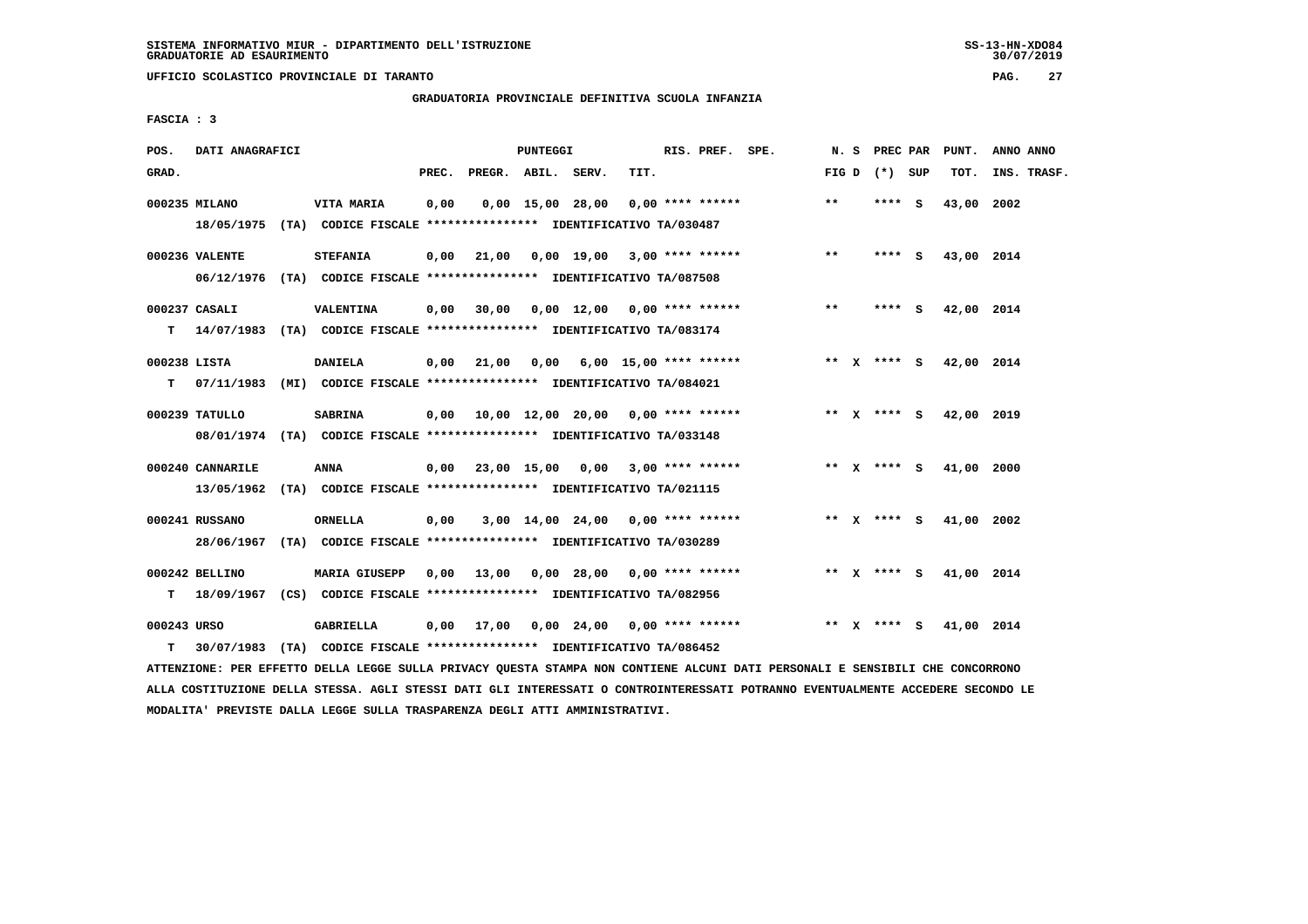**UFFICIO SCOLASTICO PROVINCIALE DI TARANTO PAG. 27**

# **GRADUATORIA PROVINCIALE DEFINITIVA SCUOLA INFANZIA**

 **FASCIA : 3**

| POS.         | DATI ANAGRAFICI  |                                                                            |       |                                          | PUNTEGGI |                                     |      | RIS. PREF. SPE. |                                                                 | N.S   |                 | PREC PAR PUNT.         | ANNO ANNO   |
|--------------|------------------|----------------------------------------------------------------------------|-------|------------------------------------------|----------|-------------------------------------|------|-----------------|-----------------------------------------------------------------|-------|-----------------|------------------------|-------------|
| GRAD.        |                  |                                                                            | PREC. | PREGR. ABIL. SERV.                       |          |                                     | TIT. |                 |                                                                 |       | FIG D $(*)$ SUP | TOT.                   | INS. TRASF. |
|              | 000235 MILANO    | <b>VITA MARIA</b>                                                          | 0,00  |                                          |          | $0.00$ 15.00 28.00 0.00 **** ****** |      |                 |                                                                 | $***$ | **** S          | 43,00 2002             |             |
|              |                  | 18/05/1975 (TA) CODICE FISCALE *************** IDENTIFICATIVO TA/030487    |       |                                          |          |                                     |      |                 |                                                                 |       |                 |                        |             |
|              | 000236 VALENTE   | <b>STEFANIA</b>                                                            | 0,00  | 21,00  0,00  19,00  3,00  ****  ******   |          |                                     |      |                 |                                                                 | $**$  | $***$ S         | 43,00 2014             |             |
|              |                  | 06/12/1976 (TA) CODICE FISCALE *************** IDENTIFICATIVO TA/087508    |       |                                          |          |                                     |      |                 |                                                                 |       |                 |                        |             |
|              | 000237 CASALI    | VALENTINA                                                                  | 0,00  | 30,00                                    |          | 0,00 12,00 0,00 **** ******         |      |                 |                                                                 | $***$ | $***$ S         | 42,00 2014             |             |
|              |                  | T 14/07/1983 (TA) CODICE FISCALE **************** IDENTIFICATIVO TA/083174 |       |                                          |          |                                     |      |                 |                                                                 |       |                 |                        |             |
| 000238 LISTA |                  | <b>DANIELA</b>                                                             |       | 0,00 21,00                               |          |                                     |      |                 | $0.00$ 6.00 15.00 **** ******                                   |       | ** x **** s     | 42,00 2014             |             |
|              |                  | T 07/11/1983 (MI) CODICE FISCALE *************** IDENTIFICATIVO TA/084021  |       |                                          |          |                                     |      |                 |                                                                 |       |                 |                        |             |
|              | 000239 TATULLO   | <b>SABRINA</b>                                                             |       | 0,00 10,00 12,00 20,00 0,00 **** ******  |          |                                     |      |                 |                                                                 |       |                 | ** X **** S 42,00 2019 |             |
|              |                  | 08/01/1974 (TA) CODICE FISCALE *************** IDENTIFICATIVO TA/033148    |       |                                          |          |                                     |      |                 |                                                                 |       |                 |                        |             |
|              | 000240 CANNARILE | <b>ANNA</b>                                                                |       | $0,00$ 23,00 15,00 0,00 3,00 **** ****** |          |                                     |      |                 |                                                                 |       | ** $X$ **** S   | 41,00                  | 2000        |
|              |                  | 13/05/1962 (TA) CODICE FISCALE **************** IDENTIFICATIVO TA/021115   |       |                                          |          |                                     |      |                 |                                                                 |       |                 |                        |             |
|              | 000241 RUSSANO   | <b>ORNELLA</b>                                                             | 0,00  |                                          |          | $3,00$ 14,00 24,00 0,00 **** ****** |      |                 |                                                                 |       | ** x **** S     | 41,00 2002             |             |
|              |                  | 28/06/1967 (TA) CODICE FISCALE *************** IDENTIFICATIVO TA/030289    |       |                                          |          |                                     |      |                 |                                                                 |       |                 |                        |             |
|              | 000242 BELLINO   | <b>MARIA GIUSEPP</b>                                                       | 0,00  | 13,00  0,00  28,00  0,00  ****  ******   |          |                                     |      |                 |                                                                 |       |                 | ** X **** S 41,00 2014 |             |
|              |                  | T 18/09/1967 (CS) CODICE FISCALE *************** IDENTIFICATIVO TA/082956  |       |                                          |          |                                     |      |                 |                                                                 |       |                 |                        |             |
| 000243 URSO  |                  | <b>GABRIELLA</b>                                                           |       | $0.00$ 17,00                             |          |                                     |      |                 | $0.00 \quad 24.00 \quad 0.00 \quad *** \quad *** \quad$ ******* |       | ** x **** S     | 41,00 2014             |             |
| т            | 30/07/1983       | (TA) CODICE FISCALE **************** IDENTIFICATIVO TA/086452              |       |                                          |          |                                     |      |                 |                                                                 |       |                 |                        |             |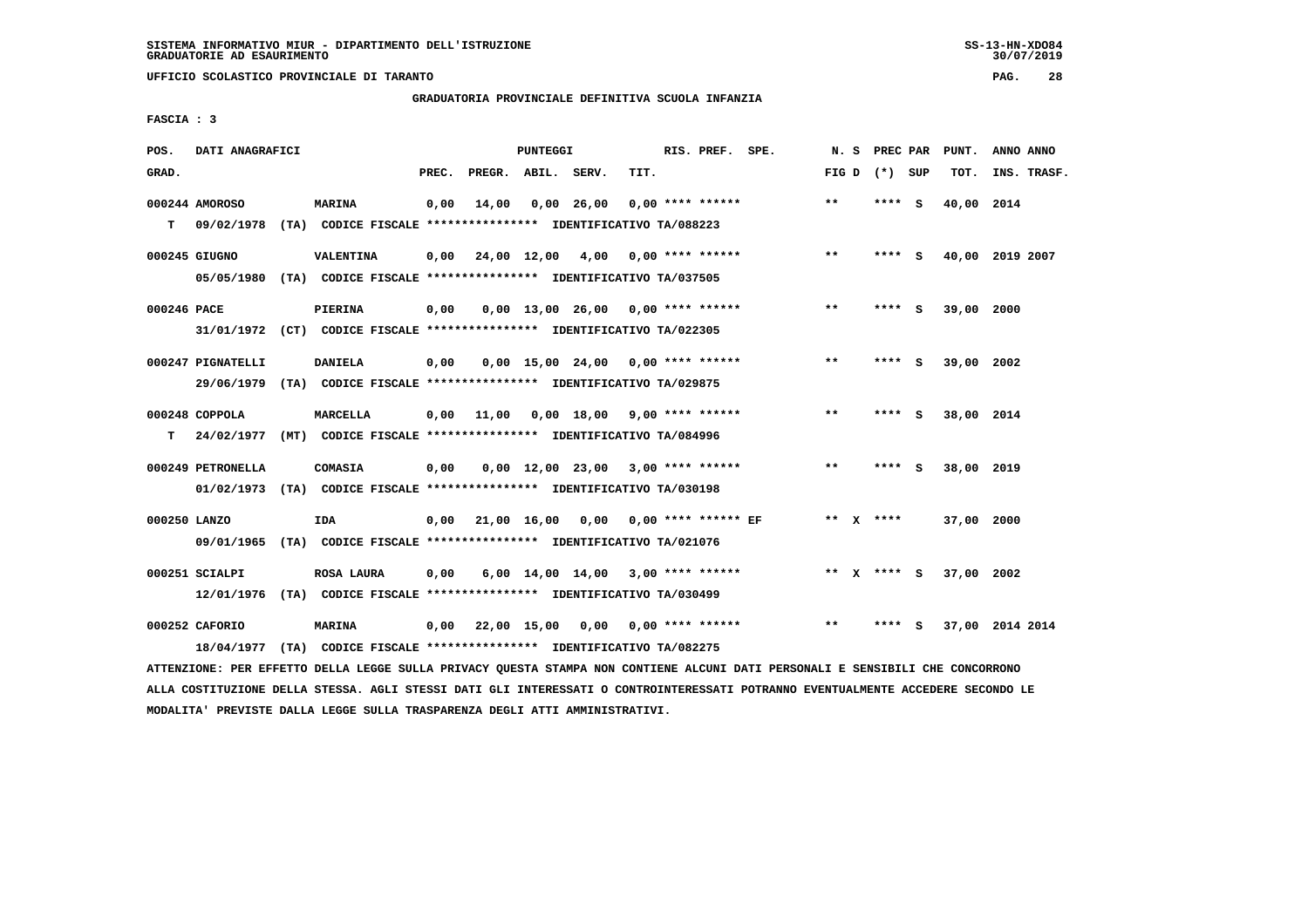**UFFICIO SCOLASTICO PROVINCIALE DI TARANTO PAG. 28**

## **GRADUATORIA PROVINCIALE DEFINITIVA SCUOLA INFANZIA**

 **FASCIA : 3**

| POS.         | DATI ANAGRAFICI   |                                                                                           |       |                    | PUNTEGGI |                                      |      | RIS. PREF. SPE.    | N.S   | PREC PAR        |     | PUNT.      | ANNO ANNO       |
|--------------|-------------------|-------------------------------------------------------------------------------------------|-------|--------------------|----------|--------------------------------------|------|--------------------|-------|-----------------|-----|------------|-----------------|
| GRAD.        |                   |                                                                                           | PREC. | PREGR. ABIL. SERV. |          |                                      | TIT. |                    |       | FIG D $(*)$ SUP |     | TOT.       | INS. TRASF.     |
|              | 000244 AMOROSO    | <b>MARINA</b>                                                                             | 0,00  | 14,00              |          | $0,00$ 26,00                         |      | $0.00$ **** ****** | **    | **** S          |     | 40,00      | 2014            |
| T.           |                   | 09/02/1978 (TA) CODICE FISCALE **************** IDENTIFICATIVO TA/088223                  |       |                    |          |                                      |      |                    |       |                 |     |            |                 |
|              | 000245 GIUGNO     | VALENTINA                                                                                 | 0,00  | 24,00 12,00 4,00   |          |                                      |      | 0,00 **** ******   | $***$ | **** S          |     |            | 40,00 2019 2007 |
|              |                   | 05/05/1980 (TA) CODICE FISCALE *************** IDENTIFICATIVO TA/037505                   |       |                    |          |                                      |      |                    |       |                 |     |            |                 |
| 000246 PACE  |                   | PIERINA                                                                                   | 0,00  |                    |          | $0,00$ 13,00 26,00 0,00 **** ******  |      |                    | **    | ****            | - S | 39,00 2000 |                 |
|              |                   | 31/01/1972 (CT) CODICE FISCALE *************** IDENTIFICATIVO TA/022305                   |       |                    |          |                                      |      |                    |       |                 |     |            |                 |
|              | 000247 PIGNATELLI | <b>DANIELA</b>                                                                            | 0,00  |                    |          | $0.00$ 15.00 24.00 0.00 **** ******  |      |                    | $* *$ | ****            | - S | 39,00 2002 |                 |
|              |                   | 29/06/1979 (TA) CODICE FISCALE *************** IDENTIFICATIVO TA/029875                   |       |                    |          |                                      |      |                    |       |                 |     |            |                 |
|              | 000248 COPPOLA    | MARCELLA                                                                                  | 0.00  | 11,00              |          | $0.00$ 18.00 9.00 **** ******        |      |                    | $***$ | **** S          |     | 38,00 2014 |                 |
| т            |                   | 24/02/1977 (MT) CODICE FISCALE *************** IDENTIFICATIVO TA/084996                   |       |                    |          |                                      |      |                    |       |                 |     |            |                 |
|              |                   |                                                                                           |       |                    |          |                                      |      |                    | **    |                 |     |            |                 |
|              | 000249 PETRONELLA | <b>COMASIA</b><br>01/02/1973 (TA) CODICE FISCALE *************** IDENTIFICATIVO TA/030198 | 0,00  |                    |          | $0,00$ 12,00 23,00 3,00 **** ******  |      |                    |       | ****            | - S | 38,00 2019 |                 |
|              |                   |                                                                                           |       |                    |          |                                      |      |                    |       |                 |     |            |                 |
| 000250 LANZO |                   | IDA                                                                                       | 0,00  |                    |          | 21,00 16,00 0,00 0,00 **** ****** EF |      |                    |       | ** $X$ ****     |     | 37,00 2000 |                 |
|              |                   | 09/01/1965 (TA) CODICE FISCALE *************** IDENTIFICATIVO TA/021076                   |       |                    |          |                                      |      |                    |       |                 |     |            |                 |
|              | 000251 SCIALPI    | ROSA LAURA                                                                                | 0.00  |                    |          | $6,00$ 14,00 14,00 3,00 **** ******  |      |                    |       | ** X **** S     |     | 37,00 2002 |                 |
|              |                   | 12/01/1976 (TA) CODICE FISCALE *************** IDENTIFICATIVO TA/030499                   |       |                    |          |                                      |      |                    |       |                 |     |            |                 |
|              | 000252 CAFORIO    | <b>MARINA</b>                                                                             | 0,00  |                    |          | 22,00 15,00 0,00 0,00 **** ******    |      |                    | $* *$ | ****            | - S |            | 37,00 2014 2014 |
|              | 18/04/1977        | (TA) CODICE FISCALE **************** IDENTIFICATIVO TA/082275                             |       |                    |          |                                      |      |                    |       |                 |     |            |                 |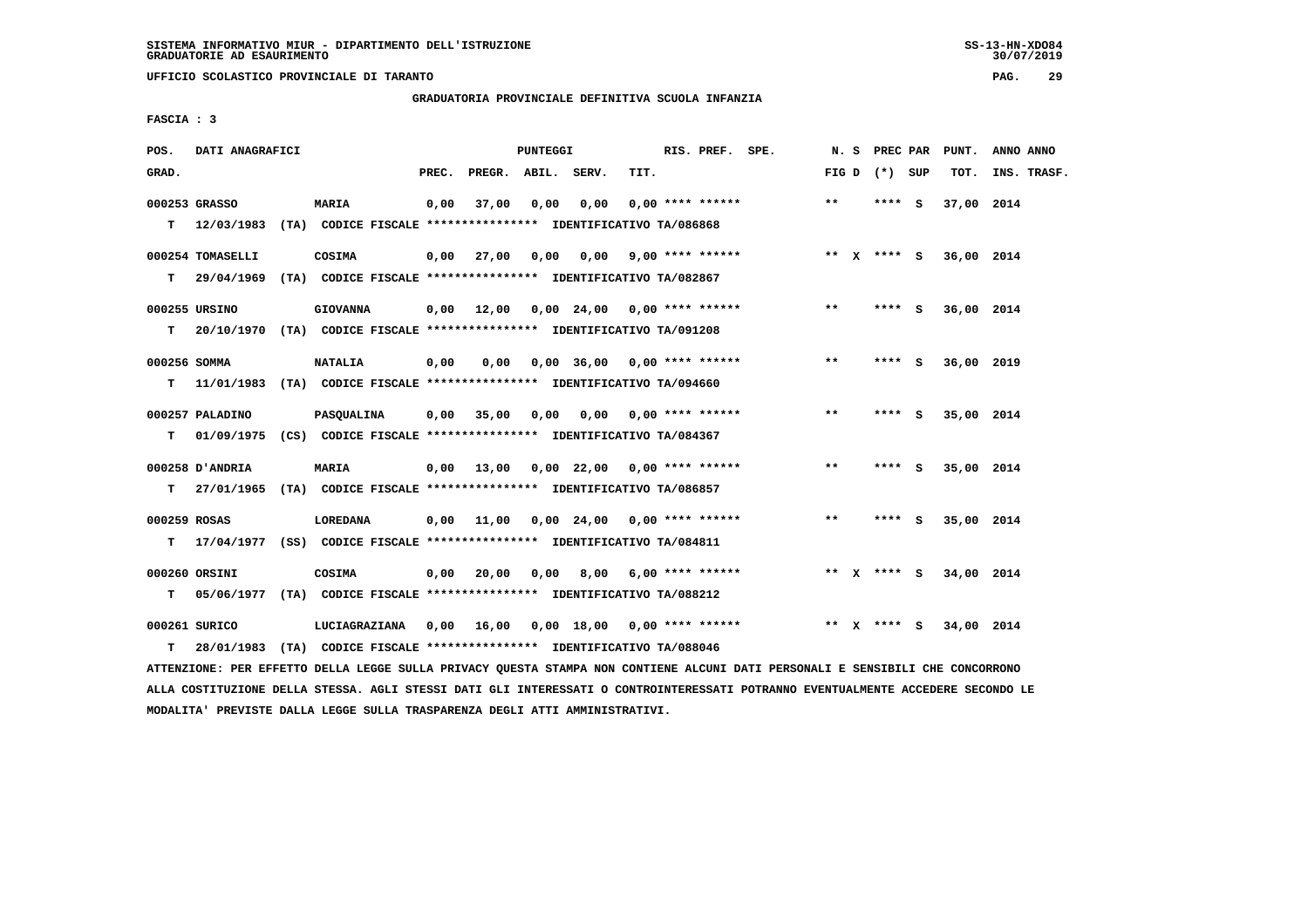**UFFICIO SCOLASTICO PROVINCIALE DI TARANTO PAG. 29**

 **GRADUATORIA PROVINCIALE DEFINITIVA SCUOLA INFANZIA**

 **FASCIA : 3**

| POS.               | DATI ANAGRAFICI  |                                                                                                                                                     |       |                                          | PUNTEGGI |                               |                       | RIS. PREF. SPE.    |                                                                     |       |                 | N. S PREC PAR PUNT. | ANNO ANNO   |
|--------------------|------------------|-----------------------------------------------------------------------------------------------------------------------------------------------------|-------|------------------------------------------|----------|-------------------------------|-----------------------|--------------------|---------------------------------------------------------------------|-------|-----------------|---------------------|-------------|
| GRAD.              |                  |                                                                                                                                                     | PREC. | PREGR. ABIL. SERV.                       |          |                               | TIT.                  |                    |                                                                     |       | FIG D $(*)$ SUP | TOT.                | INS. TRASF. |
|                    | 000253 GRASSO    | <b>MARIA</b><br>T 12/03/1983 (TA) CODICE FISCALE *************** IDENTIFICATIVO TA/086868                                                           | 0,00  | 37,00                                    | 0,00     | 0,00                          |                       | $0.00$ **** ****** |                                                                     | $***$ | **** S          | 37,00 2014          |             |
|                    | 000254 TOMASELLI | COSIMA<br>T 29/04/1969 (TA) CODICE FISCALE *************** IDENTIFICATIVO TA/082867                                                                 |       |                                          |          |                               |                       |                    | 0,00 27,00 0,00 0,00 9,00 **** ****** *** ** ** x **** S 36,00 2014 |       |                 |                     |             |
| T.                 | 000255 URSINO    | <b>GIOVANNA</b><br>20/10/1970 (TA) CODICE FISCALE *************** IDENTIFICATIVO TA/091208                                                          |       | $0,00$ 12,00 0,00 24,00 0,00 **** ****** |          |                               |                       |                    |                                                                     | $***$ | **** S          | 36,00 2014          |             |
| 000256 SOMMA<br>T. |                  | <b>NATALIA</b><br>11/01/1983 (TA) CODICE FISCALE **************** IDENTIFICATIVO TA/094660                                                          | 0,00  | 0,00                                     |          | $0,00$ 36,00 0,00 **** ****** |                       |                    |                                                                     | $***$ | $***5$          | 36,00 2019          |             |
| T.                 | 000257 PALADINO  | <b>PASQUALINA</b><br>01/09/1975 (CS) CODICE FISCALE *************** IDENTIFICATIVO TA/084367                                                        |       | $0,00$ 35,00                             | 0.00     |                               | 0,00 0,00 **** ****** |                    |                                                                     | $***$ | **** S          | 35,00 2014          |             |
|                    | 000258 D'ANDRIA  | <b>MARIA</b><br>T 27/01/1965 (TA) CODICE FISCALE *************** IDENTIFICATIVO TA/086857                                                           |       | $0,00$ 13,00 0,00 22,00 0,00 **** ****** |          |                               |                       |                    |                                                                     | $***$ | $***$ S         | 35,00 2014          |             |
| 000259 ROSAS<br>T. |                  | LOREDANA<br>17/04/1977 (SS) CODICE FISCALE *************** IDENTIFICATIVO TA/084811                                                                 |       | $0,00$ 11,00 0,00 24,00 0,00 **** ****** |          |                               |                       |                    |                                                                     | $***$ | **** S          | 35,00 2014          |             |
|                    | 000260 ORSINI    | COSIMA                                                                                                                                              |       | $0,00$ 20,00                             | 0,00     |                               | 8,00 6,00 **** ****** |                    |                                                                     |       | ** $X$ **** $S$ | 34,00 2014          |             |
| т<br>T.            | 000261 SURICO    | 05/06/1977 (TA) CODICE FISCALE **************** IDENTIFICATIVO TA/088212<br>28/01/1983 (TA) CODICE FISCALE *************** IDENTIFICATIVO TA/088046 |       |                                          |          |                               |                       |                    |                                                                     |       | ** x **** s     | 34,00 2014          |             |
|                    |                  |                                                                                                                                                     |       |                                          |          |                               |                       |                    |                                                                     |       |                 |                     |             |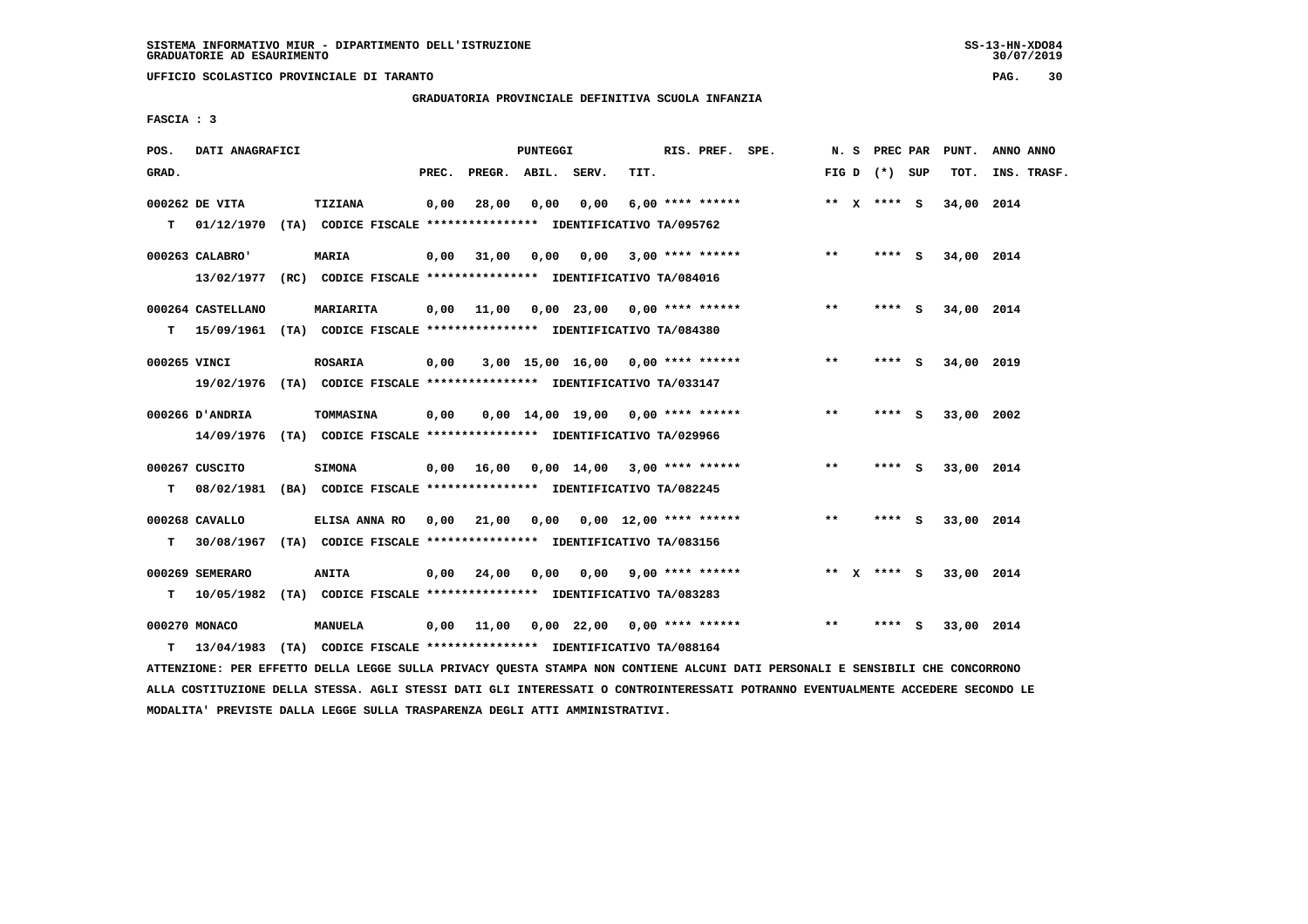**UFFICIO SCOLASTICO PROVINCIALE DI TARANTO PAG. 30**

# **GRADUATORIA PROVINCIALE DEFINITIVA SCUOLA INFANZIA**

 **FASCIA : 3**

| POS.         | DATI ANAGRAFICI   |                                                                          |       |                                          | <b>PUNTEGGI</b> |                                     |      | RIS. PREF. SPE.    |       | N. S PREC PAR   |     | PUNT.      | ANNO ANNO   |
|--------------|-------------------|--------------------------------------------------------------------------|-------|------------------------------------------|-----------------|-------------------------------------|------|--------------------|-------|-----------------|-----|------------|-------------|
| GRAD.        |                   |                                                                          | PREC. | PREGR. ABIL. SERV.                       |                 |                                     | TIT. |                    |       | FIG D $(*)$ SUP |     | TOT.       | INS. TRASF. |
|              | 000262 DE VITA    | TIZIANA                                                                  | 0,00  | 28,00                                    | 0,00            | 0,00                                |      | $6,00$ **** ****** |       | ** $X$ **** S   |     | 34,00 2014 |             |
| T.           | 01/12/1970        | (TA) CODICE FISCALE *************** IDENTIFICATIVO TA/095762             |       |                                          |                 |                                     |      |                    |       |                 |     |            |             |
|              | 000263 CALABRO'   | <b>MARIA</b>                                                             | 0,00  | 31,00                                    |                 | 0,00 0,00                           |      | $3,00$ **** ****** | $***$ | $***$ S         |     | 34,00 2014 |             |
|              | 13/02/1977        | (RC) CODICE FISCALE **************** IDENTIFICATIVO TA/084016            |       |                                          |                 |                                     |      |                    |       |                 |     |            |             |
|              | 000264 CASTELLANO | MARIARITA                                                                | 0.00  | 11,00                                    |                 | $0.00$ 23.00 0.00 **** ******       |      |                    | $* *$ | **** S          |     | 34,00 2014 |             |
| т            |                   | 15/09/1961 (TA) CODICE FISCALE **************** IDENTIFICATIVO TA/084380 |       |                                          |                 |                                     |      |                    |       |                 |     |            |             |
| 000265 VINCI |                   | <b>ROSARIA</b>                                                           | 0,00  |                                          |                 | 3,00 15,00 16,00 0,00 **** ******   |      |                    | **    | ****            | - 5 | 34,00 2019 |             |
|              |                   | 19/02/1976 (TA) CODICE FISCALE *************** IDENTIFICATIVO TA/033147  |       |                                          |                 |                                     |      |                    |       |                 |     |            |             |
|              | 000266 D'ANDRIA   | <b>TOMMASINA</b>                                                         | 0,00  |                                          |                 | $0,00$ 14,00 19,00 0,00 **** ****** |      |                    | $***$ | **** S          |     | 33,00 2002 |             |
|              | 14/09/1976        | (TA) CODICE FISCALE **************** IDENTIFICATIVO TA/029966            |       |                                          |                 |                                     |      |                    |       |                 |     |            |             |
|              | 000267 CUSCITO    | <b>SIMONA</b>                                                            |       | $0,00$ 16,00 0,00 14,00 3,00 **** ****** |                 |                                     |      |                    | $**$  | **** S          |     | 33,00 2014 |             |
| т            |                   | 08/02/1981 (BA) CODICE FISCALE **************** IDENTIFICATIVO TA/082245 |       |                                          |                 |                                     |      |                    |       |                 |     |            |             |
|              | 000268 CAVALLO    | ELISA ANNA RO                                                            | 0,00  | 21,00                                    |                 | $0,00$ $0,00$ $12,00$ **** ******   |      |                    | $***$ | **** S          |     | 33,00 2014 |             |
| т            |                   | 30/08/1967 (TA) CODICE FISCALE **************** IDENTIFICATIVO TA/083156 |       |                                          |                 |                                     |      |                    |       |                 |     |            |             |
|              | 000269 SEMERARO   | ANITA                                                                    | 0.00  | 24,00                                    | 0,00            | $0,00$ 9,00 **** ******             |      |                    |       | ** x **** S     |     | 33,00 2014 |             |
| т            |                   | 10/05/1982 (TA) CODICE FISCALE *************** IDENTIFICATIVO TA/083283  |       |                                          |                 |                                     |      |                    |       |                 |     |            |             |
|              |                   |                                                                          |       |                                          |                 |                                     |      |                    |       |                 |     |            |             |
|              | 000270 MONACO     | MANUELA                                                                  | 0,00  | 11,00                                    |                 | $0,00$ 22,00 0,00 **** ******       |      |                    | $* *$ | ****            | - 5 | 33,00 2014 |             |
| т            | 13/04/1983        | (TA) CODICE FISCALE **************** IDENTIFICATIVO TA/088164            |       |                                          |                 |                                     |      |                    |       |                 |     |            |             |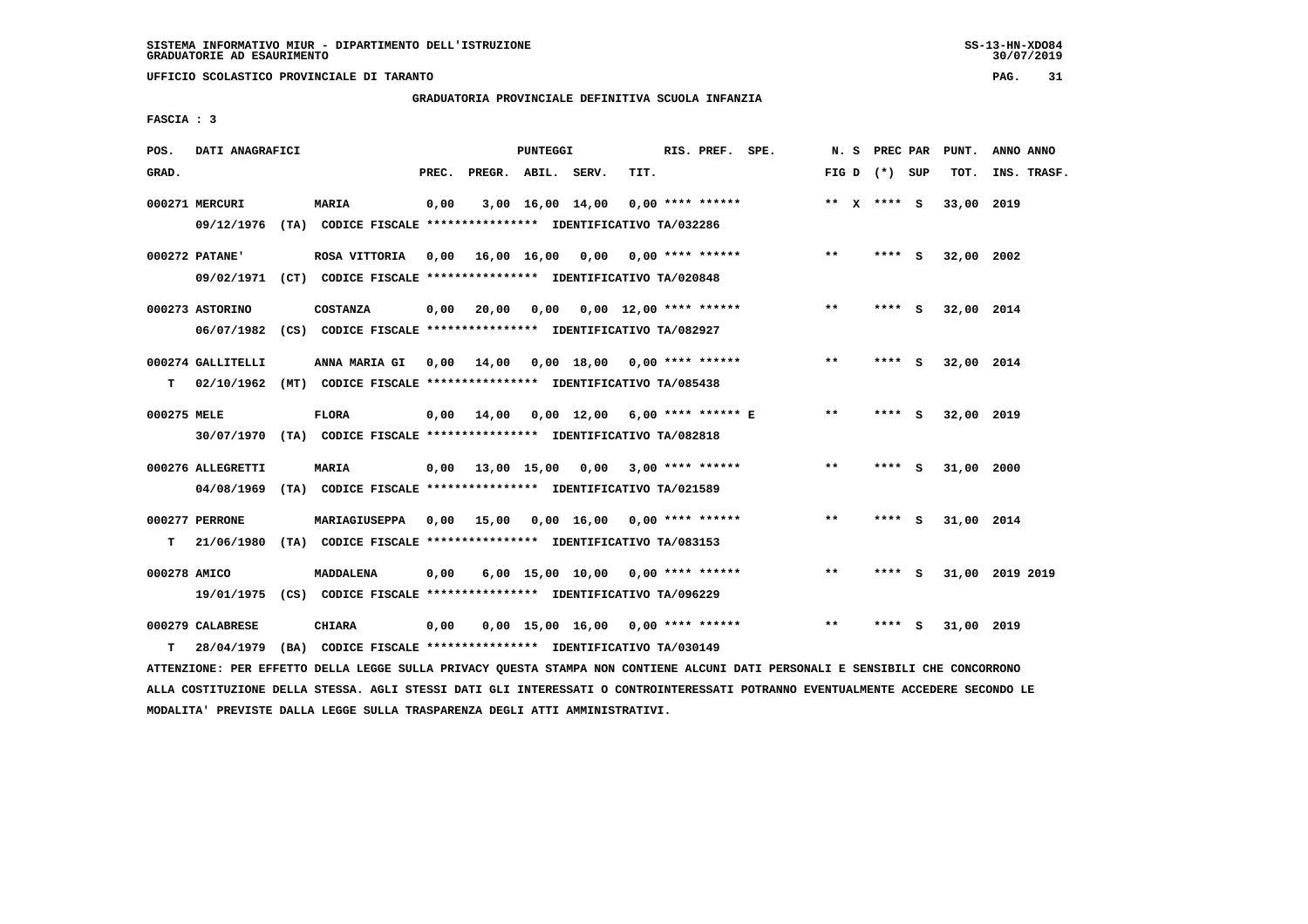**UFFICIO SCOLASTICO PROVINCIALE DI TARANTO PAG. 31**

## **GRADUATORIA PROVINCIALE DEFINITIVA SCUOLA INFANZIA**

 **FASCIA : 3**

| POS.         | DATI ANAGRAFICI   |                                                                          |       |                                          | <b>PUNTEGGI</b> |                                     |      | RIS. PREF. SPE. |              | N.S | PREC PAR        |     | PUNT.      | ANNO ANNO       |
|--------------|-------------------|--------------------------------------------------------------------------|-------|------------------------------------------|-----------------|-------------------------------------|------|-----------------|--------------|-----|-----------------|-----|------------|-----------------|
| GRAD.        |                   |                                                                          | PREC. | PREGR. ABIL. SERV.                       |                 |                                     | TIT. |                 |              |     | FIG D $(*)$ SUP |     | TOT.       | INS. TRASF.     |
|              | 000271 MERCURI    | <b>MARIA</b>                                                             | 0,00  |                                          |                 | $3,00$ 16,00 14,00 0,00 **** ****** |      |                 |              |     | ** X **** S     |     | 33,00 2019 |                 |
|              |                   | 09/12/1976 (TA) CODICE FISCALE **************** IDENTIFICATIVO TA/032286 |       |                                          |                 |                                     |      |                 |              |     |                 |     |            |                 |
|              | 000272 PATANE'    | ROSA VITTORIA                                                            | 0,00  | 16,00 16,00 0,00 0,00 **** ******        |                 |                                     |      |                 | $***$        |     | ****            | - S | 32,00 2002 |                 |
|              |                   | 09/02/1971 (CT) CODICE FISCALE *************** IDENTIFICATIVO TA/020848  |       |                                          |                 |                                     |      |                 |              |     |                 |     |            |                 |
|              | 000273 ASTORINO   | <b>COSTANZA</b>                                                          | 0,00  | 20,00                                    |                 | $0,00$ $0,00$ $12,00$ **** ******   |      |                 | $**$         |     | **** S          |     | 32,00 2014 |                 |
|              |                   | 06/07/1982 (CS) CODICE FISCALE *************** IDENTIFICATIVO TA/082927  |       |                                          |                 |                                     |      |                 |              |     |                 |     |            |                 |
|              | 000274 GALLITELLI | ANNA MARIA GI                                                            |       | 0,00 14,00                               |                 | $0.00$ 18.00 0.00 **** ******       |      |                 | $* *$        |     | ****            | - S | 32,00 2014 |                 |
| т            |                   | 02/10/1962 (MT) CODICE FISCALE *************** IDENTIFICATIVO TA/085438  |       |                                          |                 |                                     |      |                 |              |     |                 |     |            |                 |
| 000275 MELE  |                   | <b>FLORA</b>                                                             | 0,00  | 14,00                                    |                 | 0,00 12,00 6,00 **** ****** E       |      |                 | $* *$        |     | **** S          |     | 32,00 2019 |                 |
|              |                   | 30/07/1970 (TA) CODICE FISCALE *************** IDENTIFICATIVO TA/082818  |       |                                          |                 |                                     |      |                 |              |     |                 |     |            |                 |
|              | 000276 ALLEGRETTI | <b>MARIA</b>                                                             |       | $0.00$ 13.00 15.00 0.00 3.00 **** ****** |                 |                                     |      |                 | $* *$        |     | ****            | - S | 31,00 2000 |                 |
|              | 04/08/1969        | (TA) CODICE FISCALE **************** IDENTIFICATIVO TA/021589            |       |                                          |                 |                                     |      |                 |              |     |                 |     |            |                 |
|              | 000277 PERRONE    | MARIAGIUSEPPA                                                            | 0,00  | 15,00 0,00 16,00 0,00 **** ******        |                 |                                     |      |                 | $\star\star$ |     | ****            | - 5 | 31,00 2014 |                 |
| т            | 21/06/1980        | (TA) CODICE FISCALE **************** IDENTIFICATIVO TA/083153            |       |                                          |                 |                                     |      |                 |              |     |                 |     |            |                 |
| 000278 AMICO |                   | <b>MADDALENA</b>                                                         | 0,00  |                                          |                 | $6,00$ 15,00 10,00 0,00 **** ****** |      |                 | $***$        |     | $***$ S         |     |            | 31,00 2019 2019 |
|              | 19/01/1975        | (CS) CODICE FISCALE **************** IDENTIFICATIVO TA/096229            |       |                                          |                 |                                     |      |                 |              |     |                 |     |            |                 |
|              | 000279 CALABRESE  | <b>CHIARA</b>                                                            | 0,00  |                                          |                 | $0,00$ 15,00 16,00 0,00 **** ****** |      |                 | **           |     | ****            | - S | 31,00 2019 |                 |
| т            | 28/04/1979        | (BA) CODICE FISCALE **************** IDENTIFICATIVO TA/030149            |       |                                          |                 |                                     |      |                 |              |     |                 |     |            |                 |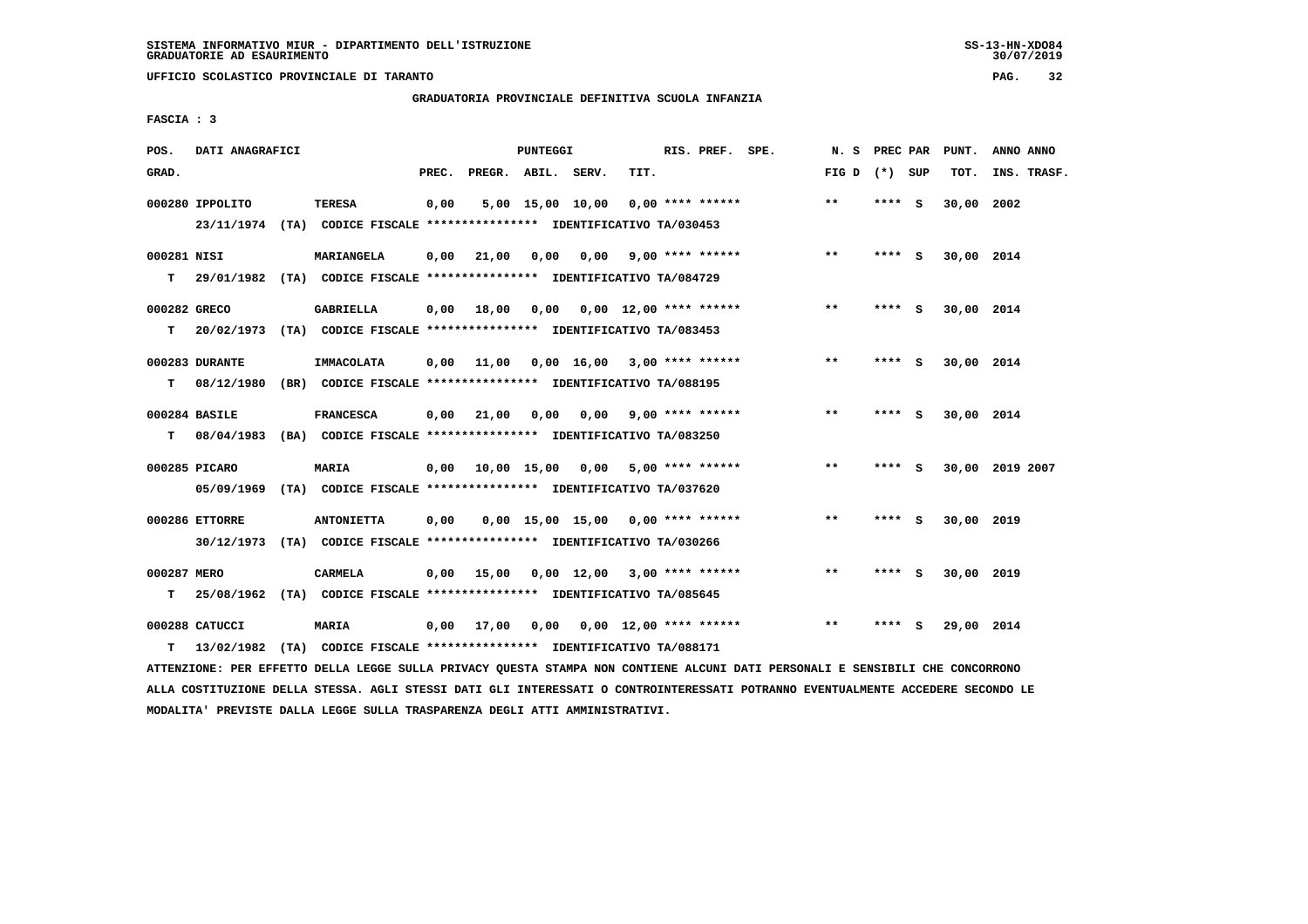**UFFICIO SCOLASTICO PROVINCIALE DI TARANTO PAG. 32**

 **GRADUATORIA PROVINCIALE DEFINITIVA SCUOLA INFANZIA**

 **FASCIA : 3**

| POS.         | DATI ANAGRAFICI |                                                                          |       |                               | PUNTEGGI |                                                   |      | RIS. PREF. SPE.         | N. S            | PREC PAR |     | PUNT.      | ANNO ANNO       |
|--------------|-----------------|--------------------------------------------------------------------------|-------|-------------------------------|----------|---------------------------------------------------|------|-------------------------|-----------------|----------|-----|------------|-----------------|
| GRAD.        |                 |                                                                          | PREC. | PREGR. ABIL. SERV.            |          |                                                   | TIT. |                         | FIG D $(*)$ SUP |          |     | TOT.       | INS. TRASF.     |
|              | 000280 IPPOLITO | <b>TERESA</b>                                                            | 0,00  |                               |          | 5,00 15,00 10,00                                  |      | $0.00$ **** ******      | **              | **** S   |     | 30,00      | 2002            |
|              |                 | 23/11/1974 (TA) CODICE FISCALE *************** IDENTIFICATIVO TA/030453  |       |                               |          |                                                   |      |                         |                 |          |     |            |                 |
| 000281 NISI  |                 | MARIANGELA                                                               | 0,00  | 21,00                         | 0.00     |                                                   |      | $0.00$ 9.00 **** ****** | $***$           | **** S   |     | 30,00 2014 |                 |
| т            |                 | 29/01/1982 (TA) CODICE FISCALE *************** IDENTIFICATIVO TA/084729  |       |                               |          |                                                   |      |                         |                 |          |     |            |                 |
| 000282 GRECO |                 | <b>GABRIELLA</b>                                                         | 0,00  | 18,00                         |          | $0,00$ $0,00$ $12,00$ **** ******                 |      |                         | $***$           | **** S   |     | 30,00 2014 |                 |
| т            |                 | 20/02/1973 (TA) CODICE FISCALE *************** IDENTIFICATIVO TA/083453  |       |                               |          |                                                   |      |                         |                 |          |     |            |                 |
|              | 000283 DURANTE  | IMMACOLATA                                                               | 0.00  | 11,00                         |          | $0.00 \quad 16.00 \quad 3.00 \quad *** \quad ***$ |      |                         | **              | **** S   |     | 30,00 2014 |                 |
| т            |                 | 08/12/1980 (BR) CODICE FISCALE *************** IDENTIFICATIVO TA/088195  |       |                               |          |                                                   |      |                         |                 |          |     |            |                 |
|              | 000284 BASILE   | <b>FRANCESCA</b>                                                         | 0.00  | 21,00                         | 0,00     |                                                   |      | $0,00$ 9,00 **** ****** | $**$            | **** S   |     | 30,00 2014 |                 |
| т            |                 | 08/04/1983 (BA) CODICE FISCALE *************** IDENTIFICATIVO TA/083250  |       |                               |          |                                                   |      |                         |                 |          |     |            |                 |
|              | 000285 PICARO   | MARIA                                                                    |       | $0,00$ $10,00$ $15,00$ $0,00$ |          |                                                   |      | $5,00$ **** ******      | $**$            | ****     | - S |            | 30,00 2019 2007 |
|              |                 | 05/09/1969 (TA) CODICE FISCALE *************** IDENTIFICATIVO TA/037620  |       |                               |          |                                                   |      |                         |                 |          |     |            |                 |
|              | 000286 ETTORRE  | <b>ANTONIETTA</b>                                                        | 0,00  |                               |          | $0.00$ 15.00 15.00 0.00 **** ******               |      |                         | $* *$           | **** S   |     | 30,00 2019 |                 |
|              |                 | 30/12/1973 (TA) CODICE FISCALE *************** IDENTIFICATIVO TA/030266  |       |                               |          |                                                   |      |                         |                 |          |     |            |                 |
| 000287 MERO  |                 | <b>CARMELA</b>                                                           | 0,00  | 15,00                         |          | $0,00$ 12,00 3,00 **** ******                     |      |                         | **              | **** S   |     | 30,00 2019 |                 |
| т            |                 | 25/08/1962 (TA) CODICE FISCALE **************** IDENTIFICATIVO TA/085645 |       |                               |          |                                                   |      |                         |                 |          |     |            |                 |
|              | 000288 CATUCCI  | <b>MARIA</b>                                                             | 0,00  | 17,00                         |          | $0,00$ $0,00$ $12,00$ **** ******                 |      |                         | **              | **** S   |     | 29,00 2014 |                 |
| т            |                 | 13/02/1982 (TA) CODICE FISCALE **************** IDENTIFICATIVO TA/088171 |       |                               |          |                                                   |      |                         |                 |          |     |            |                 |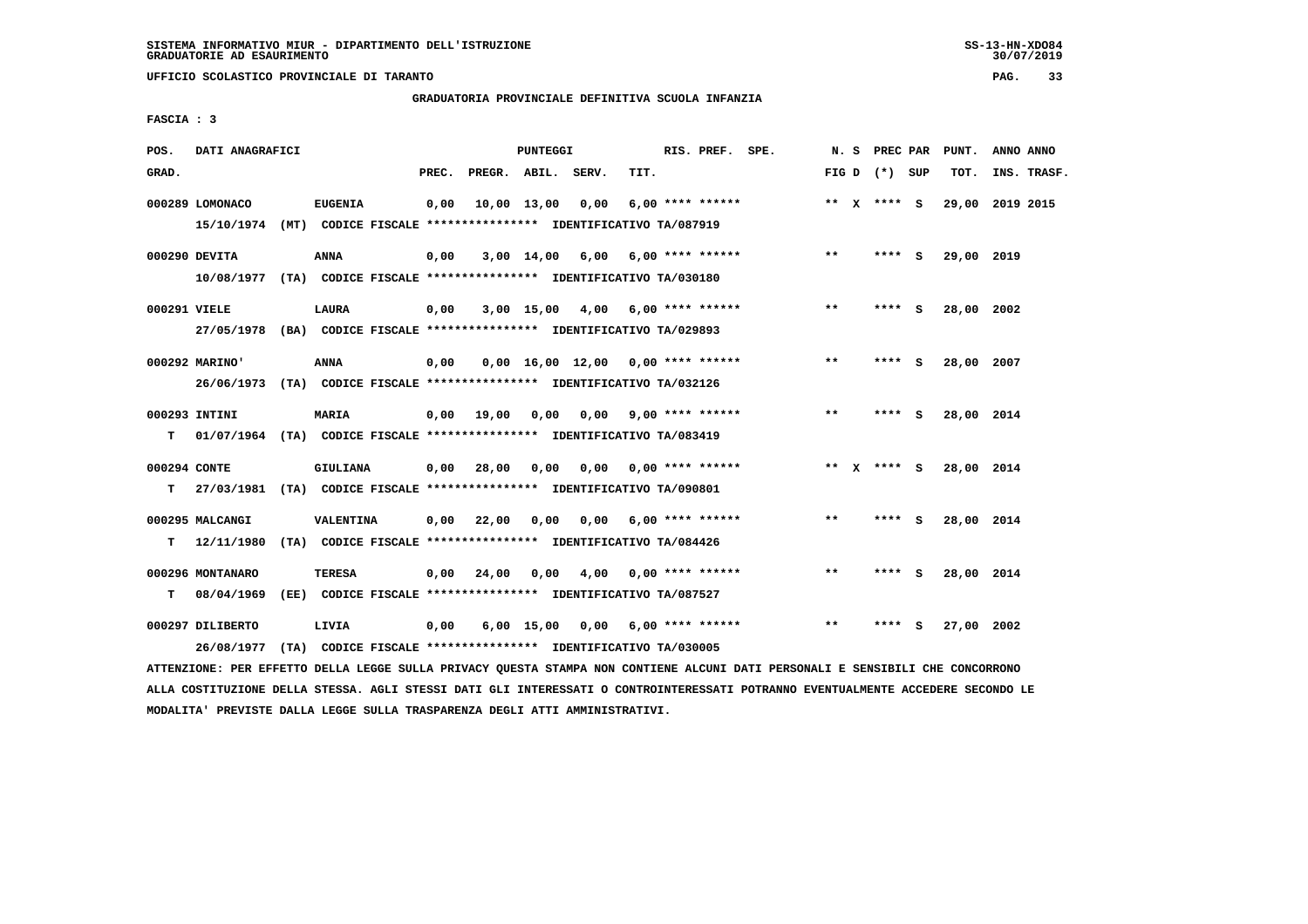**UFFICIO SCOLASTICO PROVINCIALE DI TARANTO PAG. 33**

# **GRADUATORIA PROVINCIALE DEFINITIVA SCUOLA INFANZIA**

 **FASCIA : 3**

| POS.         | DATI ANAGRAFICI                                                          |                                                               |       |                    | PUNTEGGI |                                     |      | RIS. PREF. SPE.           |                         |              | N. S PREC PAR   | PUNT.      | ANNO ANNO       |  |
|--------------|--------------------------------------------------------------------------|---------------------------------------------------------------|-------|--------------------|----------|-------------------------------------|------|---------------------------|-------------------------|--------------|-----------------|------------|-----------------|--|
| GRAD.        |                                                                          |                                                               | PREC. | PREGR. ABIL. SERV. |          |                                     | TIT. |                           |                         |              | FIG D $(*)$ SUP | TOT.       | INS. TRASF.     |  |
|              | 000289 LOMONACO                                                          | <b>EUGENIA</b>                                                | 0,00  |                    |          | 10,00 13,00 0,00                    |      | $6,00$ **** ******        |                         |              | ** x **** S     |            | 29,00 2019 2015 |  |
|              | 15/10/1974 (MT) CODICE FISCALE **************** IDENTIFICATIVO TA/087919 |                                                               |       |                    |          |                                     |      |                           |                         |              |                 |            |                 |  |
|              | 000290 DEVITA                                                            | <b>ANNA</b>                                                   | 0,00  |                    |          | 3,00 14,00 6,00                     |      | 6,00 **** ******          |                         | $**$         | $***$ S         | 29,00 2019 |                 |  |
|              | 10/08/1977 (TA) CODICE FISCALE **************** IDENTIFICATIVO TA/030180 |                                                               |       |                    |          |                                     |      |                           |                         |              |                 |            |                 |  |
| 000291 VIELE |                                                                          | <b>LAURA</b>                                                  | 0,00  |                    |          | $3,00$ 15,00 4,00 6,00 **** ******  |      |                           |                         | $\star\star$ | **** S          | 28,00 2002 |                 |  |
|              | 27/05/1978 (BA) CODICE FISCALE *************** IDENTIFICATIVO TA/029893  |                                                               |       |                    |          |                                     |      |                           |                         |              |                 |            |                 |  |
|              | 000292 MARINO'                                                           | <b>ANNA</b>                                                   | 0,00  |                    |          | $0.00$ 16.00 12.00 0.00 **** ****** |      |                           |                         | **           | **** S          | 28,00 2007 |                 |  |
|              | 26/06/1973 (TA) CODICE FISCALE *************** IDENTIFICATIVO TA/032126  |                                                               |       |                    |          |                                     |      |                           |                         |              |                 |            |                 |  |
|              | 000293 INTINI                                                            | <b>MARIA</b>                                                  | 0,00  | 19,00              | 0,00     |                                     |      |                           | $0,00$ 9,00 **** ****** | $**$         | $***5$          | 28,00 2014 |                 |  |
| т            | 01/07/1964 (TA) CODICE FISCALE **************** IDENTIFICATIVO TA/083419 |                                                               |       |                    |          |                                     |      |                           |                         |              |                 |            |                 |  |
| 000294 CONTE |                                                                          | GIULIANA                                                      |       | $0,00$ 28,00       | 0.00     |                                     |      | $0,00$ $0,00$ **** ****** |                         |              | ** $X$ **** S   | 28,00 2014 |                 |  |
| т            | 27/03/1981 (TA) CODICE FISCALE *************** IDENTIFICATIVO TA/090801  |                                                               |       |                    |          |                                     |      |                           |                         |              |                 |            |                 |  |
|              |                                                                          |                                                               |       |                    |          |                                     |      |                           |                         |              |                 |            |                 |  |
|              | 000295 MALCANGI                                                          | <b>VALENTINA</b>                                              | 0,00  | 22,00              | 0,00     | 0,00                                |      | $6,00$ **** ******        |                         | **           | **** S          | 28,00 2014 |                 |  |
| т            | 12/11/1980                                                               | (TA) CODICE FISCALE **************** IDENTIFICATIVO TA/084426 |       |                    |          |                                     |      |                           |                         |              |                 |            |                 |  |
|              | 000296 MONTANARO                                                         | TERESA                                                        | 0,00  | 24,00              |          | 0,00 4,00 0,00 **** ******          |      |                           |                         | $* *$        | $***$ S         | 28,00 2014 |                 |  |
|              | $T = 08/04/1969$                                                         | (EE) CODICE FISCALE **************** IDENTIFICATIVO TA/087527 |       |                    |          |                                     |      |                           |                         |              |                 |            |                 |  |
|              | 000297 DILIBERTO                                                         | LIVIA                                                         | 0,00  |                    |          | $6,00$ 15,00 0,00 6,00 **** ******  |      |                           |                         | $**$         | **** S          | 27,00 2002 |                 |  |
|              | 26/08/1977                                                               | (TA) CODICE FISCALE **************** IDENTIFICATIVO TA/030005 |       |                    |          |                                     |      |                           |                         |              |                 |            |                 |  |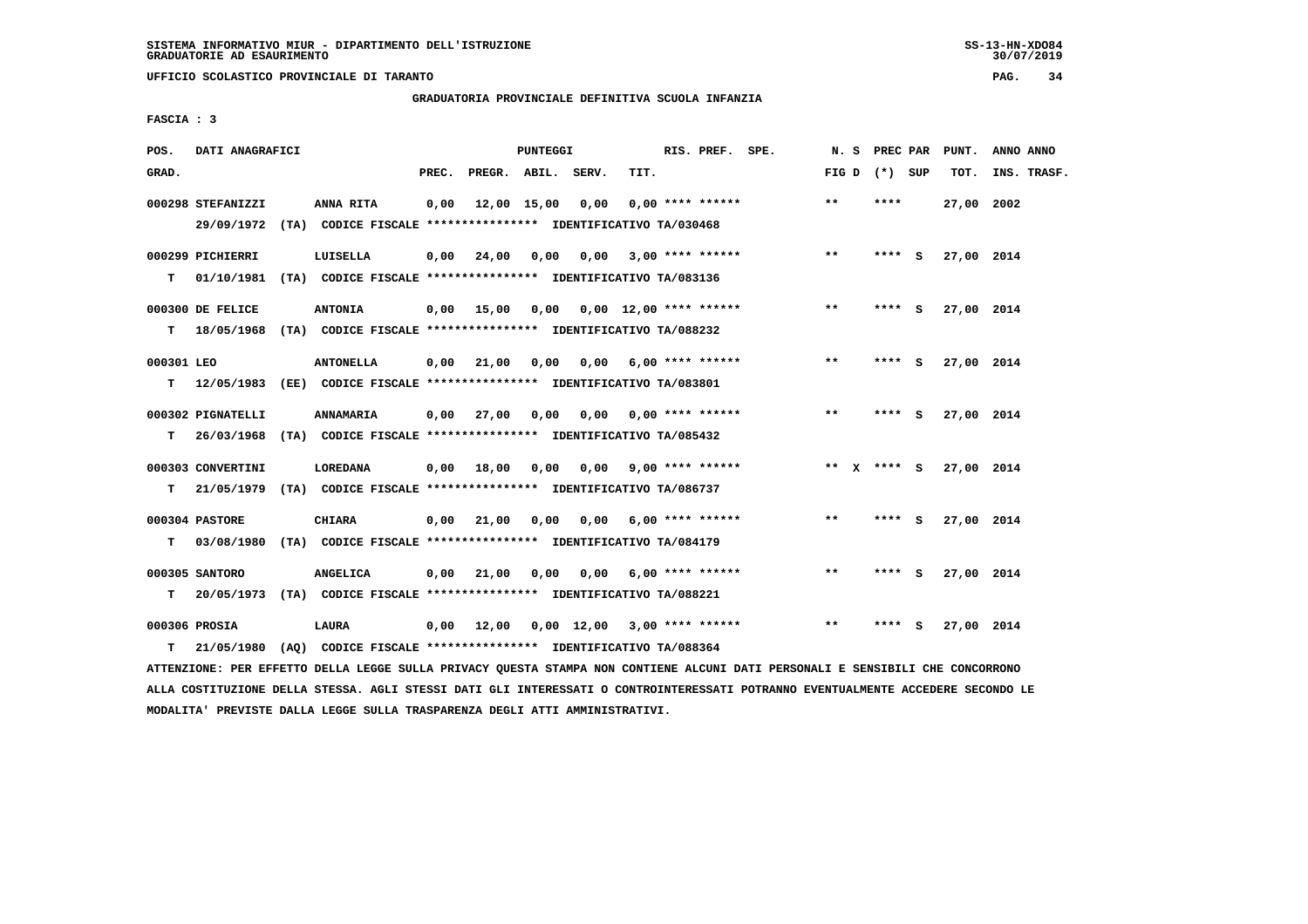**UFFICIO SCOLASTICO PROVINCIALE DI TARANTO PAG. 34**

## **GRADUATORIA PROVINCIALE DEFINITIVA SCUOLA INFANZIA**

 **FASCIA : 3**

| POS.             | DATI ANAGRAFICI   |                                                                                             |       |                                          | PUNTEGGI |                               |      | RIS. PREF. SPE.           |                    |       | N. S PREC PAR   |     | PUNT.      | ANNO ANNO   |
|------------------|-------------------|---------------------------------------------------------------------------------------------|-------|------------------------------------------|----------|-------------------------------|------|---------------------------|--------------------|-------|-----------------|-----|------------|-------------|
| GRAD.            |                   |                                                                                             | PREC. | PREGR. ABIL. SERV.                       |          |                               | TIT. |                           |                    |       | FIG D $(*)$ SUP |     | TOT.       | INS. TRASF. |
|                  | 000298 STEFANIZZI | ANNA RITA<br>29/09/1972 (TA) CODICE FISCALE *************** IDENTIFICATIVO TA/030468        | 0,00  | 12,00 15,00                              |          | 0,00                          |      | $0.00$ **** ******        |                    | $***$ | ****            |     | 27,00 2002 |             |
| т                | 000299 PICHIERRI  | LUISELLA<br>01/10/1981 (TA) CODICE FISCALE **************** IDENTIFICATIVO TA/083136        |       | $0,00$ $24,00$ $0,00$                    |          | 0,00                          |      |                           | $3.00$ **** ****** | $***$ | ****            | - S | 27,00 2014 |             |
|                  | 000300 DE FELICE  | <b>ANTONIA</b>                                                                              |       | $0,00$ 15,00 0,00 0,00 12,00 **** ****** |          |                               |      |                           |                    | $***$ | **** S          |     | 27,00 2014 |             |
| T.<br>000301 LEO |                   | 18/05/1968 (TA) CODICE FISCALE *************** IDENTIFICATIVO TA/088232<br><b>ANTONELLA</b> |       | $0,00$ $21,00$                           | 0,00     |                               |      | $0,00$ 6,00 **** ******   |                    | $* *$ | **** S          |     | 27,00 2014 |             |
| т                |                   | 12/05/1983 (EE) CODICE FISCALE *************** IDENTIFICATIVO TA/083801                     |       |                                          |          |                               |      |                           |                    |       |                 |     |            |             |
| т                | 000302 PIGNATELLI | ANNAMARIA<br>26/03/1968 (TA) CODICE FISCALE **************** IDENTIFICATIVO TA/085432       |       | $0,00$ 27,00 0,00                        |          |                               |      | $0.00$ $0.00$ **** ****** |                    | $***$ | **** S          |     | 27,00 2014 |             |
|                  | 000303 CONVERTINI | LOREDANA                                                                                    |       | $0,00$ $18,00$ $0,00$                    |          | 0,00                          |      | $9,00$ **** ******        | $*** x*** s$       |       |                 |     | 27,00 2014 |             |
| T.               |                   | 21/05/1979 (TA) CODICE FISCALE **************** IDENTIFICATIVO TA/086737                    |       |                                          |          |                               |      |                           |                    |       |                 |     |            |             |
| T.               | 000304 PASTORE    | <b>CHIARA</b><br>03/08/1980 (TA) CODICE FISCALE **************** IDENTIFICATIVO TA/084179   |       | $0,00$ $21,00$ $0,00$                    |          |                               |      | $0.00$ 6.00 **** ******   |                    | $***$ | **** S          |     | 27,00 2014 |             |
|                  | 000305 SANTORO    | <b>ANGELICA</b>                                                                             |       | $0,00$ 21,00                             | 0,00     |                               |      | $0,00$ 6,00 **** ******   |                    | **    | **** S          |     | 27,00 2014 |             |
| т                |                   | 20/05/1973 (TA) CODICE FISCALE **************** IDENTIFICATIVO TA/088221                    |       |                                          |          |                               |      |                           |                    |       |                 |     |            |             |
|                  | 000306 PROSIA     | LAURA                                                                                       |       | 0,00 12,00                               |          | $0,00$ 12,00 3,00 **** ****** |      |                           |                    | $* *$ | ****            | - 5 | 27,00 2014 |             |
| т                | 21/05/1980        | (AO) CODICE FISCALE **************** IDENTIFICATIVO TA/088364                               |       |                                          |          |                               |      |                           |                    |       |                 |     |            |             |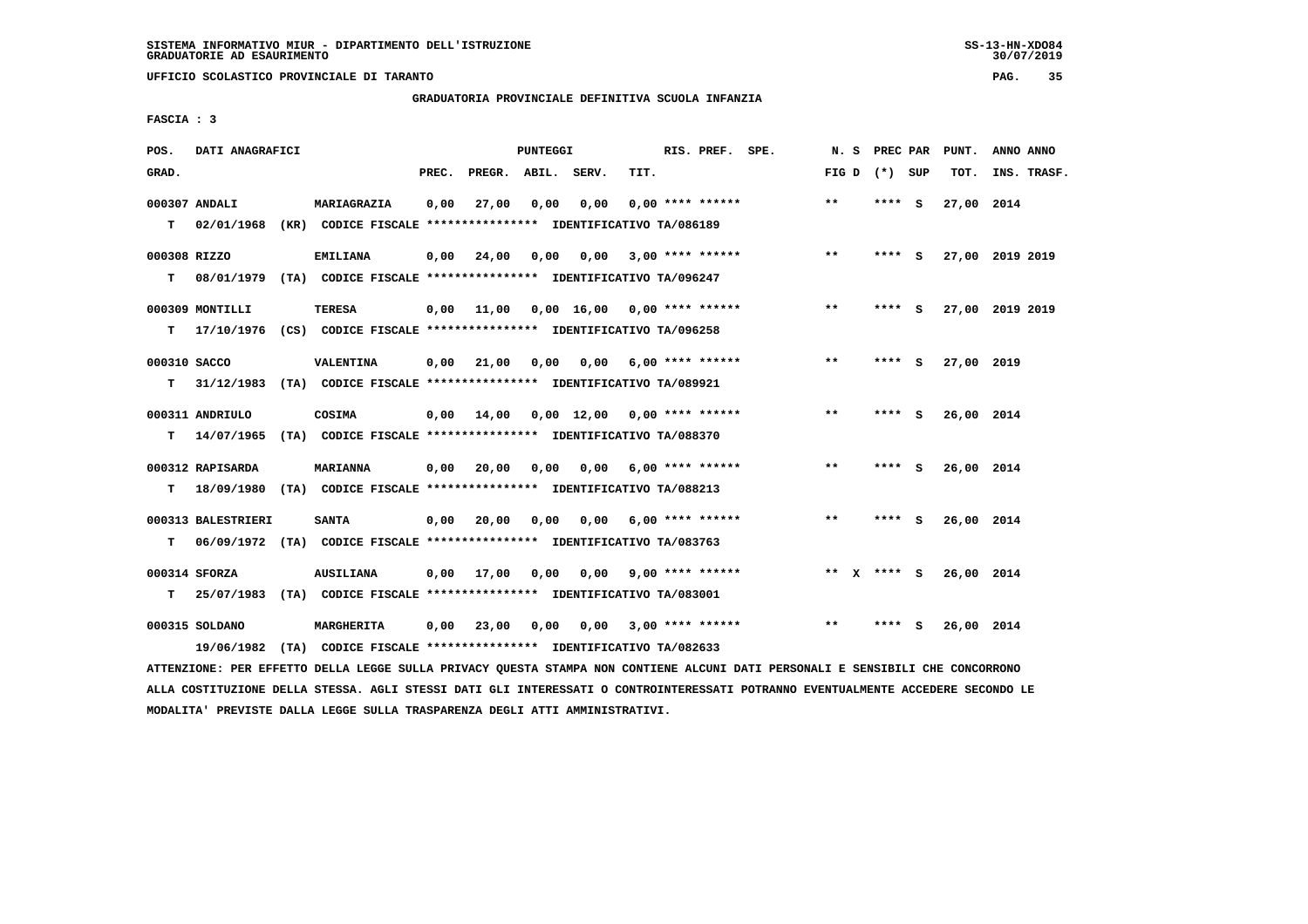**UFFICIO SCOLASTICO PROVINCIALE DI TARANTO PAG. 35**

 **GRADUATORIA PROVINCIALE DEFINITIVA SCUOLA INFANZIA**

 **FASCIA : 3**

| POS.              | DATI ANAGRAFICI               |                                                                                              |       |              | <b>PUNTEGGI</b> |                               |      | RIS. PREF. SPE.         | N. S            | PREC PAR |     | PUNT.      | ANNO ANNO       |
|-------------------|-------------------------------|----------------------------------------------------------------------------------------------|-------|--------------|-----------------|-------------------------------|------|-------------------------|-----------------|----------|-----|------------|-----------------|
| GRAD.             |                               |                                                                                              | PREC. | PREGR. ABIL. |                 | SERV.                         | TIT. |                         | FIG D $(*)$ SUP |          |     | TOT.       | INS. TRASF.     |
| T.                | 000307 ANDALI<br>02/01/1968   | MARIAGRAZIA<br>(KR) CODICE FISCALE **************** IDENTIFICATIVO TA/086189                 | 0,00  | 27,00        | 0,00            | 0,00                          |      | $0.00$ **** ******      | $***$           | **** S   |     | 27,00 2014 |                 |
| 000308 RIZZO<br>т |                               | <b>EMILIANA</b><br>08/01/1979 (TA) CODICE FISCALE *************** IDENTIFICATIVO TA/096247   | 0,00  | 24,00        | 0,00            | 0,00                          |      | $3,00$ **** ******      | $***$           | ****     | - S |            | 27,00 2019 2019 |
| т                 | 000309 MONTILLI               | <b>TERESA</b><br>17/10/1976 (CS) CODICE FISCALE **************** IDENTIFICATIVO TA/096258    | 0,00  | 11,00        |                 | $0,00$ 16,00 0,00 **** ****** |      |                         | $**$            | **** S   |     |            | 27,00 2019 2019 |
| 000310 SACCO<br>т |                               | <b>VALENTINA</b><br>31/12/1983 (TA) CODICE FISCALE *************** IDENTIFICATIVO TA/089921  | 0,00  | 21,00        | 0,00            |                               |      | $0,00$ 6,00 **** ****** | **              | **** S   |     | 27,00 2019 |                 |
| т                 | 000311 ANDRIULO<br>14/07/1965 | COSIMA<br>(TA) CODICE FISCALE *************** IDENTIFICATIVO TA/088370                       | 0,00  | 14,00        |                 | 0,00 12,00 0,00 **** ******   |      |                         | **              | **** S   |     | 26,00 2014 |                 |
| T.                | 000312 RAPISARDA              | <b>MARIANNA</b><br>18/09/1980 (TA) CODICE FISCALE **************** IDENTIFICATIVO TA/088213  | 0,00  | 20,00        | 0,00            | 0,00                          |      | $6,00$ **** ******      | **              | **** S   |     | 26,00 2014 |                 |
| т                 | 000313 BALESTRIERI            | <b>SANTA</b><br>06/09/1972 (TA) CODICE FISCALE **************** IDENTIFICATIVO TA/083763     | 0,00  | 20,00        | 0,00            | 0,00                          |      | $6,00$ **** ******      | $***$           | **** S   |     | 26,00 2014 |                 |
| T.                | 000314 SFORZA                 | <b>AUSILIANA</b><br>25/07/1983 (TA) CODICE FISCALE **************** IDENTIFICATIVO TA/083001 | 0,00  | 17,00        | 0,00            |                               |      | $0,00$ 9,00 **** ****** | ** X **** S     |          |     | 26,00 2014 |                 |
|                   | 000315 SOLDANO<br>19/06/1982  | MARGHERITA<br>(TA) CODICE FISCALE **************** IDENTIFICATIVO TA/082633                  | 0,00  | 23,00        | 0,00            | 0,00                          |      | $3,00$ **** ******      | $* *$           | ****     | S   | 26,00 2014 |                 |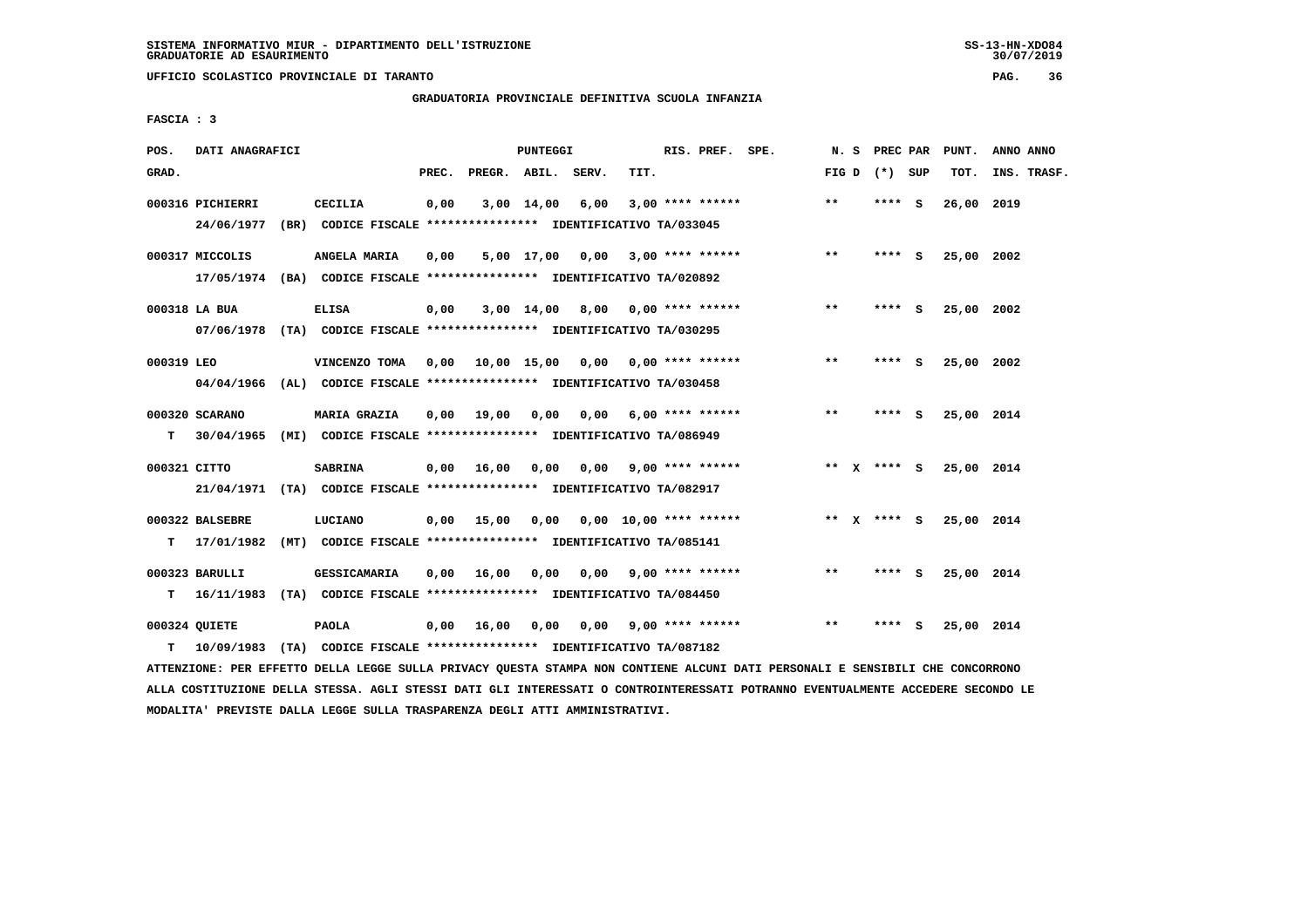**UFFICIO SCOLASTICO PROVINCIALE DI TARANTO PAG. 36**

## **GRADUATORIA PROVINCIALE DEFINITIVA SCUOLA INFANZIA**

 **FASCIA : 3**

| POS.         | DATI ANAGRAFICI                |                                                                                           |       |                       | PUNTEGGI   |                                          |      | RIS. PREF. SPE.    |                                 | N.S   | <b>PREC PAR</b> | PUNT.      | ANNO ANNO   |
|--------------|--------------------------------|-------------------------------------------------------------------------------------------|-------|-----------------------|------------|------------------------------------------|------|--------------------|---------------------------------|-------|-----------------|------------|-------------|
| GRAD.        |                                |                                                                                           | PREC. | PREGR. ABIL. SERV.    |            |                                          | TIT. |                    |                                 |       | FIG D $(*)$ SUP | TOT.       | INS. TRASF. |
|              | 000316 PICHIERRI<br>24/06/1977 | CECILIA<br>(BR) CODICE FISCALE **************** IDENTIFICATIVO TA/033045                  | 0,00  |                       | 3,00 14,00 | 6,00                                     |      | $3,00$ **** ****** |                                 | $***$ | **** S          | 26,00 2019 |             |
|              |                                |                                                                                           |       |                       |            |                                          |      |                    |                                 |       |                 |            |             |
|              | 000317 MICCOLIS                | ANGELA MARIA                                                                              | 0,00  |                       |            | 5,00 17,00 0,00 3,00 **** ******         |      |                    |                                 | $**$  | $***$ S         | 25,00 2002 |             |
|              |                                | 17/05/1974 (BA) CODICE FISCALE **************** IDENTIFICATIVO TA/020892                  |       |                       |            |                                          |      |                    |                                 |       |                 |            |             |
|              | 000318 LA BUA                  | <b>ELISA</b>                                                                              | 0,00  |                       |            | $3,00$ 14,00 8,00 0,00 **** ******       |      |                    |                                 | $***$ | **** S          | 25,00 2002 |             |
|              |                                | 07/06/1978 (TA) CODICE FISCALE *************** IDENTIFICATIVO TA/030295                   |       |                       |            |                                          |      |                    |                                 |       |                 |            |             |
| 000319 LEO   |                                | VINCENZO TOMA                                                                             |       |                       |            | $0.00$ 10.00 15.00 0.00 0.00 **** ****** |      |                    |                                 | $**$  | **** S          | 25,00 2002 |             |
|              |                                | 04/04/1966 (AL) CODICE FISCALE **************** IDENTIFICATIVO TA/030458                  |       |                       |            |                                          |      |                    |                                 |       |                 |            |             |
|              | 000320 SCARANO                 | <b>MARIA GRAZIA</b>                                                                       | 0,00  |                       |            | 19,00  0,00  0,00  6,00  ****  ******    |      |                    |                                 | $***$ | $***5$          | 25,00 2014 |             |
| т            |                                | 30/04/1965 (MI) CODICE FISCALE **************** IDENTIFICATIVO TA/086949                  |       |                       |            |                                          |      |                    |                                 |       |                 |            |             |
| 000321 CITTO |                                |                                                                                           |       | $0,00$ $16,00$ $0,00$ |            | 0,00 9,00 **** ******                    |      |                    |                                 |       | ** $X$ **** S   | 25,00 2014 |             |
|              |                                | <b>SABRINA</b><br>21/04/1971 (TA) CODICE FISCALE *************** IDENTIFICATIVO TA/082917 |       |                       |            |                                          |      |                    |                                 |       |                 |            |             |
|              |                                |                                                                                           |       |                       |            |                                          |      |                    |                                 |       |                 |            |             |
|              | 000322 BALSEBRE                | LUCIANO                                                                                   |       | $0,00$ 15,00          |            |                                          |      |                    | 0,00  0,00  10,00  ****  ****** |       | ** $X$ **** $S$ | 25,00 2014 |             |
| т            | 17/01/1982                     | (MT) CODICE FISCALE **************** IDENTIFICATIVO TA/085141                             |       |                       |            |                                          |      |                    |                                 |       |                 |            |             |
|              | 000323 BARULLI                 | <b>GESSICAMARIA</b>                                                                       | 0,00  |                       |            | 16,00 0,00 0,00 9,00 **** ******         |      |                    |                                 | $**$  | **** S          | 25,00 2014 |             |
|              |                                | T 16/11/1983 (TA) CODICE FISCALE **************** IDENTIFICATIVO TA/084450                |       |                       |            |                                          |      |                    |                                 |       |                 |            |             |
|              | 000324 QUIETE                  | PAOLA                                                                                     |       | 0,00 16,00            |            | $0,00$ $0,00$ $9,00$ $***$ **** ******   |      |                    |                                 | **    | **** S          | 25,00 2014 |             |
|              | $T = 10/09/1983$               | (TA) CODICE FISCALE **************** IDENTIFICATIVO TA/087182                             |       |                       |            |                                          |      |                    |                                 |       |                 |            |             |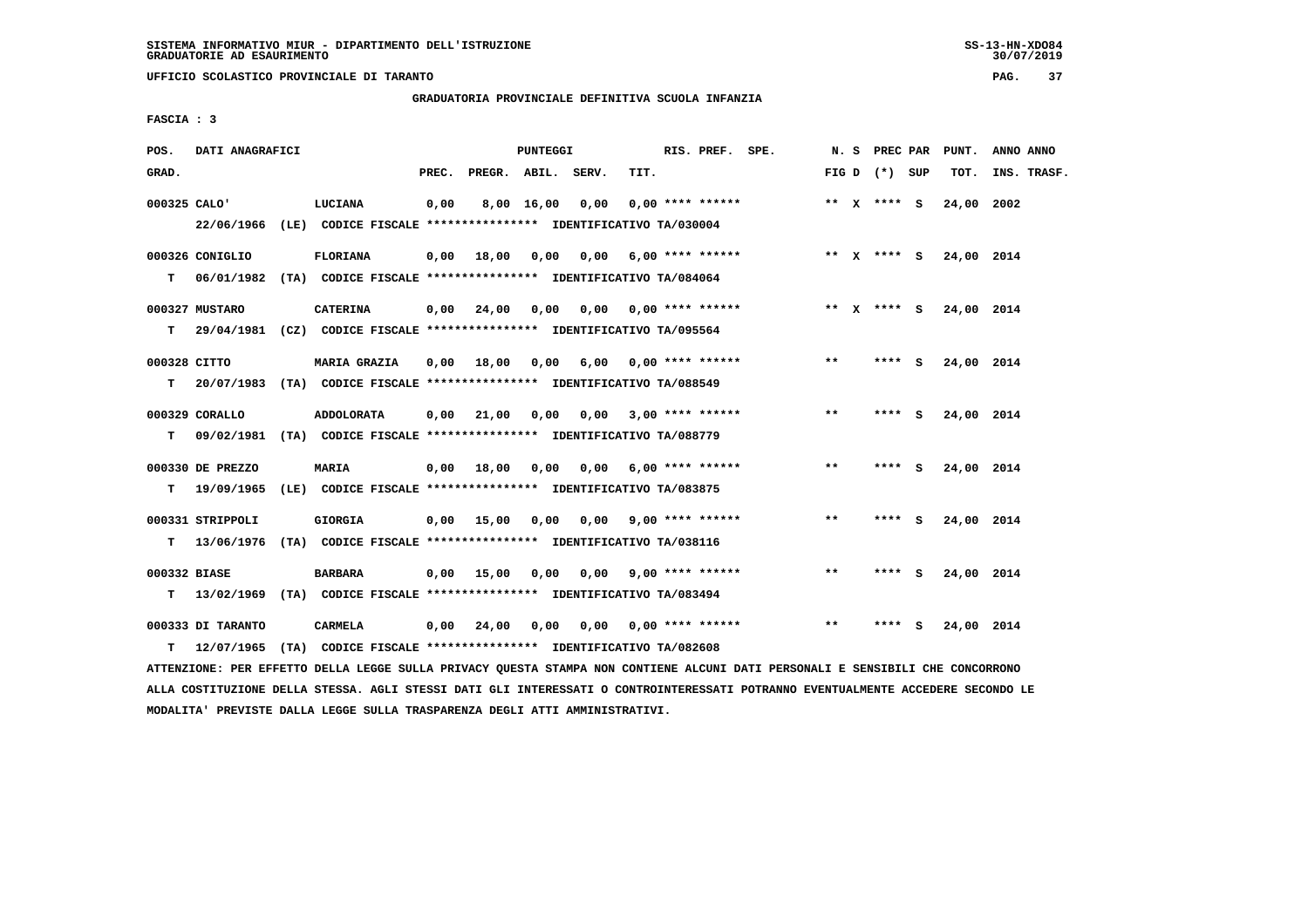**UFFICIO SCOLASTICO PROVINCIALE DI TARANTO PAG. 37**

## **GRADUATORIA PROVINCIALE DEFINITIVA SCUOLA INFANZIA**

 **FASCIA : 3**

| POS.         | DATI ANAGRAFICI                 |                                                                                                  |       |                                                        | PUNTEGGI   |                            |      | RIS. PREF. SPE.         |             |       | N. S PREC PAR   | PUNT.                  | ANNO ANNO   |
|--------------|---------------------------------|--------------------------------------------------------------------------------------------------|-------|--------------------------------------------------------|------------|----------------------------|------|-------------------------|-------------|-------|-----------------|------------------------|-------------|
| GRAD.        |                                 |                                                                                                  | PREC. | PREGR. ABIL. SERV.                                     |            |                            | TIT. |                         |             |       | FIG D $(*)$ SUP | TOT.                   | INS. TRASF. |
| 000325 CALO' |                                 | <b>LUCIANA</b><br>22/06/1966 (LE) CODICE FISCALE *************** IDENTIFICATIVO TA/030004        | 0,00  |                                                        | 8,00 16,00 | 0,00                       |      | $0.00$ **** ******      |             |       | ** $X$ **** S   | 24,00                  | 2002        |
| T            | 000326 CONIGLIO                 | FLORIANA<br>06/01/1982 (TA) CODICE FISCALE **************** IDENTIFICATIVO TA/084064             |       | $0,00$ 18,00 0,00 0,00 6,00 **** ******                |            |                            |      |                         | ** X **** S |       |                 | 24,00 2014             |             |
| т            | 000327 MUSTARO                  | <b>CATERINA</b><br>29/04/1981 (CZ) CODICE FISCALE *************** IDENTIFICATIVO TA/095564       |       | $0,00$ $24,00$ $0,00$ $0,00$ $0,00$ $****$ **** ****** |            |                            |      |                         |             |       |                 | ** X **** S 24,00 2014 |             |
| 000328 CITTO |                                 | <b>MARIA GRAZIA</b><br>T 20/07/1983 (TA) CODICE FISCALE *************** IDENTIFICATIVO TA/088549 |       | 0,00 18,00                                             | 0,00       |                            |      | $6,00$ 0,00 **** ****** |             | $***$ | **** S          | 24,00 2014             |             |
| т            | 000329 CORALLO                  | ADDOLORATA<br>09/02/1981 (TA) CODICE FISCALE **************** IDENTIFICATIVO TA/088779           |       | $0,00$ 21,00                                           | 0,00       |                            |      | $0.00$ 3.00 **** ****** |             | $* *$ | **** S          | 24,00 2014             |             |
| T.           | 000330 DE PREZZO                | <b>MARIA</b><br>19/09/1965 (LE) CODICE FISCALE **************** IDENTIFICATIVO TA/083875         |       | $0,00$ $18,00$ $0,00$                                  |            |                            |      | $0,00$ 6,00 **** ****** |             | **    | **** S          | 24,00 2014             |             |
|              | 000331 STRIPPOLI                | <b>GIORGIA</b><br>T 13/06/1976 (TA) CODICE FISCALE *************** IDENTIFICATIVO TA/038116      |       | 0,00 15,00 0,00 0,00                                   |            |                            |      | $9,00$ **** ******      |             | $* *$ | **** S          | 24,00 2014             |             |
| 000332 BIASE |                                 | <b>BARBARA</b><br>T 13/02/1969 (TA) CODICE FISCALE *************** IDENTIFICATIVO TA/083494      |       | $0,00$ 15,00                                           | 0,00       |                            |      | $0,00$ 9,00 **** ****** |             | $***$ | $***$ S         | 24,00 2014             |             |
| T.           | 000333 DI TARANTO<br>12/07/1965 | CARMELA<br>(TA) CODICE FISCALE **************** IDENTIFICATIVO TA/082608                         |       | $0,00$ 24,00                                           |            | 0,00 0,00 0,00 **** ****** |      |                         |             | $***$ | **** S          | 24,00 2014             |             |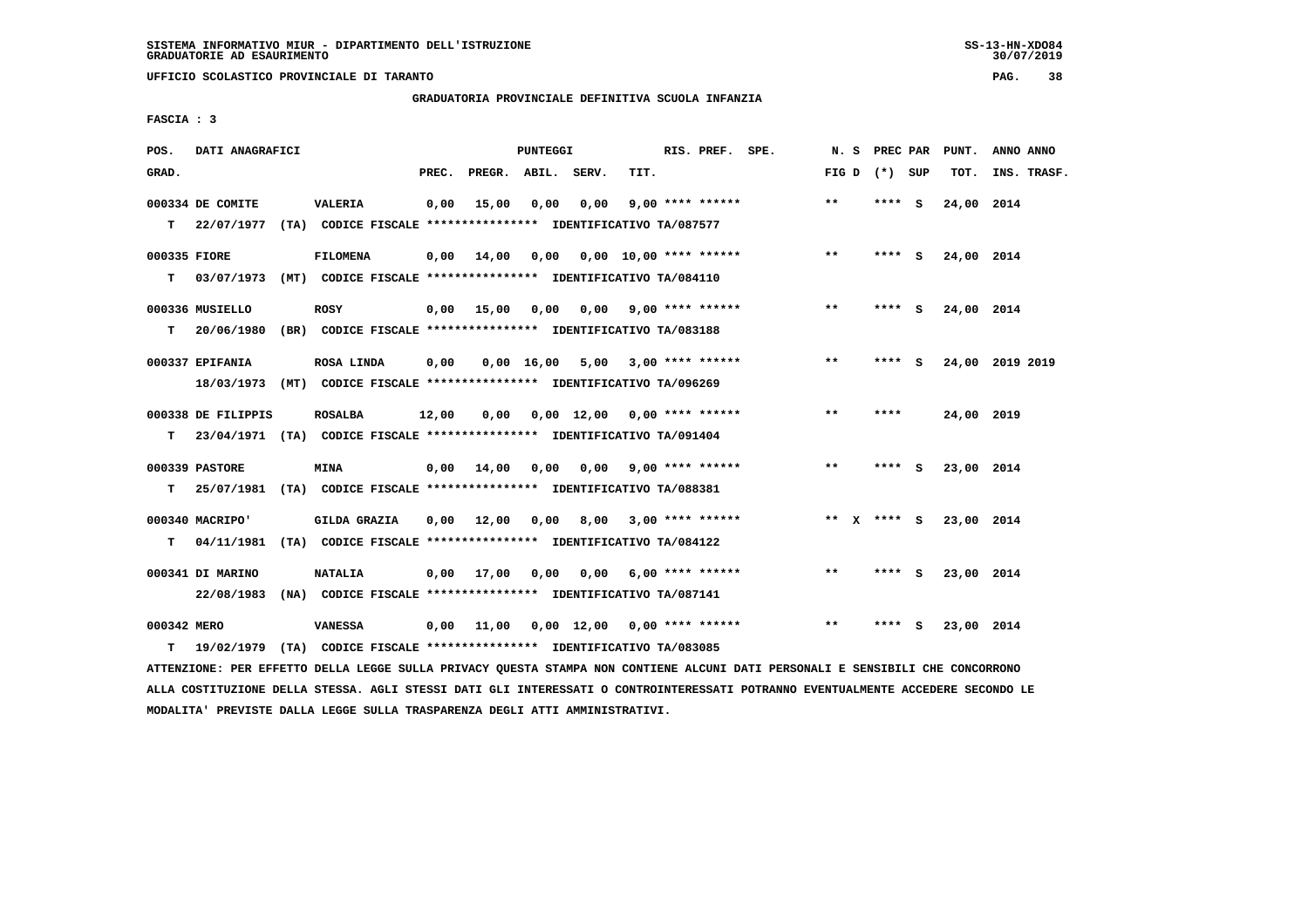**UFFICIO SCOLASTICO PROVINCIALE DI TARANTO PAG. 38**

## **GRADUATORIA PROVINCIALE DEFINITIVA SCUOLA INFANZIA**

 **FASCIA : 3**

| POS.              | DATI ANAGRAFICI                      |                                                                                            |       |                    | <b>PUNTEGGI</b>    |                                                   |      | RIS. PREF. SPE.           | N. S         | PREC PAR        |     | PUNT.      | ANNO ANNO       |
|-------------------|--------------------------------------|--------------------------------------------------------------------------------------------|-------|--------------------|--------------------|---------------------------------------------------|------|---------------------------|--------------|-----------------|-----|------------|-----------------|
| GRAD.             |                                      |                                                                                            | PREC. | PREGR. ABIL. SERV. |                    |                                                   | TIT. |                           |              | FIG D $(*)$ SUP |     | TOT.       | INS. TRASF.     |
|                   | 000334 DE COMITE<br>$T = 22/07/1977$ | <b>VALERIA</b><br>(TA) CODICE FISCALE **************** IDENTIFICATIVO TA/087577            | 0,00  | 15,00              | 0.00               | 0.00                                              |      | $9,00$ **** ******        | $\star\star$ | **** S          |     | 24,00 2014 |                 |
| 000335 FIORE<br>т | 03/07/1973                           | <b>FILOMENA</b><br>(MT) CODICE FISCALE **************** IDENTIFICATIVO TA/084110           | 0,00  | 14,00              |                    | $0.00$ $0.00$ $10.00$ $***$ $***$ $***$           |      |                           | $***$        | $***$ S         |     | 24,00 2014 |                 |
| т                 | 000336 MUSIELLO<br>20/06/1980        | ROSY<br>(BR) CODICE FISCALE **************** IDENTIFICATIVO TA/083188                      | 0,00  | 15,00              |                    | $0,00$ $0,00$ $9,00$ $***$ **** ******            |      |                           | $***$        | **** S          |     | 24,00 2014 |                 |
|                   | 000337 EPIFANIA<br>18/03/1973        | ROSA LINDA<br>(MT) CODICE FISCALE **************** IDENTIFICATIVO TA/096269                | 0,00  |                    | $0.00 \quad 16.00$ |                                                   |      | $5,00$ $3,00$ **** ****** | $***$        | ****            | - S |            | 24,00 2019 2019 |
| т                 | 000338 DE FILIPPIS                   | <b>ROSALBA</b><br>23/04/1971 (TA) CODICE FISCALE **************** IDENTIFICATIVO TA/091404 | 12,00 | 0.00               |                    | $0.00 \quad 12.00 \quad 0.00 \quad *** \quad ***$ |      |                           | $* *$        | ****            |     | 24,00 2019 |                 |
| т                 | 000339 PASTORE                       | <b>MINA</b><br>25/07/1981 (TA) CODICE FISCALE **************** IDENTIFICATIVO TA/088381    | 0,00  | 14,00              | 0,00               |                                                   |      | $0,00$ $9,00$ **** ****** | $* *$        | **** S          |     | 23,00 2014 |                 |
| т                 | 000340 MACRIPO'<br>04/11/1981        | <b>GILDA GRAZIA</b><br>(TA) CODICE FISCALE **************** IDENTIFICATIVO TA/084122       | 0.00  | 12,00              | 0.00               | 8,00                                              |      | $3,00$ **** ******        |              | ** $X$ **** S   |     | 23,00 2014 |                 |
|                   | 000341 DI MARINO<br>22/08/1983       | <b>NATALIA</b><br>(NA) CODICE FISCALE **************** IDENTIFICATIVO TA/087141            | 0.00  | 17,00              | 0.00               | 0.00                                              |      | $6.00$ **** ******        | $**$         | **** S          |     | 23,00 2014 |                 |
| 000342 MERO<br>т  | 19/02/1979                           | <b>VANESSA</b><br>(TA) CODICE FISCALE **************** IDENTIFICATIVO TA/083085            | 0,00  | 11,00              |                    | 0,00 12,00 0,00 **** ******                       |      |                           | $* *$        | **** S          |     | 23,00 2014 |                 |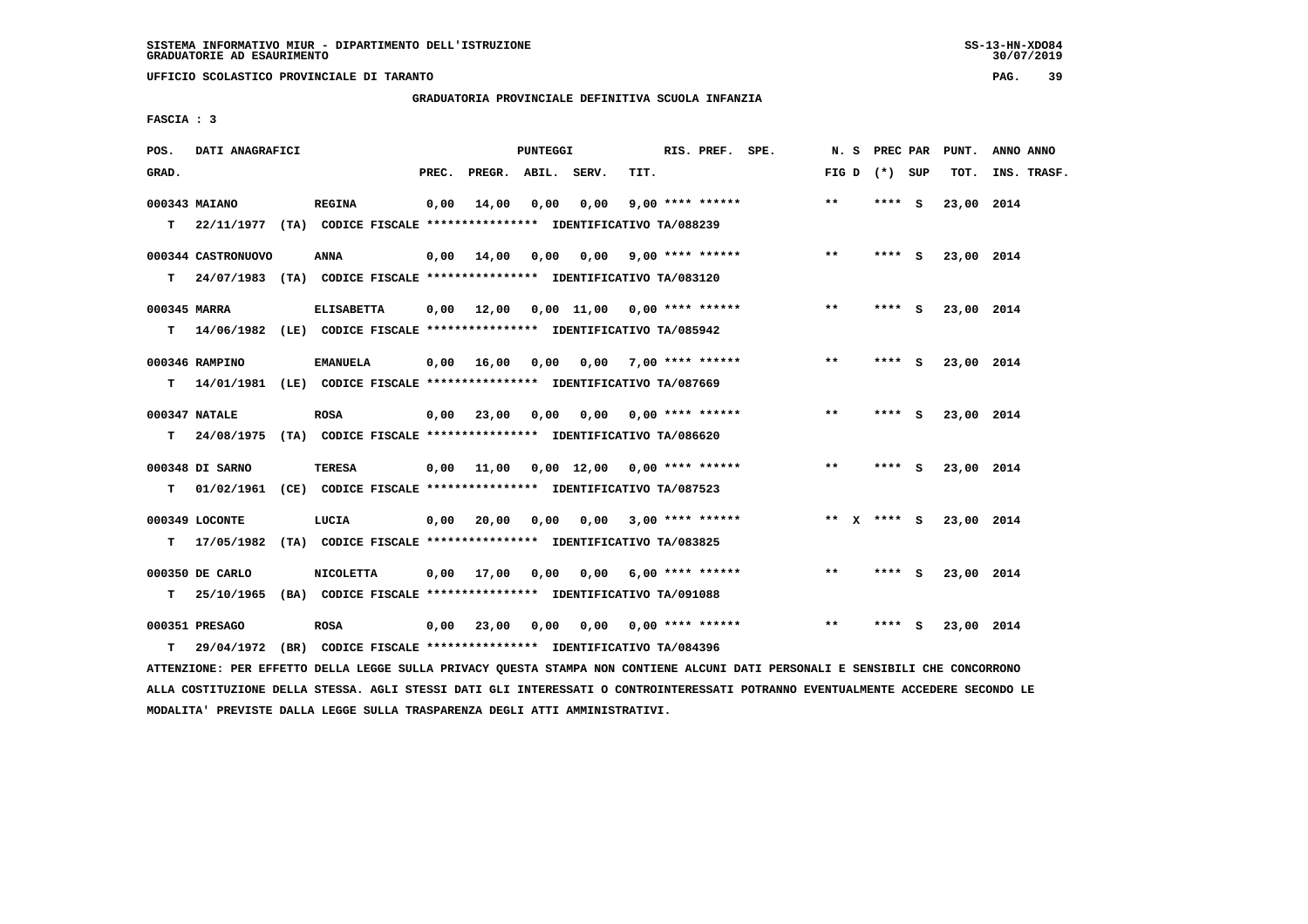**UFFICIO SCOLASTICO PROVINCIALE DI TARANTO PAG. 39**

 **GRADUATORIA PROVINCIALE DEFINITIVA SCUOLA INFANZIA**

 **FASCIA : 3**

| POS.         | DATI ANAGRAFICI    |                                                                                                                               |       |                    | PUNTEGGI |                                         |      | RIS. PREF. SPE.    |                                       |       |                 | N. S PREC PAR PUNT. | ANNO ANNO   |
|--------------|--------------------|-------------------------------------------------------------------------------------------------------------------------------|-------|--------------------|----------|-----------------------------------------|------|--------------------|---------------------------------------|-------|-----------------|---------------------|-------------|
| GRAD.        |                    |                                                                                                                               | PREC. | PREGR. ABIL. SERV. |          |                                         | TIT. |                    |                                       |       | FIG D $(*)$ SUP | тот.                | INS. TRASF. |
|              | 000343 MAIANO      | <b>REGINA</b>                                                                                                                 | 0,00  | 14,00              |          | 0,00 0,00                               |      | $9,00$ **** ****** |                                       | $* *$ | **** S          | 23,00 2014          |             |
|              |                    | T 22/11/1977 (TA) CODICE FISCALE *************** IDENTIFICATIVO TA/088239                                                     |       |                    |          |                                         |      |                    |                                       |       |                 |                     |             |
|              | 000344 CASTRONUOVO | <b>ANNA</b>                                                                                                                   |       |                    |          | 0,00 14,00 0,00 0,00 9,00 **** ******   |      |                    |                                       | $***$ | **** S          | 23,00 2014          |             |
|              |                    | T 24/07/1983 (TA) CODICE FISCALE *************** IDENTIFICATIVO TA/083120                                                     |       |                    |          |                                         |      |                    |                                       |       |                 |                     |             |
| 000345 MARRA |                    | <b>ELISABETTA</b>                                                                                                             |       |                    |          | 0,00 12,00 0,00 11,00 0,00 **** ******  |      |                    |                                       | $* *$ | **** S          | 23,00 2014          |             |
|              |                    | T 14/06/1982 (LE) CODICE FISCALE *************** IDENTIFICATIVO TA/085942                                                     |       |                    |          |                                         |      |                    |                                       |       |                 |                     |             |
|              | 000346 RAMPINO     | <b>EMANUELA</b>                                                                                                               |       |                    |          | 0,00 16,00 0,00 0,00 7,00 **** ******   |      |                    |                                       | $***$ | $***$ S         | 23,00 2014          |             |
|              |                    | T 14/01/1981 (LE) CODICE FISCALE *************** IDENTIFICATIVO TA/087669                                                     |       |                    |          |                                         |      |                    |                                       |       |                 |                     |             |
|              | 000347 NATALE      | <b>ROSA</b>                                                                                                                   |       |                    |          | $0,00$ 23,00 0,00 0,00 0,00 **** ****** |      |                    |                                       | $***$ | **** S          | 23,00 2014          |             |
|              |                    | T 24/08/1975 (TA) CODICE FISCALE **************** IDENTIFICATIVO TA/086620                                                    |       |                    |          |                                         |      |                    |                                       |       |                 |                     |             |
|              | 000348 DI SARNO    | <b>TERESA</b>                                                                                                                 |       |                    |          | 0,00 11,00 0,00 12,00 0,00 **** ******  |      |                    |                                       | $* *$ | $***$ S         | 23,00 2014          |             |
|              |                    | T 01/02/1961 (CE) CODICE FISCALE *************** IDENTIFICATIVO TA/087523                                                     |       |                    |          |                                         |      |                    |                                       |       |                 |                     |             |
|              | 000349 LOCONTE     | LUCIA                                                                                                                         |       |                    |          | $0,00$ 20,00 0,00 0,00 3,00 **** ****** |      |                    |                                       |       | ** x **** S     | 23,00 2014          |             |
|              |                    | T 17/05/1982 (TA) CODICE FISCALE **************** IDENTIFICATIVO TA/083825                                                    |       |                    |          |                                         |      |                    |                                       |       |                 |                     |             |
|              | 000350 DE CARLO    | <b>NICOLETTA</b>                                                                                                              |       |                    |          | $0,00$ 17,00 0,00 0,00 6,00 **** ****** |      |                    |                                       | $***$ | **** S          | 23,00 2014          |             |
|              |                    | T 25/10/1965 (BA) CODICE FISCALE **************** IDENTIFICATIVO TA/091088                                                    |       |                    |          |                                         |      |                    |                                       |       |                 |                     |             |
|              | 000351 PRESAGO     | <b>ROSA</b>                                                                                                                   |       |                    |          |                                         |      |                    | 0,00 23,00 0,00 0,00 0,00 **** ****** | $***$ | $***$ S         | 23,00 2014          |             |
| т            | 29/04/1972         | (BR) CODICE FISCALE **************** IDENTIFICATIVO TA/084396                                                                 |       |                    |          |                                         |      |                    |                                       |       |                 |                     |             |
|              |                    | ATTENZIONE: PER EFFETTO DELLA LEGGE SULLA PRIVACY QUESTA STAMPA NON CONTIENE ALCUNI DATI PERSONALI E SENSIBILI CHE CONCORRONO |       |                    |          |                                         |      |                    |                                       |       |                 |                     |             |

 **ALLA COSTITUZIONE DELLA STESSA. AGLI STESSI DATI GLI INTERESSATI O CONTROINTERESSATI POTRANNO EVENTUALMENTE ACCEDERE SECONDO LE MODALITA' PREVISTE DALLA LEGGE SULLA TRASPARENZA DEGLI ATTI AMMINISTRATIVI.**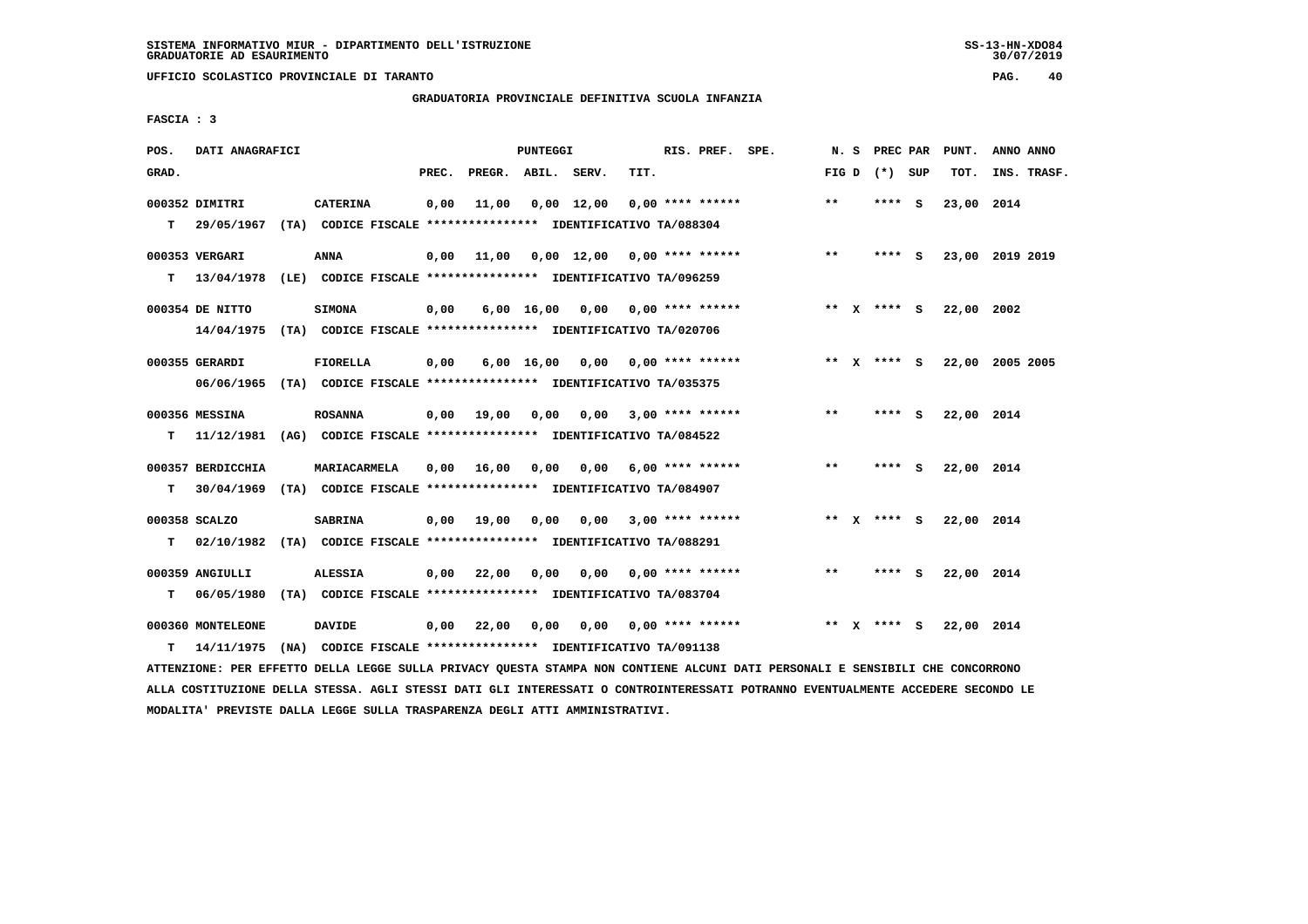**UFFICIO SCOLASTICO PROVINCIALE DI TARANTO PAG. 40**

### **GRADUATORIA PROVINCIALE DEFINITIVA SCUOLA INFANZIA**

 **FASCIA : 3**

| POS.  | DATI ANAGRAFICI              |                                                                                  |       |                    | PUNTEGGI   |                                     |      | RIS. PREF. SPE.           | N. S  |              | PREC PAR        |          | PUNT.      | ANNO ANNO       |  |
|-------|------------------------------|----------------------------------------------------------------------------------|-------|--------------------|------------|-------------------------------------|------|---------------------------|-------|--------------|-----------------|----------|------------|-----------------|--|
| GRAD. |                              |                                                                                  | PREC. | PREGR. ABIL. SERV. |            |                                     | TIT. |                           |       |              | FIG D $(*)$ SUP |          | TOT.       | INS. TRASF.     |  |
| т     | 000352 DIMITRI<br>29/05/1967 | <b>CATERINA</b><br>(TA) CODICE FISCALE **************** IDENTIFICATIVO TA/088304 | 0,00  | 11,00              |            | $0,00 \quad 12,00$                  |      | $0.00$ **** ******        | $**$  |              | **** S          |          | 23,00 2014 |                 |  |
|       | 000353 VERGARI               | ANNA                                                                             | 0,00  |                    |            | $11,00$ 0,00 12,00 0,00 **** ****** |      |                           | $***$ |              | **** S          |          |            | 23,00 2019 2019 |  |
| т     | 13/04/1978                   | (LE) CODICE FISCALE **************** IDENTIFICATIVO TA/096259                    |       |                    |            |                                     |      |                           |       |              |                 |          |            |                 |  |
|       | 000354 DE NITTO              | <b>SIMONA</b>                                                                    | 0,00  |                    |            | $6,00$ 16,00 0,00 0,00 **** ******  |      |                           |       |              | ** x **** S     |          | 22,00 2002 |                 |  |
|       |                              | 14/04/1975 (TA) CODICE FISCALE **************** IDENTIFICATIVO TA/020706         |       |                    |            |                                     |      |                           |       |              |                 |          |            |                 |  |
|       | 000355 GERARDI               | <b>FIORELLA</b>                                                                  | 0,00  |                    | 6,00 16,00 | 0,00 0,00 **** ******               |      |                           |       |              | ** x **** S     |          |            | 22,00 2005 2005 |  |
|       |                              | 06/06/1965 (TA) CODICE FISCALE *************** IDENTIFICATIVO TA/035375          |       |                    |            |                                     |      |                           |       |              |                 |          |            |                 |  |
|       | 000356 MESSINA               | <b>ROSANNA</b>                                                                   |       | 0,00 19,00         | 0,00       |                                     |      | $0,00$ 3,00 **** ******   | **    |              | ****            | - S      | 22,00 2014 |                 |  |
| т     |                              | 11/12/1981 (AG) CODICE FISCALE *************** IDENTIFICATIVO TA/084522          |       |                    |            |                                     |      |                           |       |              |                 |          |            |                 |  |
|       | 000357 BERDICCHIA            | MARIACARMELA                                                                     | 0,00  | 16,00              | 0,00       |                                     |      | $0,00$ 6,00 **** ******   | $***$ |              | ****            | <b>S</b> | 22,00 2014 |                 |  |
| т     |                              | 30/04/1969 (TA) CODICE FISCALE **************** IDENTIFICATIVO TA/084907         |       |                    |            |                                     |      |                           |       |              |                 |          |            |                 |  |
|       | 000358 SCALZO                | <b>SABRINA</b>                                                                   |       | $0,00$ 19,00       | 0,00       |                                     |      | $0,00$ 3,00 **** ******   |       |              | ** $X$ **** S   |          | 22,00 2014 |                 |  |
| т     |                              | 02/10/1982 (TA) CODICE FISCALE *************** IDENTIFICATIVO TA/088291          |       |                    |            |                                     |      |                           |       |              |                 |          |            |                 |  |
|       | 000359 ANGIULLI              | <b>ALESSIA</b>                                                                   | 0,00  | 22,00              | 0,00       | 0,00                                |      | $0.00$ **** ******        | $**$  |              | ****            | - S      | 22,00 2014 |                 |  |
| т     | 06/05/1980                   | (TA) CODICE FISCALE **************** IDENTIFICATIVO TA/083704                    |       |                    |            |                                     |      |                           |       |              |                 |          |            |                 |  |
|       | 000360 MONTELEONE            | <b>DAVIDE</b>                                                                    | 0,00  | 22,00              | 0,00       |                                     |      | $0,00$ $0,00$ **** ****** | **    | $\mathbf{x}$ | **** S          |          | 22,00 2014 |                 |  |
| т     | 14/11/1975                   | (NA) CODICE FISCALE **************** IDENTIFICATIVO TA/091138                    |       |                    |            |                                     |      |                           |       |              |                 |          |            |                 |  |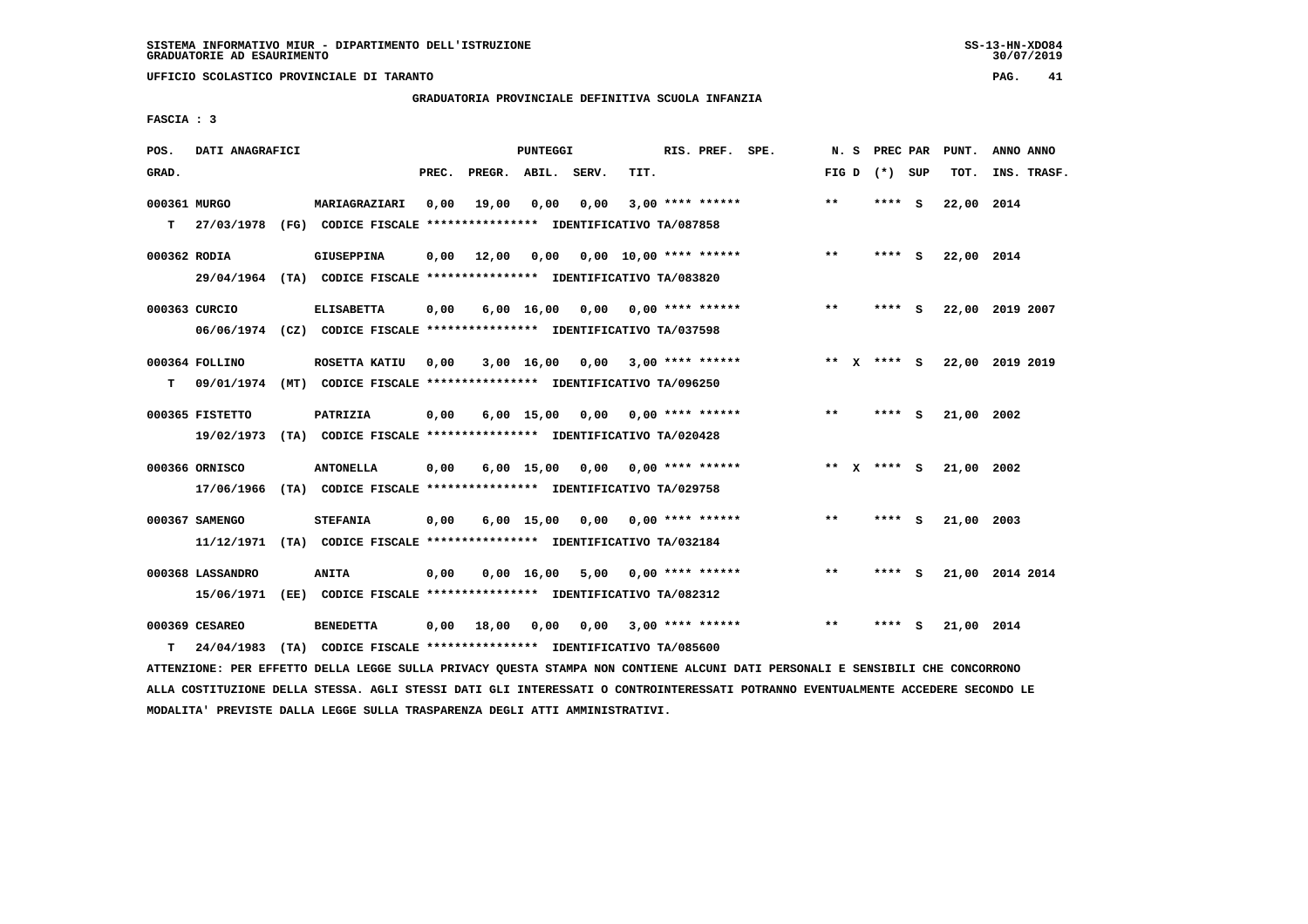**UFFICIO SCOLASTICO PROVINCIALE DI TARANTO PAG. 41**

# **GRADUATORIA PROVINCIALE DEFINITIVA SCUOLA INFANZIA**

 **FASCIA : 3**

| POS.         | DATI ANAGRAFICI  |                                                                                            |       |                    | PUNTEGGI     |                                         |      | RIS. PREF. SPE.         | N.S     | <b>PREC PAR</b> |     | PUNT.      | ANNO ANNO       |
|--------------|------------------|--------------------------------------------------------------------------------------------|-------|--------------------|--------------|-----------------------------------------|------|-------------------------|---------|-----------------|-----|------------|-----------------|
| GRAD.        |                  |                                                                                            | PREC. | PREGR. ABIL. SERV. |              |                                         | TIT. |                         |         | FIG D $(*)$ SUP |     | TOT.       | INS. TRASF.     |
| 000361 MURGO |                  | MARIAGRAZIARI                                                                              | 0,00  | 19,00              | 0,00         | 0,00                                    |      | $3,00$ **** ******      | $***$   | **** S          |     | 22,00 2014 |                 |
| T.           |                  | 27/03/1978 (FG) CODICE FISCALE **************** IDENTIFICATIVO TA/087858                   |       |                    |              |                                         |      |                         |         |                 |     |            |                 |
| 000362 RODIA |                  | <b>GIUSEPPINA</b>                                                                          | 0,00  | 12,00              |              | $0,00$ $0,00$ $10,00$ $***$ **** ****** |      |                         | $***$   | **** S          |     | 22,00 2014 |                 |
|              |                  | 29/04/1964 (TA) CODICE FISCALE *************** IDENTIFICATIVO TA/083820                    |       |                    |              |                                         |      |                         |         |                 |     |            |                 |
|              | 000363 CURCIO    | <b>ELISABETTA</b>                                                                          | 0,00  |                    |              | $6,00$ 16,00 0,00 0,00 **** ******      |      |                         | $* *$   | **** S          |     |            | 22,00 2019 2007 |
|              |                  | 06/06/1974 (CZ) CODICE FISCALE *************** IDENTIFICATIVO TA/037598                    |       |                    |              |                                         |      |                         |         |                 |     |            |                 |
|              | 000364 FOLLINO   | ROSETTA KATIU                                                                              | 0.00  |                    | 3,00 16,00   |                                         |      | $0.00$ 3.00 **** ****** |         | ** X **** S     |     |            | 22,00 2019 2019 |
| T.           |                  | 09/01/1974 (MT) CODICE FISCALE *************** IDENTIFICATIVO TA/096250                    |       |                    |              |                                         |      |                         |         |                 |     |            |                 |
|              | 000365 FISTETTO  | <b>PATRIZIA</b>                                                                            | 0,00  |                    |              | $6,00$ 15,00 0,00 0,00 **** ******      |      |                         | $***$   | ****            | - S | 21,00 2002 |                 |
|              | 19/02/1973       | (TA) CODICE FISCALE **************** IDENTIFICATIVO TA/020428                              |       |                    |              |                                         |      |                         |         |                 |     |            |                 |
|              | 000366 ORNISCO   | <b>ANTONELLA</b>                                                                           | 0,00  |                    |              | $6,00$ 15,00 0,00 0,00 **** ******      |      |                         | $***$ X | **** S          |     | 21,00 2002 |                 |
|              | 17/06/1966       | (TA) CODICE FISCALE **************** IDENTIFICATIVO TA/029758                              |       |                    |              |                                         |      |                         |         |                 |     |            |                 |
|              |                  |                                                                                            |       |                    |              |                                         |      |                         |         |                 |     |            |                 |
|              | 000367 SAMENGO   | <b>STEFANIA</b><br>11/12/1971 (TA) CODICE FISCALE *************** IDENTIFICATIVO TA/032184 | 0,00  |                    |              | $6,00$ 15,00 0,00 0,00 **** ******      |      |                         | $* *$   | **** S          |     | 21,00 2003 |                 |
|              |                  |                                                                                            |       |                    |              |                                         |      |                         |         |                 |     |            |                 |
|              | 000368 LASSANDRO | <b>ANITA</b>                                                                               | 0,00  |                    | $0.00$ 16.00 |                                         |      | $5,00$ 0,00 **** ****** | **      | **** S          |     |            | 21,00 2014 2014 |
|              | 15/06/1971       | (EE) CODICE FISCALE **************** IDENTIFICATIVO TA/082312                              |       |                    |              |                                         |      |                         |         |                 |     |            |                 |
|              | 000369 CESAREO   | <b>BENEDETTA</b>                                                                           | 0,00  | 18,00              | 0,00         |                                         |      | $0.00$ 3.00 **** ****** | **      | **** S          |     | 21,00 2014 |                 |
| т            | 24/04/1983       | (TA) CODICE FISCALE **************** IDENTIFICATIVO TA/085600                              |       |                    |              |                                         |      |                         |         |                 |     |            |                 |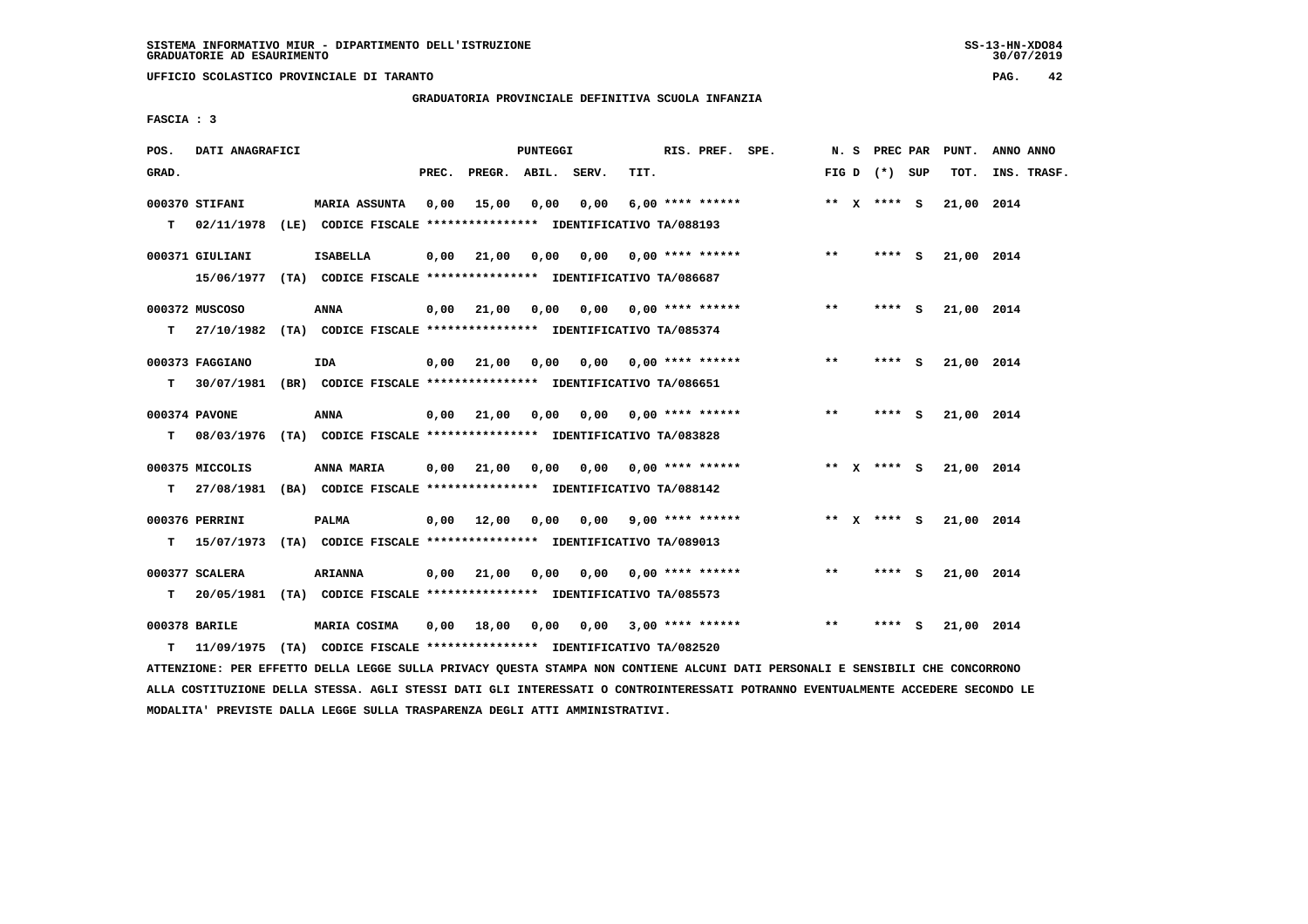**UFFICIO SCOLASTICO PROVINCIALE DI TARANTO PAG. 42**

# **GRADUATORIA PROVINCIALE DEFINITIVA SCUOLA INFANZIA**

 **FASCIA : 3**

| POS.  | DATI ANAGRAFICI |                                                                                           |       |                                         | PUNTEGGI |                                  |      | RIS. PREF. SPE.  |                                         |              |                 |        | N. S PREC PAR PUNT. | ANNO ANNO   |
|-------|-----------------|-------------------------------------------------------------------------------------------|-------|-----------------------------------------|----------|----------------------------------|------|------------------|-----------------------------------------|--------------|-----------------|--------|---------------------|-------------|
| GRAD. |                 |                                                                                           | PREC. | PREGR. ABIL. SERV.                      |          |                                  | TIT. |                  |                                         |              | FIG D $(*)$ SUP |        | тот.                | INS. TRASF. |
|       | 000370 STIFANI  | MARIA ASSUNTA 0,00                                                                        |       | 15,00                                   | 0,00     | 0,00                             |      | 6,00 **** ****** |                                         |              | ** $X$ **** S   |        | 21,00 2014          |             |
| T.    |                 | 02/11/1978 (LE) CODICE FISCALE **************** IDENTIFICATIVO TA/088193                  |       |                                         |          |                                  |      |                  |                                         |              |                 |        |                     |             |
|       | 000371 GIULIANI | <b>ISABELLA</b>                                                                           |       |                                         |          |                                  |      |                  | $0,00$ 21,00 0,00 0,00 0,00 **** ****** | $* *$        | $***$ S         |        | 21,00 2014          |             |
|       |                 | 15/06/1977 (TA) CODICE FISCALE *************** IDENTIFICATIVO TA/086687                   |       |                                         |          |                                  |      |                  |                                         |              |                 |        |                     |             |
|       | 000372 MUSCOSO  | <b>ANNA</b>                                                                               |       | $0,00$ $21,00$                          |          | 0,00 0,00 0,00 **** ******       |      |                  |                                         | $***$        | **** S          |        | 21,00 2014          |             |
|       |                 | T 27/10/1982 (TA) CODICE FISCALE **************** IDENTIFICATIVO TA/085374                |       |                                         |          |                                  |      |                  |                                         |              |                 |        |                     |             |
|       | 000373 FAGGIANO | IDA                                                                                       |       | 0,00 21,00                              |          |                                  |      |                  | $0,00$ $0,00$ $0,00$ $***$ **** ******  | $* *$        | $***5$          |        | 21,00 2014          |             |
| т     |                 | 30/07/1981 (BR) CODICE FISCALE **************** IDENTIFICATIVO TA/086651                  |       |                                         |          |                                  |      |                  |                                         |              |                 |        |                     |             |
|       | 000374 PAVONE   | <b>ANNA</b>                                                                               |       | 0,00 21,00 0,00 0,00 0,00 **** ******   |          |                                  |      |                  |                                         | $\star\star$ | $***$ S         |        | 21,00 2014          |             |
| T.    |                 | 08/03/1976 (TA) CODICE FISCALE **************** IDENTIFICATIVO TA/083828                  |       |                                         |          |                                  |      |                  |                                         |              |                 |        |                     |             |
|       | 000375 MICCOLIS | ANNA MARIA                                                                                |       |                                         |          |                                  |      |                  | $0,00$ 21,00 0,00 0,00 0,00 **** ****** |              | ** x **** S     |        | 21,00 2014          |             |
|       |                 | T 27/08/1981 (BA) CODICE FISCALE **************** IDENTIFICATIVO TA/088142                |       |                                         |          |                                  |      |                  |                                         |              |                 |        |                     |             |
|       |                 |                                                                                           |       |                                         |          |                                  |      |                  |                                         |              |                 |        |                     |             |
|       | 000376 PERRINI  | <b>PALMA</b><br>T 15/07/1973 (TA) CODICE FISCALE *************** IDENTIFICATIVO TA/089013 |       |                                         |          |                                  |      |                  | $0,00$ 12,00 0,00 0,00 9,00 **** ****** |              | ** x **** s     |        | 21,00 2014          |             |
|       |                 |                                                                                           |       |                                         |          |                                  |      |                  |                                         |              |                 |        |                     |             |
|       | 000377 SCALERA  | <b>ARIANNA</b>                                                                            |       | $0,00$ 21,00 0,00 0,00 0,00 **** ****** |          |                                  |      |                  |                                         | $***$        |                 | **** S | 21,00 2014          |             |
| T.    |                 | 20/05/1981 (TA) CODICE FISCALE **************** IDENTIFICATIVO TA/085573                  |       |                                         |          |                                  |      |                  |                                         |              |                 |        |                     |             |
|       | 000378 BARILE   | MARIA COSIMA                                                                              | 0,00  | 18,00                                   |          | $0,00$ $0,00$ $3,00$ **** ****** |      |                  |                                         | **           | ****            | - 5    | 21,00 2014          |             |
| т     |                 | 11/09/1975 (TA) CODICE FISCALE *************** IDENTIFICATIVO TA/082520                   |       |                                         |          |                                  |      |                  |                                         |              |                 |        |                     |             |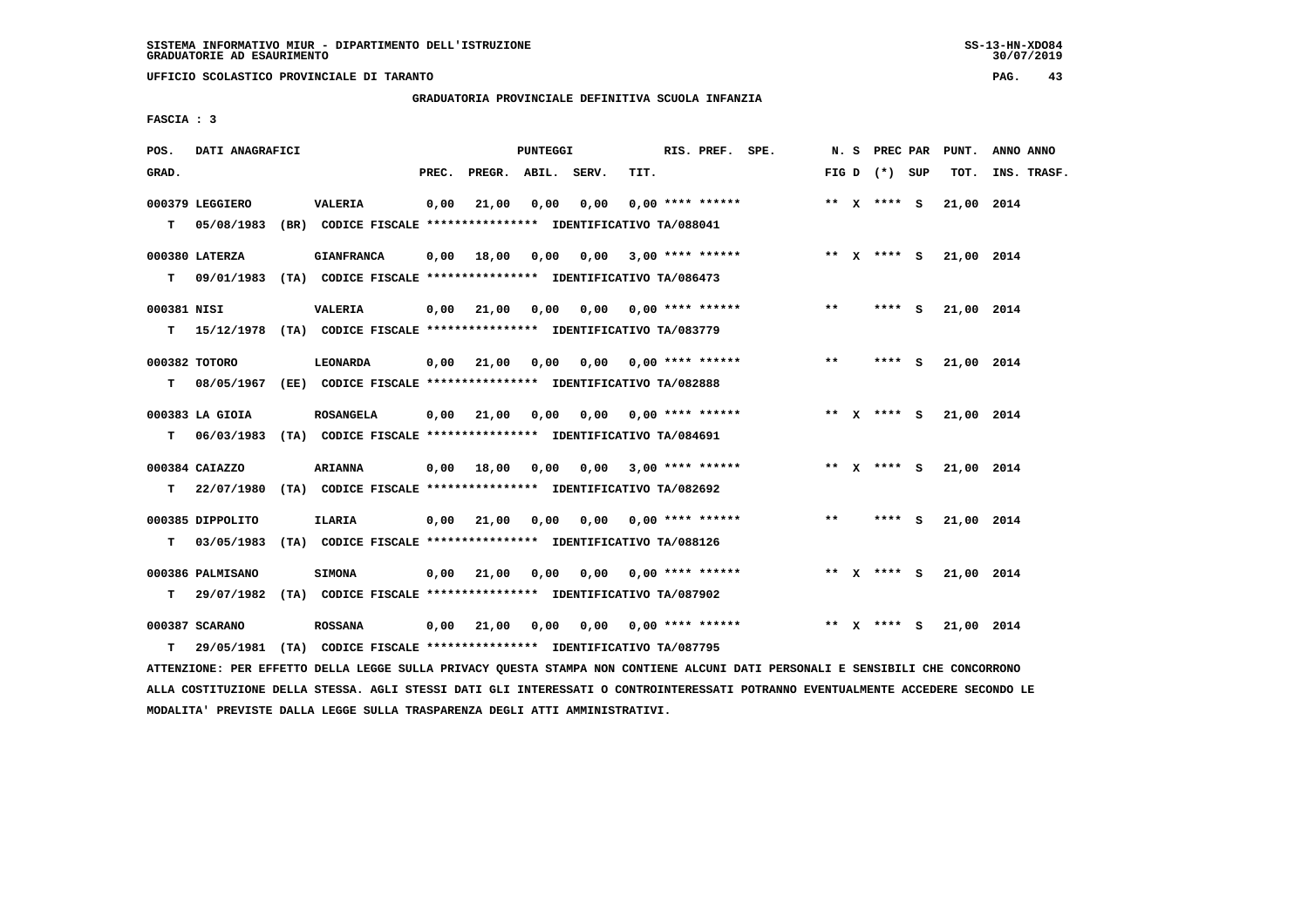**UFFICIO SCOLASTICO PROVINCIALE DI TARANTO PAG. 43**

# **GRADUATORIA PROVINCIALE DEFINITIVA SCUOLA INFANZIA**

 **FASCIA : 3**

| POS.        | DATI ANAGRAFICI                |                                                                                                |       |                       | PUNTEGGI |                         |      | RIS. PREF. SPE.           |                                                                     |       |                 | N. S PREC PAR PUNT. | ANNO ANNO   |
|-------------|--------------------------------|------------------------------------------------------------------------------------------------|-------|-----------------------|----------|-------------------------|------|---------------------------|---------------------------------------------------------------------|-------|-----------------|---------------------|-------------|
| GRAD.       |                                |                                                                                                | PREC. | PREGR. ABIL. SERV.    |          |                         | TIT. |                           |                                                                     |       | FIG D $(*)$ SUP | тот.                | INS. TRASF. |
| T.          | 000379 LEGGIERO<br>05/08/1983  | <b>VALERIA</b><br>(BR) CODICE FISCALE **************** IDENTIFICATIVO TA/088041                | 0,00  | 21,00                 | 0,00     | 0,00                    |      | $0.00$ **** ******        |                                                                     |       | ** $X$ **** S   | 21,00 2014          |             |
|             | 000380 LATERZA                 | <b>GIANFRANCA</b><br>T 09/01/1983 (TA) CODICE FISCALE *************** IDENTIFICATIVO TA/086473 | 0,00  |                       |          |                         |      |                           | 18,00 0,00 0,00 3,00 **** ******             ** x **** s 21,00 2014 |       |                 |                     |             |
| 000381 NISI |                                | <b>VALERIA</b><br>T 15/12/1978 (TA) CODICE FISCALE *************** IDENTIFICATIVO TA/083779    |       | 0,00 21,00            | 0,00     |                         |      | $0,00$ 0,00 **** ******   |                                                                     | **    | $***$ S         | 21,00 2014          |             |
| T.          | 000382 TOTORO                  | LEONARDA<br>08/05/1967 (EE) CODICE FISCALE *************** IDENTIFICATIVO TA/082888            |       | 0.00 21.00            | 0,00     |                         |      |                           | $0.00$ $0.00$ **** ******                                           | $**$  | **** S          | 21,00 2014          |             |
|             | 000383 LA GIOIA                | ROSANGELA<br>T 06/03/1983 (TA) CODICE FISCALE *************** IDENTIFICATIVO TA/084691         |       | 0.00 21.00            | 0,00     |                         |      | $0.00$ $0.00$ **** ****** |                                                                     |       | ** x **** s     | 21,00 2014          |             |
| T.          | 000384 CAIAZZO                 | <b>ARIANNA</b><br>22/07/1980 (TA) CODICE FISCALE *************** IDENTIFICATIVO TA/082692      |       | $0,00$ $18,00$ $0,00$ |          | $0,00$ 3,00 **** ****** |      |                           |                                                                     |       | ** $X$ **** S   | 21,00 2014          |             |
| т           | 000385 DIPPOLITO<br>03/05/1983 | <b>ILARIA</b><br>(TA) CODICE FISCALE **************** IDENTIFICATIVO TA/088126                 |       | $0,00$ 21,00 0,00     |          |                         |      | $0,00$ $0,00$ **** ****** |                                                                     | $***$ | **** S          | 21,00 2014          |             |
| т           | 000386 PALMISANO               | <b>SIMONA</b><br>29/07/1982 (TA) CODICE FISCALE **************** IDENTIFICATIVO TA/087902      |       | $0,00$ 21,00          | 0,00     |                         |      | $0,00$ $0,00$ **** ****** |                                                                     |       | ** X **** S     | 21,00 2014          |             |
| т           | 000387 SCARANO                 | <b>ROSSANA</b><br>29/05/1981 (TA) CODICE FISCALE **************** IDENTIFICATIVO TA/087795     | 0,00  | 21,00                 | 0,00     |                         |      | $0.00$ $0.00$ **** ****** |                                                                     |       | ** x **** s     | 21,00 2014          |             |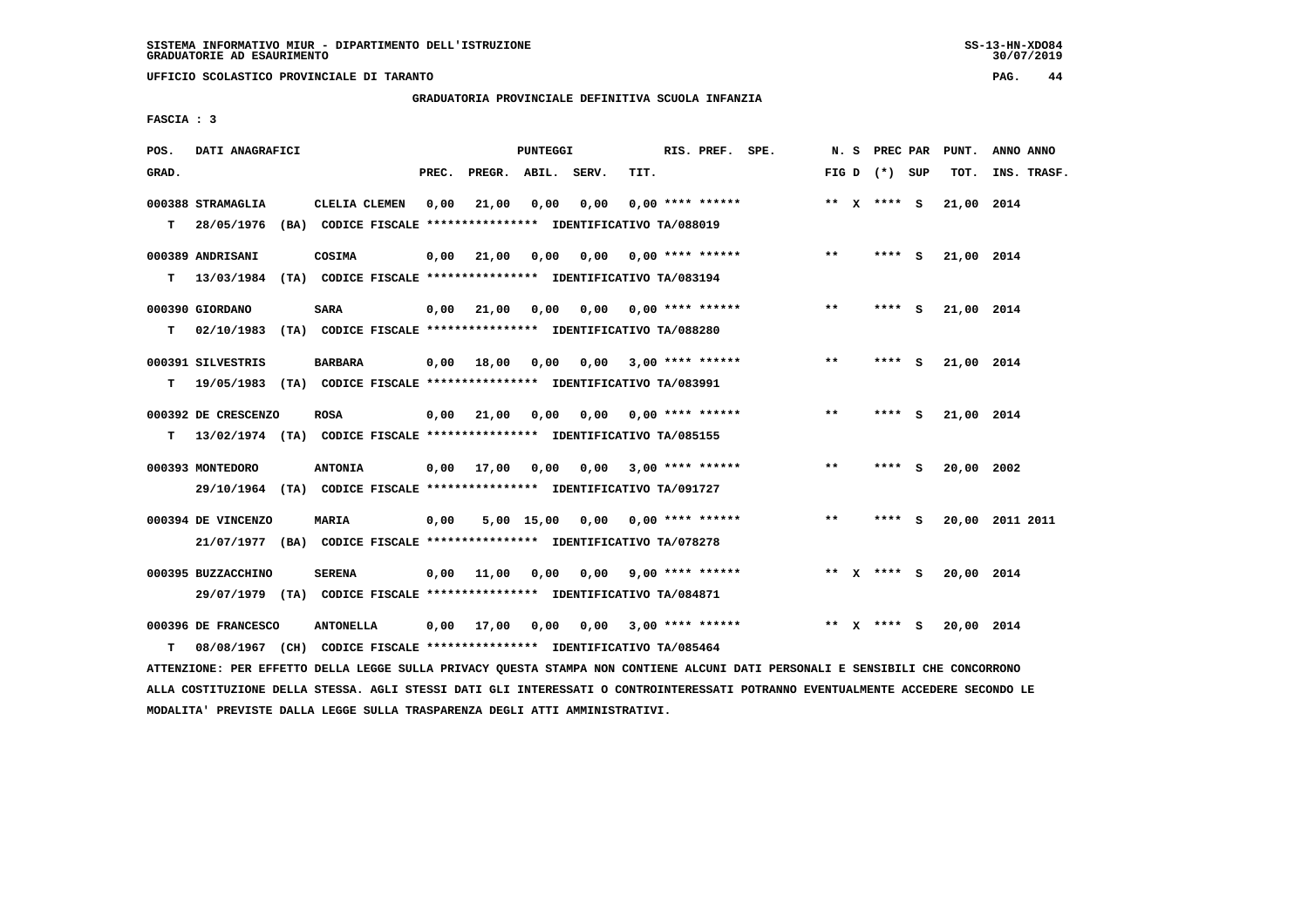**UFFICIO SCOLASTICO PROVINCIALE DI TARANTO PAG. 44**

 **GRADUATORIA PROVINCIALE DEFINITIVA SCUOLA INFANZIA**

 **FASCIA : 3**

| POS.  | DATI ANAGRAFICI                 |                                                                                             |                       | PUNTEGGI        | RIS. PREF. SPE.           |       | N. S PREC PAR   | PUNT.      | ANNO ANNO       |
|-------|---------------------------------|---------------------------------------------------------------------------------------------|-----------------------|-----------------|---------------------------|-------|-----------------|------------|-----------------|
| GRAD. |                                 | PREC.                                                                                       | PREGR. ABIL. SERV.    | TIT.            |                           |       | FIG D $(*)$ SUP | TOT.       | INS. TRASF.     |
| T.    | 000388 STRAMAGLIA<br>28/05/1976 | CLELIA CLEMEN<br>0,00<br>(BA) CODICE FISCALE *************** IDENTIFICATIVO TA/088019       | 21,00<br>0,00         | 0,00            | $0.00$ **** ******        |       | ** $X$ **** S   | 21,00 2014 |                 |
| т     | 000389 ANDRISANI<br>13/03/1984  | COSIMA<br>(TA) CODICE FISCALE **************** IDENTIFICATIVO TA/083194                     | 0,00<br>21,00<br>0,00 | 0,00            | $0.00$ **** ******        | $* *$ | **** S          | 21,00 2014 |                 |
| т     | 000390 GIORDANO                 | <b>SARA</b><br>02/10/1983 (TA) CODICE FISCALE *************** IDENTIFICATIVO TA/088280      | $0,00$ $21,00$ $0,00$ |                 | $0,00$ $0,00$ **** ****** | $***$ | **** S          | 21,00 2014 |                 |
| T.    | 000391 SILVESTRIS               | <b>BARBARA</b><br>19/05/1983 (TA) CODICE FISCALE *************** IDENTIFICATIVO TA/083991   | $0,00$ 18,00<br>0,00  |                 | $0.00$ 3.00 **** ******   | $***$ | **** S          | 21,00 2014 |                 |
| т     | 000392 DE CRESCENZO             | <b>ROSA</b><br>13/02/1974 (TA) CODICE FISCALE *************** IDENTIFICATIVO TA/085155      | 0,00 21,00            | 0,00<br>0,00    | $0.00$ **** ******        | $* *$ | ్<br>****       | 21,00 2014 |                 |
|       | 000393 MONTEDORO                | <b>ANTONIA</b><br>29/10/1964 (TA) CODICE FISCALE *************** IDENTIFICATIVO TA/091727   | $0,00$ 17,00<br>0,00  |                 | $0,00$ 3,00 **** ******   | $* *$ | **** S          | 20,00 2002 |                 |
|       | 000394 DE VINCENZO              | <b>MARIA</b><br>21/07/1977 (BA) CODICE FISCALE *************** IDENTIFICATIVO TA/078278     | 0,00                  | 5,00 15,00 0,00 | $0.00$ **** ******        | $***$ | ****<br>- S     |            | 20,00 2011 2011 |
|       | 000395 BUZZACCHINO              | <b>SERENA</b><br>29/07/1979 (TA) CODICE FISCALE *************** IDENTIFICATIVO TA/084871    | 0,00 11,00 0,00       | 0,00            | $9,00$ **** ******        |       | ** x **** s     | 20,00 2014 |                 |
| т     | 000396 DE FRANCESCO             | <b>ANTONELLA</b><br>08/08/1967 (CH) CODICE FISCALE *************** IDENTIFICATIVO TA/085464 | $0,00$ 17,00<br>0,00  |                 | $0,00$ 3,00 **** ******   |       | ** x **** s     | 20,00 2014 |                 |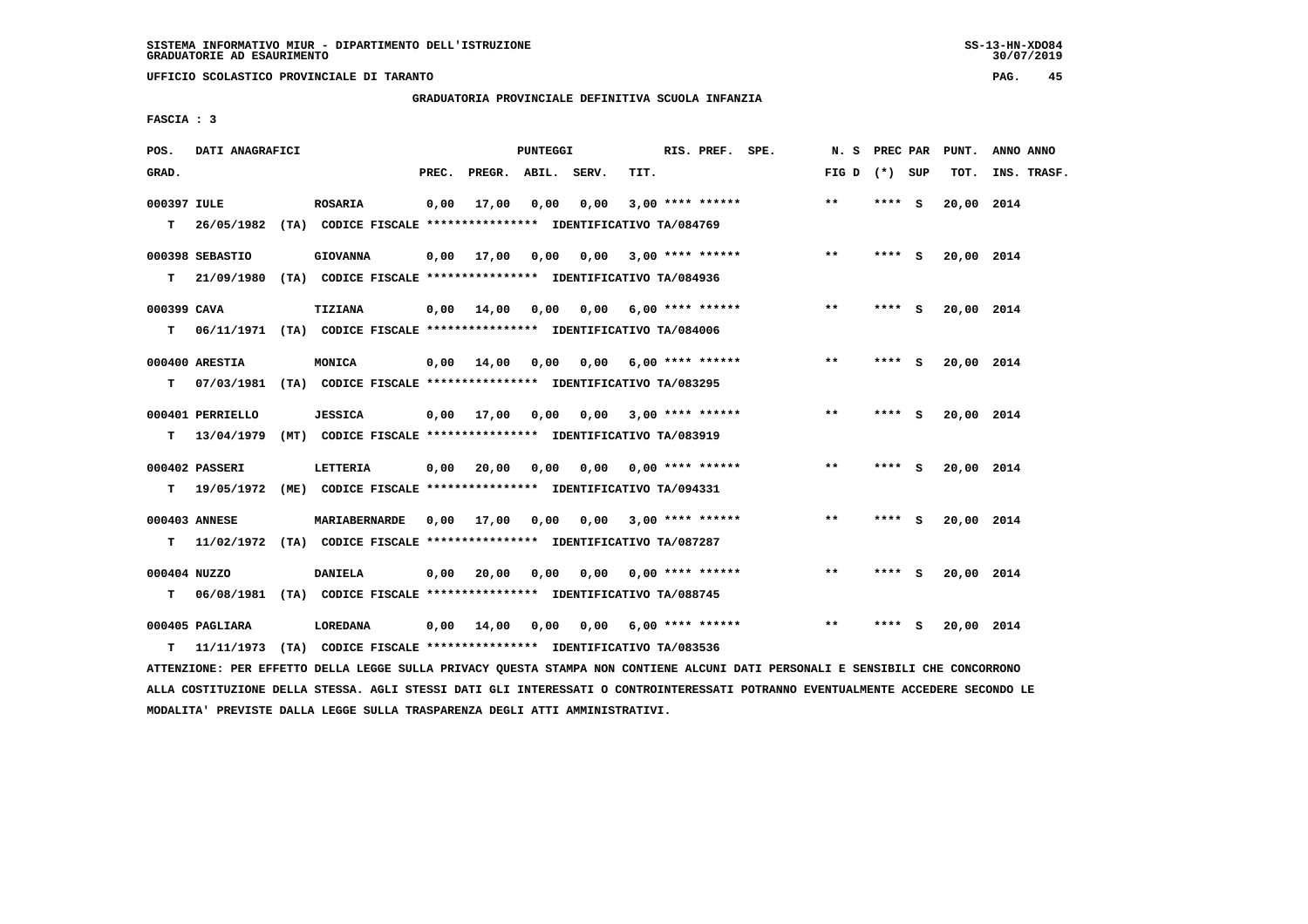**UFFICIO SCOLASTICO PROVINCIALE DI TARANTO PAG. 45**

 **GRADUATORIA PROVINCIALE DEFINITIVA SCUOLA INFANZIA**

 **FASCIA : 3**

| POS.              | DATI ANAGRAFICI  |                                                                                                   |                |                                         | PUNTEGGI |      |      | RIS. PREF. SPE.           |                                         | N. S PREC PAR   |         |     | PUNT.      | ANNO ANNO   |
|-------------------|------------------|---------------------------------------------------------------------------------------------------|----------------|-----------------------------------------|----------|------|------|---------------------------|-----------------------------------------|-----------------|---------|-----|------------|-------------|
| GRAD.             |                  |                                                                                                   | PREC.          | PREGR. ABIL. SERV.                      |          |      | TIT. |                           |                                         | FIG D $(*)$ SUP |         |     | TOT.       | INS. TRASF. |
| 000397 IULE<br>T. |                  | <b>ROSARIA</b><br>26/05/1982 (TA) CODICE FISCALE **************** IDENTIFICATIVO TA/084769        |                | $0,00$ 17,00                            | 0,00     | 0,00 |      | $3,00$ **** ******        |                                         | $* *$           | **** S  |     | 20,00 2014 |             |
| T.                | 000398 SEBASTIO  | <b>GIOVANNA</b><br>21/09/1980 (TA) CODICE FISCALE *************** IDENTIFICATIVO TA/084936        |                | $0,00$ $17,00$ $0,00$ $0,00$            |          |      |      |                           | $3,00$ **** ******                      | $***$           | **** S  |     | 20,00 2014 |             |
| 000399 CAVA       |                  | TIZIANA                                                                                           |                | $0.00$ 14.00 0.00 0.00 6.00 **** ****** |          |      |      |                           |                                         | $***$           | **** S  |     | 20,00 2014 |             |
| T.                | 000400 ARESTIA   | 06/11/1971 (TA) CODICE FISCALE **************** IDENTIFICATIVO TA/084006<br>MONICA                |                | 0,00 14,00                              | 0,00     |      |      | $0,00$ 6,00 **** ******   |                                         | $* *$           | **** S  |     | 20,00 2014 |             |
| т                 | 000401 PERRIELLO | 07/03/1981 (TA) CODICE FISCALE **************** IDENTIFICATIVO TA/083295<br><b>JESSICA</b>        |                | $0.00$ $17.00$ $0.00$                   |          |      |      | $0.00$ 3.00 **** ******   |                                         | $***$           | **** S  |     | 20,00 2014 |             |
| T.                | 000402 PASSERI   | 13/04/1979 (MT) CODICE FISCALE *************** IDENTIFICATIVO TA/083919<br>LETTERIA               |                |                                         |          |      |      |                           | $0,00$ 20,00 0,00 0,00 0,00 **** ****** | $***$           | **** S  |     | 20,00 2014 |             |
|                   |                  | T 19/05/1972 (ME) CODICE FISCALE *************** IDENTIFICATIVO TA/094331                         |                |                                         |          |      |      |                           |                                         |                 |         |     |            |             |
|                   | 000403 ANNESE    | <b>MARIABERNARDE</b><br>T 11/02/1972 (TA) CODICE FISCALE *************** IDENTIFICATIVO TA/087287 |                | $0,00$ $17,00$ $0,00$                   |          |      |      | $0.00$ 3.00 **** ******   |                                         | $* *$           | $***$ S |     | 20,00 2014 |             |
| 000404 NUZZO      |                  | <b>DANIELA</b>                                                                                    |                | $0,00$ 20,00                            | 0.00     |      |      | $0.00$ $0.00$ **** ****** |                                         | $***$           | **** S  |     | 20,00 2014 |             |
|                   | 000405 PAGLIARA  | T 06/08/1981 (TA) CODICE FISCALE **************** IDENTIFICATIVO TA/088745<br>LOREDANA            | $0,00$ $14,00$ |                                         | 0,00     |      |      |                           | $0.00$ 6.00 **** ******                 | $* *$           | ****    | - 5 | 20,00 2014 |             |
| т                 |                  | 11/11/1973 (TA) CODICE FISCALE **************** IDENTIFICATIVO TA/083536                          |                |                                         |          |      |      |                           |                                         |                 |         |     |            |             |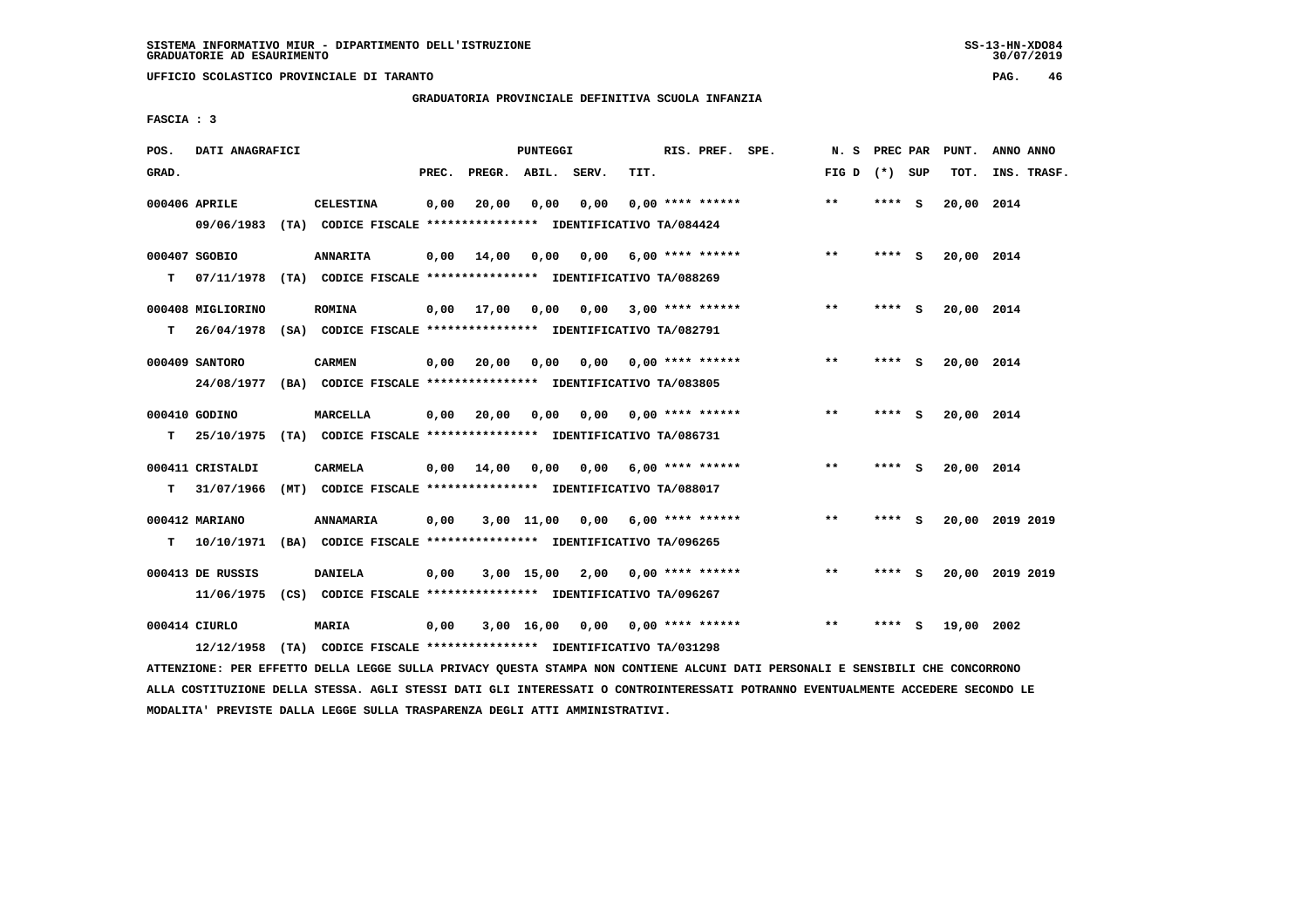**UFFICIO SCOLASTICO PROVINCIALE DI TARANTO PAG. 46**

# **GRADUATORIA PROVINCIALE DEFINITIVA SCUOLA INFANZIA**

 **FASCIA : 3**

| POS.  | DATI ANAGRAFICI                 |                                                                                             |       |              | <b>PUNTEGGI</b>    |       |      | RIS. PREF. SPE.           | N.S             | PREC PAR |          | PUNT.      | ANNO ANNO       |
|-------|---------------------------------|---------------------------------------------------------------------------------------------|-------|--------------|--------------------|-------|------|---------------------------|-----------------|----------|----------|------------|-----------------|
| GRAD. |                                 |                                                                                             | PREC. | PREGR. ABIL. |                    | SERV. | TIT. |                           | FIG D $(*)$ SUP |          |          | TOT.       | INS. TRASF.     |
|       | 000406 APRILE                   | <b>CELESTINA</b><br>09/06/1983 (TA) CODICE FISCALE *************** IDENTIFICATIVO TA/084424 | 0,00  | 20,00        | 0,00               | 0,00  |      | $0.00$ **** ******        | $**$            | **** S   |          | 20,00 2014 |                 |
| т     | 000407 SGOBIO<br>07/11/1978     | <b>ANNARITA</b><br>(TA) CODICE FISCALE **************** IDENTIFICATIVO TA/088269            | 0,00  | 14,00        | 0,00               | 0,00  |      | $6,00$ **** ******        | $* *$           | **** S   |          | 20,00 2014 |                 |
| т     | 000408 MIGLIORINO<br>26/04/1978 | <b>ROMINA</b><br>(SA) CODICE FISCALE **************** IDENTIFICATIVO TA/082791              | 0,00  | 17,00        | 0,00               |       |      | $0,00$ 3,00 **** ******   | $***$           | **** S   |          | 20,00 2014 |                 |
|       | 000409 SANTORO<br>24/08/1977    | <b>CARMEN</b><br>(BA) CODICE FISCALE **************** IDENTIFICATIVO TA/083805              | 0,00  | 20,00        | 0,00               | 0,00  |      | $0.00$ **** ******        | $* *$           | ****     | - 5      | 20,00 2014 |                 |
| т     | 000410 GODINO<br>25/10/1975     | <b>MARCELLA</b><br>(TA) CODICE FISCALE **************** IDENTIFICATIVO TA/086731            | 0,00  | 20,00        | 0,00               | 0,00  |      | $0.00$ **** ******        | $**$            | ****     | <b>S</b> | 20,00 2014 |                 |
| т     | 000411 CRISTALDI<br>31/07/1966  | <b>CARMELA</b><br>(MT) CODICE FISCALE **************** IDENTIFICATIVO TA/088017             | 0.00  | 14,00        | 0.00               | 0.00  |      | 6,00 **** ******          | $**$            | **** S   |          | 20,00 2014 |                 |
| т     | 000412 MARIANO<br>10/10/1971    | ANNAMARIA<br>(BA) CODICE FISCALE **************** IDENTIFICATIVO TA/096265                  | 0,00  |              | 3,00 11,00         | 0,00  |      | $6.00$ **** ******        | $***$           | ****     | <b>S</b> |            | 20,00 2019 2019 |
|       | 000413 DE RUSSIS<br>11/06/1975  | <b>DANIELA</b><br>(CS) CODICE FISCALE **************** IDENTIFICATIVO TA/096267             | 0,00  |              | 3,00 15,00         | 2,00  |      | $0.00$ **** ******        | $**$            | ****     | - S      |            | 20,00 2019 2019 |
|       | 000414 CIURLO<br>12/12/1958     | MARIA<br>(TA) CODICE FISCALE **************** IDENTIFICATIVO TA/031298                      | 0,00  |              | $3,00 \quad 16,00$ |       |      | $0,00$ $0,00$ **** ****** | $* *$           | ****     | s        | 19,00 2002 |                 |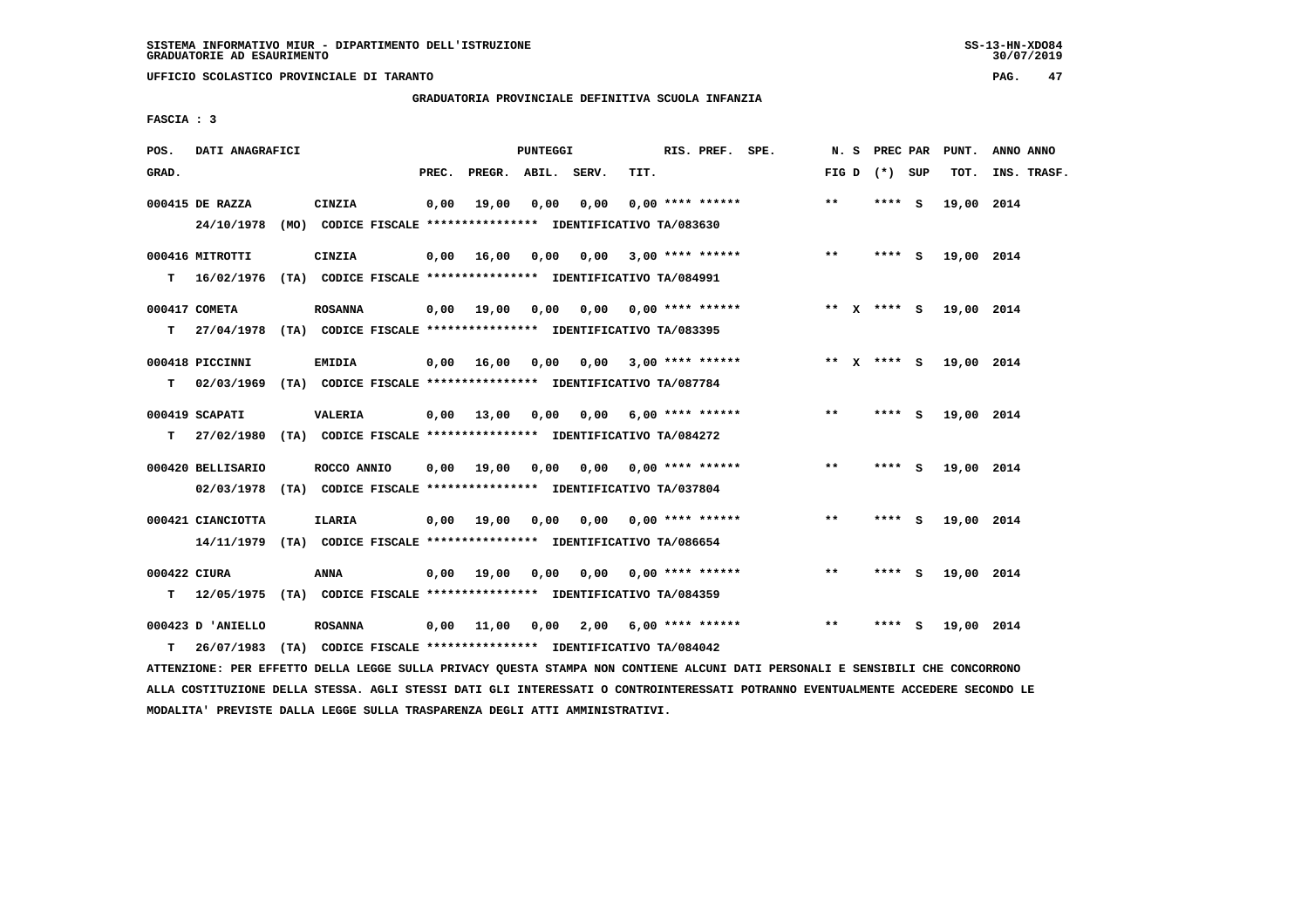**UFFICIO SCOLASTICO PROVINCIALE DI TARANTO PAG. 47**

## **GRADUATORIA PROVINCIALE DEFINITIVA SCUOLA INFANZIA**

 **FASCIA : 3**

| POS.               | DATI ANAGRAFICI                                                                              |                |       |                       | PUNTEGGI |                                                                                               |      | RIS. PREF. SPE.           | N. S  | PREC PAR        |     | PUNT.      | ANNO ANNO   |
|--------------------|----------------------------------------------------------------------------------------------|----------------|-------|-----------------------|----------|-----------------------------------------------------------------------------------------------|------|---------------------------|-------|-----------------|-----|------------|-------------|
| GRAD.              |                                                                                              |                | PREC. | PREGR. ABIL.          |          | SERV.                                                                                         | TIT. |                           |       | FIG D $(*)$ SUP |     | TOT.       | INS. TRASF. |
|                    | 000415 DE RAZZA<br>24/10/1978                                                                | CINZIA         | 0,00  | 19,00                 | 0,00     | 0,00<br>(MO) CODICE FISCALE **************** IDENTIFICATIVO TA/083630                         |      | $0.00$ **** ******        | $**$  | **** S          |     | 19,00 2014 |             |
| T.                 | 000416 MITROTTI<br>16/02/1976 (TA) CODICE FISCALE *************** IDENTIFICATIVO TA/084991   | CINZIA         | 0,00  | 16,00                 | 0,00     | 0,00                                                                                          |      | $3,00$ **** ******        | $***$ | $***$ S         |     | 19,00 2014 |             |
| т                  | 000417 COMETA<br>27/04/1978 (TA) CODICE FISCALE **************** IDENTIFICATIVO TA/083395    | <b>ROSANNA</b> |       | $0,00$ $19,00$ $0,00$ |          |                                                                                               |      | $0,00$ $0,00$ **** ****** |       | ** x **** S     |     | 19,00 2014 |             |
| т                  | 000418 PICCINNI<br>02/03/1969 (TA) CODICE FISCALE **************** IDENTIFICATIVO TA/087784  | EMIDIA         |       | $0,00$ 16,00          | 0,00     | 0.00                                                                                          |      | $3.00$ **** ******        |       | ** x **** s     |     | 19,00 2014 |             |
| т                  | 000419 SCAPATI<br>27/02/1980 (TA) CODICE FISCALE *************** IDENTIFICATIVO TA/084272    | <b>VALERIA</b> |       | $0,00$ 13,00          | 0,00     |                                                                                               |      | $0,00$ 6,00 **** ******   | $**$  | **** $S$        |     | 19,00 2014 |             |
|                    | 000420 BELLISARIO<br>02/03/1978 (TA) CODICE FISCALE *************** IDENTIFICATIVO TA/037804 | ROCCO ANNIO    |       | $0,00$ $19,00$ $0,00$ |          |                                                                                               |      | $0,00$ $0,00$ **** ****** | $***$ | **** S          |     | 19,00 2014 |             |
|                    | 000421 CIANCIOTTA<br>14/11/1979 (TA) CODICE FISCALE *************** IDENTIFICATIVO TA/086654 | ILARIA         |       | $0,00$ 19,00          | 0,00     | 0,00                                                                                          |      | $0.00$ **** ******        | $**$  | **** S          |     | 19,00 2014 |             |
| 000422 CIURA<br>T. | 12/05/1975 (TA) CODICE FISCALE *************** IDENTIFICATIVO TA/084359                      | ANNA           | 0,00  | 19,00                 | 0,00     |                                                                                               |      | $0,00$ $0,00$ **** ****** | $**$  | **** S          |     | 19,00 2014 |             |
| т                  | 000423 D 'ANIELLO<br>26/07/1983                                                              | <b>ROSANNA</b> |       | $0,00$ 11,00          |          | $0,00$ 2,00 6,00 **** ******<br>(TA) CODICE FISCALE **************** IDENTIFICATIVO TA/084042 |      |                           | $* *$ | ****            | - S | 19,00 2014 |             |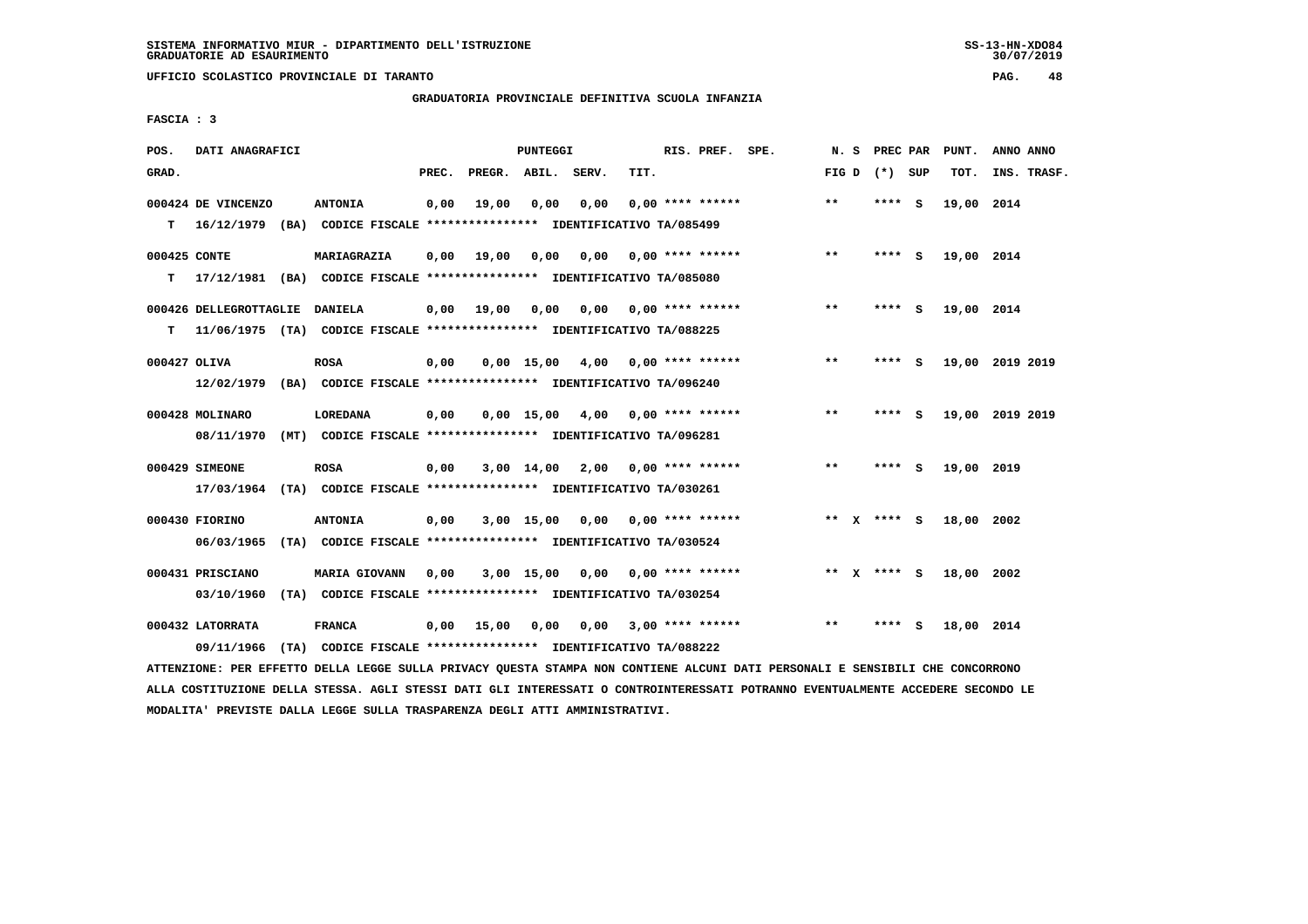**UFFICIO SCOLASTICO PROVINCIALE DI TARANTO PAG. 48**

# **GRADUATORIA PROVINCIALE DEFINITIVA SCUOLA INFANZIA**

 **FASCIA : 3**

| POS.         | DATI ANAGRAFICI                                                                               |                                                               |       |                    | PUNTEGGI     |                       |      | RIS. PREF. SPE.           | N.S   | PREC PAR      |          | PUNT.      | ANNO ANNO       |
|--------------|-----------------------------------------------------------------------------------------------|---------------------------------------------------------------|-------|--------------------|--------------|-----------------------|------|---------------------------|-------|---------------|----------|------------|-----------------|
| GRAD.        |                                                                                               |                                                               | PREC. | PREGR. ABIL. SERV. |              |                       | TIT. |                           | FIG D | (*) SUP       |          | TOT.       | INS. TRASF.     |
| т            | 000424 DE VINCENZO<br>16/12/1979 (BA) CODICE FISCALE *************** IDENTIFICATIVO TA/085499 | <b>ANTONIA</b>                                                | 0,00  | 19,00              | 0.00         | 0.00                  |      | $0.00$ **** ******        | $***$ | **** S        |          | 19,00 2014 |                 |
|              |                                                                                               |                                                               |       |                    |              |                       |      |                           |       |               |          |            |                 |
| 000425 CONTE |                                                                                               | MARIAGRAZIA                                                   | 0,00  | 19,00              | 0,00         | 0,00                  |      | $0.00$ **** ******        | **    | **** S        |          | 19,00 2014 |                 |
| т            | 17/12/1981 (BA) CODICE FISCALE *************** IDENTIFICATIVO TA/085080                       |                                                               |       |                    |              |                       |      |                           |       |               |          |            |                 |
|              | 000426 DELLEGROTTAGLIE                                                                        | <b>DANIELA</b>                                                | 0,00  | 19,00              | 0,00         |                       |      | $0,00$ $0,00$ **** ****** | $***$ | **** S        |          | 19,00 2014 |                 |
| т            | 11/06/1975 (TA) CODICE FISCALE *************** IDENTIFICATIVO TA/088225                       |                                                               |       |                    |              |                       |      |                           |       |               |          |            |                 |
| 000427 OLIVA |                                                                                               | <b>ROSA</b>                                                   | 0,00  |                    | $0.00$ 15.00 |                       |      | $4,00$ 0,00 **** ******   | $**$  | ****          | - S      |            | 19,00 2019 2019 |
|              | 12/02/1979 (BA) CODICE FISCALE *************** IDENTIFICATIVO TA/096240                       |                                                               |       |                    |              |                       |      |                           |       |               |          |            |                 |
|              |                                                                                               |                                                               |       |                    |              |                       |      |                           |       |               |          |            |                 |
|              | 000428 MOLINARO                                                                               | LOREDANA                                                      | 0,00  |                    | $0.00$ 15.00 | 4,00 0,00 **** ****** |      |                           | **    | **** S        |          |            | 19,00 2019 2019 |
|              | 08/11/1970                                                                                    | (MT) CODICE FISCALE **************** IDENTIFICATIVO TA/096281 |       |                    |              |                       |      |                           |       |               |          |            |                 |
|              | 000429 SIMEONE                                                                                | <b>ROSA</b>                                                   | 0,00  |                    |              | $3,00$ $14,00$ $2,00$ |      | $0.00$ **** ******        | $***$ | ****          | <b>S</b> | 19,00 2019 |                 |
|              | 17/03/1964 (TA) CODICE FISCALE *************** IDENTIFICATIVO TA/030261                       |                                                               |       |                    |              |                       |      |                           |       |               |          |            |                 |
|              | 000430 FIORINO                                                                                | <b>ANTONIA</b>                                                | 0,00  |                    |              | 3,00 15,00 0,00       |      | 0,00 **** ******          |       | ** $X$ **** S |          | 18,00 2002 |                 |
|              | 06/03/1965                                                                                    | (TA) CODICE FISCALE **************** IDENTIFICATIVO TA/030524 |       |                    |              |                       |      |                           |       |               |          |            |                 |
|              |                                                                                               |                                                               |       |                    |              |                       |      |                           |       |               |          |            |                 |
|              | 000431 PRISCIANO                                                                              | <b>MARIA GIOVANN</b>                                          | 0,00  |                    | 3,00 15,00   |                       |      | $0.00$ $0.00$ **** ****** |       | ** $X$ **** S |          | 18,00 2002 |                 |
|              | 03/10/1960                                                                                    | (TA) CODICE FISCALE **************** IDENTIFICATIVO TA/030254 |       |                    |              |                       |      |                           |       |               |          |            |                 |
|              | 000432 LATORRATA                                                                              | <b>FRANCA</b>                                                 | 0,00  | 15,00              | 0,00         | 0.00                  |      | $3,00$ **** ******        | $* *$ | ****          | -S       | 18,00 2014 |                 |
|              | 09/11/1966                                                                                    | (TA) CODICE FISCALE **************** IDENTIFICATIVO TA/088222 |       |                    |              |                       |      |                           |       |               |          |            |                 |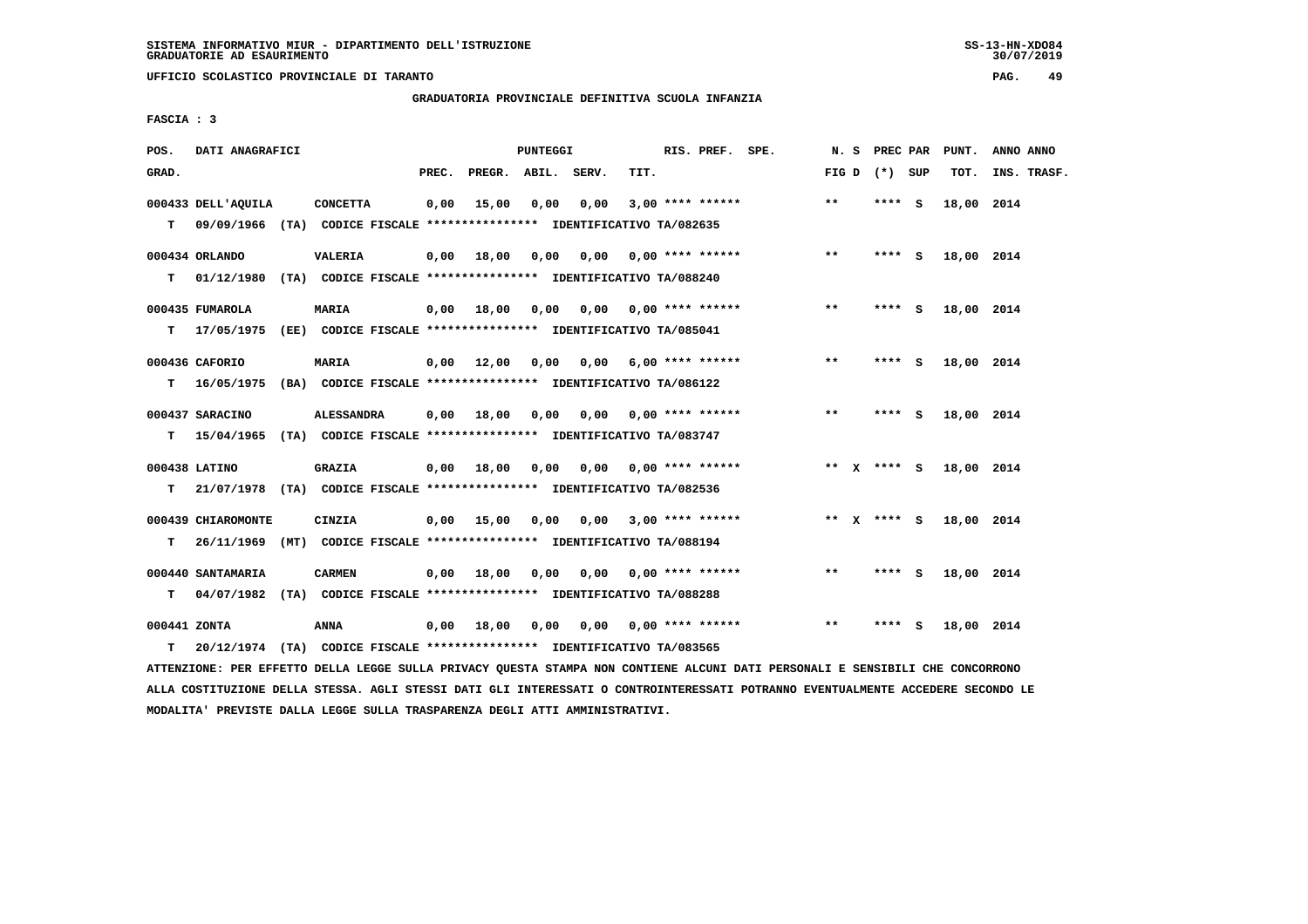**UFFICIO SCOLASTICO PROVINCIALE DI TARANTO PAG. 49**

 **GRADUATORIA PROVINCIALE DEFINITIVA SCUOLA INFANZIA**

 **FASCIA : 3**

| POS.         | DATI ANAGRAFICI                                                           |                   |       |                   | PUNTEGGI |                                        |      | RIS. PREF. SPE.                |       | N. S PREC PAR   | PUNT.      | ANNO ANNO   |
|--------------|---------------------------------------------------------------------------|-------------------|-------|-------------------|----------|----------------------------------------|------|--------------------------------|-------|-----------------|------------|-------------|
| GRAD.        |                                                                           |                   | PREC. | PREGR. ABIL.      |          | SERV.                                  | TIT. |                                |       | FIG D $(*)$ SUP | TOT.       | INS. TRASF. |
|              | 000433 DELL'AQUILA                                                        | <b>CONCETTA</b>   | 0,00  | 15,00             | 0,00     | 0,00                                   |      | $3,00$ **** ******             | $* *$ | **** S          | 18,00 2014 |             |
| T.           | 09/09/1966 (TA) CODICE FISCALE **************** IDENTIFICATIVO TA/082635  |                   |       |                   |          |                                        |      |                                |       |                 |            |             |
|              | 000434 ORLANDO                                                            | <b>VALERIA</b>    |       | $0,00$ 18,00      | 0,00     | 0.00                                   |      | $0.00$ **** ******             | $***$ | **** S          | 18,00 2014 |             |
| T.           | 01/12/1980 (TA) CODICE FISCALE *************** IDENTIFICATIVO TA/088240   |                   |       |                   |          |                                        |      |                                |       |                 |            |             |
|              | 000435 FUMAROLA                                                           | <b>MARIA</b>      |       | $0,00$ 18,00      | 0,00     |                                        |      | $0,00$ $0,00$ **** ******      | $***$ | **** S          | 18,00 2014 |             |
|              | T 17/05/1975 (EE) CODICE FISCALE *************** IDENTIFICATIVO TA/085041 |                   |       |                   |          |                                        |      |                                |       |                 |            |             |
|              |                                                                           |                   |       |                   |          |                                        |      |                                |       |                 |            |             |
|              | 000436 CAFORIO                                                            | MARIA             |       | 0.00 12.00        | 0,00     |                                        |      | $0,00$ 6,00 **** ******        | $***$ | **** S          | 18,00 2014 |             |
| т            | 16/05/1975 (BA) CODICE FISCALE **************** IDENTIFICATIVO TA/086122  |                   |       |                   |          |                                        |      |                                |       |                 |            |             |
|              | 000437 SARACINO                                                           | <b>ALESSANDRA</b> |       | 0.00 18.00 0.00   |          |                                        |      | $0.00$ $0.00$ **** ******      | $**$  | **** S          | 18,00 2014 |             |
| т            | 15/04/1965 (TA) CODICE FISCALE *************** IDENTIFICATIVO TA/083747   |                   |       |                   |          |                                        |      |                                |       |                 |            |             |
|              | 000438 LATINO                                                             | <b>GRAZIA</b>     |       | $0,00$ 18,00      |          | $0,00$ $0,00$ $0,00$ $***$ **** ****** |      |                                |       | ** x **** S     | 18,00 2014 |             |
| т            | 21/07/1978 (TA) CODICE FISCALE **************** IDENTIFICATIVO TA/082536  |                   |       |                   |          |                                        |      |                                |       |                 |            |             |
|              |                                                                           |                   |       |                   |          |                                        |      |                                |       |                 |            |             |
|              | 000439 CHIAROMONTE                                                        | <b>CINZIA</b>     |       | $0,00$ 15,00 0,00 |          |                                        |      | $0.00$ 3.00 **** ******        |       | ** x **** S     | 18,00 2014 |             |
| т            | 26/11/1969 (MT) CODICE FISCALE *************** IDENTIFICATIVO TA/088194   |                   |       |                   |          |                                        |      |                                |       |                 |            |             |
|              | 000440 SANTAMARIA                                                         | <b>CARMEN</b>     |       | $0,00$ 18,00      | 0,00     | 0,00                                   |      | $0.00$ **** ******             | $* *$ | **** S          | 18,00 2014 |             |
| т            | 04/07/1982 (TA) CODICE FISCALE **************** IDENTIFICATIVO TA/088288  |                   |       |                   |          |                                        |      |                                |       |                 |            |             |
| 000441 ZONTA |                                                                           | ANNA              | 0,00  | 18,00             | 0,00     |                                        |      | $0.00$ $0.00$ $***$ **** ***** | $* *$ | **** S          | 18,00 2014 |             |
| т            | 20/12/1974 (TA) CODICE FISCALE **************** IDENTIFICATIVO TA/083565  |                   |       |                   |          |                                        |      |                                |       |                 |            |             |
|              |                                                                           |                   |       |                   |          |                                        |      |                                |       |                 |            |             |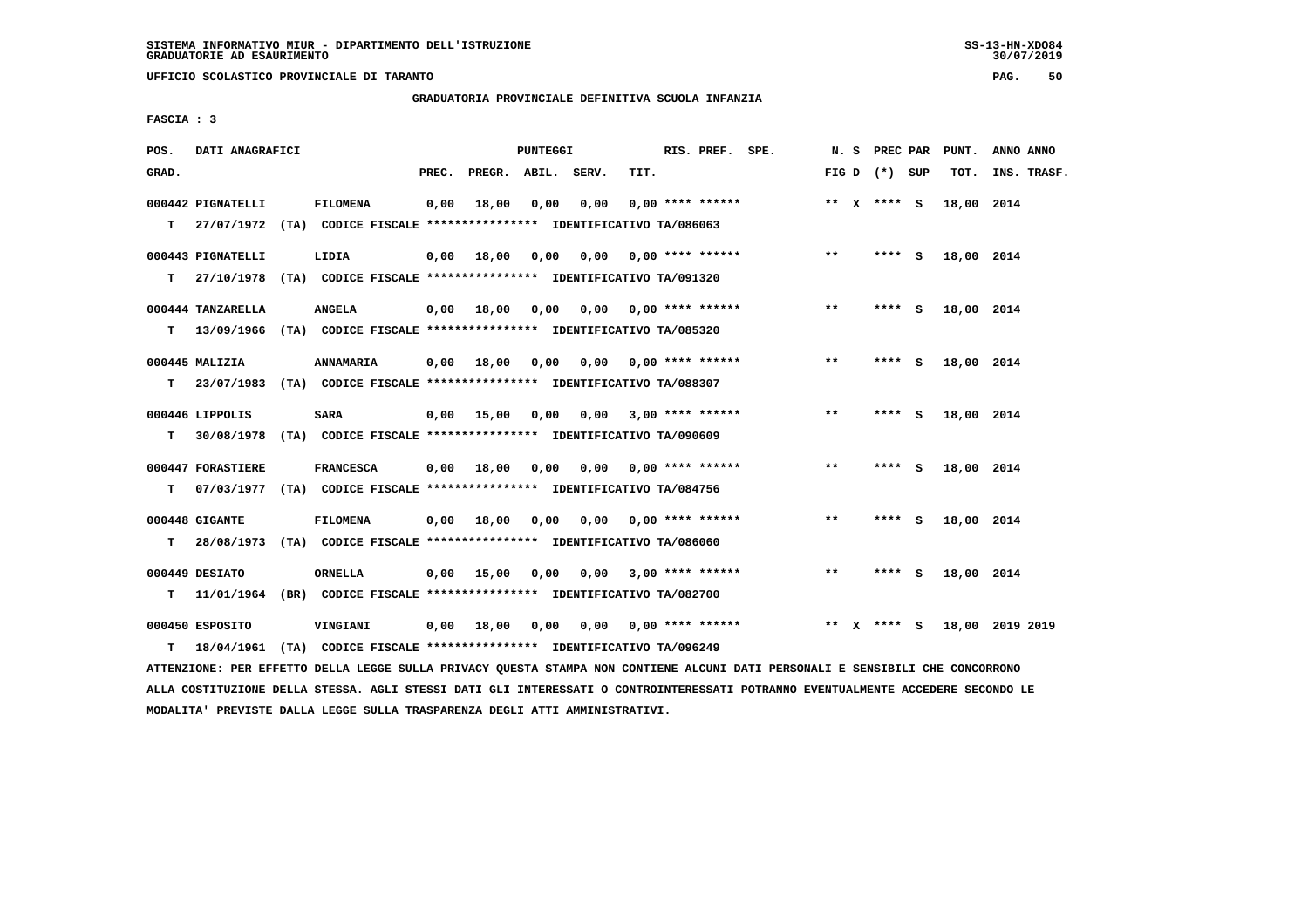**UFFICIO SCOLASTICO PROVINCIALE DI TARANTO PAG. 50**

## **GRADUATORIA PROVINCIALE DEFINITIVA SCUOLA INFANZIA**

 **FASCIA : 3**

| POS.  | DATI ANAGRAFICI   |                                                                          |       |                    | PUNTEGGI |                       |      | RIS. PREF. SPE.           |         | N. S PREC PAR   |     | PUNT.      | ANNO ANNO       |
|-------|-------------------|--------------------------------------------------------------------------|-------|--------------------|----------|-----------------------|------|---------------------------|---------|-----------------|-----|------------|-----------------|
| GRAD. |                   |                                                                          | PREC. | PREGR. ABIL. SERV. |          |                       | TIT. |                           |         | FIG D $(*)$ SUP |     | TOT.       | INS. TRASF.     |
|       | 000442 PIGNATELLI | <b>FILOMENA</b>                                                          | 0,00  | 18,00              | 0,00     | 0,00                  |      | $0.00$ **** ******        |         | ** $X$ **** S   |     | 18,00 2014 |                 |
| T.    |                   | 27/07/1972 (TA) CODICE FISCALE *************** IDENTIFICATIVO TA/086063  |       |                    |          |                       |      |                           |         |                 |     |            |                 |
|       | 000443 PIGNATELLI | LIDIA                                                                    | 0,00  | 18,00              | 0,00     | 0,00                  |      | $0.00$ **** ******        | $***$   | **** S          |     | 18,00 2014 |                 |
| т     |                   | 27/10/1978 (TA) CODICE FISCALE *************** IDENTIFICATIVO TA/091320  |       |                    |          |                       |      |                           |         |                 |     |            |                 |
|       | 000444 TANZARELLA | <b>ANGELA</b>                                                            | 0,00  | 18,00              | 0,00     |                       |      | $0.00$ $0.00$ **** ****** | $***$   | **** S          |     | 18,00 2014 |                 |
| т     |                   | 13/09/1966 (TA) CODICE FISCALE *************** IDENTIFICATIVO TA/085320  |       |                    |          |                       |      |                           |         |                 |     |            |                 |
|       | $000445$ MALIZIA  | ANNAMARIA                                                                | 0,00  | 18,00              | 0,00     |                       |      | 0,00 0,00 **** ******     | **      | $***$ S         |     | 18,00 2014 |                 |
| т     | 23/07/1983        | (TA) CODICE FISCALE *************** IDENTIFICATIVO TA/088307             |       |                    |          |                       |      |                           |         |                 |     |            |                 |
|       | 000446 LIPPOLIS   | <b>SARA</b>                                                              | 0,00  | 15,00              | 0.00     | 0,00                  |      | $3,00$ **** ******        | **      | **** S          |     | 18,00 2014 |                 |
| т     | 30/08/1978        | (TA) CODICE FISCALE **************** IDENTIFICATIVO TA/090609            |       |                    |          |                       |      |                           |         |                 |     |            |                 |
|       | 000447 FORASTIERE | <b>FRANCESCA</b>                                                         | 0,00  | 18,00              | 0,00     | 0,00 0,00 **** ****** |      |                           | $* *$   | $***$ S         |     | 18,00 2014 |                 |
| т     |                   | 07/03/1977 (TA) CODICE FISCALE **************** IDENTIFICATIVO TA/084756 |       |                    |          |                       |      |                           |         |                 |     |            |                 |
|       | 000448 GIGANTE    | <b>FILOMENA</b>                                                          | 0,00  | 18,00              | 0,00     | 0,00                  |      | $0.00$ **** ******        | $* *$   | **** S          |     | 18,00 2014 |                 |
| т     |                   | 28/08/1973 (TA) CODICE FISCALE *************** IDENTIFICATIVO TA/086060  |       |                    |          |                       |      |                           |         |                 |     |            |                 |
|       | 000449 DESIATO    | ORNELLA                                                                  | 0,00  | 15,00              | 0,00     | 0.00                  |      | $3,00$ **** ******        | $* *$   | ****            | - S | 18,00 2014 |                 |
| т     |                   | 11/01/1964 (BR) CODICE FISCALE **************** IDENTIFICATIVO TA/082700 |       |                    |          |                       |      |                           |         |                 |     |            |                 |
|       |                   |                                                                          |       |                    |          |                       |      |                           |         |                 |     |            |                 |
|       | 000450 ESPOSITO   | VINGIANI                                                                 | 0.00  | 18,00              | 0.00     | 0.00                  |      | $0.00$ **** ******        | $***$ X | $***$ S         |     |            | 18,00 2019 2019 |
| т     |                   | 18/04/1961 (TA) CODICE FISCALE **************** IDENTIFICATIVO TA/096249 |       |                    |          |                       |      |                           |         |                 |     |            |                 |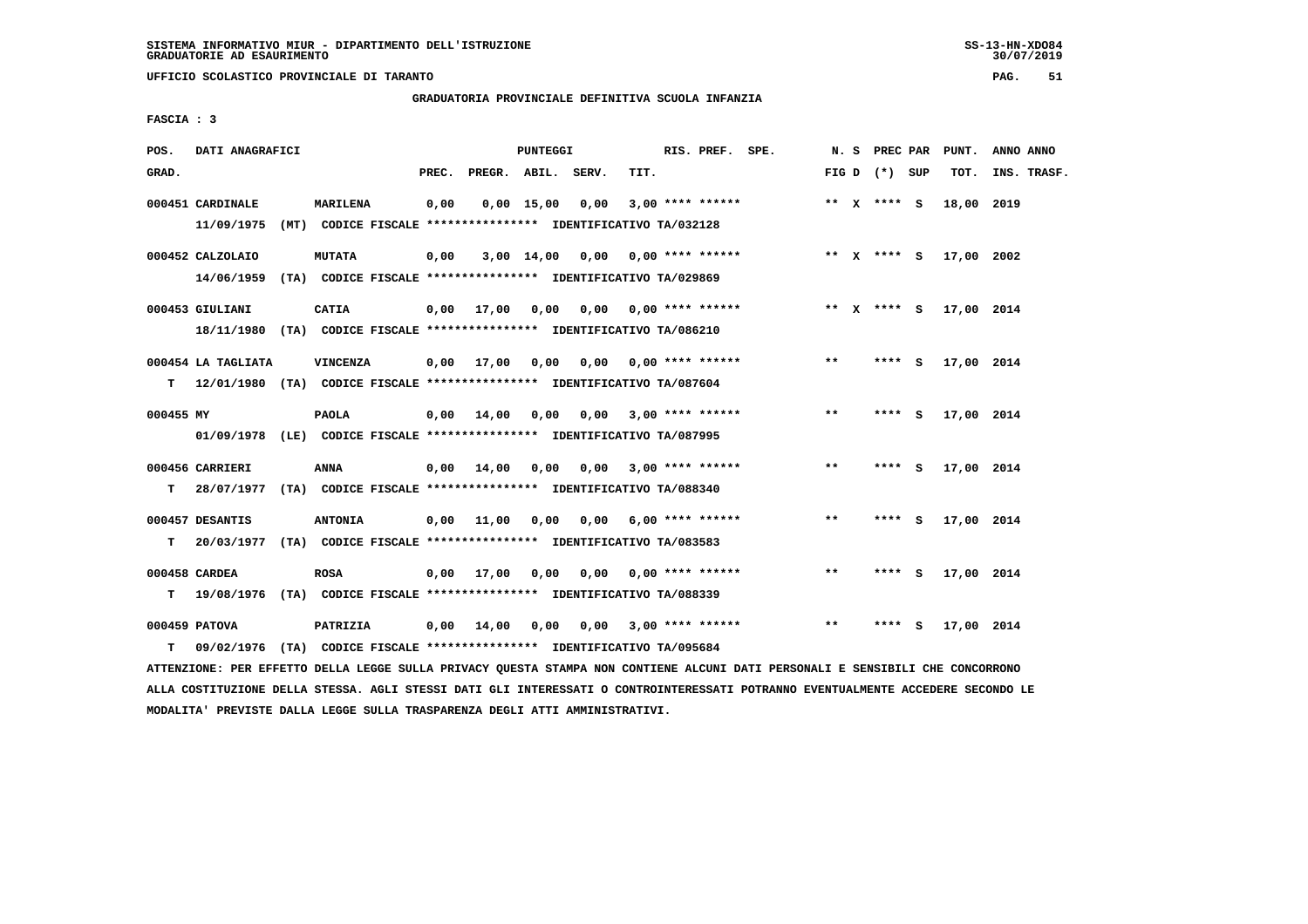**UFFICIO SCOLASTICO PROVINCIALE DI TARANTO PAG. 51**

## **GRADUATORIA PROVINCIALE DEFINITIVA SCUOLA INFANZIA**

 **FASCIA : 3**

| POS.      | DATI ANAGRAFICI                |                                                                                             |       |                    | PUNTEGGI     |                                    |      | RIS. PREF. SPE.           |       | N. S PREC PAR   |     | PUNT.      | ANNO ANNO   |
|-----------|--------------------------------|---------------------------------------------------------------------------------------------|-------|--------------------|--------------|------------------------------------|------|---------------------------|-------|-----------------|-----|------------|-------------|
| GRAD.     |                                |                                                                                             | PREC. | PREGR. ABIL. SERV. |              |                                    | TIT. |                           |       | FIG D $(*)$ SUP |     | TOT.       | INS. TRASF. |
|           | 000451 CARDINALE<br>11/09/1975 | MARILENA<br>(MT) CODICE FISCALE **************** IDENTIFICATIVO TA/032128                   | 0,00  |                    | $0,00$ 15,00 | 0,00                               |      | $3,00$ **** ******        |       | ** $X$ **** S   |     | 18,00 2019 |             |
|           | 000452 CALZOLAIO<br>14/06/1959 | <b>MUTATA</b><br>(TA) CODICE FISCALE **************** IDENTIFICATIVO TA/029869              | 0,00  |                    |              | $3,00$ 14,00 0,00 0,00 **** ****** |      |                           |       | ** x **** s     |     | 17,00 2002 |             |
|           | 000453 GIULIANI                | CATIA<br>18/11/1980 (TA) CODICE FISCALE *************** IDENTIFICATIVO TA/086210            |       | $0,00$ 17,00       | 0.00         | $0,00$ $0,00$ **** ******          |      |                           |       | ** x **** s     |     | 17,00 2014 |             |
| T.        | 000454 LA TAGLIATA             | <b>VINCENZA</b><br>12/01/1980 (TA) CODICE FISCALE **************** IDENTIFICATIVO TA/087604 | 0,00  | 17,00              | 0,00         |                                    |      | $0.00$ $0.00$ **** ****** | $**$  | **** S          |     | 17,00 2014 |             |
| 000455 MY |                                | <b>PAOLA</b><br>01/09/1978 (LE) CODICE FISCALE *************** IDENTIFICATIVO TA/087995     | 0,00  | 14,00              | 0,00         |                                    |      | $0,00$ 3,00 **** ******   | $**$  | **** S          |     | 17,00 2014 |             |
| т         | 000456 CARRIERI                | ANNA<br>28/07/1977 (TA) CODICE FISCALE **************** IDENTIFICATIVO TA/088340            | 0.00  | 14,00              |              | $0,00$ $0,00$ $3,00$ **** ******   |      |                           | $***$ | $***$ S         |     | 17,00 2014 |             |
| т         | 000457 DESANTIS                | <b>ANTONIA</b><br>20/03/1977 (TA) CODICE FISCALE *************** IDENTIFICATIVO TA/083583   |       | $0,00$ 11,00       | 0,00         |                                    |      | $0.00$ 6.00 **** ******   | **    | **** S          |     | 17,00 2014 |             |
| т         | 000458 CARDEA                  | <b>ROSA</b><br>19/08/1976 (TA) CODICE FISCALE **************** IDENTIFICATIVO TA/088339     | 0,00  | 17,00              | 0,00         |                                    |      | $0,00$ $0,00$ **** ****** | $**$  | ****            | - 5 | 17,00 2014 |             |
| т         | 000459 PATOVA                  | PATRIZIA<br>09/02/1976 (TA) CODICE FISCALE *************** IDENTIFICATIVO TA/095684         | 0,00  | 14,00              | 0,00         | 0,00                               |      | $3,00$ **** ******        | $* *$ | ****            | - S | 17,00 2014 |             |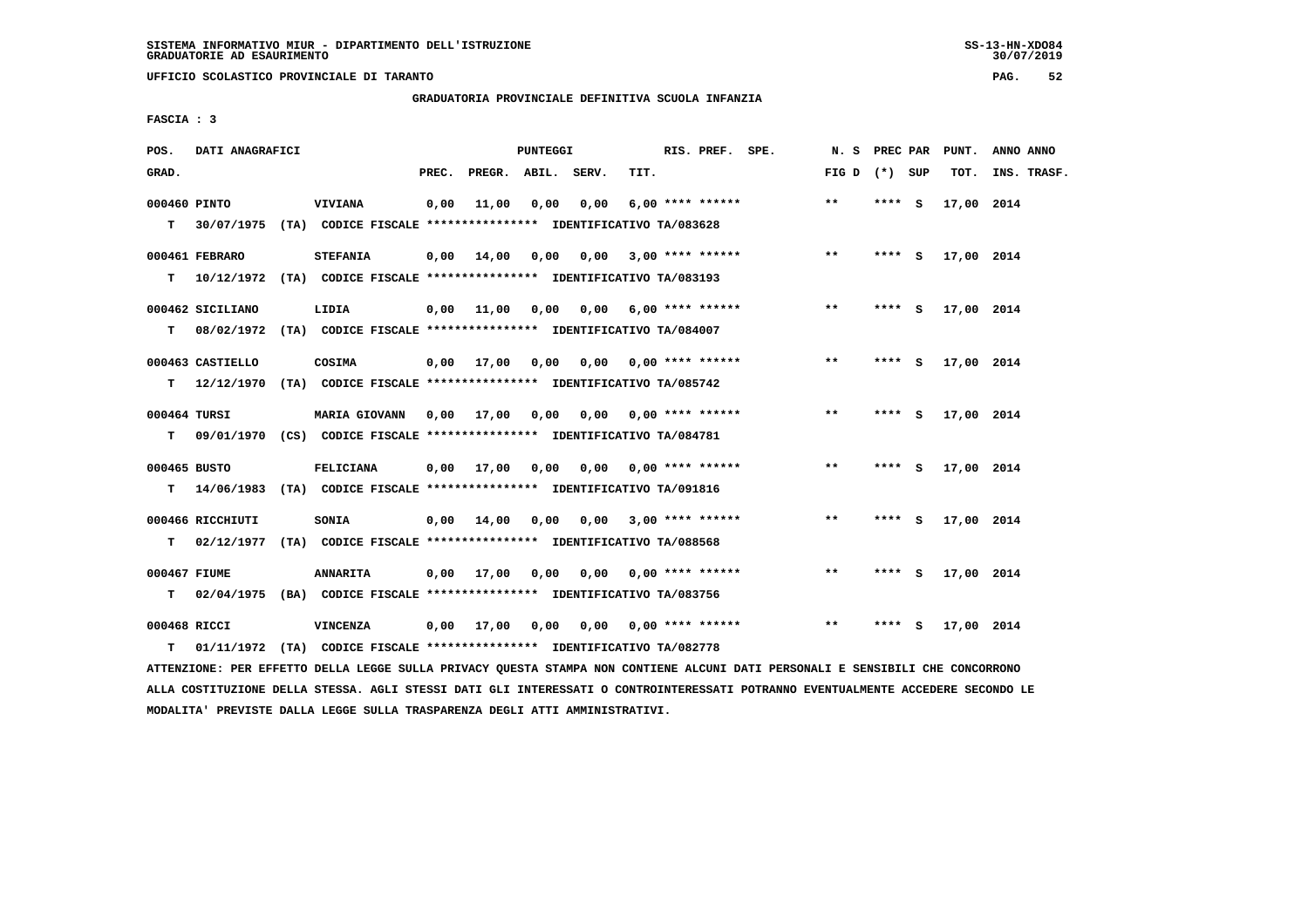**UFFICIO SCOLASTICO PROVINCIALE DI TARANTO PAG. 52**

 **GRADUATORIA PROVINCIALE DEFINITIVA SCUOLA INFANZIA**

 **FASCIA : 3**

| POS.         | DATI ANAGRAFICI  |                                                                                                                                |       |                                         | PUNTEGGI |                                        |      | RIS. PREF. SPE.  |                                                       |                 |         |        | N. S PREC PAR PUNT. | ANNO ANNO   |
|--------------|------------------|--------------------------------------------------------------------------------------------------------------------------------|-------|-----------------------------------------|----------|----------------------------------------|------|------------------|-------------------------------------------------------|-----------------|---------|--------|---------------------|-------------|
| GRAD.        |                  |                                                                                                                                | PREC. | PREGR. ABIL. SERV.                      |          |                                        | TIT. |                  |                                                       | FIG D $(*)$ SUP |         |        | TOT.                | INS. TRASF. |
|              | 000460 PINTO     | <b>VIVIANA</b><br>T 30/07/1975 (TA) CODICE FISCALE **************** IDENTIFICATIVO TA/083628                                   | 0,00  | 11,00                                   | 0,00     | 0,00                                   |      | 6,00 **** ****** |                                                       | $***$           | $***5$  |        | 17,00 2014          |             |
| т            | 000461 FEBRARO   | <b>STEFANIA</b><br>10/12/1972 (TA) CODICE FISCALE *************** IDENTIFICATIVO TA/083193                                     |       |                                         |          |                                        |      |                  | $0,00$ $14,00$ $0,00$ $0,00$ $3,00$ $***$ **** ****** | $***$           | $***$ S |        | 17,00 2014          |             |
|              | 000462 SICILIANO | LIDIA                                                                                                                          |       | 0,00 11,00                              |          | $0.00$ $0.00$ $6.00$ $***$ **** ****** |      |                  |                                                       | $***$           |         | **** S | 17,00 2014          |             |
| T.           | 000463 CASTIELLO | 08/02/1972 (TA) CODICE FISCALE **************** IDENTIFICATIVO TA/084007<br>COSIMA                                             |       | 0,00 17,00                              |          |                                        |      |                  | $0,00$ $0,00$ $0,00$ $***$ **** ******                | $***$           | $***5$  |        | 17,00 2014          |             |
| т            | 000464 TURSI     | 12/12/1970 (TA) CODICE FISCALE *************** IDENTIFICATIVO TA/085742<br>MARIA GIOVANN 0,00 17,00 0,00 0,00 0,00 **** ****** |       |                                         |          |                                        |      |                  |                                                       | $* *$           | $***$ S |        | 17,00 2014          |             |
|              | 000465 BUSTO     | T 09/01/1970 (CS) CODICE FISCALE *************** IDENTIFICATIVO TA/084781<br><b>FELICIANA</b>                                  |       | 0,00 17,00 0,00 0,00                    |          |                                        |      |                  | $0.00$ **** ******                                    | $***$           | $***$ S |        | 17,00 2014          |             |
|              | 000466 RICCHIUTI | T 14/06/1983 (TA) CODICE FISCALE **************** IDENTIFICATIVO TA/091816<br>SONIA                                            |       | $0,00$ 14,00 0,00 0,00 3,00 **** ****** |          |                                        |      |                  |                                                       | $***$           | $***$ S |        | 17,00 2014          |             |
|              |                  | T 02/12/1977 (TA) CODICE FISCALE *************** IDENTIFICATIVO TA/088568                                                      |       |                                         |          |                                        |      |                  |                                                       |                 |         |        |                     |             |
| 000467 FIUME |                  | <b>ANNARITA</b><br>T 02/04/1975 (BA) CODICE FISCALE *************** IDENTIFICATIVO TA/083756                                   |       | $0.00$ 17.00 0.00 0.00 0.00 **** ****** |          |                                        |      |                  |                                                       | $* *$           | **** S  |        | 17,00 2014          |             |
| т            | 000468 RICCI     | VINCENZA<br>01/11/1972 (TA) CODICE FISCALE *************** IDENTIFICATIVO TA/082778                                            |       | 0,00 17,00                              |          | 0,00 0,00 0,00 **** ******             |      |                  |                                                       | **              | ****    | - 5    | 17,00 2014          |             |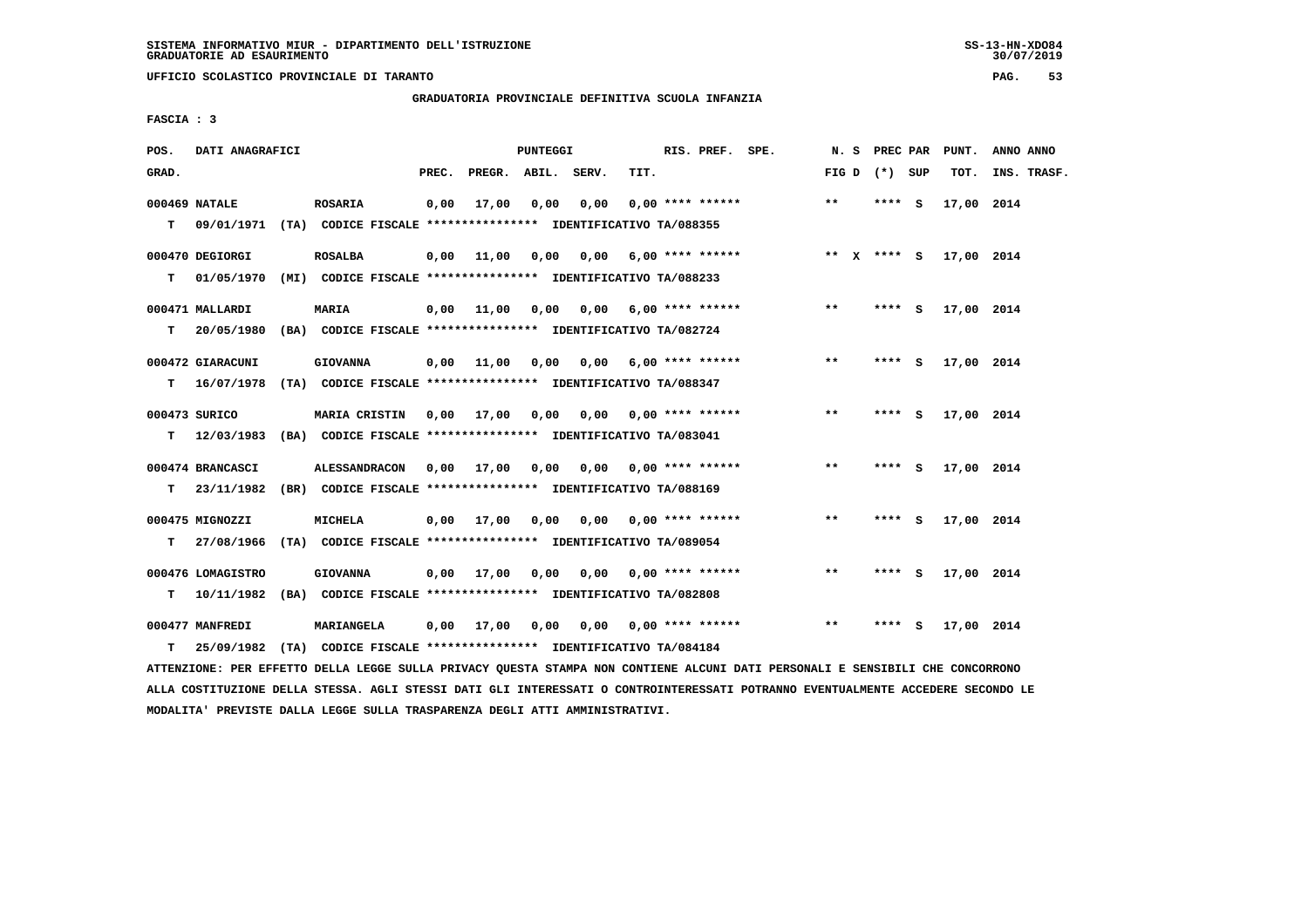**UFFICIO SCOLASTICO PROVINCIALE DI TARANTO PAG. 53**

 **GRADUATORIA PROVINCIALE DEFINITIVA SCUOLA INFANZIA**

 **FASCIA : 3**

| POS.  | DATI ANAGRAFICI                |                                                                                                  |       |                       | PUNTEGGI |      |      | RIS. PREF. SPE.           |                         |                 |         | N. S PREC PAR PUNT. | ANNO ANNO   |
|-------|--------------------------------|--------------------------------------------------------------------------------------------------|-------|-----------------------|----------|------|------|---------------------------|-------------------------|-----------------|---------|---------------------|-------------|
| GRAD. |                                |                                                                                                  | PREC. | PREGR. ABIL. SERV.    |          |      | TIT. |                           |                         | FIG D $(*)$ SUP |         | TOT.                | INS. TRASF. |
| T.    | 000469 NATALE                  | <b>ROSARIA</b><br>09/01/1971 (TA) CODICE FISCALE **************** IDENTIFICATIVO TA/088355       | 0,00  | 17,00                 | 0,00     | 0,00 |      | $0.00$ **** ******        |                         | $***$           | **** S  | 17,00 2014          |             |
| т     | 000470 DEGIORGI<br>01/05/1970  | <b>ROSALBA</b><br>(MI) CODICE FISCALE **************** IDENTIFICATIVO TA/088233                  | 0,00  | 11,00                 | 0,00     |      |      |                           | $0.00$ 6.00 **** ****** | ** $X$ **** S   |         | 17,00 2014          |             |
| т     | 000471 MALLARDI                | <b>MARIA</b><br>20/05/1980 (BA) CODICE FISCALE **************** IDENTIFICATIVO TA/082724         |       | $0,00$ 11,00          | 0,00     |      |      | $0,00$ 6,00 **** ******   |                         | $***$           | $***$ S | 17,00 2014          |             |
| т     | 000472 GIARACUNI               | <b>GIOVANNA</b><br>16/07/1978 (TA) CODICE FISCALE **************** IDENTIFICATIVO TA/088347      | 0,00  | 11,00                 | 0,00     |      |      | $0.00$ 6.00 **** ******   |                         | $* *$           | **** S  | 17,00 2014          |             |
| т     | 000473 SURICO                  | <b>MARIA CRISTIN</b><br>12/03/1983 (BA) CODICE FISCALE **************** IDENTIFICATIVO TA/083041 |       | $0,00$ $17,00$ $0,00$ |          |      |      | $0,00$ $0,00$ **** ****** |                         | $* *$           | **** S  | 17,00 2014          |             |
| T.    | 000474 BRANCASCI<br>23/11/1982 | <b>ALESSANDRACON</b><br>(BR) CODICE FISCALE **************** IDENTIFICATIVO TA/088169            |       | $0,00$ $17,00$ $0,00$ |          |      |      | $0,00$ $0,00$ **** ****** |                         | $***$           | **** S  | 17,00 2014          |             |
| т     | 000475 MIGNOZZI                | <b>MICHELA</b><br>27/08/1966 (TA) CODICE FISCALE **************** IDENTIFICATIVO TA/089054       |       | $0,00$ $17,00$ $0,00$ |          |      |      | $0,00$ $0,00$ **** ****** |                         | $***$           | **** S  | 17,00 2014          |             |
| т     | 000476 LOMAGISTRO              | <b>GIOVANNA</b><br>10/11/1982 (BA) CODICE FISCALE **************** IDENTIFICATIVO TA/082808      |       | $0,00$ 17,00          | 0,00     | 0,00 |      | $0.00$ **** ******        |                         | $***$           | **** S  | 17,00 2014          |             |
| т     | 000477 MANFREDI                | MARIANGELA<br>25/09/1982 (TA) CODICE FISCALE **************** IDENTIFICATIVO TA/084184           |       | $0,00$ 17,00          | 0,00     |      |      | 0,00 0,00 **** ******     |                         | $**$            | **** S  | 17,00 2014          |             |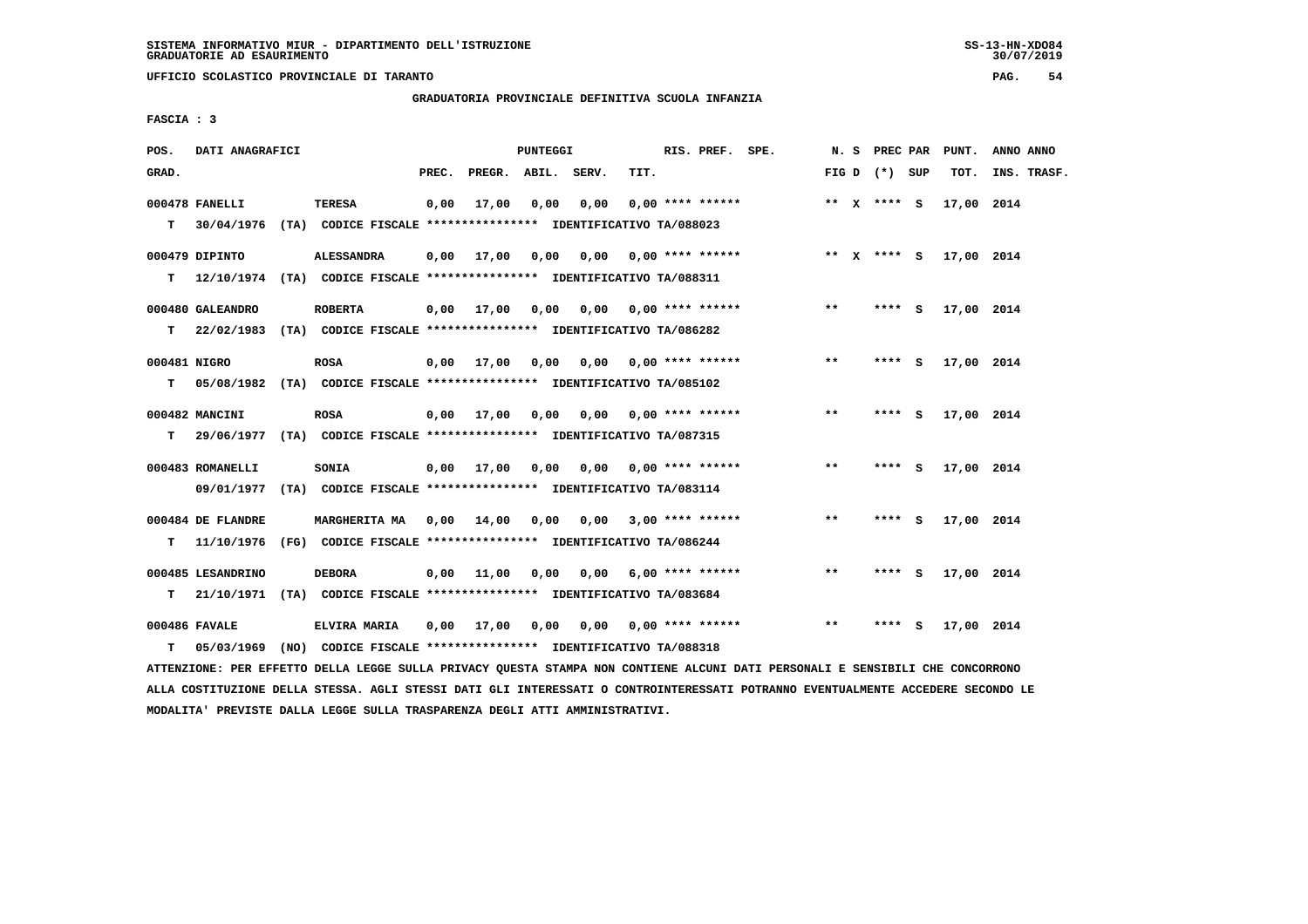**UFFICIO SCOLASTICO PROVINCIALE DI TARANTO PAG. 54**

 **GRADUATORIA PROVINCIALE DEFINITIVA SCUOLA INFANZIA**

 **FASCIA : 3**

| POS.              | DATI ANAGRAFICI                                                                              |                      |       |                       | PUNTEGGI |                           |      | RIS. PREF. SPE.                     |                                       |       | N. S PREC PAR   |     | PUNT.      | ANNO ANNO   |  |
|-------------------|----------------------------------------------------------------------------------------------|----------------------|-------|-----------------------|----------|---------------------------|------|-------------------------------------|---------------------------------------|-------|-----------------|-----|------------|-------------|--|
| GRAD.             |                                                                                              |                      | PREC. | PREGR. ABIL. SERV.    |          |                           | TIT. |                                     |                                       |       | FIG D $(*)$ SUP |     | TOT.       | INS. TRASF. |  |
| T.                | 000478 FANELLI<br>30/04/1976 (TA) CODICE FISCALE **************** IDENTIFICATIVO TA/088023   | <b>TERESA</b>        | 0.00  | 17,00                 | 0.00     | 0.00                      |      | $0.00$ **** ******                  |                                       |       | ** x **** S     |     | 17,00 2014 |             |  |
|                   | 000479 DIPINTO<br>T 12/10/1974 (TA) CODICE FISCALE *************** IDENTIFICATIVO TA/088311  | <b>ALESSANDRA</b>    |       |                       |          |                           |      |                                     | 0,00 17,00 0,00 0,00 0,00 **** ****** |       | ** X **** S     |     | 17,00 2014 |             |  |
| T.                | 000480 GALEANDRO<br>22/02/1983 (TA) CODICE FISCALE *************** IDENTIFICATIVO TA/086282  | <b>ROBERTA</b>       |       | $0,00$ $17,00$ $0,00$ |          |                           |      | $0.00$ $0.00$ **** ******           |                                       | $***$ | **** S          |     | 17,00 2014 |             |  |
| 000481 NIGRO<br>т | 05/08/1982 (TA) CODICE FISCALE **************** IDENTIFICATIVO TA/085102                     | <b>ROSA</b>          |       | 0,00 17,00            | 0,00     |                           |      | $0.00$ $0.00$ $***$ $***$ $***$ $*$ |                                       | $* *$ | ****            | - S | 17,00 2014 |             |  |
| T.                | 000482 MANCINI<br>29/06/1977 (TA) CODICE FISCALE **************** IDENTIFICATIVO TA/087315   | <b>ROSA</b>          |       | $0,00$ $17,00$ $0,00$ |          |                           |      | 0,00 0,00 **** ******               |                                       | $**$  | **** S          |     | 17,00 2014 |             |  |
|                   | 000483 ROMANELLI<br>09/01/1977 (TA) CODICE FISCALE **************** IDENTIFICATIVO TA/083114 | SONIA                |       | $0,00$ $17,00$ $0,00$ |          | $0,00$ $0,00$ **** ****** |      |                                     |                                       | $***$ | **** S          |     | 17,00 2014 |             |  |
| T.                | 000484 DE FLANDRE<br>11/10/1976 (FG) CODICE FISCALE *************** IDENTIFICATIVO TA/086244 | <b>MARGHERITA MA</b> |       | 0,00 14,00 0,00       |          |                           |      | $0.00$ 3.00 **** ******             |                                       | $***$ | **** S          |     | 17,00 2014 |             |  |
| т                 | 000485 LESANDRINO<br>21/10/1971 (TA) CODICE FISCALE *************** IDENTIFICATIVO TA/083684 | <b>DEBORA</b>        |       | 0,00 11,00            | 0,00     |                           |      | $0,00$ 6,00 **** ******             |                                       | $* *$ | **** S          |     | 17,00 2014 |             |  |
| T.                | 000486 FAVALE<br>05/03/1969 (NO) CODICE FISCALE *************** IDENTIFICATIVO TA/088318     | <b>ELVIRA MARIA</b>  |       | 0,00 17,00            | 0,00     |                           |      | 0,00 0,00 **** ******               |                                       | $**$  | **** S          |     | 17,00 2014 |             |  |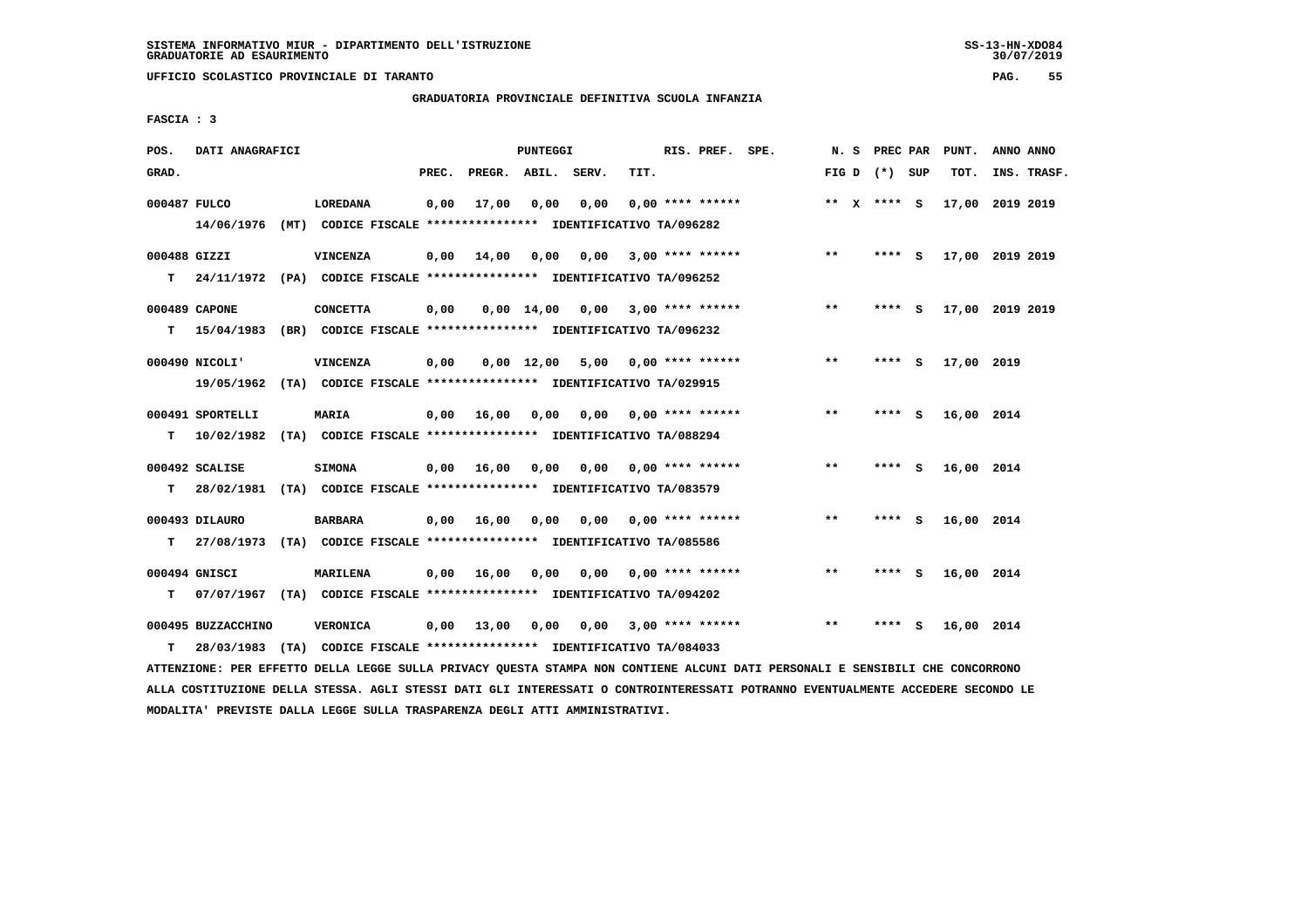**UFFICIO SCOLASTICO PROVINCIALE DI TARANTO PAG. 55**

### **GRADUATORIA PROVINCIALE DEFINITIVA SCUOLA INFANZIA**

 **FASCIA : 3**

| POS.         | DATI ANAGRAFICI    |                                                                           |       |                    | <b>PUNTEGGI</b>    |                                    |                                     | RIS. PREF. SPE.    |              | N. S PREC PAR   |     | PUNT.           | ANNO ANNO |             |
|--------------|--------------------|---------------------------------------------------------------------------|-------|--------------------|--------------------|------------------------------------|-------------------------------------|--------------------|--------------|-----------------|-----|-----------------|-----------|-------------|
| GRAD.        |                    |                                                                           | PREC. | PREGR. ABIL. SERV. |                    |                                    | TIT.                                |                    |              | FIG D $(*)$ SUP |     | тот.            |           | INS. TRASF. |
|              |                    |                                                                           |       |                    |                    |                                    |                                     |                    |              |                 |     |                 |           |             |
| 000487 FULCO |                    | LOREDANA                                                                  | 0,00  | 17,00              | 0,00               | 0,00                               |                                     | $0.00$ **** ****** |              | ** $X$ **** S   |     | 17,00 2019 2019 |           |             |
|              |                    | 14/06/1976 (MT) CODICE FISCALE *************** IDENTIFICATIVO TA/096282   |       |                    |                    |                                    |                                     |                    |              |                 |     |                 |           |             |
| 000488 GIZZI |                    | <b>VINCENZA</b>                                                           |       | $0,00$ 14,00       | 0,00               | 0,00                               |                                     | $3,00$ **** ****** | $* *$        | **** S          |     | 17,00 2019 2019 |           |             |
|              |                    | T 24/11/1972 (PA) CODICE FISCALE *************** IDENTIFICATIVO TA/096252 |       |                    |                    |                                    |                                     |                    |              |                 |     |                 |           |             |
|              | 000489 CAPONE      | <b>CONCETTA</b>                                                           | 0,00  |                    |                    | $0,00$ 14,00 0,00 3,00 **** ****** |                                     |                    | $***$        | **** S          |     | 17,00 2019 2019 |           |             |
|              |                    |                                                                           |       |                    |                    |                                    |                                     |                    |              |                 |     |                 |           |             |
| т            |                    | 15/04/1983 (BR) CODICE FISCALE *************** IDENTIFICATIVO TA/096232   |       |                    |                    |                                    |                                     |                    |              |                 |     |                 |           |             |
|              | 000490 NICOLI'     | <b>VINCENZA</b>                                                           | 0,00  |                    | $0,00 \quad 12,00$ |                                    | $5,00$ 0,00 **** ******             |                    | $***$        | **** S          |     | 17,00 2019      |           |             |
|              |                    | 19/05/1962 (TA) CODICE FISCALE *************** IDENTIFICATIVO TA/029915   |       |                    |                    |                                    |                                     |                    |              |                 |     |                 |           |             |
|              |                    |                                                                           |       |                    |                    |                                    |                                     |                    |              |                 |     |                 |           |             |
|              | 000491 SPORTELLI   | MARIA                                                                     |       | 0,00 16,00         | 0,00               |                                    | $0.00$ $0.00$ **** ******           |                    | $* *$        | **** S          |     | 16,00 2014      |           |             |
| T.           |                    | 10/02/1982 (TA) CODICE FISCALE *************** IDENTIFICATIVO TA/088294   |       |                    |                    |                                    |                                     |                    |              |                 |     |                 |           |             |
|              | 000492 SCALISE     | <b>SIMONA</b>                                                             |       | 0,00 16,00         | 0.00               |                                    | $0.00$ $0.00$ $***$ $***$ $***$ $*$ |                    | $***$        | **** $S$        |     | 16,00 2014      |           |             |
| т            |                    | 28/02/1981 (TA) CODICE FISCALE **************** IDENTIFICATIVO TA/083579  |       |                    |                    |                                    |                                     |                    |              |                 |     |                 |           |             |
|              |                    |                                                                           |       |                    |                    |                                    |                                     |                    |              |                 |     |                 |           |             |
|              | 000493 DILAURO     | <b>BARBARA</b>                                                            |       | 0.00 16.00         | 0.00               | 0.00                               |                                     | $0.00$ **** ****** | $***$        | **** S          |     | 16,00 2014      |           |             |
| T.           |                    | 27/08/1973 (TA) CODICE FISCALE **************** IDENTIFICATIVO TA/085586  |       |                    |                    |                                    |                                     |                    |              |                 |     |                 |           |             |
|              | 000494 GNISCI      | <b>MARILENA</b>                                                           |       | 0.00 16.00         | 0.00               | 0.00                               |                                     | $0.00$ **** ****** | $\star\star$ | ****            | - 5 | 16,00 2014      |           |             |
| т            |                    | 07/07/1967 (TA) CODICE FISCALE **************** IDENTIFICATIVO TA/094202  |       |                    |                    |                                    |                                     |                    |              |                 |     |                 |           |             |
|              |                    |                                                                           |       |                    |                    |                                    |                                     |                    |              |                 |     |                 |           |             |
|              | 000495 BUZZACCHINO | VERONICA                                                                  |       | $0,00$ 13,00       | 0,00               |                                    | $0,00$ 3,00 **** ******             |                    | $* *$        | ****            | - S | 16,00 2014      |           |             |
| т            | 28/03/1983         | (TA) CODICE FISCALE **************** IDENTIFICATIVO TA/084033             |       |                    |                    |                                    |                                     |                    |              |                 |     |                 |           |             |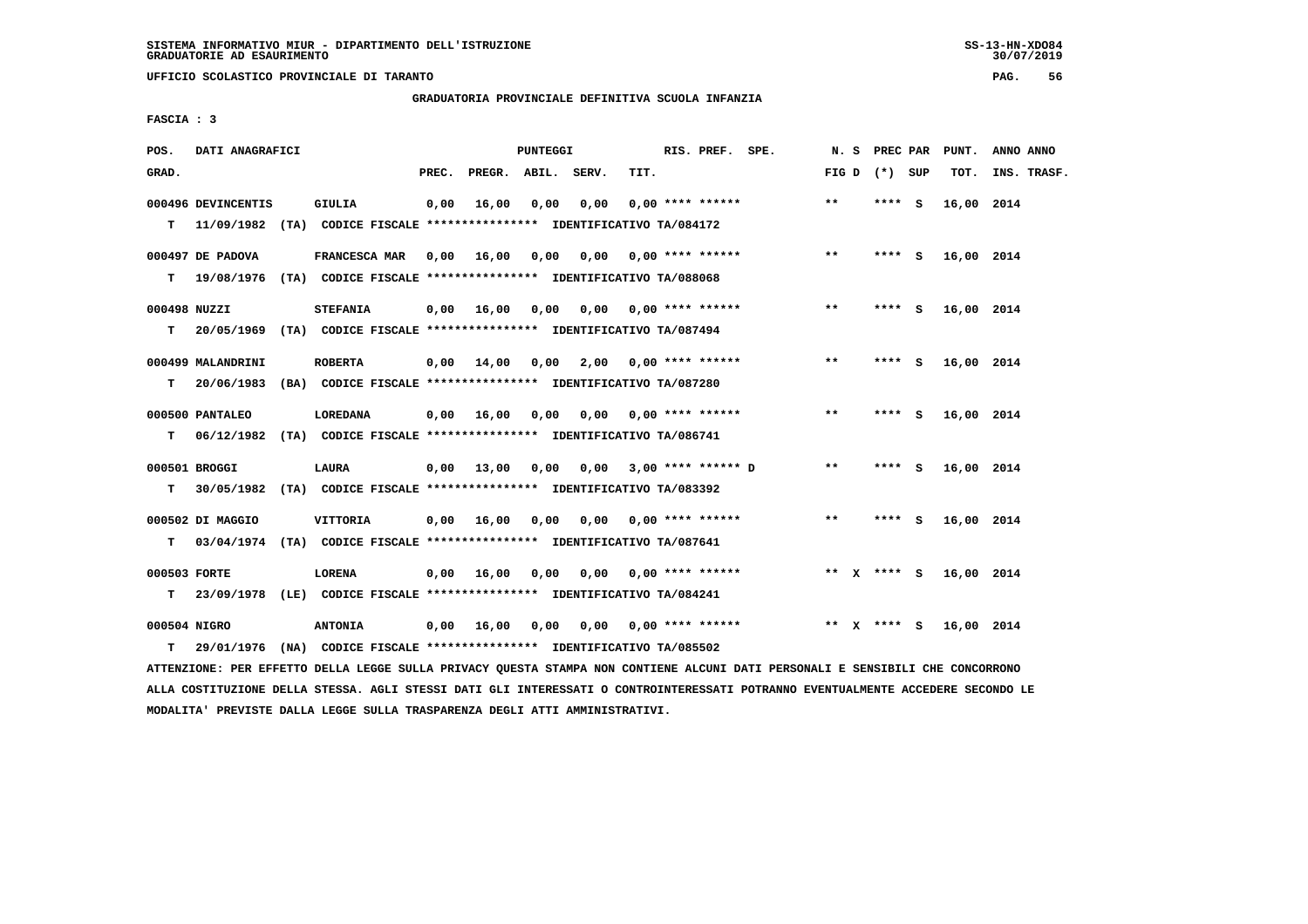**UFFICIO SCOLASTICO PROVINCIALE DI TARANTO PAG. 56**

 **GRADUATORIA PROVINCIALE DEFINITIVA SCUOLA INFANZIA**

 **FASCIA : 3**

| POS.  | DATI ANAGRAFICI                  |                                                                                            |       |                         | <b>PUNTEGGI</b> |      |      | RIS. PREF. SPE.           |                    |       | N. S PREC PAR   | PUNT.      | ANNO ANNO   |
|-------|----------------------------------|--------------------------------------------------------------------------------------------|-------|-------------------------|-----------------|------|------|---------------------------|--------------------|-------|-----------------|------------|-------------|
| GRAD. |                                  |                                                                                            | PREC. | PREGR. ABIL. SERV.      |                 |      | TIT. |                           |                    |       | FIG D $(*)$ SUP | TOT.       | INS. TRASF. |
| T.    | 000496 DEVINCENTIS<br>11/09/1982 | <b>GIULIA</b><br>(TA) CODICE FISCALE **************** IDENTIFICATIVO TA/084172             | 0,00  | 16,00                   | 0,00            | 0,00 |      | $0.00$ **** ******        |                    | $***$ | **** S          | 16,00 2014 |             |
|       | 000497 DE PADOVA                 | FRANCESCA MAR<br>T 19/08/1976 (TA) CODICE FISCALE *************** IDENTIFICATIVO TA/088068 | 0,00  | 16,00 0,00              |                 | 0,00 |      | 0,00 **** ******          |                    | $***$ | **** S          | 16,00 2014 |             |
| т     | 000498 NUZZI                     | <b>STEFANIA</b><br>20/05/1969 (TA) CODICE FISCALE *************** IDENTIFICATIVO TA/087494 |       | $0,00$ 16,00            | 0,00            |      |      | $0,00$ $0,00$ **** ****** |                    | $* *$ | **** S          | 16,00 2014 |             |
| т     | 000499 MALANDRINI                | <b>ROBERTA</b><br>20/06/1983 (BA) CODICE FISCALE **************** IDENTIFICATIVO TA/087280 |       | 0,00 14,00              | 0,00            |      |      | $2,00$ 0,00 **** ******   |                    | $* *$ | **** S          | 16,00 2014 |             |
| т     | 000500 PANTALEO                  | LOREDANA<br>06/12/1982 (TA) CODICE FISCALE *************** IDENTIFICATIVO TA/086741        |       | $0.00 \t 16.00 \t 0.00$ |                 |      |      | 0,00 0,00 **** ******     |                    | $***$ | **** S          | 16,00 2014 |             |
| T.    | 000501 BROGGI                    | LAURA<br>30/05/1982 (TA) CODICE FISCALE **************** IDENTIFICATIVO TA/083392          |       | 0,00 13,00 0,00 0,00    |                 |      |      |                           | 3,00 **** ****** D | $* *$ | **** S          | 16,00 2014 |             |
| T.    | 000502 DI MAGGIO                 | VITTORIA<br>03/04/1974 (TA) CODICE FISCALE **************** IDENTIFICATIVO TA/087641       |       | $0,00$ 16,00            | 0,00            | 0,00 |      | 0,00 **** ******          |                    | $***$ | **** S          | 16,00 2014 |             |
| т     | 000503 FORTE                     | <b>LORENA</b><br>23/09/1978 (LE) CODICE FISCALE *************** IDENTIFICATIVO TA/084241   |       | 0.00 16.00              | 0,00            |      |      | $0.00$ $0.00$ **** ****** |                    |       | ** x **** S     | 16,00 2014 |             |
| т     | 000504 NIGRO                     | <b>ANTONIA</b><br>29/01/1976 (NA) CODICE FISCALE **************** IDENTIFICATIVO TA/085502 |       | $0,00$ 16,00            | 0,00            |      |      | 0,00 0,00 **** ******     |                    | ** X  | **** S          | 16,00 2014 |             |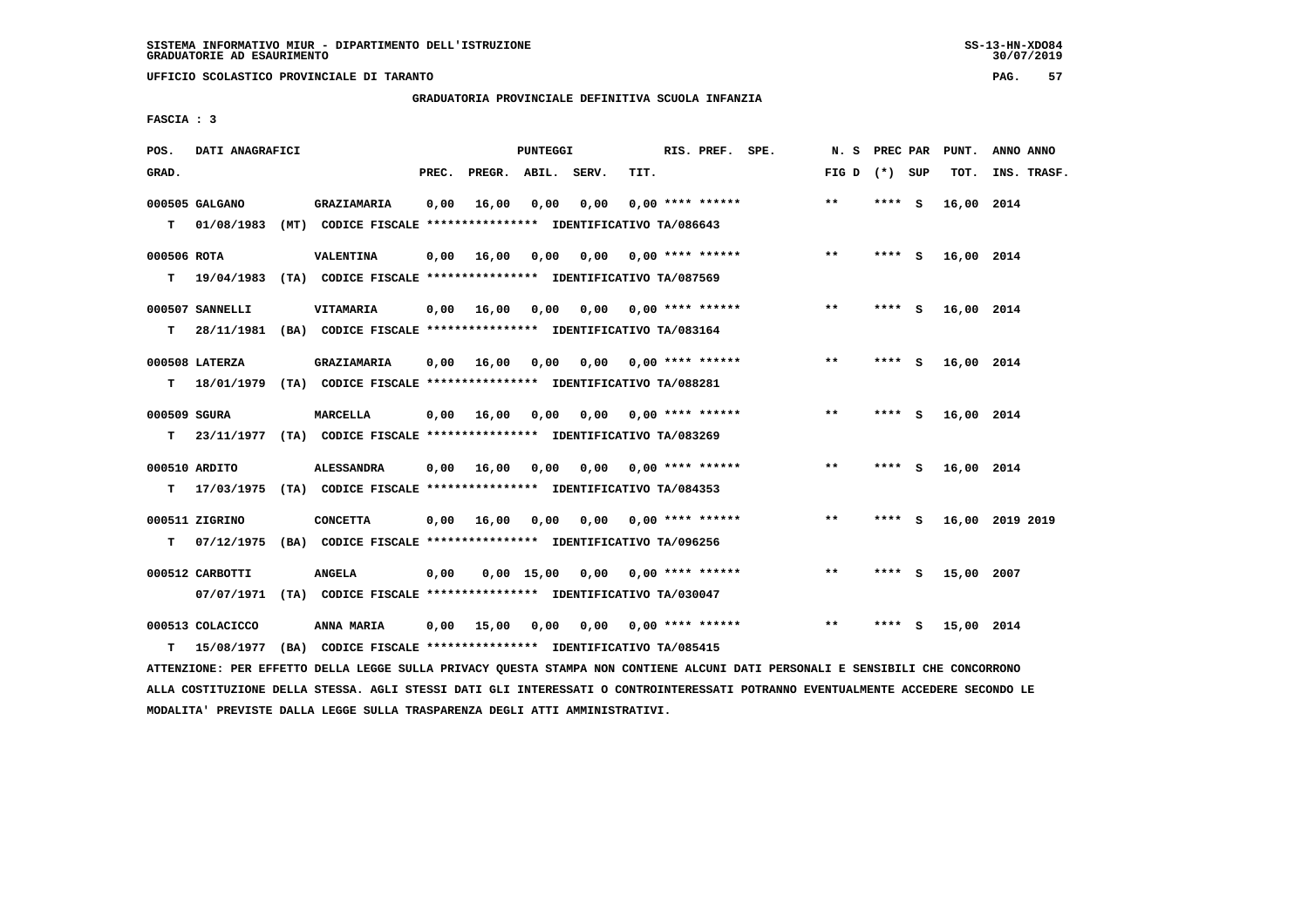**UFFICIO SCOLASTICO PROVINCIALE DI TARANTO PAG. 57**

 **GRADUATORIA PROVINCIALE DEFINITIVA SCUOLA INFANZIA**

 **FASCIA : 3**

| POS.              | DATI ANAGRAFICI                |                                                                                               |       |                    | PUNTEGGI |                 |      | RIS. PREF. SPE.           | N.S             | PREC PAR |          | PUNT.      | ANNO ANNO       |
|-------------------|--------------------------------|-----------------------------------------------------------------------------------------------|-------|--------------------|----------|-----------------|------|---------------------------|-----------------|----------|----------|------------|-----------------|
| GRAD.             |                                |                                                                                               | PREC. | PREGR. ABIL. SERV. |          |                 | TIT. |                           | FIG D $(*)$ SUP |          |          | TOT.       | INS. TRASF.     |
| T.                | 000505 GALGANO<br>01/08/1983   | GRAZIAMARIA<br>(MT) CODICE FISCALE **************** IDENTIFICATIVO TA/086643                  | 0,00  | 16,00              | 0,00     | 0,00            |      | $0.00$ **** ******        | $***$           | **** S   |          | 16,00 2014 |                 |
| 000506 ROTA<br>т  | 19/04/1983                     | VALENTINA<br>(TA) CODICE FISCALE **************** IDENTIFICATIVO TA/087569                    | 0,00  | 16,00              | 0,00     | 0,00            |      | $0.00$ **** ******        | **              | **** $S$ |          | 16,00 2014 |                 |
| т                 | 000507 SANNELLI<br>28/11/1981  | VITAMARIA<br>(BA) CODICE FISCALE **************** IDENTIFICATIVO TA/083164                    | 0,00  | 16,00              | 0,00     |                 |      | $0,00$ $0,00$ **** ****** | $***$           | **** S   |          | 16,00 2014 |                 |
| т                 | 000508 LATERZA                 | GRAZIAMARIA<br>18/01/1979 (TA) CODICE FISCALE **************** IDENTIFICATIVO TA/088281       | 0.00  | 16,00              | 0.00     |                 |      | $0.00$ $0.00$ **** ****** | $***$           | **** S   |          | 16,00 2014 |                 |
| 000509 SGURA<br>т |                                | MARCELLA<br>23/11/1977 (TA) CODICE FISCALE *************** IDENTIFICATIVO TA/083269           | 0,00  | 16,00              | 0,00     |                 |      | $0,00$ $0,00$ **** ****** | **              | **** S   |          | 16,00 2014 |                 |
| т                 | 000510 ARDITO                  | <b>ALESSANDRA</b><br>17/03/1975 (TA) CODICE FISCALE **************** IDENTIFICATIVO TA/084353 | 0,00  | 16,00              | 0,00     |                 |      | $0,00$ 0,00 **** ******   | $* *$           | ****     | <b>S</b> | 16,00 2014 |                 |
| т                 | 000511 ZIGRINO<br>07/12/1975   | <b>CONCETTA</b><br>(BA) CODICE FISCALE **************** IDENTIFICATIVO TA/096256              |       | 0.00 16.00         | 0.00     |                 |      | $0.00$ $0.00$ **** ****** | $***$           | ****     | - S      |            | 16,00 2019 2019 |
|                   | 000512 CARBOTTI<br>07/07/1971  | <b>ANGELA</b><br>(TA) CODICE FISCALE **************** IDENTIFICATIVO TA/030047                | 0,00  |                    |          | 0,00 15,00 0,00 |      | $0.00$ **** ******        | $***$           | ****     | ్        | 15,00 2007 |                 |
| т                 | 000513 COLACICCO<br>15/08/1977 | ANNA MARIA<br>(BA) CODICE FISCALE **************** IDENTIFICATIVO TA/085415                   | 0,00  | 15,00              | 0,00     |                 |      | $0,00$ $0,00$ **** ****** | **              | ****     | s        | 15,00 2014 |                 |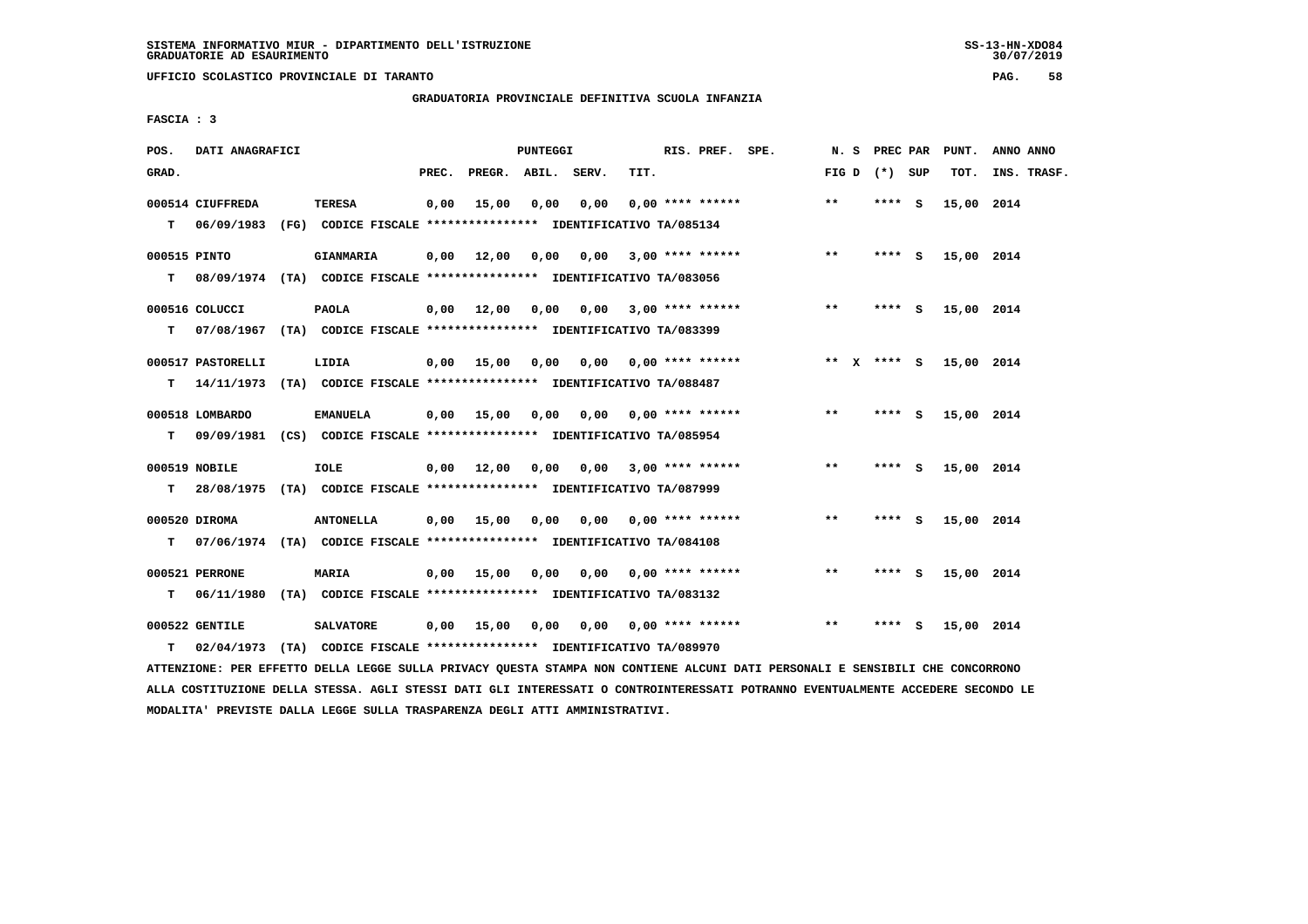**UFFICIO SCOLASTICO PROVINCIALE DI TARANTO PAG. 58**

 **GRADUATORIA PROVINCIALE DEFINITIVA SCUOLA INFANZIA**

 **FASCIA : 3**

| POS.              | DATI ANAGRAFICI   |                                                                                             |       |                       | PUNTEGGI |                            |      | RIS. PREF. SPE.                     |                 | N. S PREC PAR |   | PUNT.      | ANNO ANNO   |
|-------------------|-------------------|---------------------------------------------------------------------------------------------|-------|-----------------------|----------|----------------------------|------|-------------------------------------|-----------------|---------------|---|------------|-------------|
| GRAD.             |                   |                                                                                             | PREC. | PREGR. ABIL. SERV.    |          |                            | TIT. |                                     | FIG D $(*)$ SUP |               |   | TOT.       | INS. TRASF. |
| T.                | 000514 CIUFFREDA  | <b>TERESA</b><br>06/09/1983 (FG) CODICE FISCALE *************** IDENTIFICATIVO TA/085134    | 0,00  | 15,00                 | 0.00     | 0.00                       |      | $0.00$ **** ******                  | $***$           | **** S        |   | 15,00 2014 |             |
| 000515 PINTO<br>т |                   | <b>GIANMARIA</b><br>08/09/1974 (TA) CODICE FISCALE *************** IDENTIFICATIVO TA/083056 |       | $0,00$ $12,00$ $0,00$ |          | 0,00                       |      | $3,00$ **** ******                  | $* *$           | **** S        |   | 15,00 2014 |             |
| т                 | 000516 COLUCCI    | <b>PAOLA</b><br>07/08/1967 (TA) CODICE FISCALE **************** IDENTIFICATIVO TA/083399    |       | $0,00$ $12,00$ $0,00$ |          |                            |      | $0,00$ 3,00 **** ******             | $***$           | **** S        |   | 15,00 2014 |             |
|                   | 000517 PASTORELLI | LIDIA<br>T 14/11/1973 (TA) CODICE FISCALE *************** IDENTIFICATIVO TA/088487          |       | 0,00 15,00            | 0,00     |                            |      | $0,00$ $0,00$ **** ******           | ** x **** S     |               |   | 15,00 2014 |             |
|                   | 000518 LOMBARDO   | <b>EMANUELA</b>                                                                             |       | $0,00$ 15,00          | 0,00     |                            |      | $0.00$ $0.00$ $***$ $***$ $***$ $*$ | $***$           | **** S        |   | 15,00 2014 |             |
| T.                | 000519 NOBILE     | 09/09/1981 (CS) CODICE FISCALE *************** IDENTIFICATIVO TA/085954<br><b>IOLE</b>      |       | $0,00$ $12,00$ $0,00$ |          | 0,00                       |      | $3,00$ **** ******                  | $***$           | **** $S$      |   | 15,00 2014 |             |
| T.                | 000520 DIROMA     | 28/08/1975 (TA) CODICE FISCALE *************** IDENTIFICATIVO TA/087999<br><b>ANTONELLA</b> |       | $0,00$ 15,00          |          | 0,00 0,00 0,00 **** ****** |      |                                     | $* *$           | **** S        |   | 15,00 2014 |             |
| т                 | 000521 PERRONE    | 07/06/1974 (TA) CODICE FISCALE **************** IDENTIFICATIVO TA/084108<br><b>MARIA</b>    |       | $0,00$ 15,00 0,00     |          |                            |      | $0,00$ $0,00$ **** ******           | $***$           | **** S        |   | 15,00 2014 |             |
| т                 |                   | 06/11/1980 (TA) CODICE FISCALE **************** IDENTIFICATIVO TA/083132                    |       |                       |          |                            |      |                                     |                 |               |   |            |             |
|                   | 000522 GENTILE    | <b>SALVATORE</b>                                                                            |       | $0,00$ 15,00          | 0,00     | 0.00                       |      | $0.00$ **** ******                  | $***$           | ****          | ్ | 15,00 2014 |             |
| т                 | 02/04/1973        | (TA) CODICE FISCALE **************** IDENTIFICATIVO TA/089970                               |       |                       |          |                            |      |                                     |                 |               |   |            |             |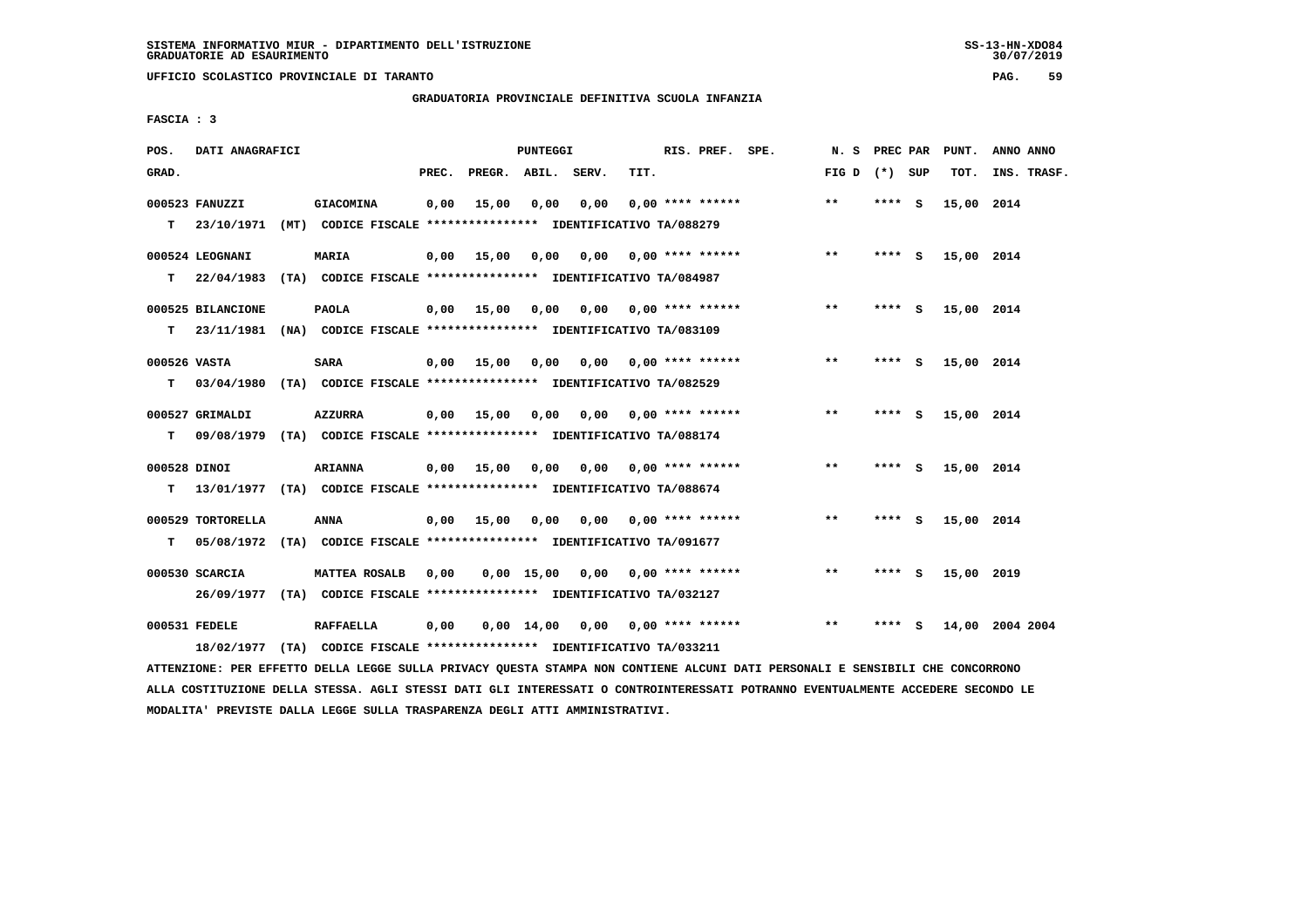**UFFICIO SCOLASTICO PROVINCIALE DI TARANTO PAG. 59**

## **GRADUATORIA PROVINCIALE DEFINITIVA SCUOLA INFANZIA**

 **FASCIA : 3**

| POS.               | DATI ANAGRAFICI                                                                               |                                                                                          |       |                   | PUNTEGGI           |                                    |                           | RIS. PREF. SPE.    | N. S            | PREC PAR |     | PUNT.      | ANNO ANNO       |
|--------------------|-----------------------------------------------------------------------------------------------|------------------------------------------------------------------------------------------|-------|-------------------|--------------------|------------------------------------|---------------------------|--------------------|-----------------|----------|-----|------------|-----------------|
| GRAD.              |                                                                                               |                                                                                          | PREC. |                   | PREGR. ABIL. SERV. |                                    | TIT.                      |                    | FIG D $(*)$ SUP |          |     | TOT.       | INS. TRASF.     |
| T.                 | 000523 FANUZZI<br>23/10/1971                                                                  | <b>GIACOMINA</b><br>(MT) CODICE FISCALE **************** IDENTIFICATIVO TA/088279        | 0,00  | 15,00             | 0,00               | 0,00                               |                           | $0.00$ **** ****** | $* *$           | **** S   |     | 15,00 2014 |                 |
| T.                 | 000524 LEOGNANI<br>22/04/1983 (TA) CODICE FISCALE *************** IDENTIFICATIVO TA/084987    | <b>MARIA</b>                                                                             |       | $0,00$ 15,00      | 0,00               |                                    | $0,00$ $0,00$ **** ****** |                    | $***$           | **** S   |     | 15,00 2014 |                 |
| т                  | 000525 BILANCIONE<br>23/11/1981 (NA) CODICE FISCALE **************** IDENTIFICATIVO TA/083109 | <b>PAOLA</b>                                                                             |       | $0,00$ 15,00 0,00 |                    |                                    | $0,00$ $0,00$ **** ****** |                    | $***$           | **** S   |     | 15,00 2014 |                 |
| 000526 VASTA<br>т  | 03/04/1980 (TA) CODICE FISCALE **************** IDENTIFICATIVO TA/082529                      | <b>SARA</b>                                                                              |       | $0,00$ 15,00      | 0,00               |                                    | $0.00$ $0.00$ **** ****** |                    | $* *$           | **** S   |     | 15,00 2014 |                 |
| т                  | 000527 GRIMALDI                                                                               | AZZURRA<br>09/08/1979 (TA) CODICE FISCALE *************** IDENTIFICATIVO TA/088174       |       | 0,00 15,00        | 0,00               |                                    |                           |                    | $* *$           | **** $S$ |     | 15,00 2014 |                 |
| 000528 DINOI<br>T. | 13/01/1977 (TA) CODICE FISCALE **************** IDENTIFICATIVO TA/088674                      | <b>ARIANNA</b>                                                                           |       | $0,00$ 15,00 0,00 |                    |                                    | $0,00$ $0,00$ **** ****** |                    | $***$           | ****     | - 5 | 15,00 2014 |                 |
| т                  | 000529 TORTORELLA<br>05/08/1972 (TA) CODICE FISCALE **************** IDENTIFICATIVO TA/091677 | ANNA                                                                                     |       | 0,00 15,00 0,00   |                    | 0,00                               |                           | $0.00$ **** ****** | $* *$           | **** S   |     | 15,00 2014 |                 |
|                    | 000530 SCARCIA                                                                                | MATTEA ROSALB<br>26/09/1977 (TA) CODICE FISCALE *************** IDENTIFICATIVO TA/032127 | 0,00  |                   |                    | $0,00$ 15,00 0,00 0,00 **** ****** |                           |                    | $* *$           | **** S   |     | 15,00 2019 |                 |
|                    | 000531 FEDELE<br>18/02/1977                                                                   | <b>RAFFAELLA</b><br>(TA) CODICE FISCALE **************** IDENTIFICATIVO TA/033211        | 0,00  |                   |                    | $0,00$ 14,00 0,00 0,00 **** ****** |                           |                    | **              | **** S   |     |            | 14,00 2004 2004 |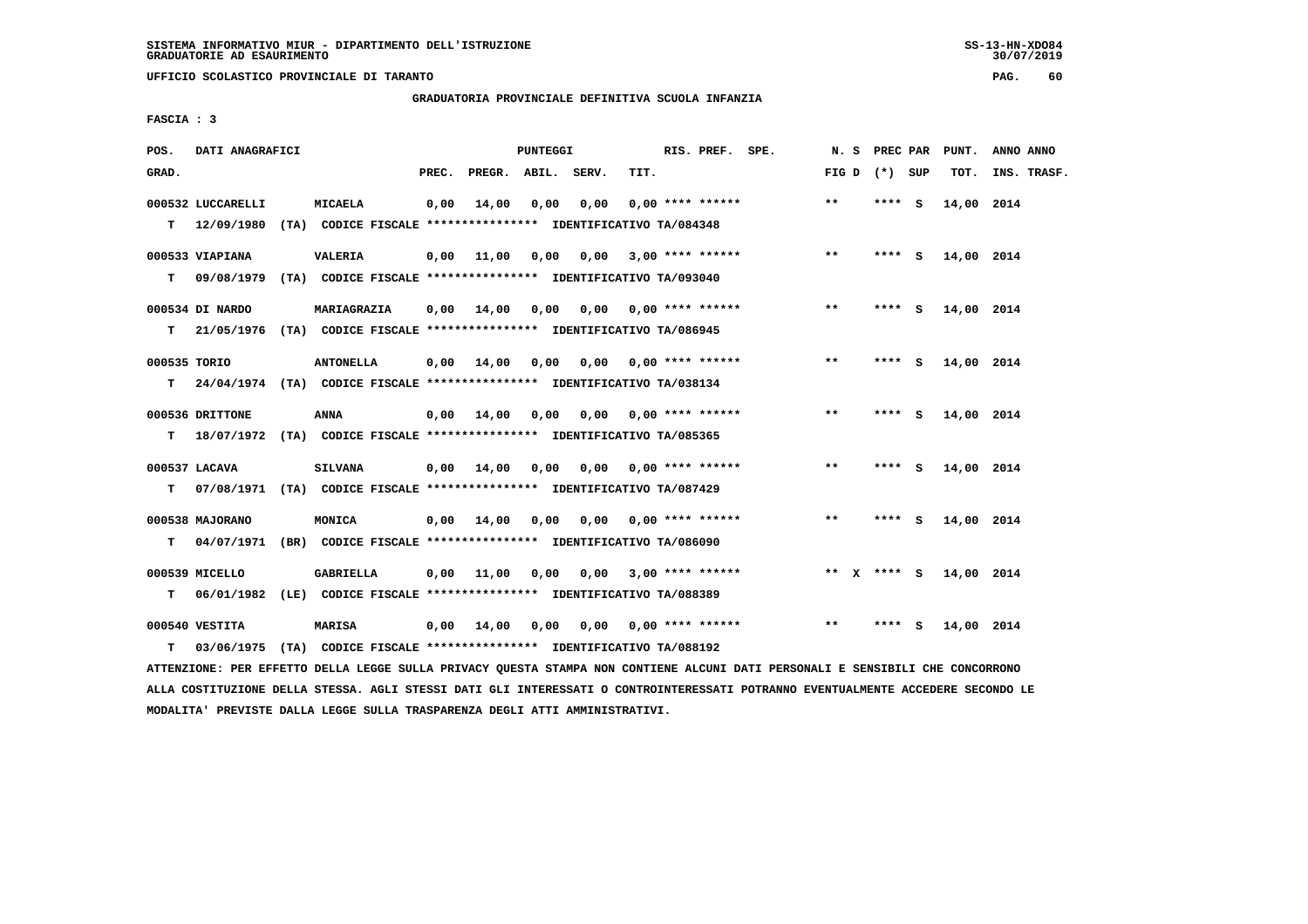**UFFICIO SCOLASTICO PROVINCIALE DI TARANTO PAG. 60**

# **GRADUATORIA PROVINCIALE DEFINITIVA SCUOLA INFANZIA**

 **FASCIA : 3**

| POS.         | DATI ANAGRAFICI   |                                                                           |       |                    | PUNTEGGI |                                        |      | RIS. PREF. SPE.           | N. S  |                 | PREC PAR PUNT. | ANNO ANNO   |
|--------------|-------------------|---------------------------------------------------------------------------|-------|--------------------|----------|----------------------------------------|------|---------------------------|-------|-----------------|----------------|-------------|
| GRAD.        |                   |                                                                           | PREC. | PREGR. ABIL. SERV. |          |                                        | TIT. |                           |       | FIG D $(*)$ SUP | TOT.           | INS. TRASF. |
|              | 000532 LUCCARELLI | <b>MICAELA</b>                                                            | 0,00  | 14,00              | 0,00     | 0,00                                   |      | $0.00$ **** ******        | $***$ | **** S          | 14,00 2014     |             |
|              | $T = 12/09/1980$  | (TA) CODICE FISCALE **************** IDENTIFICATIVO TA/084348             |       |                    |          |                                        |      |                           |       |                 |                |             |
|              | 000533 VIAPIANA   | <b>VALERIA</b>                                                            | 0,00  | 11,00              |          | 0,00 0,00 3,00 **** ******             |      |                           | $***$ | **** S          | 14,00 2014     |             |
|              | T 09/08/1979      | (TA) CODICE FISCALE *************** IDENTIFICATIVO TA/093040              |       |                    |          |                                        |      |                           |       |                 |                |             |
|              | 000534 DI NARDO   | MARIAGRAZIA                                                               | 0,00  | 14,00              | 0,00     |                                        |      | $0,00$ $0,00$ **** ****** | $***$ | **** S          | 14,00 2014     |             |
| т            |                   | 21/05/1976 (TA) CODICE FISCALE *************** IDENTIFICATIVO TA/086945   |       |                    |          |                                        |      |                           |       |                 |                |             |
| 000535 TORIO |                   | <b>ANTONELLA</b>                                                          | 0.00  | 14,00              | 0,00     |                                        |      | $0,00$ 0,00 **** ******   | $**$  | **** S          | 14,00 2014     |             |
|              |                   | T 24/04/1974 (TA) CODICE FISCALE *************** IDENTIFICATIVO TA/038134 |       |                    |          |                                        |      |                           |       |                 |                |             |
|              | 000536 DRITTONE   | ANNA                                                                      |       | $0,00$ 14,00       | 0,00     |                                        |      | 0,00 0,00 **** ******     | $***$ | $***5$          | 14,00 2014     |             |
|              |                   | T 18/07/1972 (TA) CODICE FISCALE *************** IDENTIFICATIVO TA/085365 |       |                    |          |                                        |      |                           |       |                 |                |             |
|              | 000537 LACAVA     | <b>SILVANA</b>                                                            | 0,00  | 14,00              |          | 0,00 0,00 0,00 **** ******             |      |                           | $***$ | **** S          | 14,00 2014     |             |
| т            |                   | 07/08/1971 (TA) CODICE FISCALE *************** IDENTIFICATIVO TA/087429   |       |                    |          |                                        |      |                           |       |                 |                |             |
|              |                   |                                                                           |       |                    |          |                                        |      |                           |       |                 |                |             |
|              | 000538 MAJORANO   | MONICA                                                                    |       | $0,00$ 14,00       |          | $0,00$ $0,00$ $0,00$ $***$ **** ****** |      |                           | $***$ | $***$ S         | 14,00 2014     |             |
| т            |                   | 04/07/1971 (BR) CODICE FISCALE **************** IDENTIFICATIVO TA/086090  |       |                    |          |                                        |      |                           |       |                 |                |             |
|              | 000539 MICELLO    | GABRIELLA                                                                 | 0,00  | 11,00              | 0,00     |                                        |      | $0.00$ 3.00 **** ******   | ** X  | **** S          | 14,00 2014     |             |
| т            |                   | 06/01/1982 (LE) CODICE FISCALE *************** IDENTIFICATIVO TA/088389   |       |                    |          |                                        |      |                           |       |                 |                |             |
|              | 000540 VESTITA    | <b>MARISA</b>                                                             |       | $0,00$ $14,00$     | 0,00     | 0,00                                   |      | $0.00$ **** ******        | $* *$ | **** S          | 14,00 2014     |             |
| т            |                   | 03/06/1975 (TA) CODICE FISCALE **************** IDENTIFICATIVO TA/088192  |       |                    |          |                                        |      |                           |       |                 |                |             |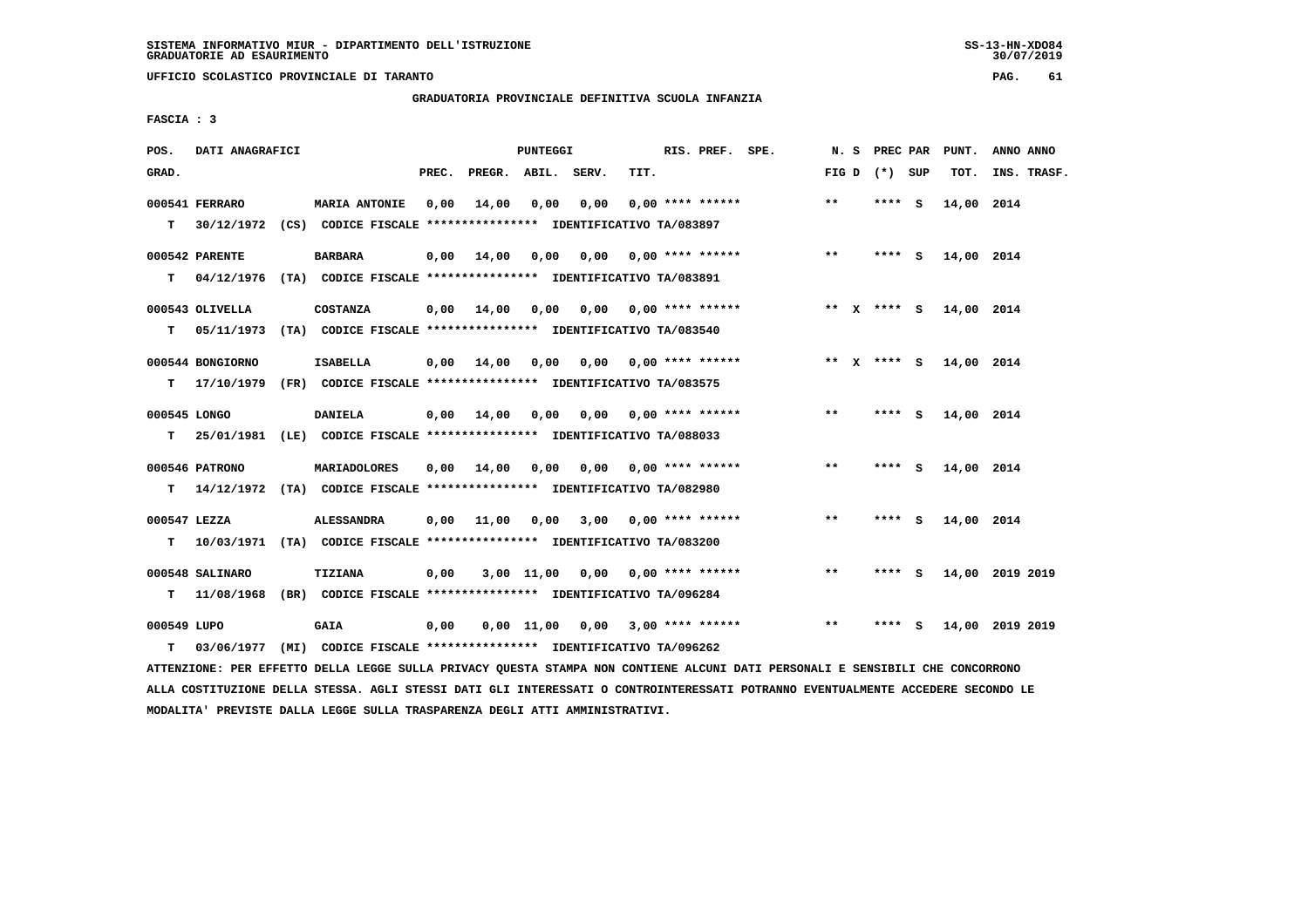**UFFICIO SCOLASTICO PROVINCIALE DI TARANTO PAG. 61**

 **GRADUATORIA PROVINCIALE DEFINITIVA SCUOLA INFANZIA**

 **FASCIA : 3**

| POS.         | DATI ANAGRAFICI  |                                                                                                                               |       |                    | PUNTEGGI |                                         |      | RIS. PREF. SPE.                     |                                    |       |                 | N. S PREC PAR PUNT. | ANNO ANNO       |
|--------------|------------------|-------------------------------------------------------------------------------------------------------------------------------|-------|--------------------|----------|-----------------------------------------|------|-------------------------------------|------------------------------------|-------|-----------------|---------------------|-----------------|
| GRAD.        |                  |                                                                                                                               | PREC. | PREGR. ABIL. SERV. |          |                                         | TIT. |                                     |                                    |       | FIG D $(*)$ SUP | TOT.                | INS. TRASF.     |
|              | 000541 FERRARO   | <b>MARIA ANTONIE</b>                                                                                                          | 0,00  | 14,00              | 0,00     | 0,00                                    |      | $0,00$ **** ******                  |                                    | $***$ | **** S          | 14,00 2014          |                 |
|              |                  | T 30/12/1972 (CS) CODICE FISCALE *************** IDENTIFICATIVO TA/083897                                                     |       |                    |          |                                         |      |                                     |                                    |       |                 |                     |                 |
|              | 000542 PARENTE   | <b>BARBARA</b>                                                                                                                | 0,00  | 14,00              |          | $0,00$ $0,00$ $0,00$ $***$ **** ******  |      |                                     |                                    | $***$ | **** S          | 14,00 2014          |                 |
|              |                  | T 04/12/1976 (TA) CODICE FISCALE *************** IDENTIFICATIVO TA/083891                                                     |       |                    |          |                                         |      |                                     |                                    |       |                 |                     |                 |
|              | 000543 OLIVELLA  | <b>COSTANZA</b>                                                                                                               | 0,00  | 14,00              | 0,00     |                                         |      |                                     |                                    |       | ** x **** s     | 14,00 2014          |                 |
| т            | 05/11/1973       | (TA) CODICE FISCALE *************** IDENTIFICATIVO TA/083540                                                                  |       |                    |          |                                         |      |                                     |                                    |       |                 |                     |                 |
|              | 000544 BONGIORNO | <b>ISABELLA</b>                                                                                                               |       |                    |          | $0,00$ 14,00 0,00 0,00 0,00 **** ****** |      |                                     |                                    |       | ** x **** S     | 14,00 2014          |                 |
|              | T 17/10/1979     | (FR) CODICE FISCALE **************** IDENTIFICATIVO TA/083575                                                                 |       |                    |          |                                         |      |                                     |                                    |       |                 |                     |                 |
| 000545 LONGO |                  | <b>DANIELA</b>                                                                                                                |       | $0,00$ 14,00       |          | 0,00 0,00 0,00 **** ******              |      |                                     |                                    | $***$ | **** S          | 14,00 2014          |                 |
| т            |                  | 25/01/1981 (LE) CODICE FISCALE **************** IDENTIFICATIVO TA/088033                                                      |       |                    |          |                                         |      |                                     |                                    |       |                 |                     |                 |
|              | 000546 PATRONO   | MARIADOLORES                                                                                                                  | 0,00  | 14,00              | 0,00     |                                         |      | $0.00$ $0.00$ $***$ $***$ $***$ $*$ |                                    | $***$ | **** S          | 14,00 2014          |                 |
|              |                  | T 14/12/1972 (TA) CODICE FISCALE *************** IDENTIFICATIVO TA/082980                                                     |       |                    |          |                                         |      |                                     |                                    |       |                 |                     |                 |
| 000547 LEZZA |                  | <b>ALESSANDRA</b>                                                                                                             |       |                    |          | $0,00$ 11,00 0,00 3,00 0,00 **** ****** |      |                                     |                                    | $***$ | **** S          | 14,00 2014          |                 |
| т            |                  | 10/03/1971 (TA) CODICE FISCALE **************** IDENTIFICATIVO TA/083200                                                      |       |                    |          |                                         |      |                                     |                                    |       |                 |                     |                 |
|              | 000548 SALINARO  | TIZIANA                                                                                                                       | 0,00  |                    |          | $3,00$ 11,00 0,00 0,00 **** ******      |      |                                     |                                    | $***$ | **** S          |                     | 14,00 2019 2019 |
|              | $T = 11/08/1968$ | (BR) CODICE FISCALE **************** IDENTIFICATIVO TA/096284                                                                 |       |                    |          |                                         |      |                                     |                                    |       |                 |                     |                 |
| 000549 LUPO  |                  | <b>GAIA</b>                                                                                                                   | 0,00  |                    |          |                                         |      |                                     | $0,00$ 11,00 0,00 3,00 **** ****** | $***$ | **** S          |                     | 14,00 2019 2019 |
| т            | 03/06/1977       | (MI) CODICE FISCALE **************** IDENTIFICATIVO TA/096262                                                                 |       |                    |          |                                         |      |                                     |                                    |       |                 |                     |                 |
|              |                  | ATTENZIONE: PER EFFETTO DELLA LEGGE SULLA PRIVACY QUESTA STAMPA NON CONTIENE ALCUNI DATI PERSONALI E SENSIBILI CHE CONCORRONO |       |                    |          |                                         |      |                                     |                                    |       |                 |                     |                 |

 **ALLA COSTITUZIONE DELLA STESSA. AGLI STESSI DATI GLI INTERESSATI O CONTROINTERESSATI POTRANNO EVENTUALMENTE ACCEDERE SECONDO LE MODALITA' PREVISTE DALLA LEGGE SULLA TRASPARENZA DEGLI ATTI AMMINISTRATIVI.**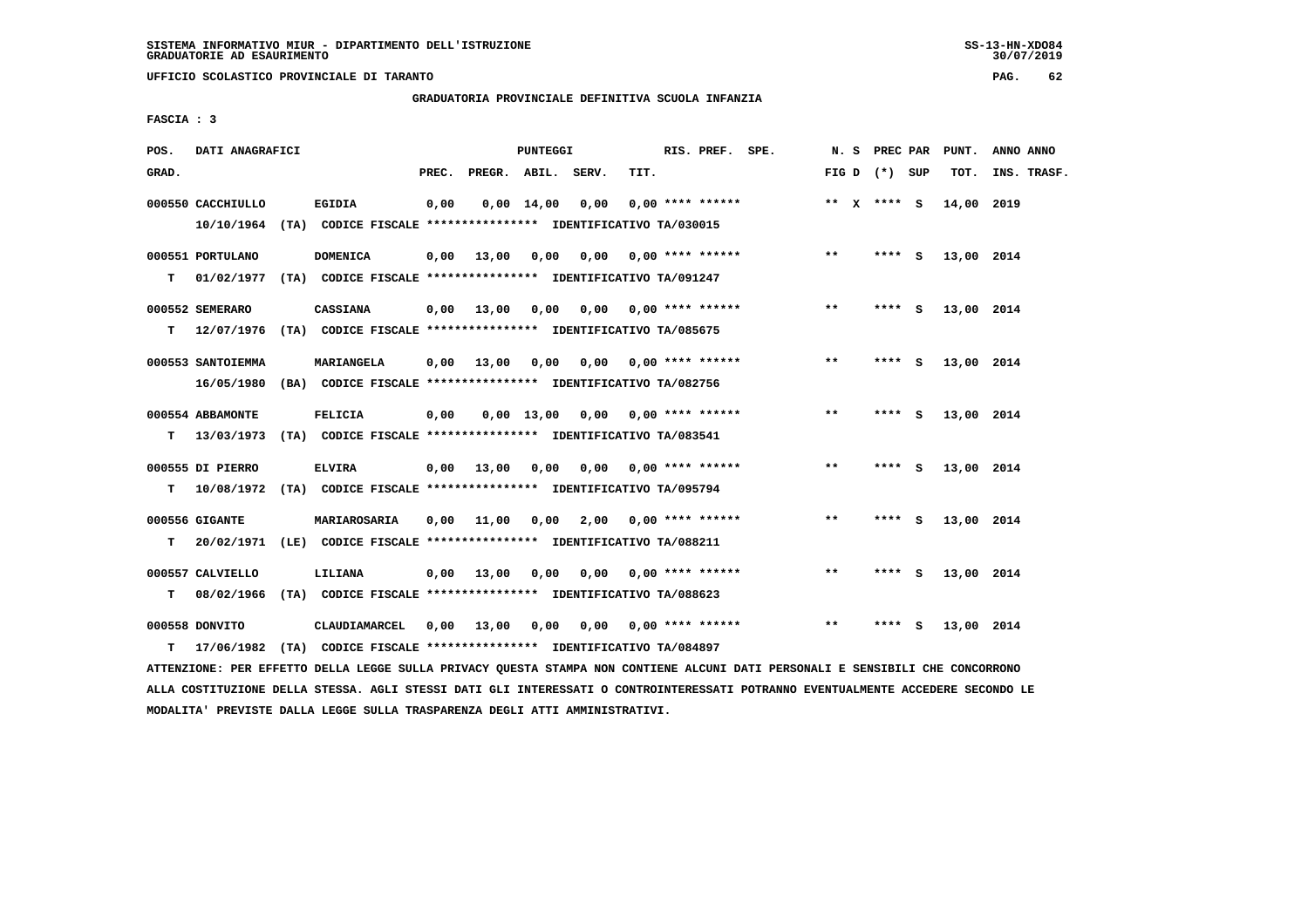**UFFICIO SCOLASTICO PROVINCIALE DI TARANTO PAG. 62**

## **GRADUATORIA PROVINCIALE DEFINITIVA SCUOLA INFANZIA**

 **FASCIA : 3**

| POS.  | DATI ANAGRAFICI                 |                                                                                             |       |                   | PUNTEGGI           |       |      | RIS. PREF. SPE.           |       | N. S PREC PAR   |     | PUNT.      | ANNO ANNO   |
|-------|---------------------------------|---------------------------------------------------------------------------------------------|-------|-------------------|--------------------|-------|------|---------------------------|-------|-----------------|-----|------------|-------------|
| GRAD. |                                 |                                                                                             | PREC. | PREGR. ABIL.      |                    | SERV. | TIT. |                           |       | FIG D $(*)$ SUP |     | TOT.       | INS. TRASF. |
|       | 000550 CACCHIULLO               | <b>EGIDIA</b><br>10/10/1964 (TA) CODICE FISCALE *************** IDENTIFICATIVO TA/030015    | 0,00  |                   | $0,00 \quad 14,00$ | 0,00  |      | $0.00$ **** ******        |       | ** $X$ **** S   |     | 14,00 2019 |             |
| т     | 000551 PORTULANO                | <b>DOMENICA</b><br>01/02/1977 (TA) CODICE FISCALE **************** IDENTIFICATIVO TA/091247 | 0,00  | 13,00             | 0,00               | 0,00  |      | $0.00$ **** ******        | **    | **** S          |     | 13,00 2014 |             |
| т     | 000552 SEMERARO                 | CASSIANA<br>12/07/1976 (TA) CODICE FISCALE *************** IDENTIFICATIVO TA/085675         |       | $0,00$ 13,00 0,00 |                    |       |      | $0,00$ $0,00$ **** ****** | $* *$ | **** S          |     | 13,00 2014 |             |
|       | 000553 SANTOIEMMA<br>16/05/1980 | MARIANGELA<br>(BA) CODICE FISCALE *************** IDENTIFICATIVO TA/082756                  |       | $0,00$ 13,00      | 0,00               |       |      | $0,00$ $0,00$ **** ****** | **    | **** S          |     | 13,00 2014 |             |
| т     | 000554 ABBAMONTE                | <b>FELICIA</b><br>13/03/1973 (TA) CODICE FISCALE *************** IDENTIFICATIVO TA/083541   | 0,00  |                   | $0,00$ 13,00       | 0.00  |      | $0.00$ **** ******        | $***$ | ****            | - S | 13,00 2014 |             |
| т     | 000555 DI PIERRO                | <b>ELVIRA</b><br>10/08/1972 (TA) CODICE FISCALE **************** IDENTIFICATIVO TA/095794   |       | $0,00$ 13,00      | 0,00               | 0,00  |      | $0.00$ **** ******        | $***$ | **** S          |     | 13,00 2014 |             |
| т     | 000556 GIGANTE                  | MARIAROSARIA<br>20/02/1971 (LE) CODICE FISCALE **************** IDENTIFICATIVO TA/088211    |       | 0,00 11,00 0,00   |                    | 2,00  |      | $0.00$ **** ******        | $***$ | ****            | ్   | 13,00 2014 |             |
| т     | 000557 CALVIELLO<br>08/02/1966  | LILIANA<br>(TA) CODICE FISCALE **************** IDENTIFICATIVO TA/088623                    | 0,00  | 13,00             | 0,00               | 0,00  |      | $0.00$ **** ******        | $***$ | **** S          |     | 13,00 2014 |             |
| т     | 000558 DONVITO<br>17/06/1982    | CLAUDIAMARCEL<br>(TA) CODICE FISCALE **************** IDENTIFICATIVO TA/084897              |       | 0,00 13,00        | 0,00               |       |      | $0.00$ $0.00$ **** ****** | $***$ | ****            | - S | 13,00 2014 |             |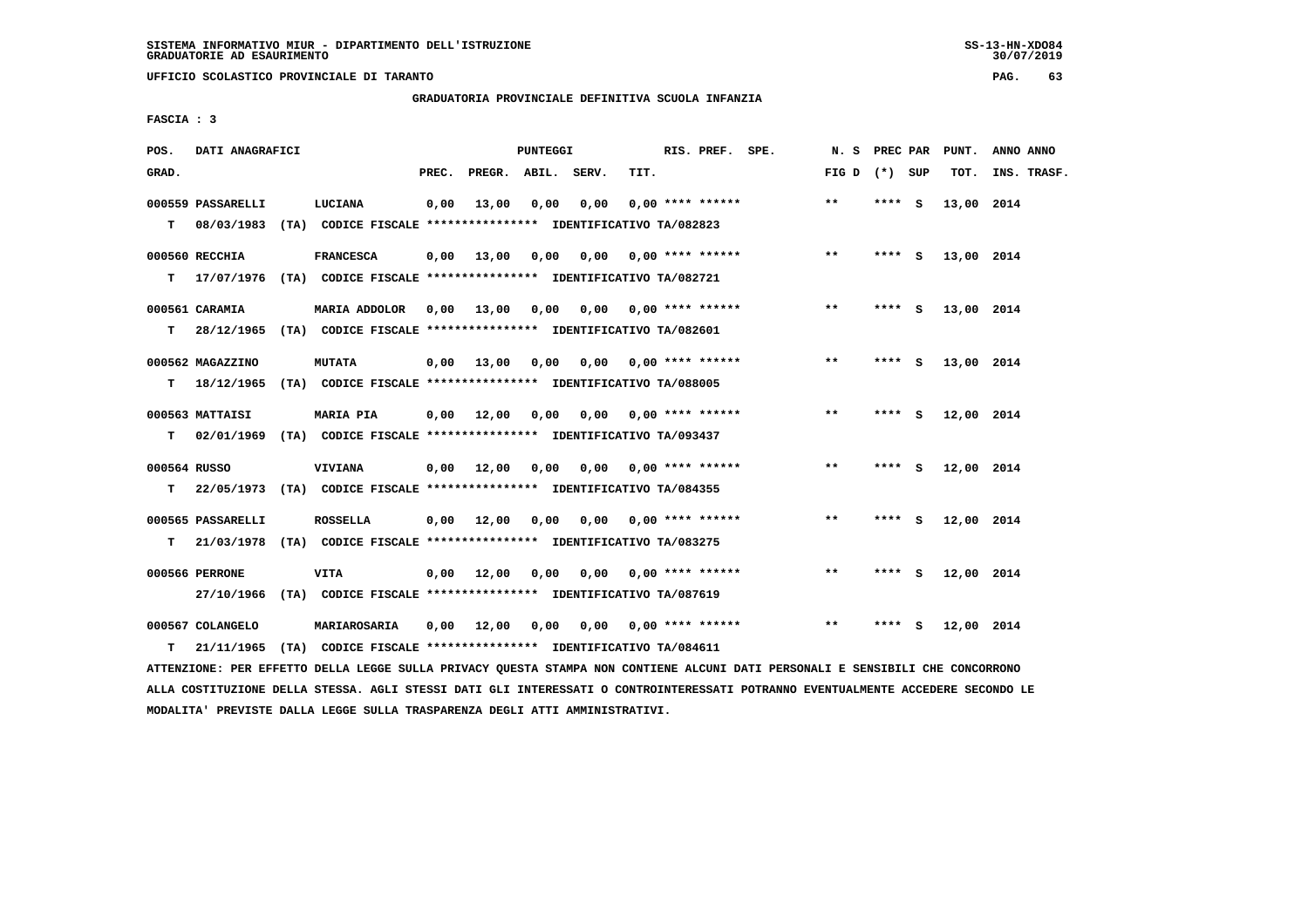**UFFICIO SCOLASTICO PROVINCIALE DI TARANTO PAG. 63**

# **GRADUATORIA PROVINCIALE DEFINITIVA SCUOLA INFANZIA**

 **FASCIA : 3**

| POS.              | DATI ANAGRAFICI                 |                                                                                             |       |              | PUNTEGGI |       |      | RIS. PREF. SPE.           | N. S            | <b>PREC PAR</b> |     | PUNT.      | ANNO ANNO   |
|-------------------|---------------------------------|---------------------------------------------------------------------------------------------|-------|--------------|----------|-------|------|---------------------------|-----------------|-----------------|-----|------------|-------------|
| GRAD.             |                                 |                                                                                             | PREC. | PREGR. ABIL. |          | SERV. | TIT. |                           | FIG D $(*)$ SUP |                 |     | TOT.       | INS. TRASF. |
| T.                | 000559 PASSARELLI<br>08/03/1983 | LUCIANA<br>(TA) CODICE FISCALE **************** IDENTIFICATIVO TA/082823                    | 0,00  | 13,00        | 0,00     | 0,00  |      | $0.00$ **** ******        | $***$           | **** S          |     | 13,00 2014 |             |
| т                 | 000560 RECCHIA                  | <b>FRANCESCA</b><br>17/07/1976 (TA) CODICE FISCALE *************** IDENTIFICATIVO TA/082721 | 0,00  | 13,00        | 0,00     | 0,00  |      | $0.00$ **** ******        | $**$            | **** $S$        |     | 13,00 2014 |             |
| т                 | 000561 CARAMIA<br>28/12/1965    | MARIA ADDOLOR<br>(TA) CODICE FISCALE **************** IDENTIFICATIVO TA/082601              | 0,00  | 13,00        | 0,00     |       |      | $0,00$ $0,00$ **** ****** | $**$            | **** S          |     | 13,00 2014 |             |
| T.                | 000562 MAGAZZINO<br>18/12/1965  | <b>MUTATA</b><br>(TA) CODICE FISCALE *************** IDENTIFICATIVO TA/088005               | 0,00  | 13,00        | 0.00     |       |      | $0.00$ $0.00$ **** ****** | $***$           | ****            | - S | 13,00 2014 |             |
| т                 | 000563 MATTAISI                 | MARIA PIA<br>02/01/1969 (TA) CODICE FISCALE *************** IDENTIFICATIVO TA/093437        | 0,00  | 12,00        | 0,00     | 0,00  |      | $0.00$ **** ******        | $**$            | **** S          |     | 12,00 2014 |             |
| 000564 RUSSO<br>т |                                 | <b>VIVIANA</b><br>22/05/1973 (TA) CODICE FISCALE **************** IDENTIFICATIVO TA/084355  |       | $0,00$ 12,00 | 0,00     |       |      | 0,00 0,00 **** ******     | $* *$           | **** S          |     | 12,00 2014 |             |
| т                 | 000565 PASSARELLI               | <b>ROSSELLA</b><br>21/03/1978 (TA) CODICE FISCALE **************** IDENTIFICATIVO TA/083275 |       | 0.00 12.00   | 0.00     | 0.00  |      | $0.00$ **** ******        | $\star\star$    | ****            | - S | 12,00 2014 |             |
|                   | 000566 PERRONE<br>27/10/1966    | <b>VITA</b><br>(TA) CODICE FISCALE **************** IDENTIFICATIVO TA/087619                |       | $0,00$ 12,00 | 0,00     | 0.00  |      | $0.00$ **** ******        | $\star\star$    | ****            | - S | 12,00 2014 |             |
| т                 | 000567 COLANGELO<br>21/11/1965  | MARIAROSARIA<br>(TA) CODICE FISCALE **************** IDENTIFICATIVO TA/084611               | 0,00  | 12,00        | 0,00     |       |      | $0,00$ $0,00$ **** ****** | $**$            | ****            | s   | 12,00 2014 |             |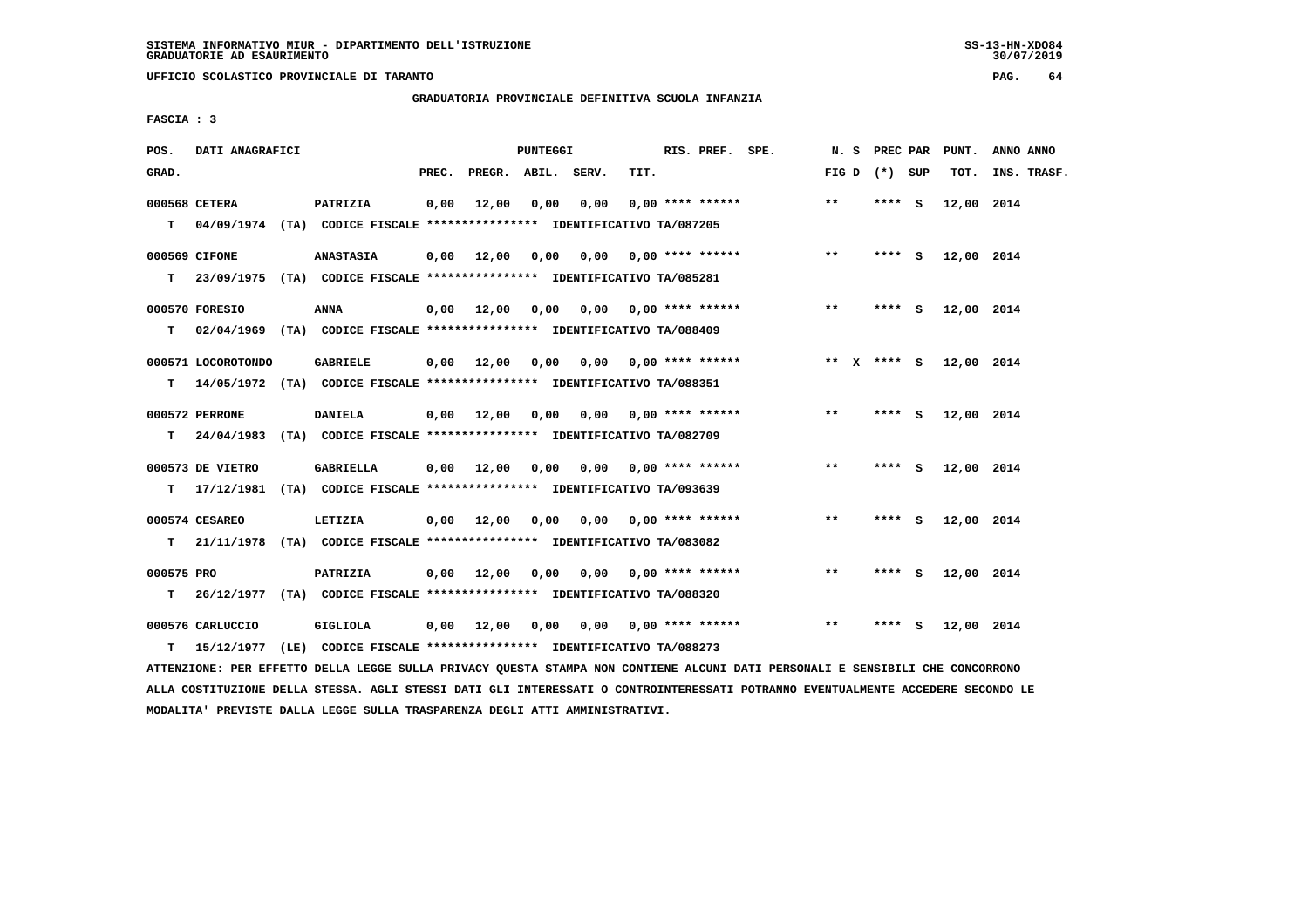**UFFICIO SCOLASTICO PROVINCIALE DI TARANTO PAG. 64**

 **GRADUATORIA PROVINCIALE DEFINITIVA SCUOLA INFANZIA**

 **FASCIA : 3**

| POS.            | DATI ANAGRAFICI                |                                                                                              |       |                                         | PUNTEGGI |       |      | RIS. PREF. SPE.           | N.S   | PREC PAR        |          | PUNT.      | ANNO ANNO   |
|-----------------|--------------------------------|----------------------------------------------------------------------------------------------|-------|-----------------------------------------|----------|-------|------|---------------------------|-------|-----------------|----------|------------|-------------|
| GRAD.           |                                |                                                                                              | PREC. | PREGR. ABIL.                            |          | SERV. | TIT. |                           |       | FIG D $(*)$ SUP |          | TOT.       | INS. TRASF. |
| T.              | 000568 CETERA                  | PATRIZIA<br>04/09/1974 (TA) CODICE FISCALE **************** IDENTIFICATIVO TA/087205         | 0,00  | 12,00                                   | 0.00     | 0.00  |      | $0.00$ **** ******        | $***$ | **** S          |          | 12,00 2014 |             |
| т               | 000569 CIFONE                  | <b>ANASTASIA</b><br>23/09/1975 (TA) CODICE FISCALE **************** IDENTIFICATIVO TA/085281 | 0,00  | 12,00                                   | 0,00     | 0,00  |      | $0.00$ **** ******        | $***$ | **** S          |          | 12,00 2014 |             |
| т               | 000570 FORESIO                 | <b>ANNA</b><br>02/04/1969 (TA) CODICE FISCALE *************** IDENTIFICATIVO TA/088409       | 0,00  | 12,00                                   | 0,00     |       |      | $0,00$ $0,00$ **** ****** | $* *$ | **** S          |          | 12,00 2014 |             |
| т               | 000571 LOCOROTONDO             | <b>GABRIELE</b><br>14/05/1972 (TA) CODICE FISCALE *************** IDENTIFICATIVO TA/088351   |       | $0,00$ 12,00                            | 0,00     |       |      | $0,00$ $0,00$ **** ****** |       | ** x **** S     |          | 12,00 2014 |             |
| т               | 000572 PERRONE                 | <b>DANIELA</b><br>24/04/1983 (TA) CODICE FISCALE *************** IDENTIFICATIVO TA/082709    | 0,00  | 12,00                                   | 0,00     | 0,00  |      | $0.00$ **** ******        | $* *$ | ****            | <b>S</b> | 12,00 2014 |             |
| т               | 000573 DE VIETRO<br>17/12/1981 | GABRIELLA<br>(TA) CODICE FISCALE **************** IDENTIFICATIVO TA/093639                   |       | $0,00$ 12,00                            | 0,00     |       |      | $0.00$ $0.00$ **** ****** | $***$ | **** S          |          | 12,00 2014 |             |
| т               | 000574 CESAREO                 | LETIZIA<br>21/11/1978 (TA) CODICE FISCALE *************** IDENTIFICATIVO TA/083082           |       | $0,00$ 12,00                            | 0,00     | 0,00  |      | $0.00$ **** ******        | $***$ | ****            | - S      | 12,00 2014 |             |
| 000575 PRO<br>т |                                | PATRIZIA<br>26/12/1977 (TA) CODICE FISCALE *************** IDENTIFICATIVO TA/088320          | 0,00  | 12,00                                   | 0,00     | 0,00  |      | $0.00$ **** ******        | $***$ | **** S          |          | 12,00 2014 |             |
| т               | 000576 CARLUCCIO<br>15/12/1977 | GIGLIOLA<br>(LE) CODICE FISCALE **************** IDENTIFICATIVO TA/088273                    |       | $0,00$ 12,00 0,00 0,00 0,00 **** ****** |          |       |      |                           | $***$ | **** S          |          | 12,00 2014 |             |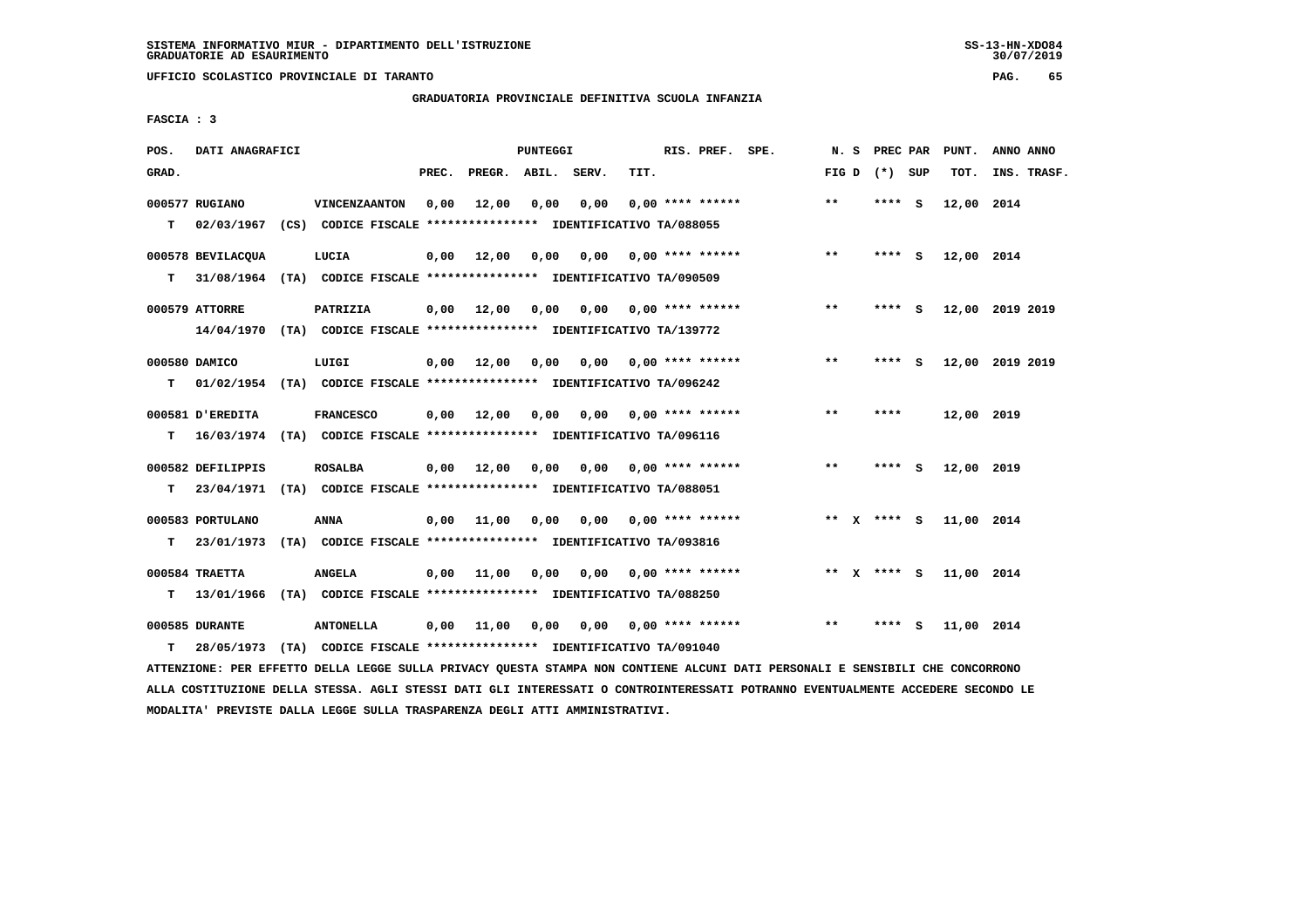**UFFICIO SCOLASTICO PROVINCIALE DI TARANTO PAG. 65**

### **GRADUATORIA PROVINCIALE DEFINITIVA SCUOLA INFANZIA**

 **FASCIA : 3**

| POS.  | DATI ANAGRAFICI   |                                                                          |       |                       | <b>PUNTEGGI</b> |                           |      | RIS. PREF. SPE.                     |       | N. S PREC PAR   |     | PUNT.      | ANNO ANNO       |
|-------|-------------------|--------------------------------------------------------------------------|-------|-----------------------|-----------------|---------------------------|------|-------------------------------------|-------|-----------------|-----|------------|-----------------|
| GRAD. |                   |                                                                          | PREC. | PREGR. ABIL. SERV.    |                 |                           | TIT. |                                     |       | FIG D $(*)$ SUP |     | TOT.       | INS. TRASF.     |
|       | 000577 RUGIANO    | VINCENZAANTON                                                            | 0,00  | 12,00                 | 0,00            | 0,00                      |      | $0.00$ **** ******                  | **    | **** S          |     | 12,00 2014 |                 |
| т     |                   | 02/03/1967 (CS) CODICE FISCALE **************** IDENTIFICATIVO TA/088055 |       |                       |                 |                           |      |                                     |       |                 |     |            |                 |
|       | 000578 BEVILACQUA | LUCIA                                                                    | 0,00  | 12,00                 |                 | 0,00 0,00                 |      | $0.00$ **** ******                  | $***$ | **** S          |     | 12,00 2014 |                 |
| т     |                   | 31/08/1964 (TA) CODICE FISCALE *************** IDENTIFICATIVO TA/090509  |       |                       |                 |                           |      |                                     |       |                 |     |            |                 |
|       | 000579 ATTORRE    | PATRIZIA                                                                 |       | $0,00$ 12,00          | 0,00            | $0.00$ $0.00$ **** ****** |      |                                     | $***$ | **** S          |     |            | 12,00 2019 2019 |
|       |                   | 14/04/1970 (TA) CODICE FISCALE *************** IDENTIFICATIVO TA/139772  |       |                       |                 |                           |      |                                     |       |                 |     |            |                 |
|       | 000580 DAMICO     | LUIGI                                                                    | 0,00  | 12,00                 | 0.00            |                           |      | $0.00$ $0.00$ $***$ $***$ $***$ $*$ | **    | **** S          |     |            | 12,00 2019 2019 |
| т     |                   | 01/02/1954 (TA) CODICE FISCALE *************** IDENTIFICATIVO TA/096242  |       |                       |                 |                           |      |                                     |       |                 |     |            |                 |
|       | 000581 D'EREDITA  | <b>FRANCESCO</b>                                                         | 0,00  | 12,00                 | 0,00            |                           |      | $0.00$ $0.00$ **** ******           | $***$ | ****            |     | 12,00 2019 |                 |
| т     |                   | 16/03/1974 (TA) CODICE FISCALE **************** IDENTIFICATIVO TA/096116 |       |                       |                 |                           |      |                                     |       |                 |     |            |                 |
|       | 000582 DEFILIPPIS | <b>ROSALBA</b>                                                           |       | $0,00$ $12,00$ $0,00$ |                 | 0,00                      |      | $0.00$ **** ******                  | $***$ | ****            | - S | 12,00 2019 |                 |
| T.    |                   | 23/04/1971 (TA) CODICE FISCALE **************** IDENTIFICATIVO TA/088051 |       |                       |                 |                           |      |                                     |       |                 |     |            |                 |
|       | 000583 PORTULANO  | <b>ANNA</b>                                                              | 0,00  | 11,00                 | 0,00            |                           |      | $0,00$ $0,00$ **** ******           |       | ** x **** S     |     | 11,00 2014 |                 |
| т     | 23/01/1973        | (TA) CODICE FISCALE **************** IDENTIFICATIVO TA/093816            |       |                       |                 |                           |      |                                     |       |                 |     |            |                 |
|       | 000584 TRAETTA    | <b>ANGELA</b>                                                            |       | $0,00$ 11,00          | 0,00            | $0,00$ $0,00$ **** ****** |      |                                     |       | ** X **** S     |     | 11,00 2014 |                 |
| т     |                   | 13/01/1966 (TA) CODICE FISCALE *************** IDENTIFICATIVO TA/088250  |       |                       |                 |                           |      |                                     |       |                 |     |            |                 |
|       | 000585 DURANTE    | <b>ANTONELLA</b>                                                         | 0,00  | 11,00                 | 0,00            |                           |      | $0,00$ $0,00$ **** ******           | $* *$ | ****            | - S | 11,00 2014 |                 |
| т     | 28/05/1973        | (TA) CODICE FISCALE **************** IDENTIFICATIVO TA/091040            |       |                       |                 |                           |      |                                     |       |                 |     |            |                 |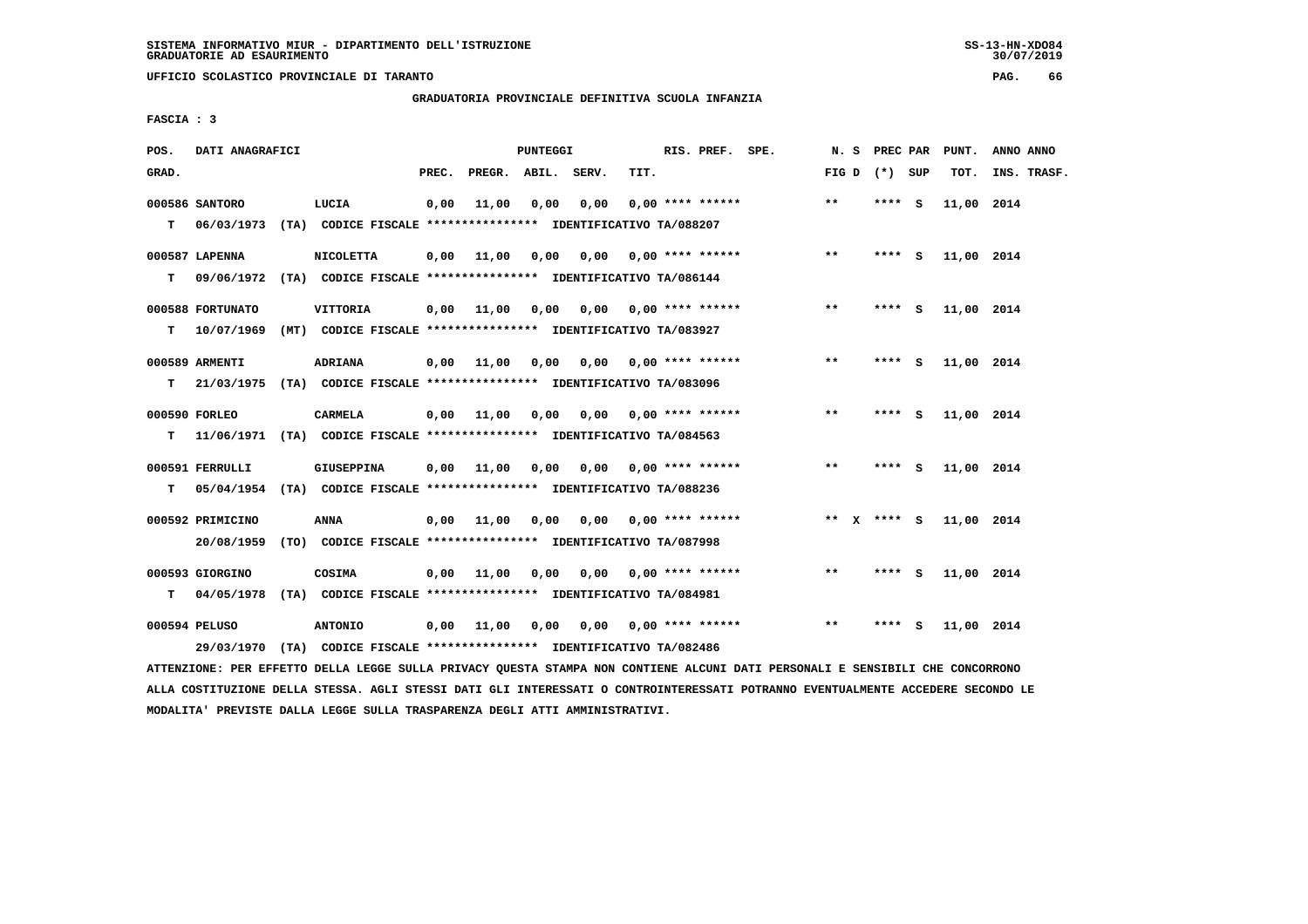**UFFICIO SCOLASTICO PROVINCIALE DI TARANTO PAG. 66**

## **GRADUATORIA PROVINCIALE DEFINITIVA SCUOLA INFANZIA**

 **FASCIA : 3**

| POS.  | DATI ANAGRAFICI  |                                                                                   |       |                    | PUNTEGGI |                                        |      | RIS. PREF. SPE.                     |                         | N.S          | <b>PREC PAR</b> | PUNT.      | ANNO ANNO   |
|-------|------------------|-----------------------------------------------------------------------------------|-------|--------------------|----------|----------------------------------------|------|-------------------------------------|-------------------------|--------------|-----------------|------------|-------------|
| GRAD. |                  |                                                                                   | PREC. | PREGR. ABIL. SERV. |          |                                        | TIT. |                                     |                         |              | FIG D $(*)$ SUP | TOT.       | INS. TRASF. |
| т     | 000586 SANTORO   | LUCIA<br>06/03/1973 (TA) CODICE FISCALE **************** IDENTIFICATIVO TA/088207 | 0,00  | 11,00              | 0.00     | 0,00                                   |      | $0.00$ **** ******                  |                         | $***$        | **** S          | 11,00 2014 |             |
|       |                  |                                                                                   |       |                    |          |                                        |      |                                     |                         |              |                 |            |             |
|       | 000587 LAPENNA   | <b>NICOLETTA</b>                                                                  | 0,00  | 11,00              | 0,00     | 0,00                                   |      |                                     | $0.00$ **** ******      | $**$         | **** S          | 11,00 2014 |             |
| т     |                  | 09/06/1972 (TA) CODICE FISCALE **************** IDENTIFICATIVO TA/086144          |       |                    |          |                                        |      |                                     |                         |              |                 |            |             |
|       | 000588 FORTUNATO | VITTORIA                                                                          | 0,00  | 11,00              |          | $0,00$ $0,00$ $0,00$ $***$ **** ****** |      |                                     |                         | $\star\star$ | **** S          | 11,00 2014 |             |
| T.    | 10/07/1969       | (MT) CODICE FISCALE **************** IDENTIFICATIVO TA/083927                     |       |                    |          |                                        |      |                                     |                         |              |                 |            |             |
|       | 000589 ARMENTI   | <b>ADRIANA</b>                                                                    |       | $0,00$ 11,00       | 0,00     |                                        |      | $0.00$ $0.00$ **** ******           |                         | $**$         | **** S          | 11,00 2014 |             |
| т     |                  | 21/03/1975 (TA) CODICE FISCALE *************** IDENTIFICATIVO TA/083096           |       |                    |          |                                        |      |                                     |                         |              |                 |            |             |
|       |                  |                                                                                   |       |                    |          |                                        |      |                                     |                         |              |                 |            |             |
|       | 000590 FORLEO    | <b>CARMELA</b>                                                                    | 0,00  | 11,00              | 0,00     |                                        |      |                                     | $0,00$ 0,00 **** ****** | $* *$        | $***5$          | 11,00 2014 |             |
| т     |                  | 11/06/1971 (TA) CODICE FISCALE *************** IDENTIFICATIVO TA/084563           |       |                    |          |                                        |      |                                     |                         |              |                 |            |             |
|       | 000591 FERRULLI  | GIUSEPPINA                                                                        |       | $0.00$ 11.00       | 0.00     |                                        |      | $0.00$ $0.00$ $***$ $***$ $***$ $*$ |                         | $***$        | **** S          | 11,00 2014 |             |
| т     |                  | 05/04/1954 (TA) CODICE FISCALE **************** IDENTIFICATIVO TA/088236          |       |                    |          |                                        |      |                                     |                         |              |                 |            |             |
|       | 000592 PRIMICINO | ANNA                                                                              | 0,00  | 11,00              | 0,00     | 0,00                                   |      | $0.00$ **** ******                  |                         |              | ** $X$ **** S   | 11,00 2014 |             |
|       | 20/08/1959       | (TO) CODICE FISCALE **************** IDENTIFICATIVO TA/087998                     |       |                    |          |                                        |      |                                     |                         |              |                 |            |             |
|       |                  |                                                                                   |       |                    |          |                                        |      |                                     |                         |              |                 |            |             |
|       | 000593 GIORGINO  | COSIMA                                                                            | 0,00  | 11,00              | 0,00     | $0.00$ $0.00$ $***$ **** ******        |      |                                     |                         | $***$        | $***$ S         | 11,00 2014 |             |
| T.    | 04/05/1978       | (TA) CODICE FISCALE **************** IDENTIFICATIVO TA/084981                     |       |                    |          |                                        |      |                                     |                         |              |                 |            |             |
|       | 000594 PELUSO    | <b>ANTONIO</b>                                                                    | 0,00  | 11,00              | 0,00     |                                        |      | $0,00$ $0,00$ **** ******           |                         | **           | **** S          | 11,00 2014 |             |
|       | 29/03/1970       | (TA) CODICE FISCALE **************** IDENTIFICATIVO TA/082486                     |       |                    |          |                                        |      |                                     |                         |              |                 |            |             |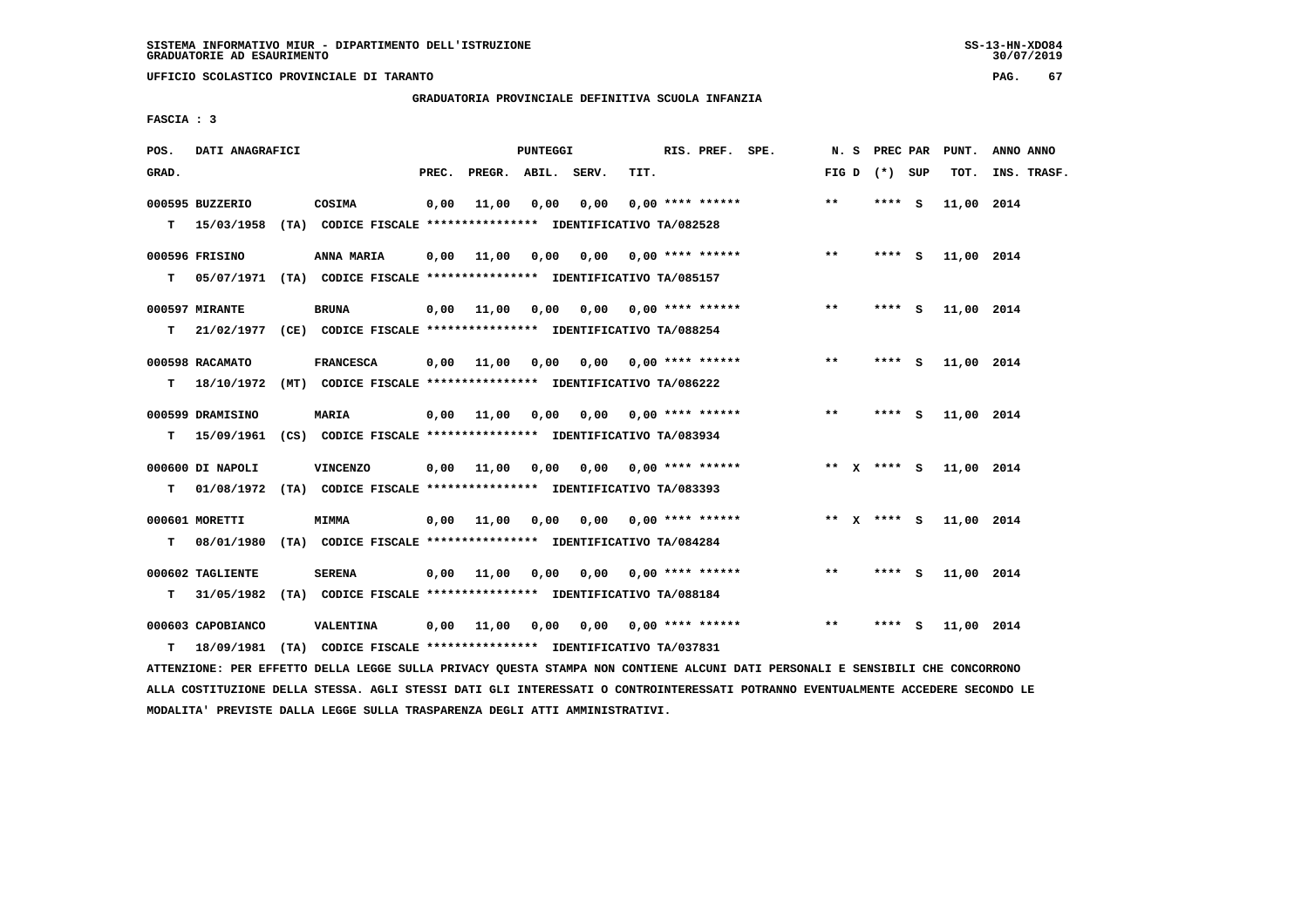**UFFICIO SCOLASTICO PROVINCIALE DI TARANTO PAG. 67**

## **GRADUATORIA PROVINCIALE DEFINITIVA SCUOLA INFANZIA**

 **FASCIA : 3**

| POS.  | DATI ANAGRAFICI                 |                                                                                               |       |                       | PUNTEGGI |                                        |      | RIS. PREF. SPE.           |                       |              | N. S PREC PAR   | PUNT.      | ANNO ANNO   |
|-------|---------------------------------|-----------------------------------------------------------------------------------------------|-------|-----------------------|----------|----------------------------------------|------|---------------------------|-----------------------|--------------|-----------------|------------|-------------|
| GRAD. |                                 |                                                                                               | PREC. | PREGR. ABIL. SERV.    |          |                                        | TIT. |                           |                       |              | FIG D $(*)$ SUP | TOT.       | INS. TRASF. |
| T.    | 000595 BUZZERIO                 | COSIMA<br>15/03/1958 (TA) CODICE FISCALE **************** IDENTIFICATIVO TA/082528            | 0,00  | 11,00                 | 0,00     | 0,00                                   |      | $0.00$ **** ******        |                       | $* *$        | **** S          | 11,00 2014 |             |
| т     | 000596 FRISINO                  | ANNA MARIA<br>05/07/1971 (TA) CODICE FISCALE **************** IDENTIFICATIVO TA/085157        |       | $0,00$ $11,00$ $0,00$ |          | 0,00                                   |      | $0.00$ **** ******        |                       | $***$        | **** S          | 11,00 2014 |             |
| т     | 000597 MIRANTE                  | <b>BRUNA</b><br>21/02/1977 (CE) CODICE FISCALE *************** IDENTIFICATIVO TA/088254       |       | 0,00 11,00 0,00       |          |                                        |      | $0,00$ $0,00$ **** ****** |                       | $\star\star$ | **** S          | 11,00 2014 |             |
|       | 000598 RACAMATO                 | <b>FRANCESCA</b><br>T 18/10/1972 (MT) CODICE FISCALE *************** IDENTIFICATIVO TA/086222 |       | 0,00 11,00            | 0,00     |                                        |      | $0.00$ $0.00$ **** ****** |                       | $* *$        | **** S          | 11,00 2014 |             |
| T.    | 000599 DRAMISINO                | <b>MARIA</b><br>15/09/1961 (CS) CODICE FISCALE **************** IDENTIFICATIVO TA/083934      |       | 0,00 11,00            | 0,00     |                                        |      |                           | 0,00 0,00 **** ****** | $* *$        | $***$ S         | 11,00 2014 |             |
| т     | 000600 DI NAPOLI                | <b>VINCENZO</b><br>01/08/1972 (TA) CODICE FISCALE *************** IDENTIFICATIVO TA/083393    |       | $0,00$ $11,00$ $0,00$ |          |                                        |      | $0.00$ $0.00$ **** ****** |                       |              | ** $X$ **** S   | 11,00 2014 |             |
| т     | 000601 MORETTI<br>08/01/1980    | <b>MIMMA</b><br>(TA) CODICE FISCALE **************** IDENTIFICATIVO TA/084284                 |       | $0,00$ 11,00          | 0,00     |                                        |      | $0,00$ $0,00$ **** ****** |                       |              | ** $X$ **** $S$ | 11,00 2014 |             |
| T.    | 000602 TAGLIENTE                | <b>SERENA</b><br>31/05/1982 (TA) CODICE FISCALE *************** IDENTIFICATIVO TA/088184      |       | $0,00$ $11,00$        |          | $0,00$ $0,00$ $0,00$ $***$ **** ****** |      |                           |                       | $***$        | **** S          | 11,00 2014 |             |
| T.    | 000603 CAPOBIANCO<br>18/09/1981 | <b>VALENTINA</b><br>(TA) CODICE FISCALE **************** IDENTIFICATIVO TA/037831             |       | $0,00$ $11,00$        | 0,00     |                                        |      | $0,00$ $0,00$ **** ****** |                       | $* *$        | **** S          | 11,00 2014 |             |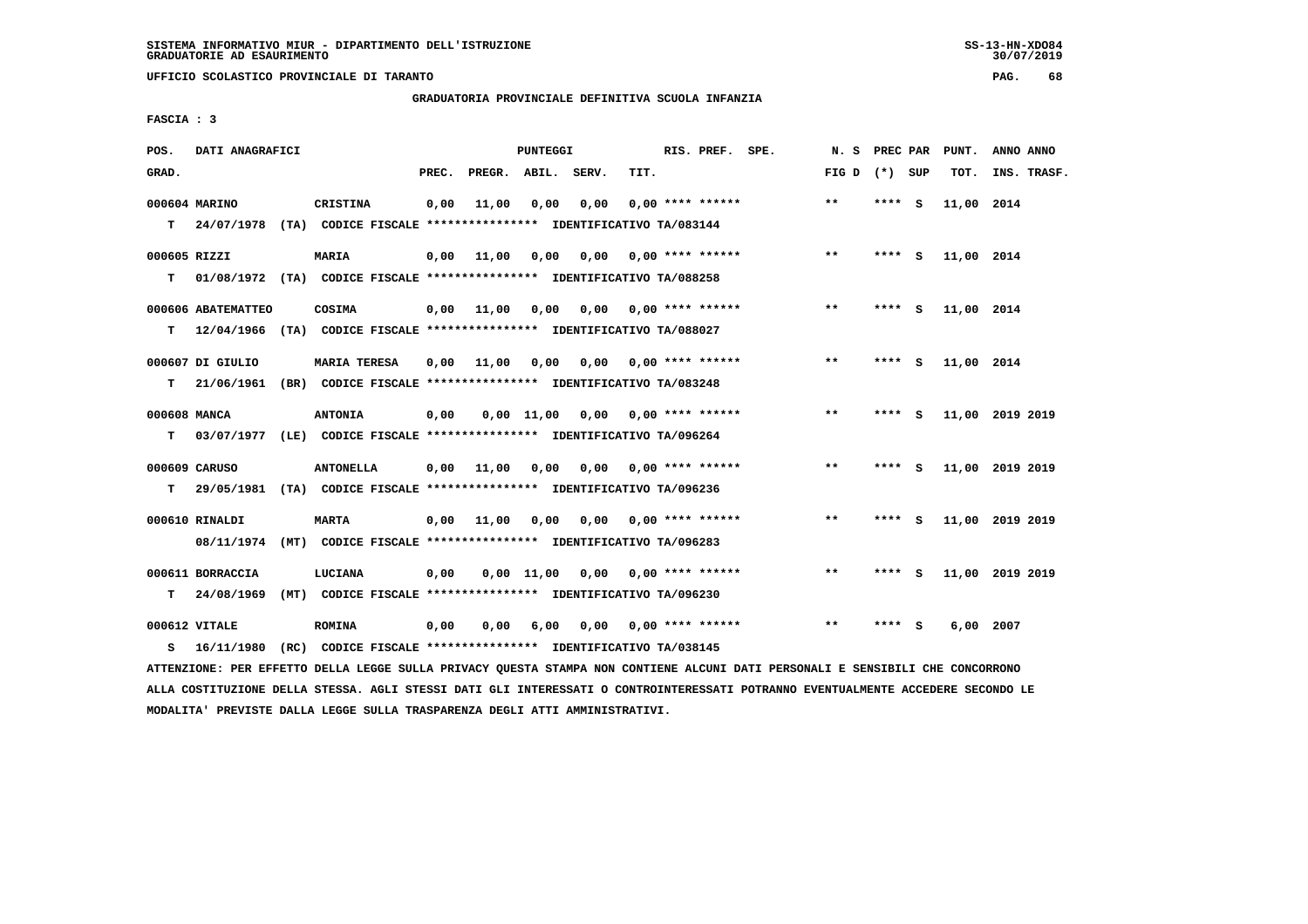**UFFICIO SCOLASTICO PROVINCIALE DI TARANTO PAG. 68**

## **GRADUATORIA PROVINCIALE DEFINITIVA SCUOLA INFANZIA**

 **FASCIA : 3**

| POS.               | DATI ANAGRAFICI                  |                                                                                            |       |                    | PUNTEGGI     |      |      | RIS. PREF. SPE.           | N.S             | PREC PAR |     | PUNT.      | ANNO ANNO       |
|--------------------|----------------------------------|--------------------------------------------------------------------------------------------|-------|--------------------|--------------|------|------|---------------------------|-----------------|----------|-----|------------|-----------------|
| GRAD.              |                                  |                                                                                            | PREC. | PREGR. ABIL. SERV. |              |      | TIT. |                           | FIG D $(*)$ SUP |          |     | TOT.       | INS. TRASF.     |
| T.                 | 000604 MARINO                    | CRISTINA<br>24/07/1978 (TA) CODICE FISCALE **************** IDENTIFICATIVO TA/083144       | 0,00  | 11,00              | 0,00         | 0,00 |      | $0.00$ **** ******        | $* *$           | ****     | - S | 11,00 2014 |                 |
| 000605 RIZZI<br>т  |                                  | <b>MARIA</b><br>01/08/1972 (TA) CODICE FISCALE *************** IDENTIFICATIVO TA/088258    | 0,00  | 11,00              | 0,00         | 0,00 |      | 0,00 **** ******          | $***$           | **** S   |     | 11,00 2014 |                 |
| т                  | 000606 ABATEMATTEO<br>12/04/1966 | COSIMA<br>(TA) CODICE FISCALE **************** IDENTIFICATIVO TA/088027                    | 0,00  | 11,00              | 0,00         |      |      | $0,00$ $0,00$ **** ****** | $***$           | **** S   |     | 11,00 2014 |                 |
| т                  | 000607 DI GIULIO<br>21/06/1961   | <b>MARIA TERESA</b><br>(BR) CODICE FISCALE **************** IDENTIFICATIVO TA/083248       | 0,00  | 11,00              | 0,00         |      |      | $0,00$ 0,00 **** ******   | $* *$           | ****     | - 5 | 11,00 2014 |                 |
| 000608 MANCA<br>T. |                                  | <b>ANTONIA</b><br>03/07/1977 (LE) CODICE FISCALE **************** IDENTIFICATIVO TA/096264 | 0,00  |                    | $0.00$ 11.00 |      |      | $0,00$ $0,00$ **** ****** | $**$            | **** S   |     |            | 11,00 2019 2019 |
| т                  | 000609 CARUSO<br>29/05/1981      | <b>ANTONELLA</b><br>(TA) CODICE FISCALE **************** IDENTIFICATIVO TA/096236          | 0,00  | 11,00              | 0,00         | 0,00 |      | $0.00$ **** ******        | $***$           | **** S   |     |            | 11,00 2019 2019 |
|                    | 000610 RINALDI<br>08/11/1974     | <b>MARTA</b><br>(MT) CODICE FISCALE **************** IDENTIFICATIVO TA/096283              | 0.00  | 11,00              | 0,00         | 0,00 |      | 0,00 **** ******          | $***$           | **** S   |     |            | 11,00 2019 2019 |
| т                  | 000611 BORRACCIA<br>24/08/1969   | LUCIANA<br>(MT) CODICE FISCALE **************** IDENTIFICATIVO TA/096230                   | 0,00  |                    | $0,00$ 11,00 |      |      | $0,00$ 0,00 **** ******   | $* *$           | ****     | - S |            | 11,00 2019 2019 |
| s                  | 000612 VITALE<br>16/11/1980      | <b>ROMINA</b><br>(RC) CODICE FISCALE **************** IDENTIFICATIVO TA/038145             | 0,00  | 0,00               | 6,00         |      |      | $0,00$ 0,00 **** ******   | $* *$           | ****     | s   | 6,00       | 2007            |